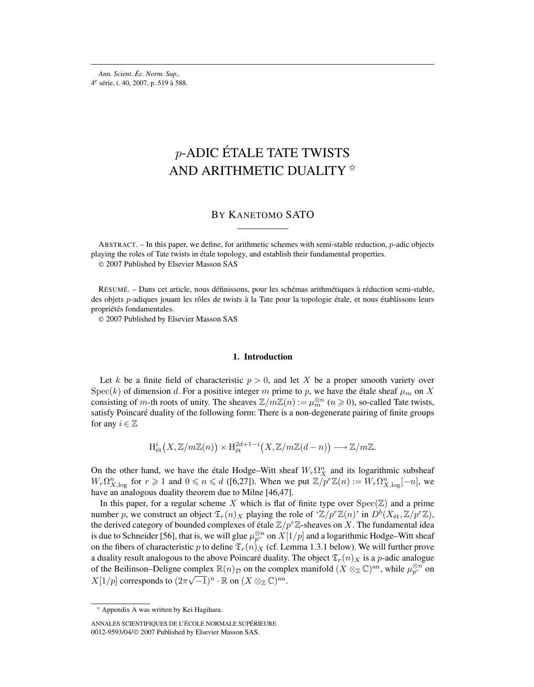*Ann. Scient. Éc. Norm. Sup.,* 4e série, t. 40, 2007, p. 519 à 588.

# p-ADIC ÉTALE TATE TWISTS AND ARITHMETIC DUALITY  $*$

## BY KANETOMO SATO

ABSTRACT. – In this paper, we define, for arithmetic schemes with semi-stable reduction, p-adic objects playing the roles of Tate twists in étale topology, and establish their fundamental properties. © 2007 Published by Elsevier Masson SAS

RÉSUMÉ. – Dans cet article, nous définissons, pour les schémas arithmétiques à réduction semi-stable, des objets p-adiques jouant les rôles de twists à la Tate pour la topologie étale, et nous établissons leurs propriétés fondamentales.

© 2007 Published by Elsevier Masson SAS

#### **1. Introduction**

Let k be a finite field of characteristic  $p > 0$ , and let X be a proper smooth variety over Spec(k) of dimension d. For a positive integer m prime to p, we have the étale sheaf  $\mu_m$  on X consisting of m-th roots of unity. The sheaves  $\mathbb{Z}/m\mathbb{Z}(n) := \mu_m^{\otimes n}$   $(n \ge 0)$ , so-called Tate twists, satisfy Poincaré duality of the following form: There is a non-degenerate pairing of finite groups for any  $i \in \mathbb{Z}$ 

$$
\mathrm{H}_{\mathrm{\acute{e}t}}^i\big(X,\mathbb{Z}/m\mathbb{Z}(n)\big)\times \mathrm{H}_{\mathrm{\acute{e}t}}^{2d+1-i}\big(X,\mathbb{Z}/m\mathbb{Z}(d-n)\big)\longrightarrow \mathbb{Z}/m\mathbb{Z}.
$$

On the other hand, we have the étale Hodge–Witt sheaf  $W_r \Omega_X^n$  and its logarithmic subsheaf  $W_r \Omega_{X,\log}^n$  for  $r \geq 1$  and  $0 \leq n \leq d$  ([6,27]). When we put  $\mathbb{Z}/p^r \mathbb{Z}(n) := W_r \Omega_{X,\log}^n[-n]$ , we have an analogous duality theorem due to Milne [46,47].

In this paper, for a regular scheme X which is flat of finite type over  $Spec(\mathbb{Z})$  and a prime number p, we construct an object  $\mathfrak{T}_r(n)_X$  playing the role of ' $\mathbb{Z}/p^r\mathbb{Z}(n)$ ' in  $D^b(X_{\text{\'et}},\mathbb{Z}/p^r\mathbb{Z})$ , the derived category of bounded complexes of étale  $\mathbb{Z}/p^r\mathbb{Z}$ -sheaves on X. The fundamental idea is due to Schneider [56], that is, we will glue  $\mu_{p^r}^{\otimes n}$  on  $X[1/p]$  and a logarithmic Hodge–Witt sheaf on the fibers of characteristic p to define  $\mathfrak{T}_r(n)_X$  (cf. Lemma 1.3.1 below). We will further prove a duality result analogous to the above Poincaré duality. The object  $\mathfrak{T}_r(n)_X$  is a p-adic analogue of the Beilinson–Deligne complex  $\mathbb{R}(n)_\mathcal{D}$  on the complex manifold  $(X \otimes_{\mathbb{Z}} \mathbb{C})^{\text{an}}$ , while  $\mu_{p^r}^{\otimes n}$  on X[1/p] corresponds to  $(2\pi\sqrt{-1})^n \cdot \mathbb{R}$  on  $(X \otimes_{\mathbb{Z}} \mathbb{C})^{\text{an}}$ .

<sup>✩</sup> Appendix A was written by Kei Hagihara.

ANNALES SCIENTIFIQUES DE L'ÉCOLE NORMALE SUPÉRIEURE 0012-9593/04/© 2007 Published by Elsevier Masson SAS.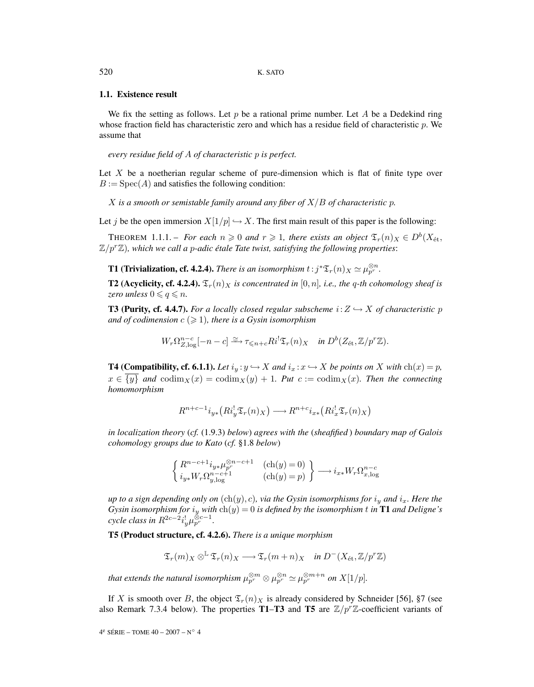## **1.1. Existence result**

We fix the setting as follows. Let p be a rational prime number. Let A be a Dedekind ring whose fraction field has characteristic zero and which has a residue field of characteristic  $p$ . We assume that

*every residue field of* A *of characteristic* p *is perfect.*

Let  $X$  be a noetherian regular scheme of pure-dimension which is flat of finite type over  $B := Spec(A)$  and satisfies the following condition:

 $\overline{X}$  *is a smooth or semistable family around any fiber of*  $\overline{X}/\overline{B}$  *of characteristic p.* 

Let j be the open immersion  $X[1/p] \hookrightarrow X$ . The first main result of this paper is the following:

**THEOREM** 1.1.1. – For each  $n \geqslant 0$  and  $r \geqslant 1$ , there exists an object  $\mathfrak{T}_r(n)_X \in D^b(X_{\text{\'et}},$  $\mathbb{Z}/p^r\mathbb{Z}$ )*, which we call a p-adic étale Tate twist, satisfying the following properties*:

**T1 (Trivialization, cf. 4.2.4).** *There is an isomorphism*  $t : j^* \mathfrak{T}_r(n)_X \simeq \mu_{p^r}^{\otimes n}$ .

**T2 (Acyclicity, cf. 4.2.4).**  $\mathfrak{T}_r(n)_X$  *is concentrated in* [0, *n*]*, i.e., the q-th cohomology sheaf is zero unless*  $0 \leq q \leq n$ .

**T3 (Purity, cf. 4.4.7).** *For a locally closed regular subscheme*  $i: Z \rightarrow X$  *of characteristic* p and of codimension  $c\ (\geqslant\! 1),$  there is a Gysin isomorphism

$$
W_r \Omega_{Z, \log}^{n-c}[-n-c] \xrightarrow{\simeq} \tau_{\leq n+c} R i^! \mathfrak{T}_r(n)_X \quad \text{in } D^b(Z_{\text{\'et}}, \mathbb{Z}/p^r \mathbb{Z}).
$$

**T4 (Compatibility, cf. 6.1.1).** *Let*  $i_y : y \hookrightarrow X$  *and*  $i_x : x \hookrightarrow X$  *be points on* X *with*  $\text{ch}(x) = p$ *,*  $x \in \overline{\{y\}}$  and  $\operatorname{codim}_X(x) = \operatorname{codim}_X(y) + 1$ *. Put*  $c := \operatorname{codim}_X(x)$ *. Then the connecting homomorphism*

$$
R^{n+c-1}i_{y*}(Ri_{y}^{!}\mathfrak{T}_{r}(n)_{X}) \longrightarrow R^{n+c}i_{x*}(Ri_{x}^{!}\mathfrak{T}_{r}(n)_{X})
$$

*in localization theory* (*cf.* (1.9.3) *below*) *agrees with the* (*sheafified* ) *boundary map of Galois cohomology groups due to Kato* (*cf.* §1.8 *below*)

$$
\left\{\begin{matrix} R^{n-c+1}i_{y*}\mu_{p}^{\otimes n-c+1} & (\mathrm{ch}(y)=0)\\ i_{y*}W_r\Omega_{y,\log}^{n-c+1} & (\mathrm{ch}(y)=p)\end{matrix}\right\} \longrightarrow i_{x*}W_r\Omega_{x,\log}^{n-c}
$$

*up to a sign depending only on*  $(ch(y), c)$ *, via the Gysin isomorphisms for*  $i_y$  *and*  $i_x$ *. Here the*  $G$ ysin isomorphism for  $i_y$  with  $\ch(y)=0$  is defined by the isomorphism  $t$  in  $\textbf{T1}$  and Deligne's  $cycle$  class in  $R^{2c-2}i_y^{\dagger}\mu_{p^r}^{\otimes c-1}$ .

**T5 (Product structure, cf. 4.2.6).** *There is a unique morphism*

 $\mathfrak{T}_r(m)_X \otimes^{\mathbb{L}} \mathfrak{T}_r(n)_X \longrightarrow \mathfrak{T}_r(m+n)_X$  *in*  $D^-(X_{\acute{e}t},\mathbb{Z}/p^r\mathbb{Z})$ 

*that extends the natural isomorphism*  $\mu_{p^r}^{\otimes m} \otimes \mu_{p^r}^{\otimes n} \simeq \mu_{p^r}^{\otimes m+n}$  *on*  $X[1/p].$ 

If X is smooth over B, the object  $\mathfrak{T}_r(n)_X$  is already considered by Schneider [56], §7 (see also Remark 7.3.4 below). The properties **T1–T3** and **T5** are  $\mathbb{Z}/p^r\mathbb{Z}$ -coefficient variants of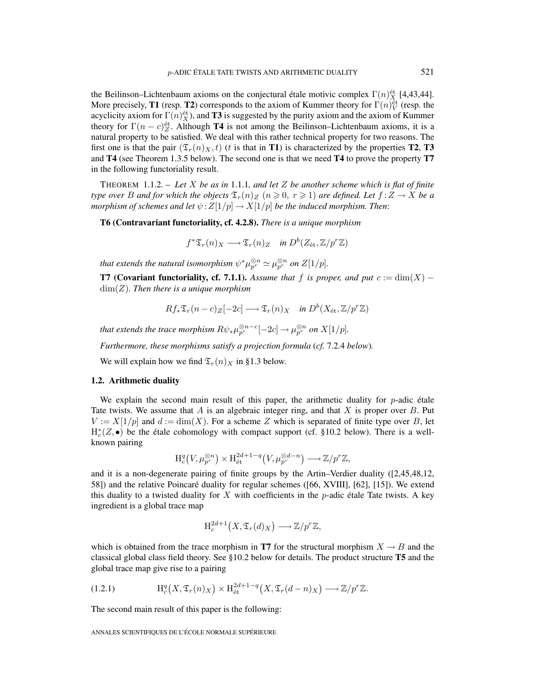the Beilinson–Lichtenbaum axioms on the conjectural étale motivic complex  $\Gamma(n)_{X_\lambda}^{\text{\'et}}$  [4,43,44]. More precisely, **T1** (resp. **T2**) corresponds to the axiom of Kummer theory for  $\Gamma(n)$ <sup>et</sup> (resp. the acyclicity axiom for  $\Gamma(n)_{X}^{\text{\'et}}$ , and **T3** is suggested by the purity axiom and the axiom of Kummer theory for  $\Gamma(n - c)z^{\text{\'et}}$ . Although **T4** is not among the Beilinson–Lichtenbaum axioms, it is a natural property to be satisfied. We deal with this rather technical property for two reasons. The first one is that the pair  $(\mathfrak{T}_r(n)_X,t)$  (t is that in **T1**) is characterized by the properties **T2**, **T3** and **T4** (see Theorem 1.3.5 below). The second one is that we need **T4** to prove the property **T7** in the following functoriality result.

THEOREM 1.1.2. – *Let* X *be as in* 1.1.1*, and let* Z *be another scheme which is flat of finite type over B* and for which the objects  $\mathfrak{T}_r(n)_Z$   $(n \geqslant 0, r \geqslant 1)$  are defined. Let  $f:Z \to X$  be a *morphism of schemes and let*  $\psi$ :  $Z[1/p] \rightarrow X[1/p]$  *be the induced morphism. Then:* 

**T6 (Contravariant functoriality, cf. 4.2.8).** *There is a unique morphism*

$$
f^* \mathfrak{T}_r(n)_X \longrightarrow \mathfrak{T}_r(n)_Z
$$
 in  $D^b(Z_{\text{\'et}}, \mathbb{Z}/p^r \mathbb{Z})$ 

*that extends the natural isomorphism*  $\psi^*\mu_{p^r}^{\otimes n} \simeq \mu_{p^r}^{\otimes n}$  *on*  $Z[1/p].$ 

**T7 (Covariant functoriality, cf. 7.1.1).** *Assume that* f *is proper, and put*  $c := \dim(X)$  − dim(Z)*. Then there is a unique morphism*

$$
Rf_*\mathfrak{T}_r(n-c)_Z[-2c] \longrightarrow \mathfrak{T}_r(n)_X \quad \text{in } D^b(X_{\text{\'et}},\mathbb{Z}/p^r\mathbb{Z})
$$

*that extends the trace morphism*  $R\psi_*\mu_{p^r}^{\otimes n-c}[-2c]\to \mu_{p^r}^{\otimes n}$  *on*  $X[1/p].$ 

*Furthermore, these morphisms satisfy a projection formula* (*cf.* 7.2.4 *below*)*.*

We will explain how we find  $\mathfrak{T}_r(n)_X$  in §1.3 below.

## **1.2. Arithmetic duality**

We explain the second main result of this paper, the arithmetic duality for  $p$ -adic étale Tate twists. We assume that A is an algebraic integer ring, and that X is proper over B. Put  $V := X[1/p]$  and  $d := \dim(X)$ . For a scheme Z which is separated of finite type over B, let  $H_c^*(Z, \bullet)$  be the étale cohomology with compact support (cf. §10.2 below). There is a wellknown pairing

$$
\mathrm{H}^q_c\big(V,\mu_{p^r}^{\otimes n}\big) \times \mathrm{H}^{2d+1-q}_{\text{\'et}}\big(V,\mu_{p^r}^{\otimes d-n}\big) \longrightarrow \mathbb{Z}/p^r\mathbb{Z},
$$

and it is a non-degenerate pairing of finite groups by the Artin–Verdier duality ([2,45,48,12, 58]) and the relative Poincaré duality for regular schemes ([66, XVIII], [62], [15]). We extend this duality to a twisted duality for  $X$  with coefficients in the p-adic étale Tate twists. A key ingredient is a global trace map

$$
\mathrm{H}^{2d+1}_c(X,\mathfrak{T}_r(d)_X)\longrightarrow \mathbb{Z}/p^r\mathbb{Z},
$$

which is obtained from the trace morphism in **T7** for the structural morphism  $X \to B$  and the classical global class field theory. See §10.2 below for details. The product structure **T5** and the global trace map give rise to a pairing

Hq c -X,Tr(n)<sup>X</sup> × H<sup>2</sup>d+1−<sup>q</sup> ´et -X,Tr(d − n)<sup>X</sup> −→ Z/p<sup>r</sup> (1.2.1) Z.

The second main result of this paper is the following: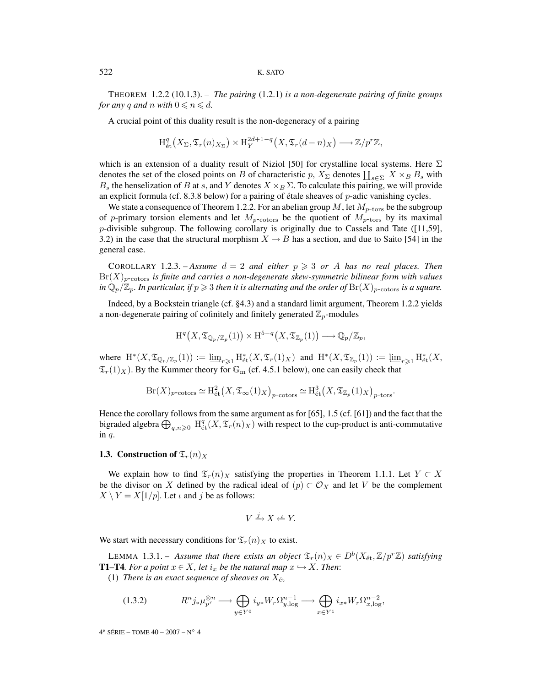THEOREM 1.2.2 (10.1.3). – *The pairing* (1.2.1) *is a non-degenerate pairing of finite groups for any* q and n with  $0 \le n \le d$ .

A crucial point of this duality result is the non-degeneracy of a pairing

$$
\mathrm{H}_{\mathrm{\acute{e}t}}^q\left(X_\Sigma,\mathfrak{T}_r(n)_{X_\Sigma}\right)\times \mathrm{H}_Y^{2d+1-q}\left(X,\mathfrak{T}_r(d-n)_X\right)\longrightarrow \mathbb{Z}/p^r\mathbb{Z},
$$

which is an extension of a duality result of Niziol [50] for crystalline local systems. Here  $\Sigma$ denotes the set of the closed points on B of characteristic p,  $X_{\Sigma}$  denotes  $\coprod_{s\in\Sigma} X \times_B B_s$  with  $B_s$  the henselization of B at s, and Y denotes  $X \times_B \Sigma$ . To calculate this pairing, we will provide an explicit formula (cf. 8.3.8 below) for a pairing of étale sheaves of  $p$ -adic vanishing cycles.

We state a consequence of Theorem 1.2.2. For an abelian group  $M$ , let  $M_{p\text{-tors}}$  be the subgroup of p-primary torsion elements and let  $M_{p\text{-cotors}}$  be the quotient of  $M_{p\text{-tors}}$  by its maximal p-divisible subgroup. The following corollary is originally due to Cassels and Tate ([11,59], 3.2) in the case that the structural morphism  $X \to B$  has a section, and due to Saito [54] in the general case.

COROLLARY 1.2.3. – *Assume*  $d = 2$  and either  $p \ge 3$  or A has no real places. Then Br(X)p*-*cotors *is finite and carries a non-degenerate skew-symmetric bilinear form with values* in  $\mathbb{Q}_p/\mathbb{Z}_p$ . In particular, if  $p\geqslant 3$  then it is alternating and the order of  ${\rm Br}(X)_{p\text{-cotors}}$  is a square.

Indeed, by a Bockstein triangle (cf. §4.3) and a standard limit argument, Theorem 1.2.2 yields a non-degenerate pairing of cofinitely and finitely generated  $\mathbb{Z}_p$ -modules

$$
\mathrm{H}^q\big(X,\mathfrak{T}_{\mathbb{Q}_p/\mathbb{Z}_p}(1)\big)\times \mathrm{H}^{5-q}\big(X,\mathfrak{T}_{\mathbb{Z}_p}(1)\big)\longrightarrow \mathbb{Q}_p/\mathbb{Z}_p,
$$

where  $H^*(X, \mathfrak{T}_{\mathbb{Q}_p/\mathbb{Z}_p}(1)) := \underline{\lim}_{r \geq 1} H^*_{\text{\'et}}(X, \mathfrak{T}_r(1)_X)$  and  $H^*(X, \mathfrak{T}_{\mathbb{Z}_p}(1)) := \underline{\lim}_{r \geq 1} H^*_{\text{\'et}}(X,$  $\mathfrak{T}_r(1)_X$ ). By the Kummer theory for  $\mathbb{G}_m$  (cf. 4.5.1 below), one can easily check that

$$
\mathrm{Br}(X)_{p\text{-cotors}} \simeq \mathrm{H}_{\text{\'et}}^2\big(X, \mathfrak{T}_{\infty}(1)_X\big)_{p\text{-cotors}} \simeq \mathrm{H}_{\text{\'et}}^3\big(X, \mathfrak{T}_{\mathbb{Z}_p}(1)_X\big)_{p\text{-tors}}.
$$

Hence the corollary follows from the same argument as for [65], 1.5 (cf. [61]) and the fact that the bigraded algebra  $\bigoplus_{q,n\geqslant 0} H^q_{\text{\'et}}(X,\mathfrak{T}_r(n)_X)$  with respect to the cup-product is anti-commutative in  $q$ .

## **1.3. Construction of**  $\mathfrak{T}_r(n)_X$

We explain how to find  $\mathfrak{T}_r(n)_X$  satisfying the properties in Theorem 1.1.1. Let  $Y \subset X$ be the divisor on X defined by the radical ideal of  $(p) \subset \mathcal{O}_X$  and let V be the complement  $X \setminus Y = X[1/p]$ . Let  $\iota$  and  $j$  be as follows:

$$
V \xrightarrow{j} X \xleftarrow{\iota} Y.
$$

We start with necessary conditions for  $\mathfrak{T}_r(n)_X$  to exist.

LEMMA 1.3.1. – *Assume that there exists an object*  $\mathfrak{T}_r(n)_X \in D^b(X_\text{\rm \'et},\mathbb{Z}/p^r\mathbb{Z})$  *satisfying* **T1–T4***. For a point*  $x \in X$ *, let*  $i_x$  *be the natural map*  $x \hookrightarrow X$ *. Then:* 

(1) *There is an exact sequence of sheaves on*  $X_{\text{\'et}}$ 

(1.3.2) 
$$
R^n j_* \mu_{p^r}^{\otimes n} \longrightarrow \bigoplus_{y \in Y^0} i_{y*} W_r \Omega_{y,\log}^{n-1} \longrightarrow \bigoplus_{x \in Y^1} i_{x*} W_r \Omega_{x,\log}^{n-2},
$$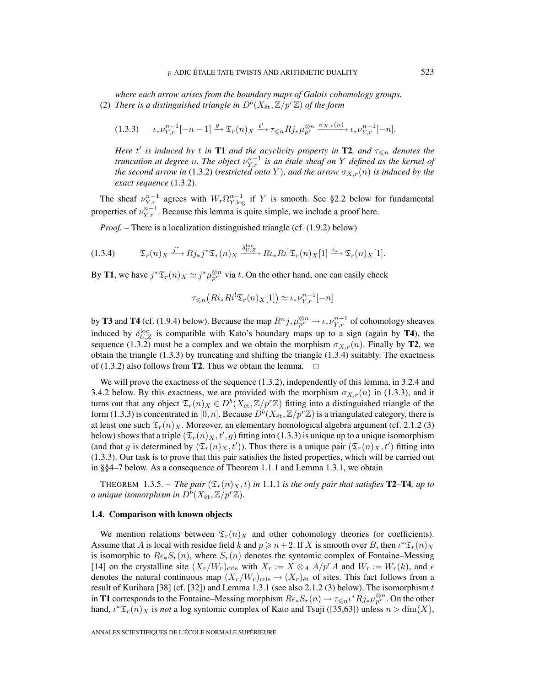*where each arrow arises from the boundary maps of Galois cohomology groups.* (2) *There is a distinguished triangle in*  $D^b(X_{\text{\'et}},\mathbb{Z}/p^r\mathbb{Z})$  *of the form* 

$$
(1.3.3) \qquad \iota_* \nu_{Y,r}^{n-1}[-n-1] \xrightarrow{g} \mathfrak{T}_r(n)_X \xrightarrow{t'} \tau \leq n R j_* \mu_{p^r}^{\otimes n} \xrightarrow{\sigma_{X,r}(n)} \iota_* \nu_{Y,r}^{n-1}[-n].
$$

*Here*  $t'$  *is induced by*  $t$  *in* **T1** *and* the *acyclicity property in* **T2***, and*  $\tau_{\leq n}$  *denotes the truncation at degree n. The object*  $\nu_{Y,r}^{n-1}$  *is an étale sheaf on* Y *defined as the kernel of the second arrow in* (1.3.2) (*restricted onto* Y), and the arrow  $\sigma_{X,r}(n)$  *is induced by the exact sequence* (1.3.2)*.*

The sheaf  $\nu_{Y,r}^{n-1}$  agrees with  $W_r \Omega_{Y,\log}^{n-1}$  if Y is smooth. See §2.2 below for fundamental properties of  $\nu_{Y,r}^{n-1}$ . Because this lemma is quite simple, we include a proof here.

*Proof. –* There is a localization distinguished triangle (cf. (1.9.2) below)

$$
(1.3.4) \t\t \mathfrak{T}_{r}(n)_{X} \xrightarrow{j^{*}} Rj_{*}j^{*}\mathfrak{T}_{r}(n)_{X} \xrightarrow{\delta_{U,Z}^{\text{loc}}} R\iota_{*}R\iota^{!}\mathfrak{T}_{r}(n)_{X}[1] \xrightarrow{\iota_{*}} \mathfrak{T}_{r}(n)_{X}[1].
$$

By **T1**, we have  $j^*\mathfrak{T}_r(n)_X \simeq j^*\mu_{p^r}^{\otimes n}$  via t. On the other hand, one can easily check

$$
\tau_{\leqslant n}\big(Ri_*Ri^!\mathfrak{T}_r(n)_X[1]\big)\simeq \iota_*\nu_{Y,r}^{n-1}[-n]
$$

by **T3** and **T4** (cf. (1.9.4) below). Because the map  $R^n j_* \mu_{p^r}^{\otimes n} \to \iota_* \nu_{Y,r}^{n-1}$  of cohomology sheaves induced by  $\delta_{U,Z}^{\text{loc}}$  is compatible with Kato's boundary maps up to a sign (again by **T4**), the sequence (1.3.2) must be a complex and we obtain the morphism  $\sigma_{X,r}(n)$ . Finally by **T2**, we obtain the triangle  $(1.3.3)$  by truncating and shifting the triangle  $(1.3.4)$  suitably. The exactness of (1.3.2) also follows from **T2**. Thus we obtain the lemma.  $\Box$ 

We will prove the exactness of the sequence  $(1.3.2)$ , independently of this lemma, in 3.2.4 and 3.4.2 below. By this exactness, we are provided with the morphism  $\sigma_{X,r}(n)$  in (1.3.3), and it turns out that any object  $\mathfrak{T}_r(n)_X \in D^b(X_{\text{\'et}}, \mathbb{Z}/p^r\mathbb{Z})$  fitting into a distinguished triangle of the form (1.3.3) is concentrated in [0, n]. Because  $D^b(X_{\text{\'et}},\mathbb{Z}/p^r\mathbb{Z})$  is a triangulated category, there is at least one such  $\mathfrak{T}_r(n)_X$ . Moreover, an elementary homological algebra argument (cf. 2.1.2 (3) below) shows that a triple  $(\mathfrak{T}_r(n)_X,t',g)$  fitting into (1.3.3) is unique up to a unique isomorphism (and that g is determined by  $(\mathfrak{T}_r(n)_X,t')$ ). Thus there is a unique pair  $(\mathfrak{T}_r(n)_X,t')$  fitting into (1.3.3). Our task is to prove that this pair satisfies the listed properties, which will be carried out in §§4–7 below. As a consequence of Theorem 1.1.1 and Lemma 1.3.1, we obtain

**THEOREM** 1.3.5. – *The pair*  $(\mathfrak{T}_r(n)_X, t)$  *in* 1.1.1 *is the only pair that satisfies* **T2–T4***, up to a unique isomorphism in*  $D^b(X_\text{\rm \'et},\mathbb{Z}/p^r\mathbb{Z})$ .

#### **1.4. Comparison with known objects**

We mention relations between  $\mathfrak{T}_r(n)_X$  and other cohomology theories (or coefficients). Assume that A is local with residue field k and  $p \ge n+2$ . If X is smooth over B, then  $\iota^* \mathfrak{T}_r(n)_X$ is isomorphic to  $Re_{*}S_{r}(n)$ , where  $S_{r}(n)$  denotes the syntomic complex of Fontaine–Messing [14] on the crystalline site  $(X_r/W_r)_{\text{cris}}$  with  $X_r := X \otimes_A A/p^rA$  and  $W_r := W_r(k)$ , and  $\epsilon$ denotes the natural continuous map  $(X_r/W_r)_{\text{cris}} \to (X_r)_{\text{\'et}}$  of sites. This fact follows from a result of Kurihara [38] (cf. [32]) and Lemma 1.3.1 (see also 2.1.2 (3) below). The isomorphism t in **T1** corresponds to the Fontaine–Messing morphism  $Re_*S_r(n) \to \tau_{\leq n} \iota^* R j_* \mu_{p^r}^{\otimes n}$ . On the other hand,  $\iota^* \mathfrak{T}_r(n)_X$  is *not* a log syntomic complex of Kato and Tsuji ([35,63]) unless  $n > \dim(X)$ ,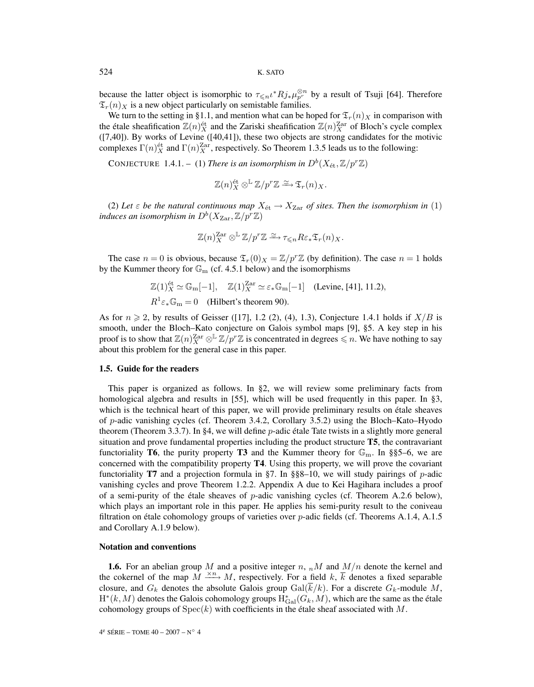because the latter object is isomorphic to  $\tau \leq n \iota^* R j_* \mu_{p'}^{\otimes n}$  by a result of Tsuji [64]. Therefore  $\mathfrak{T}_r(n)_X$  is a new object particularly on semistable families.

We turn to the setting in §1.1, and mention what can be hoped for  $\mathfrak{T}_r(n)_X$  in comparison with the étale sheafification  $\mathbb{Z}(n)_{X}^{\text{\'et}}$  and the Zariski sheafification  $\mathbb{Z}(n)_{X}^{\text{Zar}}$  of Bloch's cycle complex ([7,40]). By works of Levine ([40,41]), these two objects are strong candidates for the motivic complexes  $\Gamma(n)^{\text{\'et}}_X$  and  $\Gamma(n)^{\text{Zar}}_X$ , respectively. So Theorem 1.3.5 leads us to the following:

CONJECTURE 1.4.1. – (1) *There is an isomorphism in*  $D^b(X_{\text{\'et}},\mathbb{Z}/p^r\mathbb{Z})$ 

$$
\mathbb{Z}(n)_{X}^{\text{\'et}} \otimes^{\mathbb{L}} \mathbb{Z}/p^{r} \mathbb{Z} \xrightarrow{\simeq} \mathfrak{T}_{r}(n)_{X}.
$$

(2) Let  $\varepsilon$  be the natural continuous map  $X_{\text{\'et}} \to X_{\text{Zar}}$  of sites. Then the isomorphism in (1) *induces an isomorphism in*  $D^b(X_{\text{Zar}}, \mathbb{Z}/p^r\mathbb{Z})$ 

$$
\mathbb{Z}(n)_{X}^{\text{Zar}} \otimes^{\mathbb{L}} \mathbb{Z}/p^{r} \mathbb{Z} \xrightarrow{\simeq} \tau_{\leq n} R \varepsilon_* \mathfrak{T}_r(n)_{X}.
$$

The case  $n = 0$  is obvious, because  $\mathfrak{T}_r(0)_X = \mathbb{Z}/p^r\mathbb{Z}$  (by definition). The case  $n = 1$  holds by the Kummer theory for  $\mathbb{G}_{\mathrm{m}}$  (cf. 4.5.1 below) and the isomorphisms

$$
\mathbb{Z}(1)_{X}^{\text{\'et}} \simeq \mathbb{G}_{\text{m}}[-1], \quad \mathbb{Z}(1)_{X}^{\text{Zar}} \simeq \varepsilon_{*} \mathbb{G}_{\text{m}}[-1] \quad \text{(Levine, [41], 11.2)},
$$
  

$$
R^{1} \varepsilon_{*} \mathbb{G}_{\text{m}} = 0 \quad \text{(Hilbert's theorem 90)}.
$$

As for  $n \ge 2$ , by results of Geisser ([17], 1.2 (2), (4), 1.3), Conjecture 1.4.1 holds if  $X/B$  is smooth, under the Bloch–Kato conjecture on Galois symbol maps [9], §5. A key step in his proof is to show that  $\mathbb{Z}(n)_{X}^{\text{Zar}}\otimes^{\mathbb{L}}\mathbb{Z}/p^{r}\mathbb{Z}$  is concentrated in degrees  $\leq n$ . We have nothing to say about this problem for the general case in this paper.

## **1.5. Guide for the readers**

This paper is organized as follows. In §2, we will review some preliminary facts from homological algebra and results in [55], which will be used frequently in this paper. In §3, which is the technical heart of this paper, we will provide preliminary results on étale sheaves of p-adic vanishing cycles (cf. Theorem 3.4.2, Corollary 3.5.2) using the Bloch–Kato–Hyodo theorem (Theorem 3.3.7). In §4, we will define p-adic étale Tate twists in a slightly more general situation and prove fundamental properties including the product structure **T5**, the contravariant functoriality **T6**, the purity property **T3** and the Kummer theory for  $\mathbb{G}_{\text{m}}$ . In §§5–6, we are concerned with the compatibility property **T4**. Using this property, we will prove the covariant functoriality **T7** and a projection formula in §7. In §§8–10, we will study pairings of p-adic vanishing cycles and prove Theorem 1.2.2. Appendix A due to Kei Hagihara includes a proof of a semi-purity of the étale sheaves of p-adic vanishing cycles (cf. Theorem A.2.6 below), which plays an important role in this paper. He applies his semi-purity result to the coniveau filtration on étale cohomology groups of varieties over p-adic fields (cf. Theorems A.1.4, A.1.5 and Corollary A.1.9 below).

#### **Notation and conventions**

**1.6.** For an abelian group M and a positive integer  $n$ ,  $_nM$  and  $M/n$  denote the kernel and the cokernel of the map  $M \xrightarrow{\times n} M$ , respectively. For a field k, k denotes a fixed separable closure, and  $G_k$  denotes the absolute Galois group  $Gal(\overline{k}/k)$ . For a discrete  $G_k$ -module M,  $H^*(k, M)$  denotes the Galois cohomology groups  $H^*_{Gal}(G_k, M)$ , which are the same as the étale cohomology groups of  $Spec(k)$  with coefficients in the étale sheaf associated with M.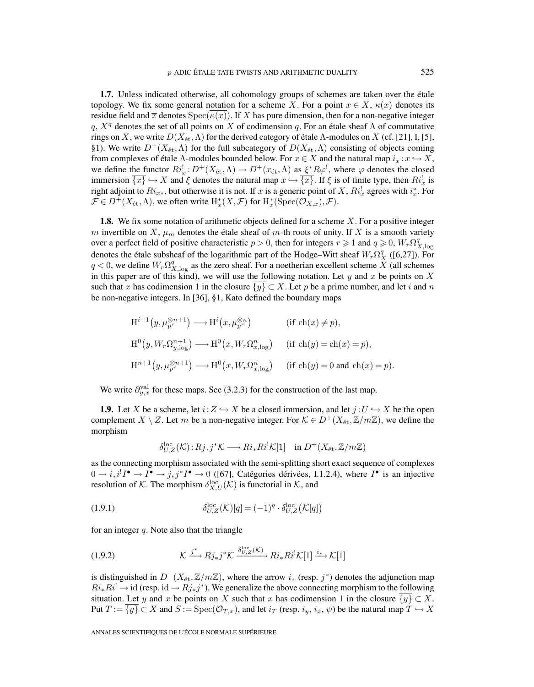**1.7.** Unless indicated otherwise, all cohomology groups of schemes are taken over the étale topology. We fix some general notation for a scheme X. For a point  $x \in X$ ,  $\kappa(x)$  denotes its residue field and  $\overline{x}$  denotes  $Spec(\overline{\kappa(x)})$ . If X has pure dimension, then for a non-negative integer q,  $X^q$  denotes the set of all points on X of codimension q. For an étale sheaf  $\Lambda$  of commutative rings on X, we write  $D(X_{\text{\'et}},\Lambda)$  for the derived category of étale Λ-modules on X (cf. [21], I, [5], §1). We write  $D^+(X_{\text{\'et}},\Lambda)$  for the full subcategory of  $D(X_{\text{\'et}},\Lambda)$  consisting of objects coming from complexes of étale Λ-modules bounded below. For  $x \in X$  and the natural map  $i_x : x \hookrightarrow X$ , we define the functor  $Ri_x^! : D^+(X_{\text{\'et}}, \Lambda) \to D^+(x_{\text{\'et}}, \Lambda)$  as  $\xi^*R\varphi^!$ , where  $\varphi$  denotes the closed immersion  $\{x\} \hookrightarrow X$  and  $\xi$  denotes the natural map  $x \hookrightarrow \{x\}$ . If  $\xi$  is of finite type, then  $Ri_x^!$  is right adjoint to  $Ri_{x*}$ , but otherwise it is not. If x is a generic point of X,  $Ri_x^!$  agrees with  $i_x^*$ . For  $\mathcal{F} \in D^+(X_\text{\'et}, \Lambda)$ , we often write  $\mathrm{H}^*_x(X, \mathcal{F})$  for  $\mathrm{H}^*_x(\mathrm{Spec}(\mathcal{O}_{X,x}), \mathcal{F})$ .

**1.8.** We fix some notation of arithmetic objects defined for a scheme X. For a positive integer m invertible on X,  $\mu_m$  denotes the étale sheaf of m-th roots of unity. If X is a smooth variety over a perfect field of positive characteristic  $p > 0$ , then for integers  $r \ge 1$  and  $q \ge 0$ ,  $W_r \Omega^q_{X, \log q}$ denotes the étale subsheaf of the logarithmic part of the Hodge–Witt sheaf  $W_r \Omega_X^q$  ([6,27]). For  $q < 0$ , we define  $W_r \Omega_{X,\log}^q$  as the zero sheaf. For a noetherian excellent scheme  $\widetilde{X}$  (all schemes in this paper are of this kind), we will use the following notation. Let  $y$  and  $x$  be points on  $X$ such that x has codimension 1 in the closure  $\{y\} \subset X$ . Let p be a prime number, and let i and n be non-negative integers. In [36], §1, Kato defined the boundary maps

$$
H^{i+1}(y, \mu_{p^r}^{\otimes n+1}) \longrightarrow H^i(x, \mu_{p^r}^{\otimes n}) \qquad \text{(if } ch(x) \neq p),
$$
  

$$
H^0(y, W_r \Omega_{y, \log}^{n+1}) \longrightarrow H^0(x, W_r \Omega_{x, \log}^n) \qquad \text{(if } ch(y) = ch(x) = p),
$$
  

$$
H^{n+1}(y, \mu_{p^r}^{\otimes n+1}) \longrightarrow H^0(x, W_r \Omega_{x, \log}^n) \qquad \text{(if } ch(y) = 0 \text{ and } ch(x) = p).
$$

We write  $\partial_{y,x}^{\text{val}}$  for these maps. See (3.2.3) for the construction of the last map.

**1.9.** Let X be a scheme, let  $i:Z \hookrightarrow X$  be a closed immersion, and let  $j:U \hookrightarrow X$  be the open complement X \ Z. Let m be a non-negative integer. For  $K \in D^+(X_{\text{\'et}},\mathbb{Z}/m\mathbb{Z})$ , we define the morphism

$$
\delta_{U,Z}^{\rm loc}({\cal K}):Rj_*j^*{\cal K}\longrightarrow Ri_*Ri^!{\cal K}[1]\quad\text{in }D^+(X_{\rm \acute{e}t},\mathbb{Z}/m\mathbb{Z})
$$

as the connecting morphism associated with the semi-splitting short exact sequence of complexes  $0 \to i_*i^!I^{\bullet} \to I^{\bullet} \to j_*j^*I^{\bullet} \to 0$  ([67], Catégories dérivées, I.1.2.4), where  $I^{\bullet}$  is an injective resolution of K. The morphism  $\delta_{X,U}^{\text{loc}}(\mathcal{K})$  is functorial in K, and

(1.9.1) 
$$
\delta_{U,Z}^{\rm loc}(\mathcal{K})[q] = (-1)^q \cdot \delta_{U,Z}^{\rm loc}(\mathcal{K}[q])
$$

for an integer  $q$ . Note also that the triangle

(1.9.2) 
$$
\mathcal{K} \xrightarrow{j^*} Rj_*j^* \mathcal{K} \xrightarrow{\delta_{U,Z}^{\text{loc}}(\mathcal{K})} Ri_* Ri^! \mathcal{K}[1] \xrightarrow{i_*} \mathcal{K}[1]
$$

is distinguished in  $D^+(X_{\text{\'et}},\mathbb{Z}/m\mathbb{Z})$ , where the arrow  $i_*$  (resp.  $j^*$ ) denotes the adjunction map  $Ri_*Ri^! \rightarrow \text{id}$  (resp. id  $\rightarrow Rj_*j^*$ ). We generalize the above connecting morphism to the following situation. Let y and x be points on X such that x has codimension 1 in the closure  $\{y\} \subset X$ . Put  $T := \{y\} \subset X$  and  $S := \text{Spec}(\mathcal{O}_{T,x})$ , and let  $i_T$  (resp.  $i_y, i_x, \psi$ ) be the natural map  $T \hookrightarrow X$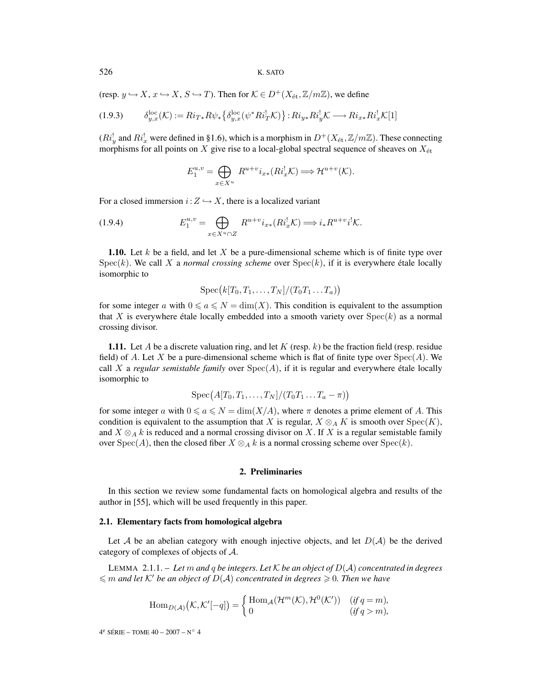526 K. SATO

(resp.  $y \hookrightarrow X$ ,  $x \hookrightarrow X$ ,  $S \hookrightarrow T$ ). Then for  $\mathcal{K} \in D^{+}(X_{\text{\'{e}t}},\mathbb{Z}/m\mathbb{Z})$ , we define

$$
(1.9.3) \qquad \delta_{y,x}^{\text{loc}}(\mathcal{K}) := Ri_{T*} R \psi_* \left\{ \delta_{y,x}^{\text{loc}}(\psi^* R i_T^! \mathcal{K}) \right\} : Ri_{y*} R i_y^! \mathcal{K} \longrightarrow Ri_{x*} R i_x^! \mathcal{K}[1]
$$

 $(Ri_y^!$  and  $Ri_x^!$  were defined in §1.6), which is a morphism in  $D^+(X_{\text{\'et}},\mathbb{Z}/m\mathbb{Z})$ . These connecting morphisms for all points on X give rise to a local-global spectral sequence of sheaves on  $X_{\text{\'et}}$ 

$$
E_1^{u,v} = \bigoplus_{x \in X^u} R^{u+v} i_{x*}(R i_x^! \mathcal{K}) \Longrightarrow \mathcal{H}^{u+v}(\mathcal{K}).
$$

For a closed immersion  $i:Z \hookrightarrow X$ , there is a localized variant

(1.9.4) 
$$
E_1^{u,v} = \bigoplus_{x \in X^u \cap Z} R^{u+v} i_{x*} (R i_x^! K) \Longrightarrow i_* R^{u+v} i^! K.
$$

**1.10.** Let k be a field, and let X be a pure-dimensional scheme which is of finite type over  $Spec(k)$ . We call X a *normal crossing scheme* over  $Spec(k)$ , if it is everywhere étale locally isomorphic to

$$
\mathrm{Spec}\big(k[T_0,T_1,\ldots,T_N]/(T_0T_1\ldots T_a)\big)
$$

for some integer a with  $0 \le a \le N = \dim(X)$ . This condition is equivalent to the assumption that X is everywhere étale locally embedded into a smooth variety over  $Spec(k)$  as a normal crossing divisor.

**1.11.** Let A be a discrete valuation ring, and let K (resp.  $k$ ) be the fraction field (resp. residue field) of A. Let X be a pure-dimensional scheme which is flat of finite type over  $Spec(A)$ . We call X a *regular semistable family* over  $Spec(A)$ , if it is regular and everywhere étale locally isomorphic to

$$
\operatorname{Spec}\bigl(A[T_0,T_1,\ldots,T_N]/(T_0T_1\ldots T_a-\pi)\bigr)
$$

for some integer a with  $0 \le a \le N = \dim(X/A)$ , where  $\pi$  denotes a prime element of A. This condition is equivalent to the assumption that X is regular,  $X \otimes_A K$  is smooth over  $Spec(K)$ , and  $X \otimes_A k$  is reduced and a normal crossing divisor on X. If X is a regular semistable family over  $Spec(A)$ , then the closed fiber  $X \otimes_A k$  is a normal crossing scheme over  $Spec(k)$ .

## **2. Preliminaries**

In this section we review some fundamental facts on homological algebra and results of the author in [55], which will be used frequently in this paper.

#### **2.1. Elementary facts from homological algebra**

Let A be an abelian category with enough injective objects, and let  $D(A)$  be the derived category of complexes of objects of A.

LEMMA 2.1.1. – *Let* m *and* q *be integers. Let* K *be an object of* D(A) *concentrated in degrees*  $\leqslant$  *m* and let K' be an object of  $D(A)$  concentrated in degrees  $\geqslant$  0. Then we have

$$
\operatorname{Hom}_{D(\mathcal{A})}(\mathcal{K},\mathcal{K}'[-q]) = \begin{cases} \operatorname{Hom}_{\mathcal{A}}(\mathcal{H}^m(\mathcal{K}),\mathcal{H}^0(\mathcal{K}')) & (\text{if } q=m), \\ 0 & (\text{if } q>m), \end{cases}
$$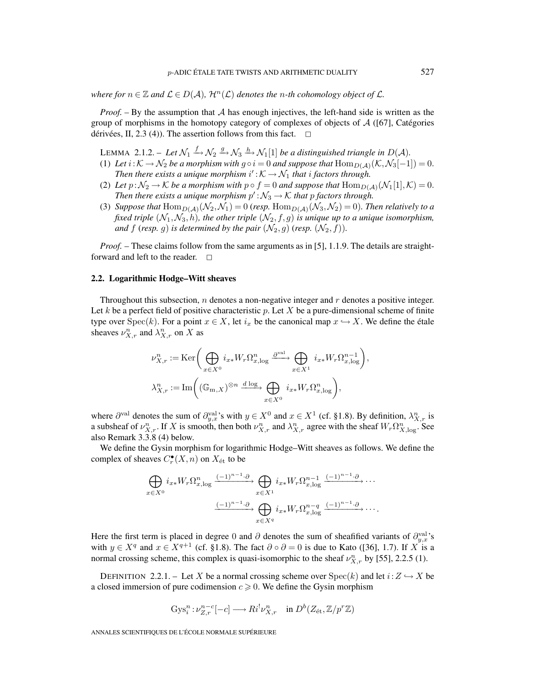*where for*  $n \in \mathbb{Z}$  *and*  $\mathcal{L} \in D(\mathcal{A})$ *,*  $\mathcal{H}^n(\mathcal{L})$  *denotes the n*-th cohomology object of  $\mathcal{L}$ *.* 

*Proof.* – By the assumption that A has enough injectives, the left-hand side is written as the group of morphisms in the homotopy category of complexes of objects of  $\mathcal{A}$  ([67], Catégories dérivées, II, 2.3 (4)). The assertion follows from this fact.  $\Box$ 

LEMMA 2.1.2. – Let  $\mathcal{N}_1 \stackrel{f}{\rightarrow} \mathcal{N}_2 \stackrel{g}{\rightarrow} \mathcal{N}_3 \stackrel{h}{\rightarrow} \mathcal{N}_1[1]$  be a distinguished triangle in  $D(\mathcal{A})$ .

- (1) Let  $i:K\to\mathcal{N}_2$  be a morphism with  $g\circ i=0$  and suppose that  $\text{Hom}_{D(\mathcal{A})}(\mathcal{K},\mathcal{N}_3[-1])=0$ . Then there exists a unique morphism  $i':K\to\mathcal{N}_1$  that i factors through.
- (2) Let  $p:\mathcal{N}_2\to\mathcal{K}$  be a morphism with  $p\circ f=0$  and suppose that  $\text{Hom}_{D(\mathcal{A})}(\mathcal{N}_1[1],\mathcal{K})=0$ . *Then there exists a unique morphism*  $p': \mathcal{N}_3 \to \mathcal{K}$  *that* p *factors through.*
- (3) Suppose that  $\text{Hom}_{D(\mathcal{A})}(\mathcal{N}_2, \mathcal{N}_1) = 0$  (resp.  $\text{Hom}_{D(\mathcal{A})}(\mathcal{N}_3, \mathcal{N}_2) = 0$ ). Then relatively to a *fixed triple*  $(N_1, N_3, h)$ *, the other triple*  $(N_2, f, g)$  *is unique up to a unique isomorphism, and*  $f$  (*resp.*  $g$ ) *is determined by the pair*  $(\mathcal{N}_2, g)$  (*resp.*  $(\mathcal{N}_2, f)$ *)*.

*Proof.* – These claims follow from the same arguments as in [5], 1.1.9. The details are straightforward and left to the reader.  $\Box$ 

#### **2.2. Logarithmic Hodge–Witt sheaves**

Throughout this subsection,  $n$  denotes a non-negative integer and  $r$  denotes a positive integer. Let k be a perfect field of positive characteristic p. Let X be a pure-dimensional scheme of finite type over  $Spec(k)$ . For a point  $x \in X$ , let  $i_x$  be the canonical map  $x \hookrightarrow X$ . We define the étale sheaves  $\nu_{X,r}^n$  and  $\lambda_{X,r}^n$  on X as

$$
\begin{split} &\nu^n_{X,r}:=\text{Ker}\bigg(\bigoplus_{x\in X^0}i_{x*}W_r\Omega^n_{x,\log}\xrightarrow{\partial^{\text{val}}}\bigoplus_{x\in X^1}i_{x*}W_r\Omega^{n-1}_{x,\log}\bigg),\\ &\lambda^n_{X,r}:=\text{Im}\bigg((\mathbb{G}_{\text{m},X})^{\otimes n}\xrightarrow{d\log}\bigoplus_{x\in X^0}i_{x*}W_r\Omega^n_{x,\log}\bigg), \end{split}
$$

where  $\partial^{\text{val}}$  denotes the sum of  $\partial_{y,x}^{\text{val}}$ 's with  $y \in X^0$  and  $x \in X^1$  (cf. §1.8). By definition,  $\lambda_{X,r}^n$  is a subsheaf of  $\nu_{X,r}^n$ . If X is smooth, then both  $\nu_{X,r}^n$  and  $\lambda_{X,r}^n$  agree with the sheaf  $W_r \Omega_{X,\log}^n$ . See also Remark 3.3.8 (4) below.

We define the Gysin morphism for logarithmic Hodge–Witt sheaves as follows. We define the complex of sheaves  $C_r^{\bullet}(X,n)$  on  $X_{\text{\'et}}$  to be

$$
\bigoplus_{x \in X^0} i_{x*} W_r \Omega_{x,\log}^n \xrightarrow{(-1)^{n-1} \cdot \partial} \bigoplus_{x \in X^1} i_{x*} W_r \Omega_{x,\log}^{n-1} \xrightarrow{(-1)^{n-1} \cdot \partial} \cdots
$$

$$
\xrightarrow{( -1)^{n-1} \cdot \partial} \bigoplus_{x \in X^q} i_{x*} W_r \Omega_{x,\log}^{n-q} \xrightarrow{(-1)^{n-1} \cdot \partial} \cdots.
$$

Here the first term is placed in degree 0 and  $\partial$  denotes the sum of sheafified variants of  $\partial_{y,x}^{\text{val}}$ 's with  $y \in X^q$  and  $x \in X^{q+1}$  (cf. §1.8). The fact  $\partial \circ \partial = 0$  is due to Kato ([36], 1.7). If X is a normal crossing scheme, this complex is quasi-isomorphic to the sheaf  $\nu_{X,r}^n$  by [55], 2.2.5 (1).

DEFINITION 2.2.1. – Let X be a normal crossing scheme over  $Spec(k)$  and let  $i: Z \hookrightarrow X$  be a closed immersion of pure codimension  $c \geqslant 0$ . We define the Gysin morphism

$$
Gys_i^n : \nu_{Z,r}^{n-c}[-c] \longrightarrow Ri^! \nu_{X,r}^n \quad \text{in } D^b(Z_{\text{\'et}}, \mathbb{Z}/p^r\mathbb{Z})
$$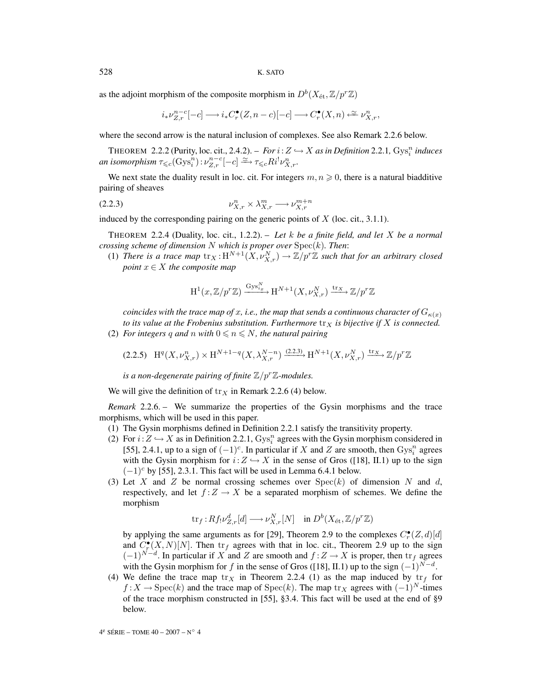as the adjoint morphism of the composite morphism in  $D^b(X_\text{\rm \'et},\mathbb{Z}/p^r\mathbb{Z})$ 

$$
i_{*}\nu_{Z,r}^{n-c}[-c] \longrightarrow i_{*}C_{r}^{\bullet}(Z,n-c)[-c] \longrightarrow C_{r}^{\bullet}(X,n) \stackrel{\simeq}{\longleftarrow} \nu_{X,r}^{n},
$$

where the second arrow is the natural inclusion of complexes. See also Remark 2.2.6 below.

THEOREM 2.2.2 (Purity, loc. cit., 2.4.2). – *For*  $i: Z \hookrightarrow X$  *as in Definition* 2.2.1,  $Gys_i^n$  *induces*  $an\ isomorphism \ \tau_{\leqslant c}(\operatorname{Gys}_i^n): \nu^{n-c}_{Z,r}[-c]\xrightarrow{\simeq} \tau_{\leqslant c} Ri^!\nu^n_{X,r}.$ 

We next state the duality result in loc. cit. For integers  $m, n \geqslant 0$ , there is a natural biadditive pairing of sheaves

$$
(2.2.3) \t\t\t\nu_{X,r}^n \times \lambda_{X,r}^m \longrightarrow \nu_{X,r}^{m+n}
$$

induced by the corresponding pairing on the generic points of  $X$  (loc. cit., 3.1.1).

THEOREM 2.2.4 (Duality, loc. cit., 1.2.2). – *Let* k *be a finite field, and let* X *be a normal crossing scheme of dimension* N *which is proper over* Spec(k)*. Then*:

(1) There is a trace map  $\text{tr}_X : \text{H}^{N+1}(X, \nu_{X,r}^N) \to \mathbb{Z}/p^r\mathbb{Z}$  such that for an arbitrary closed *point*  $x \in X$  *the composite map* 

$$
\mathrm{H}^{1}(x,\mathbb{Z}/p^{r}\mathbb{Z})\xrightarrow{\mathrm{Gys}_{i_{x}}^{N}}\mathrm{H}^{N+1}(X,\nu_{X,r}^{N})\xrightarrow{\mathrm{tr}_{X}}\mathbb{Z}/p^{r}\mathbb{Z}
$$

*coincides with the trace map of x, i.e., the map that sends a continuous character of*  $G_{\kappa(x)}$ *to its value at the Frobenius substitution. Furthermore*  $\text{tr}_X$  *is bijective if* X *is connected.* (2) *For integers* q and n with  $0 \le n \le N$ , the natural pairing

$$
(2.2.5)\quad \mathrm{H}^q(X, \nu^n_{X,r}) \times \mathrm{H}^{N+1-q}(X, \lambda^{N-n}_{X,r}) \xrightarrow{(2.2.3)} \mathrm{H}^{N+1}(X, \nu^N_{X,r}) \xrightarrow{\mathrm{tr}_X} \mathbb{Z}/p^r\mathbb{Z}
$$

*is a non-degenerate pairing of finite*  $\mathbb{Z}/p^r\mathbb{Z}$ *-modules.* 

We will give the definition of  $tr<sub>X</sub>$  in Remark 2.2.6 (4) below.

*Remark* 2.2.6. – We summarize the properties of the Gysin morphisms and the trace morphisms, which will be used in this paper.

- (1) The Gysin morphisms defined in Definition 2.2.1 satisfy the transitivity property.
- (2) For  $i: Z \hookrightarrow X$  as in Definition 2.2.1,  $Gys_i^n$  agrees with the Gysin morphism considered in [55], 2.4.1, up to a sign of  $(-1)^c$ . In particular if X and Z are smooth, then  $Gys_i^n$  agrees with the Gysin morphism for  $i:Z \hookrightarrow X$  in the sense of Gros ([18], II.1) up to the sign  $(-1)^c$  by [55], 2.3.1. This fact will be used in Lemma 6.4.1 below.
- (3) Let X and Z be normal crossing schemes over  $Spec(k)$  of dimension N and d, respectively, and let  $f:Z\to X$  be a separated morphism of schemes. We define the morphism

$$
\text{tr}_{f}: Rf_! \nu^d_{Z,r}[d] \longrightarrow \nu^N_{X,r}[N] \quad \text{in } D^b(X_\text{\'et}, \mathbb{Z}/p^r\mathbb{Z})
$$

by applying the same arguments as for [29], Theorem 2.9 to the complexes  $C_r^{\bullet}(Z,d)[d]$ and  $C_r^{\bullet}(X,N)[N]$ . Then  $\text{tr}_f$  agrees with that in loc. cit., Theorem 2.9 up to the sign  $(-1)^{N-d}$ . In particular if X and Z are smooth and  $f:Z\to X$  is proper, then  $\text{tr}_f$  agrees with the Gysin morphism for f in the sense of Gros ([18], II.1) up to the sign  $(-1)^{N-d}$ .

(4) We define the trace map  $\text{tr}_X$  in Theorem 2.2.4 (1) as the map induced by  $\text{tr}_f$  for  $f: X \to \text{Spec}(k)$  and the trace map of  $\text{Spec}(k)$ . The map  $\text{tr}_X$  agrees with  $(-1)^N$ -times of the trace morphism constructed in [55], §3.4. This fact will be used at the end of §9 below.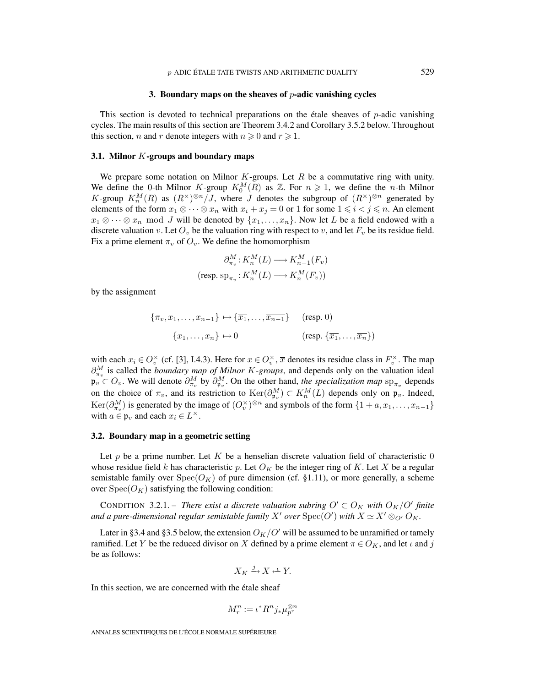#### **3. Boundary maps on the sheaves of** p**-adic vanishing cycles**

This section is devoted to technical preparations on the étale sheaves of  $p$ -adic vanishing cycles. The main results of this section are Theorem 3.4.2 and Corollary 3.5.2 below. Throughout this section, *n* and *r* denote integers with  $n \ge 0$  and  $r \ge 1$ .

#### **3.1. Milnor** K**-groups and boundary maps**

We prepare some notation on Milnor  $K$ -groups. Let  $R$  be a commutative ring with unity. We define the 0-th Milnor K-group  $K_0^M(R)$  as  $\mathbb{Z}$ . For  $n \geq 1$ , we define the *n*-th Milnor K-group  $K_n^M(R)$  as  $(R^{\times})^{\otimes n}/J$ , where J denotes the subgroup of  $(R^{\times})^{\otimes n}$  generated by elements of the form  $x_1 \otimes \cdots \otimes x_n$  with  $x_i + x_j = 0$  or 1 for some  $1 \leq i < j \leq n$ . An element  $x_1 \otimes \cdots \otimes x_n$  mod J will be denoted by  $\{x_1, \ldots, x_n\}$ . Now let L be a field endowed with a discrete valuation v. Let  $O_v$  be the valuation ring with respect to v, and let  $F_v$  be its residue field. Fix a prime element  $\pi_v$  of  $O_v$ . We define the homomorphism

$$
\partial_{\pi_v}^M: K_n^M(L) \longrightarrow K_{n-1}^M(F_v)
$$
  
(resp. 
$$
\text{sp}_{\pi_v}: K_n^M(L) \longrightarrow K_n^M(F_v))
$$

by the assignment

$$
\{\pi_v, x_1, \dots, x_{n-1}\} \mapsto \{\overline{x_1}, \dots, \overline{x_{n-1}}\} \quad \text{(resp. 0)}
$$

$$
\{x_1, \dots, x_n\} \mapsto 0 \quad \text{(resp. } \{\overline{x_1}, \dots, \overline{x_n}\}\text{)}
$$

with each  $x_i \in O_v^{\times}$  (cf. [3], I.4.3). Here for  $x \in O_v^{\times}$ ,  $\overline{x}$  denotes its residue class in  $F_v^{\times}$ . The map  $\partial_{\pi_v}^M$  is called the *boundary map of Milnor K-groups*, and depends only on the valuation ideal  $\mathfrak{p}_v \subset O_v$ . We will denote  $\partial_{\pi_v}^M$  by  $\partial_{\mathfrak{p}_v}^M$ . On the other hand, *the specialization map* sp<sub> $\pi_v$ </sub> depends on the choice of  $\pi_v$ , and its restriction to  $\text{Ker}(\partial_{\mathfrak{p}_v}^M) \subset K_n^M(L)$  depends only on  $\mathfrak{p}_v$ . Indeed, Ker $(\partial_{\pi_v}^M)$  is generated by the image of  $(O_v^{\times})^{\otimes n}$  and symbols of the form  $\{1 + a, x_1, \ldots, x_{n-1}\}$ with  $a \in \mathfrak{p}_v$  and each  $x_i \in L^{\times}$ .

#### **3.2. Boundary map in a geometric setting**

Let p be a prime number. Let K be a henselian discrete valuation field of characteristic  $\theta$ whose residue field k has characteristic p. Let  $O_K$  be the integer ring of K. Let X be a regular semistable family over  $Spec(O_K)$  of pure dimension (cf. §1.11), or more generally, a scheme over  $Spec(O_K)$  satisfying the following condition:

CONDITION 3.2.1. – *There exist a discrete valuation subring*  $O' \subset O_K$  *with*  $O_K/O'$  *finite* and a pure-dimensional regular semistable family  $X'$  over  $\mathrm{Spec}(O')$  with  $X \simeq X' \otimes_{O'} O_K$ .

Later in §3.4 and §3.5 below, the extension  $O_K/O'$  will be assumed to be unramified or tamely ramified. Let Y be the reduced divisor on X defined by a prime element  $\pi \in O_K$ , and let  $\iota$  and j be as follows:

$$
X_K \xrightarrow{j} X \xleftarrow{L} Y.
$$

In this section, we are concerned with the étale sheaf

$$
M_r^n := \iota^* R^n j_* \mu_{p^r}^{\otimes n}
$$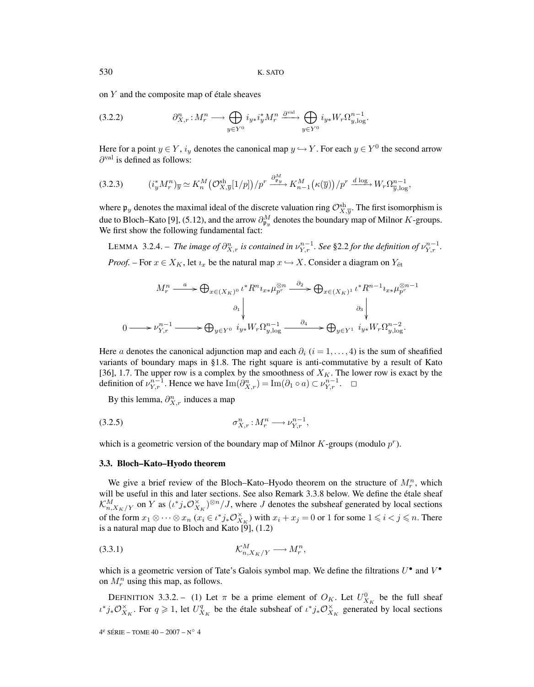on Y and the composite map of étale sheaves

$$
(3.2.2) \t\partial_{X,r}^n : M_r^n \longrightarrow \bigoplus_{y \in Y^0} i_{y*} i_y^* M_r^n \xrightarrow{\partial^{\text{val}}} \bigoplus_{y \in Y^0} i_{y*} W_r \Omega_{y,\log}^{n-1}.
$$

Here for a point  $y \in Y$ ,  $i_y$  denotes the canonical map  $y \hookrightarrow Y$ . For each  $y \in Y^0$  the second arrow  $\partial^{\text{val}}$  is defined as follows:

$$
(3.2.3) \qquad (i_y^* M_r^n)_{\overline{y}} \simeq K_n^M \left( \mathcal{O}_{X,\overline{y}}^{\text{sh}}[1/p] \right) / p^r \xrightarrow{\partial_{\mathfrak{p}_y}^M} K_{n-1}^M \left( \kappa(\overline{y}) \right) / p^r \xrightarrow{d \log} W_r \Omega_{\overline{y},\log}^{n-1},
$$

where  $\mathfrak{p}_y$  denotes the maximal ideal of the discrete valuation ring  $\mathcal{O}_{X,\overline{y}}^{sh}$ . The first isomorphism is due to Bloch–Kato [9], (5.12), and the arrow  $\partial_{\mathfrak{p}_y}^M$  denotes the boundary map of Milnor  $K$ -groups. We first show the following fundamental fact:

LEMMA 3.2.4. – *The image of*  $\partial_{X,r}^n$  *is contained in*  $\nu_{Y,r}^{n-1}$ . See §2.2 for the definition of  $\nu_{Y,r}^{n-1}$ . *Proof.* – For  $x \in X_K$ , let  $i_x$  be the natural map  $x \hookrightarrow X$ . Consider a diagram on  $Y_{\text{\'et}}$ 

$$
M_r^n \xrightarrow{a} \bigoplus_{x \in (X_K)^0} \iota^* R^n \iota_{x*} \mu_{p^r}^{\otimes n} \xrightarrow{\partial_2} \bigoplus_{x \in (X_K)^1} \iota^* R^{n-1} \iota_{x*} \mu_{p^r}^{\otimes n-1}
$$

$$
\downarrow \qquad \qquad \partial_1 \downarrow \qquad \qquad \partial_3 \downarrow
$$

$$
0 \longrightarrow \nu_{Y,r}^{n-1} \longrightarrow \bigoplus_{y \in Y^0} \iota_{y*} W_r \Omega_{y,\log}^{n-1} \xrightarrow{\partial_4} \bigoplus_{y \in Y^1} \iota_{y*} W_r \Omega_{y,\log}^{n-2}.
$$

Here a denotes the canonical adjunction map and each  $\partial_i$  (i = 1,..., 4) is the sum of sheafified variants of boundary maps in §1.8. The right square is anti-commutative by a result of Kato [36], 1.7. The upper row is a complex by the smoothness of  $X_K$ . The lower row is exact by the definition of  $\nu_{Y,r}^{n-1}$ . Hence we have  $\text{Im}(\partial_{X,r}^n) = \text{Im}(\partial_1 \circ a) \subset \nu_{Y,r}^{n-1}$ .  $\Box$ 

By this lemma,  $\partial_{X,r}^n$  induces a map

$$
\sigma_{X,r}^n : M_r^n \longrightarrow \nu_{Y,r}^{n-1},
$$

which is a geometric version of the boundary map of Milnor  $K$ -groups (modulo  $p<sup>r</sup>$ ).

#### **3.3. Bloch–Kato–Hyodo theorem**

We give a brief review of the Bloch–Kato–Hyodo theorem on the structure of  $M_r^n$ , which will be useful in this and later sections. See also Remark 3.3.8 below. We define the étale sheaf  $\mathcal{K}_{n,X_K/Y}^M$  on Y as  $(\iota^*j_*\mathcal{O}_{X_K}^{\times})^{\otimes n}/J$ , where J denotes the subsheaf generated by local sections of the form  $x_1 \otimes \cdots \otimes x_n$   $(x_i \in \iota^*j_*\mathcal{O}_{X_K}^{\times})$  with  $x_i + x_j = 0$  or 1 for some  $1 \leq i < j \leq n$ . There is a natural map due to Bloch and Kato  $[\tilde{9}]$ , (1.2)

$$
(3.3.1) \t\t\t\t\mathcal{K}^M_{n,X_K/Y} \longrightarrow M_r^n,
$$

which is a geometric version of Tate's Galois symbol map. We define the filtrations  $U^{\bullet}$  and  $V^{\bullet}$ on  $M_r^n$  using this map, as follows.

DEFINITION 3.3.2. – (1) Let  $\pi$  be a prime element of  $O_K$ . Let  $U_{X_K}^0$  be the full sheaf  $\iota^*j_*\mathcal{O}_{X_K}^{\times}$ . For  $q \geq 1$ , let  $U_{X_K}^q$  be the étale subsheaf of  $\iota^*j_*\mathcal{O}_{X_K}^{\times}$  generated by local sections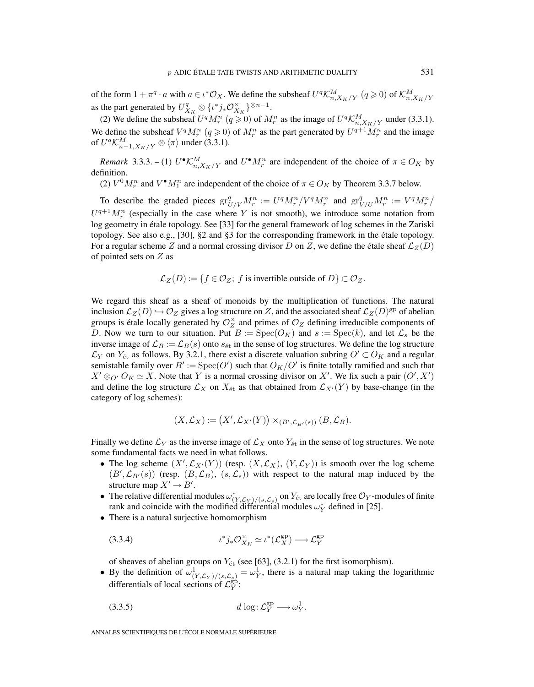of the form  $1 + \pi^q \cdot a$  with  $a \in \iota^* \mathcal{O}_X$ . We define the subsheaf  $U^q \mathcal{K}^M_{n,X_K/Y}$   $(q \geq 0)$  of  $\mathcal{K}^M_{n,X_K/Y}$ as the part generated by  $U_{X_K}^q \otimes \{ \iota^* j_* \mathcal{O}_{X_K}^{\times} \}^{\otimes n-1}$ .

(2) We define the subsheaf  $U^q M_r^n$   $(q \ge 0)$  of  $M_r^n$  as the image of  $U^q \mathcal{K}_{n,X_K/Y}^M$  under (3.3.1). We define the subsheaf  $V^q M_r^n$   $(q \ge 0)$  of  $M_r^n$  as the part generated by  $U^{q+1} M_r^n$  and the image of  $U^q \mathcal{K}^M_{n-1, X_K/Y} \otimes \langle \pi \rangle$  under (3.3.1).

*Remark* 3.3.3. – (1)  $U^{\bullet} \mathcal{K}^M_{n,X_K/Y}$  and  $U^{\bullet} M^n_r$  are independent of the choice of  $\pi \in O_K$  by definition.

(2)  $V^0 M_r^n$  and  $V^{\bullet} M_1^n$  are independent of the choice of  $\pi \in O_K$  by Theorem 3.3.7 below.

To describe the graded pieces  $gr^q_{U/V} M_r^n := U^q M_r^n / V^q M_r^n$  and  $gr^q_{V/U} M_r^n := V^q M_r^n / V^q M_r^n$  $U^{q+1}M_r^n$  (especially in the case where Y is not smooth), we introduce some notation from log geometry in étale topology. See [33] for the general framework of log schemes in the Zariski topology. See also e.g., [30], §2 and §3 for the corresponding framework in the étale topology. For a regular scheme Z and a normal crossing divisor D on Z, we define the étale sheaf  $\mathcal{L}_Z(D)$ of pointed sets on Z as

 $\mathcal{L}_Z(D) := \{f \in \mathcal{O}_Z; f \text{ is invertible outside of } D\} \subset \mathcal{O}_Z.$ 

We regard this sheaf as a sheaf of monoids by the multiplication of functions. The natural inclusion  $\mathcal{L}_Z(D) \hookrightarrow \mathcal{O}_Z$  gives a log structure on Z, and the associated sheaf  $\mathcal{L}_Z(D)$ <sup>gp</sup> of abelian groups is étale locally generated by  $\mathcal{O}_Z^{\times}$  and primes of  $\mathcal{O}_Z$  defining irreducible components of D. Now we turn to our situation. Put  $B := \text{Spec}(O_K)$  and  $s := \text{Spec}(k)$ , and let  $\mathcal{L}_s$  be the inverse image of  $\mathcal{L}_B := \mathcal{L}_B(s)$  onto  $s_{\text{\'et}}$  in the sense of log structures. We define the log structure  $\mathcal{L}_Y$  on  $Y_{\text{\'et}}$  as follows. By 3.2.1, there exist a discrete valuation subring  $O' \subset O_K$  and a regular semistable family over  $B' := \text{Spec}(O')$  such that  $O_K/O'$  is finite totally ramified and such that  $X' \otimes_{O'} O_K \simeq X$ . Note that Y is a normal crossing divisor on X'. We fix such a pair  $(O', X')$ and define the log structure  $\mathcal{L}_X$  on  $X_{\text{\'et}}$  as that obtained from  $\mathcal{L}_{X'}(Y)$  by base-change (in the category of log schemes):

$$
(X,\mathcal{L}_X):=\big(X',\mathcal{L}_{X'}(Y)\big)\times_{(B',\mathcal{L}_{B'}(s))}(B,\mathcal{L}_B).
$$

Finally we define  $\mathcal{L}_Y$  as the inverse image of  $\mathcal{L}_X$  onto  $Y_{\text{\'et}}$  in the sense of log structures. We note some fundamental facts we need in what follows.

- The log scheme  $(X', \mathcal{L}_{X'}(Y))$  (resp.  $(X, \mathcal{L}_X)$ ,  $(Y, \mathcal{L}_Y)$ ) is smooth over the log scheme  $(B', \mathcal{L}_{B'}(s))$  (resp.  $(B, \mathcal{L}_B)$ ,  $(s, \mathcal{L}_s)$ ) with respect to the natural map induced by the structure map  $X' \to B'$ .
- The relative differential modules  $\omega_{(Y,\mathcal{L}_Y)/(s,\mathcal{L}_s)}^*$  on  $Y_{\text{\'et}}$  are locally free  $\mathcal{O}_Y$ -modules of finite rank and coincide with the modified differential modules  $\omega_Y^*$  defined in [25].
- There is a natural surjective homomorphism

(3.3.4) 
$$
\iota^* j_* \mathcal{O}_{X_K}^{\times} \simeq \iota^* (\mathcal{L}_X^{\text{gp}}) \longrightarrow \mathcal{L}_Y^{\text{gp}}
$$

of sheaves of abelian groups on  $Y_{\text{\'et}}$  (see [63], (3.2.1) for the first isomorphism).

• By the definition of  $\omega^1_{(Y,\mathcal{L}_Y)/(s,\mathcal{L}_s)} = \omega^1_Y$ , there is a natural map taking the logarithmic differentials of local sections of  $\mathcal{L}_Y^{\text{gp}}$ :

$$
(3.3.5) \t\t d \log: \mathcal{L}_Y^{\text{gp}} \longrightarrow \omega_Y^1.
$$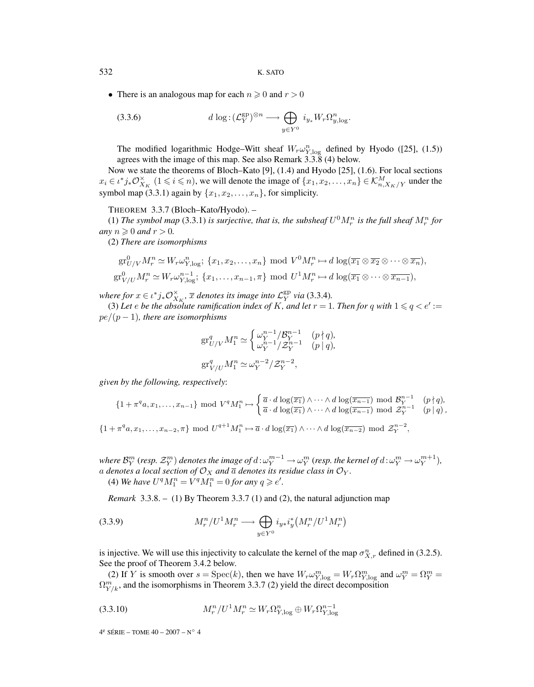532 K. SATO

• There is an analogous map for each  $n \geq 0$  and  $r > 0$ 

(3.3.6) 
$$
d \log: (\mathcal{L}_Y^{\text{gp}})^{\otimes n} \longrightarrow \bigoplus_{y \in Y^0} i_{y_*} W_r \Omega_{y, \log}^n.
$$

The modified logarithmic Hodge–Witt sheaf  $W_r \omega_{Y, \log}^n$  defined by Hyodo ([25], (1.5)) agrees with the image of this map. See also Remark 3.3.8 (4) below.

Now we state the theorems of Bloch–Kato [9], (1.4) and Hyodo [25], (1.6). For local sections  $x_i \in \iota^*j_*\mathcal{O}_{X_K}^{\times}$   $(1 \leq i \leq n)$ , we will denote the image of  $\{x_1, x_2, \ldots, x_n\} \in \mathcal{K}_{n,X_K/Y}^M$  under the symbol map (3.3.1) again by  $\{x_1, x_2, \ldots, x_n\}$ , for simplicity.

THEOREM 3.3.7 (Bloch–Kato/Hyodo). –

(1) The symbol map (3.3.1) is surjective, that is, the subsheaf  $U^0 M_r^n$  is the full sheaf  $M_r^n$  for *any*  $n \geqslant 0$  *and*  $r > 0$ *.* 

(2) *There are isomorphisms*

$$
\operatorname{gr}_{U/V}^0 M_r^n \simeq W_r \omega_{Y, \log}^n; \{x_1, x_2, \dots, x_n\} \text{ mod } V^0 M_r^n \mapsto d \log(\overline{x_1} \otimes \overline{x_2} \otimes \dots \otimes \overline{x_n}),
$$
  

$$
\operatorname{gr}_{V/U}^0 M_r^n \simeq W_r \omega_{Y, \log}^{n-1}; \{x_1, \dots, x_{n-1}, \pi\} \text{ mod } U^1 M_r^n \mapsto d \log(\overline{x_1} \otimes \dots \otimes \overline{x_{n-1}}),
$$

*where for*  $x \in \iota^*j_*\mathcal{O}_{X_K}^{\times}$ ,  $\overline{x}$  denotes its image into  $\mathcal{L}_Y^{\text{gp}}$  via (3.3.4).

(3) Let *e* be the absolute ramification index of K, and let  $r = 1$ . Then for q with  $1 \leq q < e' :=$ pe/(p − 1)*, there are isomorphisms*

$$
\begin{split} \operatorname{gr}^q_{U/V} M^n_1 &\simeq \begin{cases} \omega_Y^{n-1}/\mathcal{B}_Y^{n-1} & (p \nmid q), \\ \omega_Y^{n-1}/\mathcal{Z}_Y^{n-1} & (p \mid q), \end{cases} \\ \operatorname{gr}^q_{V/U} M^n_1 &\simeq \omega_Y^{n-2}/\mathcal{Z}_Y^{n-2}, \end{split}
$$

*given by the following, respectively*:

$$
\{1+\pi^q a, x_1, \dots, x_{n-1}\} \mod V^q M_1^n \mapsto \begin{cases} \overline{a} \cdot d \log(\overline{x_1}) \wedge \dots \wedge d \log(\overline{x_{n-1}}) \mod \mathcal{B}_Y^{n-1} & (p \nmid q), \\ \overline{a} \cdot d \log(\overline{x_1}) \wedge \dots \wedge d \log(\overline{x_{n-1}}) \mod \mathcal{Z}_Y^{n-1} & (p \mid q), \end{cases}
$$

 $\{1+\pi^q a,x_1,\ldots,x_{n-2},\pi\} \mod U^{q+1}M_1^n \mapsto \overline{a} \cdot d \log(\overline{x_1}) \wedge \cdots \wedge d \log(\overline{x_{n-2}}) \mod \mathcal{Z}_Y^{n-2},$ 

where  $\mathcal{B}_Y^m$  (resp.  $\mathcal{Z}_Y^m)$  denotes the image of  $d$  :  $\omega_Y^{m-1}\to \omega_Y^m$  (resp. the kernel of  $d$  :  $\omega_Y^m\to \omega_Y^{m+1}$ ), a denotes a local section of  $\mathcal{O}_X$  and  $\overline{a}$  denotes its residue class in  $\mathcal{O}_Y$ .

(4) We have  $U^q M_1^n = V^q M_1^n = 0$  for any  $q \geq e'$ .

*Remark* 3.3.8. – (1) By Theorem 3.3.7 (1) and (2), the natural adjunction map

(3.3.9) 
$$
M_r^n / U^1 M_r^n \longrightarrow \bigoplus_{y \in Y^0} i_{y*} i_y^* (M_r^n / U^1 M_r^n)
$$

is injective. We will use this injectivity to calculate the kernel of the map  $\sigma_{X,r}^n$  defined in (3.2.5). See the proof of Theorem 3.4.2 below.

(2) If Y is smooth over  $s = \text{Spec}(k)$ , then we have  $W_r \omega_{Y, \log}^m = W_r \Omega_{Y, \log}^m$  and  $\omega_Y^m = \Omega_Y^m =$  $\Omega_{Y/k}^m$ , and the isomorphisms in Theorem 3.3.7 (2) yield the direct decomposition

$$
(3.3.10) \t\t\t M_r^n/U^1M_r^n \simeq W_r\Omega_{Y,\log}^n \oplus W_r\Omega_{Y,\log}^{n-1}
$$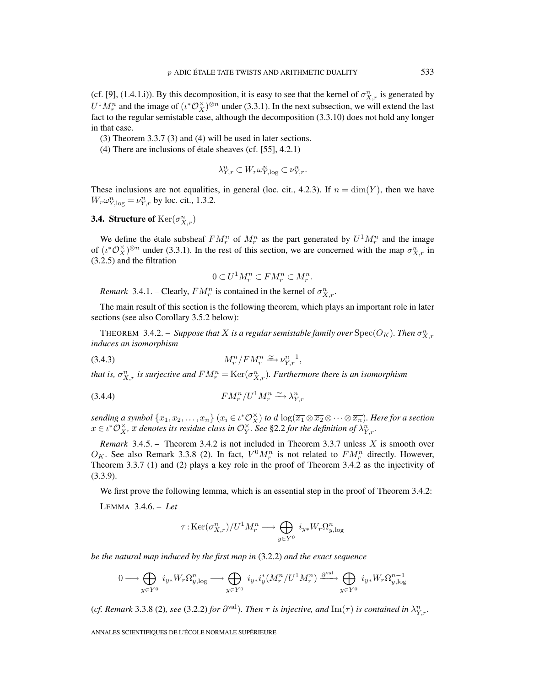(cf. [9], (1.4.1.i)). By this decomposition, it is easy to see that the kernel of  $\sigma_{X,r}^n$  is generated by  $U^1 M_r^n$  and the image of  $(\iota^* \mathcal{O}_X^{\times})^{\otimes n}$  under (3.3.1). In the next subsection, we will extend the last fact to the regular semistable case, although the decomposition (3.3.10) does not hold any longer in that case.

(3) Theorem 3.3.7 (3) and (4) will be used in later sections.

(4) There are inclusions of étale sheaves (cf. [55], 4.2.1)

$$
\lambda_{Y,r}^n\subset W_r\omega_{Y,\log}^n\subset \nu_{Y,r}^n.
$$

These inclusions are not equalities, in general (loc. cit., 4.2.3). If  $n = \dim(Y)$ , then we have  $W_r \omega_{Y, \log}^n = \nu_{Y,r}^n$  by loc. cit., 1.3.2.

**3.4. Structure of**  $\text{Ker}(\sigma_{X,r}^n)$ 

We define the étale subsheaf  $FM_r^n$  of  $M_r^n$  as the part generated by  $U^1M_r^n$  and the image of  $(\iota^*\mathcal{O}_X^{\times})^{\otimes n}$  under (3.3.1). In the rest of this section, we are concerned with the map  $\sigma_{X,r}^n$  in (3.2.5) and the filtration

$$
0 \subset U^1 M_r^n \subset FM_r^n \subset M_r^n.
$$

*Remark* 3.4.1. – Clearly,  $FM_r^n$  is contained in the kernel of  $\sigma_{X,r}^n$ .

The main result of this section is the following theorem, which plays an important role in later sections (see also Corollary 3.5.2 below):

THEOREM 3.4.2. – *Suppose that X is a regular semistable family over*  $\mathrm{Spec}(O_K)$ *. Then*  $\sigma_{X,r}^n$ *induces an isomorphism*

$$
(3.4.3) \t\t M_r^n / FM_r^n \xrightarrow{\simeq} \nu_{Y,r}^{n-1},
$$

that is,  $\sigma_{X,r}^n$  is surjective and  $FM_r^n = \text{Ker}(\sigma_{X,r}^n)$ *. Furthermore there is an isomorphism* 

$$
(3.4.4) \t\t\t FM_r^n/U^1M_r^n \xrightarrow{\simeq} \lambda_{Y,r}^n
$$

*sending a symbol*  $\{x_1, x_2, \ldots, x_n\}$   $(x_i \in \iota^* \mathcal{O}_X^{\times})$  *to*  $d \log(\overline{x_1} \otimes \overline{x_2} \otimes \cdots \otimes \overline{x_n})$ *. Here for a section*  $x \in \iota^* \mathcal{O}_X^{\times}$ ,  $\overline{x}$  denotes its residue class in  $\mathcal{O}_Y^{\times}$ . See §2.2 for the definition of  $\lambda_{Y,r}^n$ .

*Remark* 3.4.5. – Theorem 3.4.2 is not included in Theorem 3.3.7 unless X is smooth over  $O_K$ . See also Remark 3.3.8 (2). In fact,  $V^0 M_r^n$  is not related to  $FM_r^n$  directly. However, Theorem 3.3.7 (1) and (2) plays a key role in the proof of Theorem 3.4.2 as the injectivity of (3.3.9).

We first prove the following lemma, which is an essential step in the proof of Theorem 3.4.2:

LEMMA 3.4.6. – *Let*

$$
\tau : \mathrm{Ker}(\sigma_{X,r}^n) / U^1 M_r^n \longrightarrow \bigoplus_{y \in Y^0} i_{y*} W_r \Omega_{y,\log}^n
$$

*be the natural map induced by the first map in* (3.2.2) *and the exact sequence*

$$
0\longrightarrow \bigoplus_{y\in Y^0} i_{y*}W_r\Omega_{y,\log}^n\longrightarrow \bigoplus_{y\in Y^0} i_{y*}i_{y}^*(M_r^n/U^1M_r^n)\xrightarrow{\partial^{\text{val}}} \bigoplus_{y\in Y^0} i_{y*}W_r\Omega_{y,\log}^{n-1}
$$

(*cf. Remark* 3.3.8 (2), see (3.2.2) for  $\partial^{\text{val}}$ ). Then  $\tau$  is injective, and  $\text{Im}(\tau)$  is contained in  $\lambda_{Y,r}^n$ .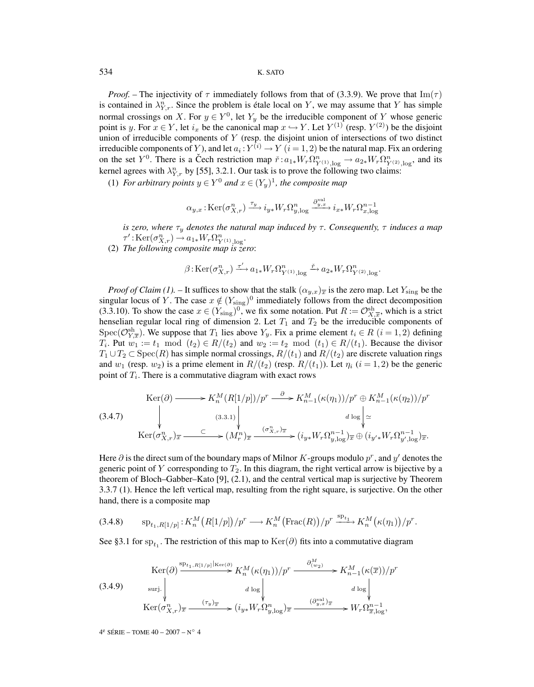## 534 K. SATO

*Proof.* – The injectivity of  $\tau$  immediately follows from that of (3.3.9). We prove that Im( $\tau$ ) is contained in  $\lambda_{Y,r}^n$ . Since the problem is étale local on Y, we may assume that Y has simple normal crossings on X. For  $y \in Y^0$ , let Y<sub>y</sub> be the irreducible component of Y whose generic point is y. For  $x \in Y$ , let  $i_x$  be the canonical map  $x \hookrightarrow Y$ . Let  $Y^{(1)}$  (resp.  $Y^{(2)}$ ) be the disjoint union of irreducible components of  $Y$  (resp. the disjoint union of intersections of two distinct irreducible components of Y), and let  $a_i : Y^{(i)} \to Y$   $(i = 1, 2)$  be the natural map. Fix an ordering on the set Y<sup>0</sup>. There is a Čech restriction map  $\check{r}: a_{1*}W_r\Omega_{Y^{(1)},\log}^n \to a_{2*}W_r\Omega_{Y^{(2)},\log}^n$ , and its kernel agrees with  $\lambda_{Y,r}^n$  by [55], 3.2.1. Our task is to prove the following two claims:

(1) *For arbitrary points*  $y \in Y^0$  *and*  $x \in (Y_u)^1$ *, the composite map* 

$$
\alpha_{y,x} : \mathrm{Ker}(\sigma^n_{X,r}) \xrightarrow{\tau_y} i_{y*} W_r \Omega^n_{y,\log} \xrightarrow{\partial^{val}_{y,x}} i_{x*} W_r \Omega^n_{x,\log}
$$

*is zero, where*  $\tau_y$  *denotes the natural map induced by*  $\tau$ *. Consequently,*  $\tau$  *induces a map*  $\tau': \text{Ker}(\sigma_{X,r}^n) \to a_{1*}W_r\Omega_{Y^{(1)},\log}^n.$ 

(2) *The following composite map is zero*:

$$
\beta: \operatorname{Ker}(\sigma_{X,r}^n) \xrightarrow{\tau'} a_{1*} W_r \Omega_{Y^{(1)}, \log}^n \xrightarrow{\tilde{r}} a_{2*} W_r \Omega_{Y^{(2)}, \log}^n.
$$

*Proof of Claim (1).* – It suffices to show that the stalk  $(\alpha_{y.x})_{\overline{x}}$  is the zero map. Let  $Y_{\text{sing}}$  be the singular locus of Y. The case  $x \notin (Y_{sing})^0$  immediately follows from the direct decomposition (3.3.10). To show the case  $x \in (Y_{\text{sing}})^0$ , we fix some notation. Put  $R := \mathcal{O}_{X,\overline{x}}^{\text{sh}}$ , which is a strict henselian regular local ring of dimension 2. Let  $T_1$  and  $T_2$  be the irreducible components of Spec( $\mathcal{O}_{Y,\overline{x}}^{sh}$ ). We suppose that  $T_1$  lies above  $Y_y$ . Fix a prime element  $t_i \in R$   $(i = 1, 2)$  defining  $T_i$ . Put  $w_1 := t_1 \mod (t_2) \in R/(t_2)$  and  $w_2 := t_2 \mod (t_1) \in R/(t_1)$ . Because the divisor  $T_1 \cup T_2 \subset \text{Spec}(R)$  has simple normal crossings,  $R/(t_1)$  and  $R/(t_2)$  are discrete valuation rings and  $w_1$  (resp.  $w_2$ ) is a prime element in  $R/(t_2)$  (resp.  $R/(t_1)$ ). Let  $\eta_i$  ( $i = 1, 2$ ) be the generic point of  $T_i$ . There is a commutative diagram with exact rows

(3.4.7)  
\n
$$
\begin{aligned}\n\operatorname{Ker}(\partial) \longrightarrow K_n^M (R[1/p])/p^r \xrightarrow{\partial} K_{n-1}^M(\kappa(\eta_1))/p^r \oplus K_{n-1}^M(\kappa(\eta_2))/p^r \\
&\downarrow d \log \Big| \simeq \\
\operatorname{Ker}(\sigma_{X,r}^n)_x \xrightarrow{\subset} (M_r^n)_x \xrightarrow{(\sigma_{X,r}^n)_x} (i_{y*}W_r \Omega_{y,\log}^{n-1})_x \oplus (i_{y'*}W_r \Omega_{y',\log}^{n-1})_x.\n\end{aligned}
$$

Here  $\partial$  is the direct sum of the boundary maps of Milnor K-groups modulo  $p^r$ , and  $y'$  denotes the generic point of Y corresponding to  $T_2$ . In this diagram, the right vertical arrow is bijective by a theorem of Bloch–Gabber–Kato [9], (2.1), and the central vertical map is surjective by Theorem 3.3.7 (1). Hence the left vertical map, resulting from the right square, is surjective. On the other hand, there is a composite map

$$
(3.4.8) \qquad \mathrm{sp}_{t_1, R[1/p]}: K_n^M\big(R[1/p]\big)/p^r \longrightarrow K_n^M\big(\mathrm{Frac}(R)\big)/p^r \stackrel{\mathrm{sp}_{t_1}}{\longrightarrow} K_n^M\big(\kappa(\eta_1)\big)/p^r.
$$

See §3.1 for sp<sub>t1</sub>. The restriction of this map to Ker(∂) fits into a commutative diagram

(3.4.9) 
$$
\operatorname{Ker}(\partial) \xrightarrow{\operatorname{sp}_{t_1, R[1/p]|\ker(\partial)}} K_n^M(\kappa(\eta_1))/p^r \xrightarrow{\partial_{(w_2)}^M} K_{n-1}^M(\kappa(\overline{x}))/p^r
$$

$$
\xrightarrow{\operatorname{surj.}} d \log \begin{vmatrix} d \log \begin{vmatrix} \frac{\partial M}{\partial x} & \frac{\partial M}{\partial y} \\ \frac{\partial M}{\partial x} & \frac{\partial M}{\partial y} \\ \frac{\partial M}{\partial x} & \frac{\partial M}{\partial y} \end{vmatrix}} Ker(\sigma_{X,r}^n)_{\overline{x}} \xrightarrow{(\tau_y)_{\overline{x}}} (i_{y*}W_r\Omega_{y,\log}^n)_{\overline{x}} \xrightarrow{(\partial_{y,x}^{\mathrm{val}})_{\overline{x}}} W_r\Omega_{\overline{x},\log}^{n-1},
$$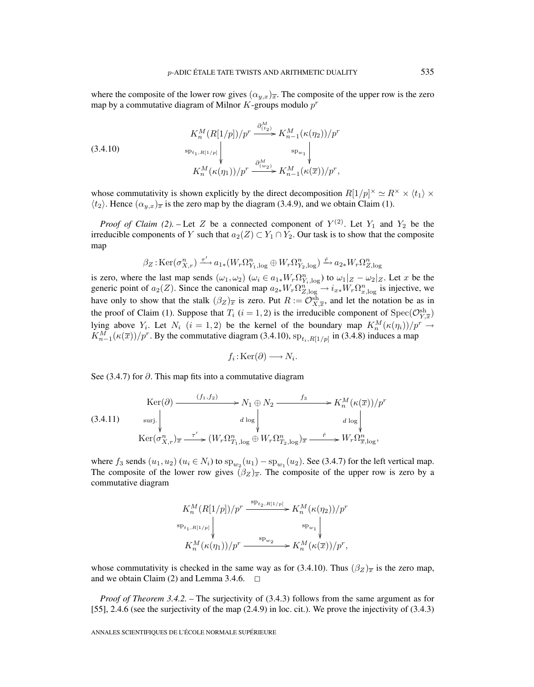where the composite of the lower row gives  $(\alpha_{y,x})_{\overline{x}}$ . The composite of the upper row is the zero map by a commutative diagram of Milnor  $K$ -groups modulo  $p<sup>r</sup>$ 

(3.4.10)  

$$
K_n^M(R[1/p])/p^r \xrightarrow{\partial_{(t_2)}^M} K_{n-1}^M(\kappa(\eta_2))/p^r
$$

$$
\overset{\text{sp}_{u_1, R[1/p]}}{\downarrow} \Big\downarrow_{\text{sp}_{w_1}} \Big\downarrow_{\text{sp}_{w_1}} \Big\downarrow_{\text{K}_n^M(\kappa(\eta_1))/p^r} \xrightarrow{\partial_{(w_2)}^M} K_{n-1}^M(\kappa(\overline{x}))/p^r,
$$

whose commutativity is shown explicitly by the direct decomposition  $R[1/p]^\times \simeq R^\times \times \langle t_1 \rangle \times R^\times$  $\langle t_2 \rangle$ . Hence  $(\alpha_{y,x})_{\overline{x}}$  is the zero map by the diagram (3.4.9), and we obtain Claim (1).

*Proof of Claim (2).* – Let Z be a connected component of  $Y^{(2)}$ . Let  $Y_1$  and  $Y_2$  be the irreducible components of Y such that  $a_2(Z) \subset Y_1 \cap Y_2$ . Our task is to show that the composite map

$$
\beta_Z : \text{Ker}(\sigma_{X,r}^n) \xrightarrow{\tau'} a_{1*}(W_r \Omega_{Y_1,\log}^n \oplus W_r \Omega_{Y_2,\log}^n) \xrightarrow{\tilde{r}} a_{2*}W_r \Omega_{Z,\log}^n
$$

is zero, where the last map sends  $(\omega_1, \omega_2)$   $(\omega_i \in a_{1*}W_r\Omega_{Y_i,\log}^n)$  to  $\omega_1|_Z - \omega_2|_Z$ . Let x be the generic point of  $a_2(Z)$ . Since the canonical map  $a_{2*}W_r\Omega_{Z,\log}^{n} \to i_{xx}W_r\Omega_{x,\log}^{n}$  is injective, we have only to show that the stalk  $(\beta_Z)_{\overline{x}}$  is zero. Put  $R := \mathcal{O}_{X,\overline{x}}^{sh}$ , and let the notation be as in the proof of Claim (1). Suppose that  $T_i$   $(i = 1, 2)$  is the irreducible component of  $Spec(\mathcal{O}_{Y,\overline{x}}^{sh})$ lying above  $Y_i$ . Let  $N_i$   $(i = 1, 2)$  be the kernel of the boundary map  $K_n^M(\kappa(\eta_i))/p^r \to$  $K_{n-1}^M(\kappa(\overline{x}))/p^r$ . By the commutative diagram (3.4.10),  $sp_{t_i, R[1/p]}$  in (3.4.8) induces a map

$$
f_i: \text{Ker}(\partial) \longrightarrow N_i.
$$

See (3.4.7) for ∂. This map fits into a commutative diagram

(3.4.11) 
$$
\operatorname{Ker}(\partial) \xrightarrow{(f_1, f_2)} N_1 \oplus N_2 \xrightarrow{f_3} K_n^M(\kappa(\overline{x}))/p^r
$$
  
\n
$$
\operatorname{surj.}\Bigg\downarrow d \log \Bigg\downarrow d \log \Bigg\downarrow d \log \Bigg\downarrow
$$
  
\n
$$
\operatorname{Ker}(\sigma_{X,r}^n)_{\overline{x}} \xrightarrow{\tau'} (W_r \Omega_{T_1, \log}^n \oplus W_r \Omega_{T_2, \log}^n)_{\overline{x}} \xrightarrow{\tilde{r}} W_r \Omega_{\overline{x}, \log}^n,
$$

where  $f_3$  sends  $(u_1, u_2)$   $(u_i \in N_i)$  to  $sp_{w_2}(u_1) - sp_{w_1}(u_2)$ . See (3.4.7) for the left vertical map. The composite of the lower row gives  $(\beta_Z)_{\overline{x}}$ . The composite of the upper row is zero by a commutative diagram

$$
\begin{array}{ccc}\nK_n^M(R[1/p])/p^r & \xrightarrow{\text{sp}_{t_2,R[1/p]}} K_n^M(\kappa(\eta_2))/p^r \\
\downarrow^{\text{sp}_{t_1,R[1/p]}} & & \downarrow^{\text{sp}_{w_1}} \\
K_n^M(\kappa(\eta_1))/p^r & \xrightarrow{\text{sp}_{w_2}} K_n^M(\kappa(\overline{x}))/p^r,\n\end{array}
$$

whose commutativity is checked in the same way as for (3.4.10). Thus  $(\beta_Z)_{\overline{x}}$  is the zero map, and we obtain Claim (2) and Lemma 3.4.6.  $\Box$ 

*Proof of Theorem 3.4.2.* – The surjectivity of (3.4.3) follows from the same argument as for [55], 2.4.6 (see the surjectivity of the map (2.4.9) in loc. cit.). We prove the injectivity of (3.4.3)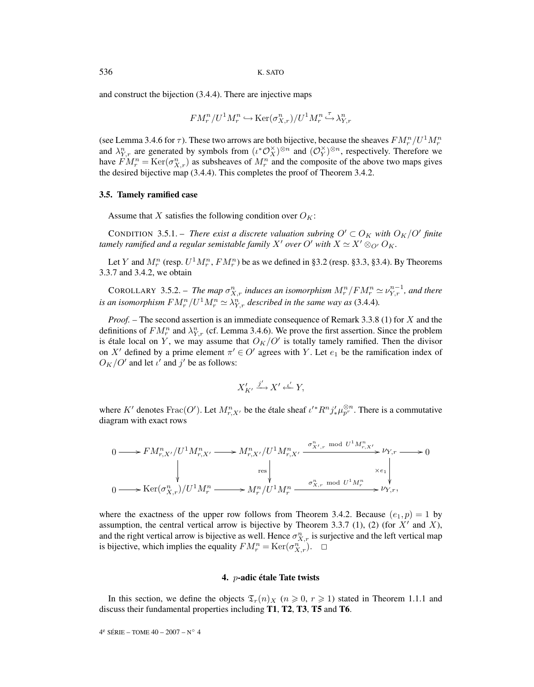and construct the bijection (3.4.4). There are injective maps

$$
FM_r^n/U^1M_r^n \hookrightarrow \mathrm{Ker}(\sigma^n_{X,r})/U^1M_r^n \overset{\tau}{\hookrightarrow} \lambda^n_{Y,r}
$$

(see Lemma 3.4.6 for  $\tau$ ). These two arrows are both bijective, because the sheaves  $FM_r^n/U^1M_r^n$ and  $\lambda_{Y,r}^n$  are generated by symbols from  $(\iota^*\mathcal{O}_X^{\times})^{\otimes n}$  and  $(\mathcal{O}_Y^{\times})^{\otimes n}$ , respectively. Therefore we have  $FM_r^n = \text{Ker}(\sigma_{X,r}^n)$  as subsheaves of  $M_r^n$  and the composite of the above two maps gives the desired bijective map (3.4.4). This completes the proof of Theorem 3.4.2.

#### **3.5. Tamely ramified case**

Assume that X satisfies the following condition over  $O_K$ :

CONDITION 3.5.1. – *There exist a discrete valuation subring*  $O' \subset O_K$  *with*  $O_K/O'$  *finite tamely ramified and a regular semistable family*  $X'$  *over*  $O'$  *with*  $X \simeq X' \otimes_{O'} O_K$ .

Let Y and  $M_r^n$  (resp.  $U^1 M_r^n$ ,  $FM_r^n$ ) be as we defined in §3.2 (resp. §3.3, §3.4). By Theorems 3.3.7 and 3.4.2, we obtain

COROLLARY 3.5.2. – The map  $\sigma_{X,r}^n$  induces an isomorphism  $M_r^n/FM_r^n \simeq \nu_{Y,r}^{n-1}$ , and there *is an isomorphism*  $FM_r^n/U^1M_r^n \simeq \lambda_{Y,r}^n$  *described in the same way as* (3.4.4).

*Proof.* – The second assertion is an immediate consequence of Remark 3.3.8 (1) for X and the definitions of  $FM_r^n$  and  $\lambda_{Y,r}^n$  (cf. Lemma 3.4.6). We prove the first assertion. Since the problem is étale local on Y, we may assume that  $O_K/O'$  is totally tamely ramified. Then the divisor on X' defined by a prime element  $\pi' \in O'$  agrees with Y. Let  $e_1$  be the ramification index of  $O_K/O'$  and let  $\iota'$  and  $j'$  be as follows:

$$
X'_{K'} \xrightarrow{j'} X' \xleftarrow{\iota'} Y,
$$

where K' denotes Frac $(O')$ . Let  $M_{r,X'}^n$  be the étale sheaf  $\iota'^* R^n j'_* \mu_{p'}^{\otimes n}$ . There is a commutative diagram with exact rows

$$
\begin{CD} 0 \longrightarrow FM^n_{r,X'}/U^1 M^n_{r,X'} \longrightarrow M^n_{r,X'}/U^1 M^n_{r,X'} \xrightarrow{\sigma^n_{X',r} \mod U^1 M^n_{r,X'}} \nu_{Y,r} \longrightarrow 0 \\ & \downarrow \qquad \qquad \downarrow \qquad \qquad \downarrow \qquad \qquad \downarrow \qquad \qquad \downarrow \qquad \qquad \downarrow \qquad \qquad \downarrow \qquad \qquad \downarrow \qquad \qquad \downarrow \qquad \qquad \downarrow \qquad \qquad \downarrow \qquad \qquad \downarrow \qquad \qquad \downarrow \qquad \qquad \downarrow \qquad \qquad \downarrow \qquad \qquad \downarrow \qquad \qquad \downarrow \qquad \qquad \downarrow \qquad \qquad \downarrow \qquad \qquad \downarrow \qquad \qquad \downarrow \qquad \qquad \downarrow \qquad \qquad \downarrow \qquad \qquad \downarrow \qquad \qquad \downarrow \qquad \qquad \downarrow \qquad \qquad \downarrow \qquad \qquad \downarrow \qquad \qquad \downarrow \qquad \qquad \downarrow \qquad \qquad \downarrow \qquad \qquad \downarrow \qquad \qquad \downarrow \qquad \qquad \downarrow \qquad \qquad \downarrow \qquad \qquad \downarrow \qquad \qquad \downarrow \qquad \qquad \downarrow \qquad \qquad \downarrow \qquad \qquad \downarrow \qquad \qquad \downarrow \qquad \qquad \downarrow \qquad \qquad \downarrow \qquad \qquad \downarrow \qquad \qquad \downarrow \qquad \qquad \downarrow \qquad \qquad \downarrow \qquad \qquad \downarrow \qquad \qquad \downarrow \qquad \qquad \downarrow \qquad \qquad \downarrow \qquad \qquad \downarrow \qquad \qquad \downarrow \qquad \qquad \downarrow \qquad \qquad \downarrow \qquad \qquad \downarrow \qquad \qquad \downarrow \qquad \qquad \downarrow \qquad \qquad \downarrow \qquad \qquad \downarrow \qquad \qquad \downarrow \qquad \qquad \downarrow \qquad \qquad \downarrow \qquad \qquad \downarrow \qquad \qquad \downarrow \qquad \qquad \downarrow \qquad \qquad \downarrow \qquad \qquad \downarrow \qquad \qquad \downarrow \qquad \qquad \downarrow \qquad \qquad \downarrow \qquad \qquad \downarrow \qquad \qquad \downarrow \qquad \qquad \downarrow \qquad \qquad \downarrow \qquad \qquad \downarrow \qquad \q
$$

where the exactness of the upper row follows from Theorem 3.4.2. Because  $(e_1, p) = 1$  by assumption, the central vertical arrow is bijective by Theorem 3.3.7 (1), (2) (for  $X'$  and X), and the right vertical arrow is bijective as well. Hence  $\sigma_{X,r}^n$  is surjective and the left vertical map is bijective, which implies the equality  $FM_r^n = \text{Ker}(\sigma_{X,r}^n)$ .  $\Box$ 

#### **4.** p**-adic étale Tate twists**

In this section, we define the objects  $\mathfrak{T}_r(n)_X$   $(n \geq 0, r \geq 1)$  stated in Theorem 1.1.1 and discuss their fundamental properties including **T1**, **T2**, **T3**, **T5** and **T6**.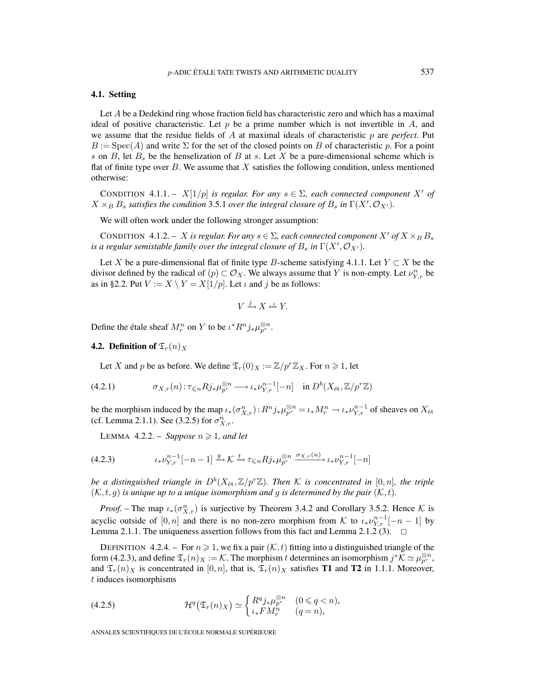## **4.1. Setting**

Let A be a Dedekind ring whose fraction field has characteristic zero and which has a maximal ideal of positive characteristic. Let  $p$  be a prime number which is not invertible in  $A$ , and we assume that the residue fields of A at maximal ideals of characteristic p are *perfect*. Put  $B := \text{Spec}(A)$  and write  $\Sigma$  for the set of the closed points on B of characteristic p. For a point s on B, let  $B_s$  be the henselization of B at s. Let X be a pure-dimensional scheme which is flat of finite type over  $B$ . We assume that  $X$  satisfies the following condition, unless mentioned otherwise:

CONDITION 4.1.1. –  $X[1/p]$  *is regular. For any*  $s \in \Sigma$ , each connected component X' of  $X \times_B B_s$  *satisfies the condition* 3.5.1 *over the integral closure of*  $B_s$  *in*  $\Gamma(X', \mathcal{O}_{X'})$ *.* 

We will often work under the following stronger assumption:

CONDITION 4.1.2. – X is regular. For any  $s \in \Sigma$ , each connected component X' of  $X \times_B B_s$ *is a regular semistable family over the integral closure of*  $B_s$  *in*  $\Gamma(X', \mathcal{O}_{X'})$ .

Let X be a pure-dimensional flat of finite type B-scheme satisfying 4.1.1. Let  $Y \subset X$  be the divisor defined by the radical of  $(p) \subset \mathcal{O}_X$ . We always assume that Y is non-empty. Let  $\nu_{Y,r}^n$  be as in §2.2. Put  $V := X \setminus Y = X[1/p]$ . Let  $\iota$  and  $j$  be as follows:

$$
V \xrightarrow{j} X \xleftarrow{\iota} Y.
$$

Define the étale sheaf  $M_r^n$  on Y to be  $\iota^* R^n j_* \mu_{p^r}^{\otimes n}$ .

## **4.2. Definition of**  $\mathfrak{T}_r(n)_X$

Let X and p be as before. We define  $\mathfrak{T}_r(0)_X := \mathbb{Z}/p^r \mathbb{Z}_X$ . For  $n \geq 1$ , let

$$
(4.2.1) \t\t \sigma_{X,r}(n): \tau_{\leq n} R j_* \mu_{p^r}^{\otimes n} \longrightarrow \iota_* \nu_{Y,r}^{n-1}[-n] \text{ in } D^b(X_{\text{\'et}}, \mathbb{Z}/p^r\mathbb{Z})
$$

be the morphism induced by the map  $\iota_*(\sigma_{X,r}^n): R^n j_* \mu_{p^r}^{\otimes n} = \iota_* M_r^n \to \iota_* \nu_{Y,r}^{n-1}$  of sheaves on  $X_{\text{\'et}}$ (cf. Lemma 2.1.1). See (3.2.5) for  $\sigma_{X,r}^n$ .

LEMMA  $4.2.2.$  – *Suppose*  $n \ge 1$ *, and let* 

$$
(4.2.3) \qquad \qquad \iota_* \nu_{Y,r}^{n-1}[-n-1] \xrightarrow{g} \mathcal{K} \xrightarrow{t} \tau_{\leq n} R j_* \mu_{p^r}^{\otimes n} \xrightarrow{\sigma_{X,r}(n)} \iota_* \nu_{Y,r}^{n-1}[-n]
$$

*be a distinguished triangle in*  $D^b(X_{\text{\'et}},\mathbb{Z}/p^r\mathbb{Z})$ *. Then* K *is concentrated in* [0,*n*]*, the triple*  $(K, t, g)$  *is unique up to a unique isomorphism and g is determined by the pair*  $(K, t)$ *.* 

*Proof.* – The map  $\iota_*(\sigma_{X,r}^n)$  is surjective by Theorem 3.4.2 and Corollary 3.5.2. Hence K is acyclic outside of  $[0, n]$  and there is no non-zero morphism from K to  $\iota_* \nu_{Y,r}^{n-1}[-n-1]$  by Lemma 2.1.1. The uniqueness assertion follows from this fact and Lemma 2.1.2 (3).  $\Box$ 

DEFINITION 4.2.4. – For  $n \geq 1$ , we fix a pair  $(\mathcal{K}, t)$  fitting into a distinguished triangle of the form (4.2.3), and define  $\mathfrak{T}_r(n)_X := \mathcal{K}$ . The morphism t determines an isomorphism  $j^*\mathcal{K} \simeq \mu_{p^r}^{\otimes n}$ , and  $\mathfrak{T}_r(n)_X$  is concentrated in  $[0,n]$ , that is,  $\mathfrak{T}_r(n)_X$  satisfies **T1** and **T2** in 1.1.1. Moreover, t induces isomorphisms

(4.2.5) 
$$
\mathcal{H}^q(\mathfrak{T}_r(n)_X) \simeq \begin{cases} R^q j_* \mu_{p^r}^{\otimes n} & (0 \leq q < n), \\ i_* F M_r^n & (q = n), \end{cases}
$$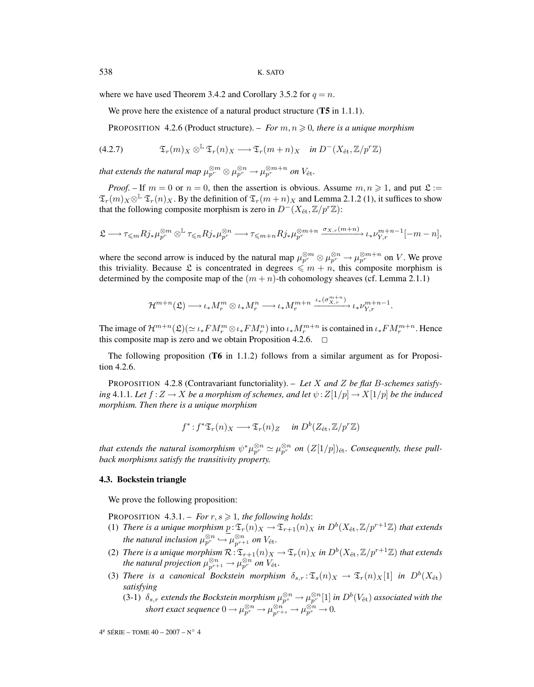where we have used Theorem 3.4.2 and Corollary 3.5.2 for  $q = n$ .

We prove here the existence of a natural product structure (**T5** in 1.1.1).

PROPOSITION 4.2.6 (Product structure). – *For*  $m, n \geqslant 0$ , there is a unique morphism

(4.2.7) 
$$
\mathfrak{T}_r(m)_X \otimes^{\mathbb{L}} \mathfrak{T}_r(n)_X \longrightarrow \mathfrak{T}_r(m+n)_X \quad \text{in } D^-(X_{\text{\'et}}, \mathbb{Z}/p^r\mathbb{Z})
$$

*that extends the natural map*  $\mu_{p^r}^{\otimes m} \otimes \mu_{p^r}^{\otimes n} \to \mu_{p^r}^{\otimes m+n}$  *on*  $V_{\mathrm{\acute{e}t}}$ *.* 

*Proof.* – If  $m = 0$  or  $n = 0$ , then the assertion is obvious. Assume  $m, n \ge 1$ , and put  $\mathfrak{L} :=$  $\mathfrak{T}_r(m)_X\otimes^{\mathbb{L}} \mathfrak{T}_r(n)_X$ . By the definition of  $\mathfrak{T}_r(m+n)_X$  and Lemma 2.1.2 (1), it suffices to show that the following composite morphism is zero in  $D^-(X_{\text{\'et}},\mathbb{Z}/p^r\mathbb{Z})$ :

$$
\mathfrak{L} \longrightarrow \tau_{\leqslant m} R j_* \mu_{p^r}^{\otimes m} \otimes^{\mathbb{L}} \tau_{\leqslant n} R j_* \mu_{p^r}^{\otimes n} \longrightarrow \tau_{\leqslant m+n} R j_* \mu_{p^r}^{\otimes m+n} \xrightarrow{\sigma_{X,r}(m+n)} \iota_* \nu_{Y,r}^{m+n-1}[-m-n],
$$

where the second arrow is induced by the natural map  $\mu_{p^r}^{\otimes m} \otimes \mu_{p^r}^{\otimes m} \to \mu_{p^r}^{\otimes m+n}$  on V. We prove this triviality. Because L is concentrated in degrees  $\leq m + n$ , this composite morphism is determined by the composite map of the  $(m + n)$ -th cohomology sheaves (cf. Lemma 2.1.1)

$$
\mathcal{H}^{m+n}(\mathfrak{L}) \longrightarrow \iota_* M_r^m \otimes \iota_* M_r^n \longrightarrow \iota_* M_r^{m+n} \xrightarrow{\iota_* (\sigma_{X,r}^{m+n})} \iota_* \nu_{Y,r}^{m+n-1}.
$$

The image of  $\mathcal{H}^{m+n}(\mathfrak{L})(\simeq \iota_*FM_r^m\otimes \iota_*FM_r^n)$  into  $\iota_*M_r^{m+n}$  is contained in  $\iota_*FM_r^{m+n}$ . Hence this composite map is zero and we obtain Proposition 4.2.6.  $\Box$ 

The following proposition (**T6** in 1.1.2) follows from a similar argument as for Proposition 4.2.6.

PROPOSITION 4.2.8 (Contravariant functoriality). – *Let* X *and* Z *be flat* B*-schemes satisfying* 4.1.1*. Let*  $f: Z \to X$  *be a morphism of schemes, and let*  $\psi: Z[1/p] \to X[1/p]$  *be the induced morphism. Then there is a unique morphism*

$$
f^*: f^* \mathfrak{T}_r(n)_X \longrightarrow \mathfrak{T}_r(n)_Z
$$
 in  $D^b(Z_{\text{\'et}}, \mathbb{Z}/p^r\mathbb{Z})$ 

*that extends the natural isomorphism*  $\psi^*\mu_{p^r}^{\otimes n} \simeq \mu_{p^r}^{\otimes n}$  *on*  $(Z[1/p])_{\text{\'et}}$ *. Consequently, these pullback morphisms satisfy the transitivity property.*

#### **4.3. Bockstein triangle**

We prove the following proposition:

PROPOSITION  $4.3.1 - For r, s \geq 1$ , the following holds:

- (1) *There is a unique morphism*  $p: \mathfrak{T}_r(n)_X \to \mathfrak{T}_{r+1}(n)_X$  *in*  $D^b(X_{\text{\'et}},\mathbb{Z}/p^{r+1}\mathbb{Z})$  *that extends the natural inclusion*  $\mu_{p^r}^{\otimes n} \hookrightarrow \mu_{p^{r+1}}^{\otimes n}$  *on*  $V_{\text{\'et}}$ *.*
- (2) *There is a unique morphism*  $\mathcal{R}: \mathfrak{T}_{r+1}(n)_X \to \mathfrak{T}_r(n)_X$  *in*  $D^b(X_{\text{\'et}},\mathbb{Z}/p^{r+1}\mathbb{Z})$  *that extends the natural projection*  $\mu_{p^{r+1}}^{\otimes n} \to \mu_{p^r}^{\otimes n}$  *on*  $V_{\text{\textup{'et}}}.$
- (3) *There is a canonical Bockstein morphism*  $\delta_{s,r} : \mathfrak{T}_s(n)_X \to \mathfrak{T}_r(n)_X[1]$  *in*  $D^b(X_{\text{\'et}})$ *satisfying*
	- (3-1)  $\delta_{s,r}$  extends the Bockstein morphism  $\mu_{p^s}^{\otimes n} \to \mu_{p^r}^{\otimes n}[1]$  in  $D^b(V_{\text{\'et}})$  associated with the *short exact sequence*  $0 \to \mu_{p^r}^{\otimes n} \to \mu_{p^r+s}^{\otimes n} \to \mu_{p^s}^{\otimes n} \to 0$ .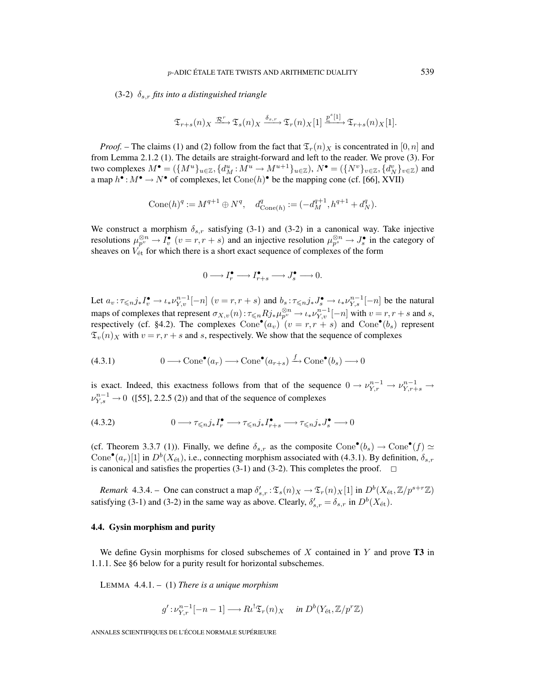(3-2) δs,r *fits into a distinguished triangle*

$$
\mathfrak{T}_{r+s}(n)_X \xrightarrow{\mathcal{R}^r} \mathfrak{T}_s(n)_X \xrightarrow{\delta_{s,r}} \mathfrak{T}_r(n)_X[1] \xrightarrow{\underline{p}^s[1]} \mathfrak{T}_{r+s}(n)_X[1].
$$

*Proof.* – The claims (1) and (2) follow from the fact that  $\mathfrak{T}_r(n)_X$  is concentrated in [0, n] and from Lemma 2.1.2 (1). The details are straight-forward and left to the reader. We prove (3). For two complexes  $M^{\bullet} = (\{M^u\}_{u \in \mathbb{Z}}, \{d_M^u : M^u \to M^{u+1}\}_{u \in \mathbb{Z}}), N^{\bullet} = (\{N^v\}_{v \in \mathbb{Z}}, \{d_N^v\}_{v \in \mathbb{Z}})$  and a map  $h^{\bullet}: M^{\bullet} \to N^{\bullet}$  of complexes, let  $Cone(h)^{\bullet}$  be the mapping cone (cf. [66], XVII)

$$
Cone(h)^q := M^{q+1} \oplus N^q, \quad d^q_{Cone(h)} := (-d_M^{q+1}, h^{q+1} + d_N^q).
$$

We construct a morphism  $\delta_{s,r}$  satisfying (3-1) and (3-2) in a canonical way. Take injective resolutions  $\mu_{p}^{\otimes n} \to I_v^{\bullet}$   $(v = r, r + s)$  and an injective resolution  $\mu_{p}^{\otimes n} \to J_s^{\bullet}$  in the category of sheaves on  $V_{\text{\'et}}$  for which there is a short exact sequence of complexes of the form

$$
0 \longrightarrow I_r^{\bullet} \longrightarrow I_{r+s}^{\bullet} \longrightarrow J_s^{\bullet} \longrightarrow 0.
$$

Let  $a_v: \tau \le n, j_* I_v^{\bullet} \to \iota_* \nu_{Y,v}^{n-1}[-n]$   $(v = r, r + s)$  and  $b_s: \tau \le n, j_* J_s^{\bullet} \to \iota_* \nu_{Y,s}^{n-1}[-n]$  be the natural maps of complexes that represent  $\sigma_{X,v}(n)$ :  $\tau \le nRj_* \mu_{p^v}^{\otimes n} \to \iota_* \nu_{Y,v}^{n-1}[-n]$  with  $v = r, r + s$  and s, respectively (cf. §4.2). The complexes  $Cone^{\bullet}(a_v)(v = r, r + s)$  and  $Cone^{\bullet}(b_s)$  represent  $\mathfrak{T}_{v}(n)$ <sub>X</sub> with  $v = r, r + s$  and s, respectively. We show that the sequence of complexes

(4.3.1) 
$$
0 \longrightarrow \text{Cone}^{\bullet}(a_r) \longrightarrow \text{Cone}^{\bullet}(a_{r+s}) \xrightarrow{f} \text{Cone}^{\bullet}(b_s) \longrightarrow 0
$$

is exact. Indeed, this exactness follows from that of the sequence  $0 \to \nu_{Y,r}^{n-1} \to \nu_{Y,r+s}^{n-1} \to$  $\nu_{Y,s}^{n-1} \to 0$  ([55], 2.2.5 (2)) and that of the sequence of complexes

$$
(4.3.2) \t\t 0 \longrightarrow \tau_{\leq n} j_* I_r^{\bullet} \longrightarrow \tau_{\leq n} j_* I_{r+s}^{\bullet} \longrightarrow \tau_{\leq n} j_* J_s^{\bullet} \longrightarrow 0
$$

(cf. Theorem 3.3.7 (1)). Finally, we define  $\delta_{s,r}$  as the composite Cone<sup>•</sup>( $b_s$ )  $\rightarrow$  Cone<sup>•</sup>( $f$ )  $\simeq$ Cone<sup>•</sup>( $a_r$ )[1] in  $D^b(X_{\text{\'et}})$ , i.e., connecting morphism associated with (4.3.1). By definition,  $\delta_{s,r}$ is canonical and satisfies the properties  $(3-1)$  and  $(3-2)$ . This completes the proof.

*Remark* 4.3.4. – One can construct a map  $\delta'_{s,r} : \mathfrak{T}_s(n)_X \to \mathfrak{T}_r(n)_X[1]$  in  $D^b(X_{\text{\'et}},\mathbb{Z}/p^{s+r}\mathbb{Z})$ satisfying (3-1) and (3-2) in the same way as above. Clearly,  $\delta'_{s,r} = \delta_{s,r}$  in  $D^b(X_{\text{\'et}})$ .

## **4.4. Gysin morphism and purity**

We define Gysin morphisms for closed subschemes of X contained in Y and prove **T3** in 1.1.1. See §6 below for a purity result for horizontal subschemes.

LEMMA 4.4.1. – (1) *There is a unique morphism*

$$
g': \nu_{Y,r}^{n-1}[-n-1] \longrightarrow R\iota^! \mathfrak{T}_r(n)_X \quad \text{ in } D^b(Y_{\mathrm{\acute{e}t}}, \mathbb{Z}/p^r\mathbb{Z})
$$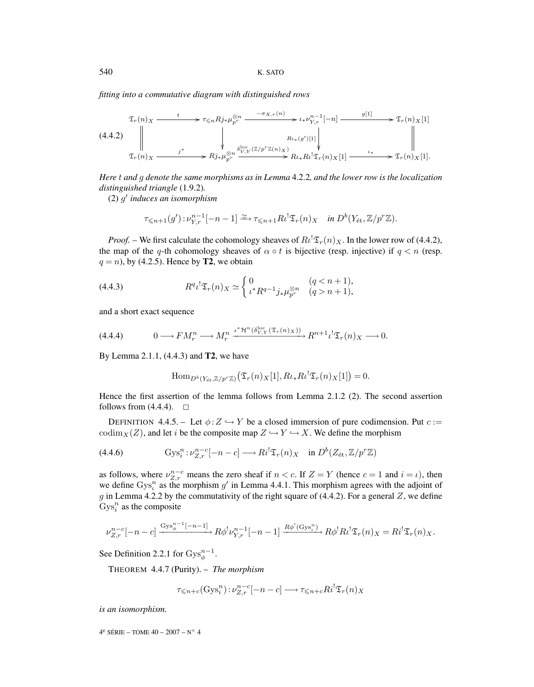*fitting into a commutative diagram with distinguished rows*

$$
\begin{array}{c}\n\mathfrak{T}_{r}(n)_{X} \xrightarrow{t} \tau \leq n R j_{*} \mu_{p^{r}}^{\otimes n} \xrightarrow{-\sigma_{X,r}(n)} \iota_{*} \nu_{Y,r}^{n-1}[-n] \xrightarrow{g[1]} \rightarrow \mathfrak{T}_{r}(n)_{X}[1] \\
\downarrow \xrightarrow{\qquad \qquad \downarrow \qquad \qquad } \mathfrak{T}_{r}(n)_{X} \xrightarrow{j^{*}} R j_{*} \mu_{p^{r}}^{\otimes n} \xrightarrow{\delta_{Y,Y}^{loc}(\mathbb{Z}/p^{r}\mathbb{Z}(n)_{X})} R l_{*} R l^{!} \mathfrak{T}_{r}(n)_{X}[1] \xrightarrow{\iota_{*}} \mathfrak{T}_{r}(n)_{X}[1].\n\end{array}
$$

*Here* t *and* g *denote the same morphisms as in Lemma* 4.2.2*, and the lower row is the localization distinguished triangle* (1.9.2)*.*

(2) g *induces an isomorphism*

$$
\tau_{\leq n+1}(g'):\nu_{Y,r}^{n-1}[-n-1]\xrightarrow{\simeq} \tau_{\leq n+1}R\iota^!\mathfrak{T}_r(n)_X \quad \text{in } D^b(Y_{\text{\'et}},\mathbb{Z}/p^r\mathbb{Z}).
$$

*Proof.* – We first calculate the cohomology sheaves of  $R\iota^! \mathfrak{T}_r(n)_X$ . In the lower row of (4.4.2), the map of the q-th cohomology sheaves of  $\alpha \circ t$  is bijective (resp. injective) if  $q < n$  (resp.  $q = n$ ), by (4.2.5). Hence by **T2**, we obtain

(4.4.3) 
$$
R^{q} \iota^{!} \mathfrak{T}_{r}(n)_{X} \simeq \begin{cases} 0 & (q < n+1), \\ \iota^{*} R^{q-1} j_{*} \mu_{p^{r}}^{\otimes n} & (q > n+1), \end{cases}
$$

and a short exact sequence

$$
(4.4.4) \t 0 \longrightarrow FM_r^n \longrightarrow M_r^n \xrightarrow{\iota^* \mathcal{H}^n(\delta_{V,Y}^{\text{loc}}(\mathfrak{T}_r(n)_X))} R^{n+1} \iota^! \mathfrak{T}_r(n)_X \longrightarrow 0.
$$

By Lemma 2.1.1, (4.4.3) and **T2**, we have

$$
\operatorname{Hom}_{D^b(Y_{\text{\'et}},\mathbb{Z}/p^r\mathbb{Z})}\left(\mathfrak{T}_r(n)_X[1],R\iota_*R\iota^!\mathfrak{T}_r(n)_X[1]\right)=0.
$$

Hence the first assertion of the lemma follows from Lemma 2.1.2 (2). The second assertion follows from  $(4.4.4)$ .  $\square$ 

DEFINITION 4.4.5. – Let  $\phi$ :  $Z \hookrightarrow Y$  be a closed immersion of pure codimension. Put  $c$ := codim<sub>X</sub>(Z), and let i be the composite map  $Z \hookrightarrow Y \hookrightarrow X$ . We define the morphism

(4.4.6) 
$$
Gys_i^n : \nu_{Z,r}^{n-c}[-n-c] \longrightarrow Ri^! \mathfrak{T}_r(n)_X \text{ in } D^b(Z_{\text{\'et}}, \mathbb{Z}/p^r\mathbb{Z})
$$

as follows, where  $v_{Z,r}^{n-c}$  means the zero sheaf if  $n < c$ . If  $Z = Y$  (hence  $c = 1$  and  $i = \iota$ ), then we define  $Gys<sub>i</sub><sup>n</sup>$  as the morphism g' in Lemma 4.4.1. This morphism agrees with the adjoint of g in Lemma 4.2.2 by the commutativity of the right square of (4.4.2). For a general Z, we define  $Gys_i^n$  as the composite

$$
\nu_{Z,r}^{n-c}[-n-c] \xrightarrow{\mathrm{Gys}_{\phi}^{n-1}[-n-1]} R\phi^! \nu_{Y,r}^{n-1}[-n-1] \xrightarrow{R\phi^!(\mathrm{Gys}_\iota^n)} R\phi^! R \iota^! \mathfrak{T}_r(n)_X = R \iota^! \mathfrak{T}_r(n)_X.
$$

See Definition 2.2.1 for  $\text{Gys}_{\phi}^{n-1}$ .

THEOREM 4.4.7 (Purity). – *The morphism*

$$
\tau_{\leq n+c}(\text{Gys}_i^n): \nu_{Z,r}^{n-c}[-n-c] \longrightarrow \tau_{\leq n+c} R i^! \mathfrak{T}_r(n)_X
$$

*is an isomorphism.*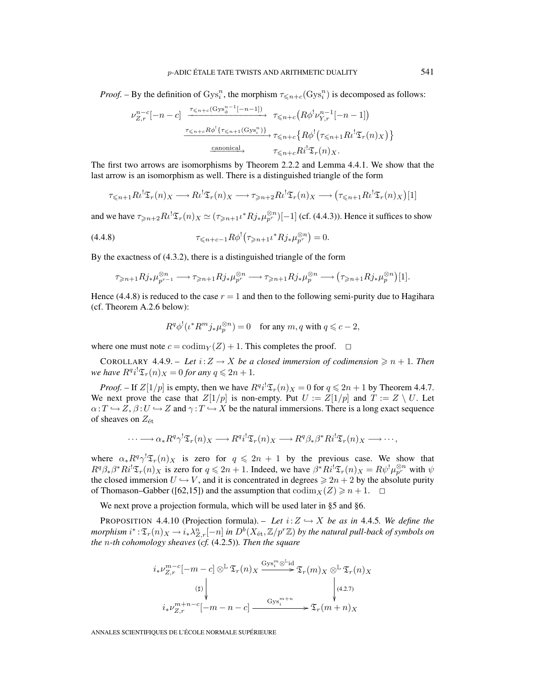*Proof.* – By the definition of  $Gys_i^n$ , the morphism  $\tau \le n+c(Gys_i^n)$  is decomposed as follows:

$$
\nu_{Z,r}^{n-c}[-n-c] \xrightarrow{\tau_{\leq n+c}(\text{Gys}_{\phi}^{n-1}[-n-1])} \tau_{\leq n+c}(R\phi^{!}\nu_{Y,r}^{n-1}[-n-1])
$$
\n
$$
\xrightarrow{\tau_{\leq n+c}R\phi^{!}\{\tau_{\leq n+1}(\text{Gys}_{\iota}^{n})\}} \tau_{\leq n+c}\{R\phi^{!}(\tau_{\leq n+1}R\iota^{!}\mathfrak{T}_{r}(n)_{X})\}
$$
\n
$$
\xrightarrow{\text{canonical}} \tau_{\leq n+c}R\iota^{!}\mathfrak{T}_{r}(n)_{X}.
$$

The first two arrows are isomorphisms by Theorem 2.2.2 and Lemma 4.4.1. We show that the last arrow is an isomorphism as well. There is a distinguished triangle of the form

$$
\tau_{\leq n+1} R \iota^! \mathfrak{T}_r(n)_X \longrightarrow R \iota^! \mathfrak{T}_r(n)_X \longrightarrow \tau_{\geq n+2} R \iota^! \mathfrak{T}_r(n)_X \longrightarrow (\tau_{\leq n+1} R \iota^! \mathfrak{T}_r(n)_X)[1]
$$

and we have  $\tau_{\geqslant n+2}R\iota^!\mathfrak{T}_r(n)_X \simeq (\tau_{\geqslant n+1}\iota^*Rj_*\mu_{p^r}^{\otimes n})[-1]$  (cf. (4.4.3)). Hence it suffices to show

(4.4.8) 
$$
\tau_{\leq n+c-1} R \phi^{!} (\tau_{\geq n+1} \iota^* R j_* \mu_{p^r}^{\otimes n}) = 0.
$$

By the exactness of (4.3.2), there is a distinguished triangle of the form

$$
\tau_{\geqslant n+1} Rj_* \mu_{p^{r-1}}^{\otimes n} \longrightarrow \tau_{\geqslant n+1} Rj_* \mu_{p^r}^{\otimes n} \longrightarrow \tau_{\geqslant n+1} Rj_* \mu_p^{\otimes n} \longrightarrow (\tau_{\geqslant n+1} Rj_* \mu_p^{\otimes n})[1].
$$

Hence (4.4.8) is reduced to the case  $r = 1$  and then to the following semi-purity due to Hagihara (cf. Theorem A.2.6 below):

$$
R^q \phi^! (\iota^* R^m j_* \mu_p^{\otimes n}) = 0 \quad \text{for any } m, q \text{ with } q \leqslant c - 2,
$$

where one must note  $c = \text{codim}_Y(Z) + 1$ . This completes the proof.  $\Box$ 

COROLLARY 4.4.9. – Let  $i: Z \to X$  be a closed immersion of codimension  $\geq n + 1$ . Then *we have*  $R^{q}i^{!}\mathfrak{T}_{r}(n)_{X} = 0$  *for any*  $q \leq 2n + 1$ *.* 

*Proof.* – If  $Z[1/p]$  is empty, then we have  $R^{q}i^{!}\mathfrak{T}_{r}(n)_{X} = 0$  for  $q \leq 2n + 1$  by Theorem 4.4.7. We next prove the case that  $Z[1/p]$  is non-empty. Put  $U := Z[1/p]$  and  $T := Z \setminus U$ . Let  $\alpha: T \hookrightarrow Z$ ,  $\beta: U \hookrightarrow Z$  and  $\gamma: T \hookrightarrow X$  be the natural immersions. There is a long exact sequence of sheaves on  $Z_{\text{\'et}}$ 

$$
\cdots \longrightarrow \alpha_* R^q \gamma^! \mathfrak{T}_r(n)_X \longrightarrow R^q i^! \mathfrak{T}_r(n)_X \longrightarrow R^q \beta_* \beta^* R i^! \mathfrak{T}_r(n)_X \longrightarrow \cdots,
$$

where  $\alpha_* R^q \gamma^! \mathfrak{T}_r(n)_X$  is zero for  $q \leq 2n + 1$  by the previous case. We show that  $R^q \beta_* \beta^* R i^! \mathfrak{T}_r(n)_X$  is zero for  $q \leq 2n + 1$ . Indeed, we have  $\beta^* R i^! \mathfrak{T}_r(n)_X = R \psi^! \mu_{p^r}^{\otimes n}$  with  $\psi$ the closed immersion  $U \hookrightarrow V$ , and it is concentrated in degrees  $\ge 2n + 2$  by the absolute purity of Thomason–Gabber ([62,15]) and the assumption that  $\text{codim}_X(Z) \geq n + 1$ .  $\Box$ 

We next prove a projection formula, which will be used later in §5 and §6.

PROPOSITION 4.4.10 (Projection formula). – Let  $i:Z \hookrightarrow X$  be as in 4.4.5*. We define the*  $morphism$   $i^*$  :  $\mathfrak{T}_r(n)_X$   $\to$   $i_*\lambda_{Z,r}^n[-n]$  in  $D^b(X_\text{\rm \'et},\mathbb{Z}/p^r\mathbb{Z})$  by the natural pull-back of symbols on *the* n*-th cohomology sheaves* (*cf.* (4.2.5))*. Then the square*

$$
i_{*} \nu_{Z,r}^{m-c}[-m-c] \otimes^{\mathbb{L}} \mathfrak{T}_{r}(n)_{X} \xrightarrow{\mathrm{Gys}_{i}^{m} \otimes^{\mathbb{L}} \mathrm{id}} \mathfrak{T}_{r}(m)_{X} \otimes^{\mathbb{L}} \mathfrak{T}_{r}(n)_{X}
$$
  
\n
$$
\downarrow \qquad \qquad \downarrow \qquad \qquad \downarrow
$$
  
\n
$$
i_{*} \nu_{Z,r}^{m+n-c}[-m-n-c] \xrightarrow{\mathrm{Gys}_{i}^{m+n}} \mathfrak{T}_{r}(m+n)_{X}
$$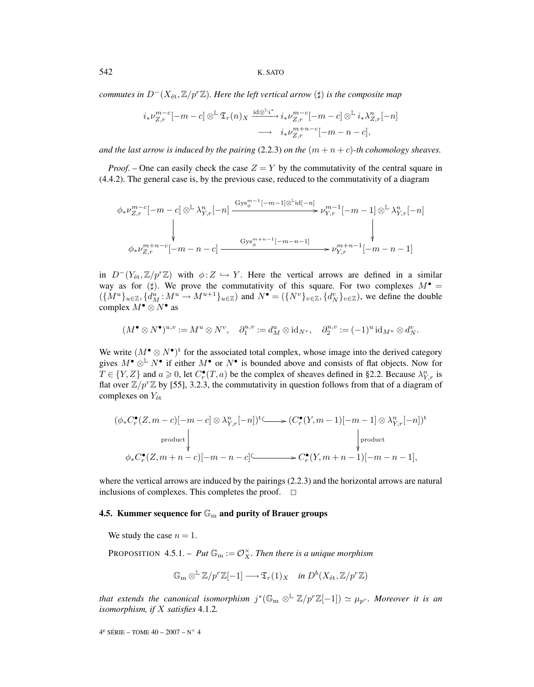542 K. SATO

*commutes in*  $D^{-}(X_{\text{\'et}},\mathbb{Z}/p^{r}\mathbb{Z})$ *. Here the left vertical arrow* ( $\sharp$ ) *is the composite map* 

$$
i_{*}\nu_{Z,r}^{m-c}[-m-c]\otimes^{\mathbb{L}}\mathfrak{T}_{r}(n)_{X}\xrightarrow{\mathrm{id}\otimes^{\mathbb{L}}i^{*}}i_{*}\nu_{Z,r}^{m-c}[-m-c]\otimes^{\mathbb{L}}i_{*}\lambda_{Z,r}^{n}[-n] \longrightarrow i_{*}\nu_{Z,r}^{m+n-c}[-m-n-c],
$$

*and the last arrow is induced by the pairing* (2.2.3) *on the*  $(m + n + c)$ -*th cohomology sheaves.* 

*Proof.* – One can easily check the case  $Z = Y$  by the commutativity of the central square in (4.4.2). The general case is, by the previous case, reduced to the commutativity of a diagram

$$
\phi_* \nu_{Z,r}^{m-c}[-m-c] \otimes^{\mathbb{L}} \lambda_{Y,r}^n[-n] \xrightarrow{\mathrm{Gys}_\phi^{m-1}[-m-1] \otimes^{\mathbb{L}} \mathrm{id}[-n]} \nu_{Y,r}^{m-1}[-m-1] \otimes^{\mathbb{L}} \lambda_{Y,r}^n[-n]
$$
\n
$$
\downarrow \qquad \downarrow
$$
\n
$$
\phi_* \nu_{Z,r}^{m+n-c}[-m-n-c] \xrightarrow{\mathrm{Gys}_\phi^{m+n-1}[-m-n-1]} \nu_{Y,r}^{m+n-1}[-m-n-1]
$$

in  $D^{-}(Y_{\text{\'et}},\mathbb{Z}/p^{r}\mathbb{Z})$  with  $\phi:Z\hookrightarrow Y$ . Here the vertical arrows are defined in a similar way as for  $(\sharp)$ . We prove the commutativity of this square. For two complexes  $M^{\bullet}$  =  $({M^u}_{u\in\mathbb{Z}}, \{d_M^u : M^u \to M^{u+1}\}_{u\in\mathbb{Z}})$  and  $N^{\bullet} = ({N^v}_{v\in\mathbb{Z}}, \{d_N^v}_{v\in\mathbb{Z}})$ , we define the double complex  $M^{\bullet} \otimes N^{\bullet}$  as

$$
(M^{\bullet}\otimes N^{\bullet})^{u,v}:=M^u\otimes N^v,\quad \partial_1^{u,v}:=d_M^u\otimes \mathrm{id}_{N^v},\quad \partial_2^{u,v}:=(-1)^u\,\mathrm{id}_{M^u}\otimes d_N^v.
$$

We write  $(M^{\bullet} \otimes N^{\bullet})^t$  for the associated total complex, whose image into the derived category gives  $M^{\bullet} \otimes^{\mathbb{L}} N^{\bullet}$  if either  $M^{\bullet}$  or  $N^{\bullet}$  is bounded above and consists of flat objects. Now for  $T \in \{Y, Z\}$  and  $a \ge 0$ , let  $C_r^{\bullet}(T, a)$  be the complex of sheaves defined in §2.2. Because  $\lambda_{Y,r}^n$  is flat over  $\mathbb{Z}/p^r\mathbb{Z}$  by [55], 3.2.3, the commutativity in question follows from that of a diagram of complexes on  $Y_{\text{\'et}}$ 

$$
(\phi_* C_r^{\bullet}(Z, m-c)[-m-c] \otimes \lambda_{Y,r}^n[-n])^{\circ} \longrightarrow (C_r^{\bullet}(Y, m-1)[-m-1] \otimes \lambda_{Y,r}^n[-n])^{\circ}
$$
  
product  

$$
\downarrow \qquad \qquad \downarrow
$$
  

$$
\phi_* C_r^{\bullet}(Z, m+n-c)[-m-n-c] \longrightarrow C_r^{\bullet}(Y, m+n-1)[-m-n-1],
$$

where the vertical arrows are induced by the pairings (2.2.3) and the horizontal arrows are natural inclusions of complexes. This completes the proof.  $\Box$ 

# **4.5. Kummer sequence for**  $\mathbb{G}_{m}$  **and purity of Brauer groups**

We study the case  $n = 1$ .

PROPOSITION 4.5.1. –  $Put \mathbb{G}_{m} := \mathcal{O}_{X}^{\times}$ . Then there is a unique morphism

$$
\mathbb{G}_{\mathrm{m}} \otimes^{\mathbb{L}} \mathbb{Z}/p^r \mathbb{Z}[-1] \longrightarrow \mathfrak{T}_r(1)_X \quad \text{in } D^b(X_{\mathrm{\acute{e}t}}, \mathbb{Z}/p^r \mathbb{Z})
$$

*that extends the canonical isomorphism*  $j^*(\mathbb{G}_m \otimes^{\mathbb{L}} \mathbb{Z}/p^r\mathbb{Z}[-1]) \simeq \mu_{p^r}$ *. Moreover it is an isomorphism, if* X *satisfies* 4.1.2*.*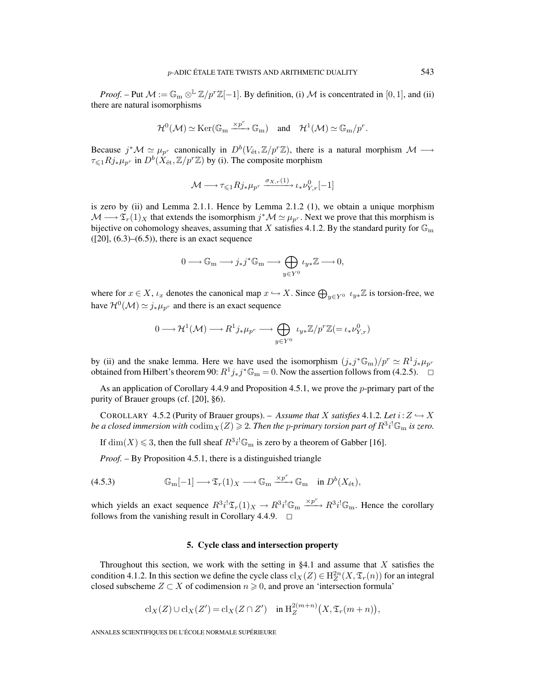*Proof.* – Put  $M := \mathbb{G}_{m} \otimes^{\mathbb{L}} \mathbb{Z}/p^{r}\mathbb{Z}[-1]$ . By definition, (i) M is concentrated in [0, 1], and (ii) there are natural isomorphisms

$$
\mathcal{H}^0(\mathcal{M})\simeq\mathrm{Ker}(\mathbb{G}_{\mathrm{m}}\xrightarrow{\times p^r}\mathbb{G}_{\mathrm{m}})\quad\text{and}\quad\mathcal{H}^1(\mathcal{M})\simeq\mathbb{G}_{\mathrm{m}}/p^r.
$$

Because  $j^*\mathcal{M} \simeq \mu_{p^r}$  canonically in  $D^b(V_{\text{\'et}},\mathbb{Z}/p^r\mathbb{Z})$ , there is a natural morphism  $\mathcal{M} \longrightarrow$  $\tau \leq 1Rj_*\mu_{p^r}$  in  $D^b(X_{\text{\'et}},\mathbb{Z}/p^r\mathbb{Z})$  by (i). The composite morphism

$$
\mathcal{M} \longrightarrow \tau \leqslant_1 R j_* \mu_{p^r} \xrightarrow{\sigma_{X,r}(1)} \iota_* \nu_{Y,r}^0[-1]
$$

is zero by (ii) and Lemma 2.1.1. Hence by Lemma 2.1.2 (1), we obtain a unique morphism  $\mathcal{M} \longrightarrow \mathfrak{T}_r(1)_X$  that extends the isomorphism  $j^*\mathcal{M} \simeq \mu_{p^r}$ . Next we prove that this morphism is bijective on cohomology sheaves, assuming that X satisfies 4.1.2. By the standard purity for  $\mathbb{G}_{\mathrm{m}}$  $(201, (6.3)–(6.5))$ , there is an exact sequence

$$
0 \longrightarrow \mathbb{G}_{\mathrm{m}} \longrightarrow j_*j^* \mathbb{G}_{\mathrm{m}} \longrightarrow \bigoplus_{y \in Y^0} \iota_{y*} \mathbb{Z} \longrightarrow 0,
$$

where for  $x \in X$ ,  $\iota_x$  denotes the canonical map  $x \hookrightarrow X$ . Since  $\bigoplus_{y \in Y^0} \iota_{y*} \mathbb{Z}$  is torsion-free, we have  $\mathcal{H}^0(\mathcal{M}) \simeq j_*\mu_{p^r}$  and there is an exact sequence

$$
0\longrightarrow \mathcal{H}^1(\mathcal{M})\longrightarrow R^1j_*\mu_{p^r}\longrightarrow \bigoplus_{y\in Y^0}\;\iota_{y*}\mathbb{Z}/p^r\mathbb{Z}(=\iota_*\nu^0_{Y,r})
$$

by (ii) and the snake lemma. Here we have used the isomorphism  $(j_*j^*\mathbb{G}_m)/p^r \simeq R^1j_*\mu_{p^r}$ obtained from Hilbert's theorem 90:  $R^1j_*j^*\mathbb{G}_m = 0$ . Now the assertion follows from (4.2.5).  $\Box$ 

As an application of Corollary 4.4.9 and Proposition 4.5.1, we prove the p-primary part of the purity of Brauer groups (cf. [20], §6).

COROLLARY 4.5.2 (Purity of Brauer groups). – *Assume that* X *satisfies* 4.1.2*. Let*  $i: Z \hookrightarrow X$ be a closed immersion with  $\mathrm{codim}_X(Z) \geqslant 2.$  Then the p-primary torsion part of  $R^3i^!\mathbb{G}_{\mathrm{m}}$  is zero.

If  $\dim(X) \leq 3$ , then the full sheaf  $R^3i^! \mathbb{G}_m$  is zero by a theorem of Gabber [16].

*Proof. –* By Proposition 4.5.1, there is a distinguished triangle

(4.5.3) 
$$
\mathbb{G}_{\mathrm{m}}[-1] \longrightarrow \mathfrak{T}_{r}(1)_{X} \longrightarrow \mathbb{G}_{\mathrm{m}} \xrightarrow{\times p^{r}} \mathbb{G}_{\mathrm{m}} \quad \text{in } D^{b}(X_{\mathrm{\acute{e}t}}),
$$

which yields an exact sequence  $R^3 i^! \mathfrak{T}_r(1)_X \to R^3 i^! \mathfrak{S}_m \xrightarrow{\times p^r} R^3 i^! \mathfrak{S}_m$ . Hence the corollary follows from the vanishing result in Corollary 4.4.9.  $\Box$ 

## **5. Cycle class and intersection property**

Throughout this section, we work with the setting in  $\S 4.1$  and assume that X satisfies the condition 4.1.2. In this section we define the cycle class  $\text{cl}_X(Z) \in H^{2n}_Z(X, \mathfrak{T}_r(n))$  for an integral closed subscheme  $Z \subset X$  of codimension  $n \geq 0$ , and prove an 'intersection formula'

$$
\mathrm{cl}_X(Z) \cup \mathrm{cl}_X(Z') = \mathrm{cl}_X(Z \cap Z') \quad \text{in } \mathrm{H}^{2(m+n)}_Z\big(X, \mathfrak{T}_r(m+n)\big),
$$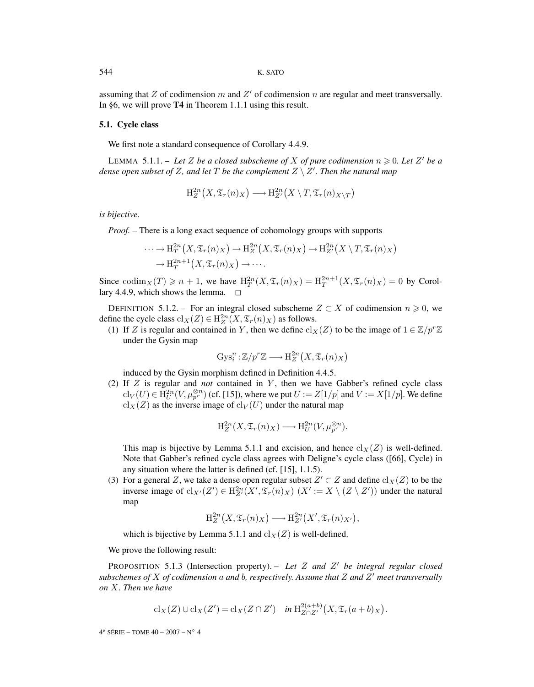assuming that  $Z$  of codimension  $m$  and  $Z'$  of codimension  $n$  are regular and meet transversally. In §6, we will prove **T4** in Theorem 1.1.1 using this result.

#### **5.1. Cycle class**

We first note a standard consequence of Corollary 4.4.9.

LEMMA 5.1.1. – Let Z be a closed subscheme of X of pure codimension  $n \geq 0$ . Let Z' be a dense open subset of Z, and let  $T$  be the complement  $Z \setminus Z'.$  Then the natural map

$$
\mathrm{H}^{2n}_Z(X,\mathfrak{T}_r(n)_X)\longrightarrow \mathrm{H}^{2n}_{Z'}(X\setminus T,\mathfrak{T}_r(n)_{X\setminus T})
$$

*is bijective.*

*Proof. –* There is a long exact sequence of cohomology groups with supports

$$
\cdots \to \mathrm{H}_{T}^{2n}\big(X, \mathfrak{T}_{r}(n)_{X}\big) \to \mathrm{H}_{Z}^{2n}\big(X, \mathfrak{T}_{r}(n)_{X}\big) \to \mathrm{H}_{Z'}^{2n}\big(X \setminus T, \mathfrak{T}_{r}(n)_{X}\big)
$$

$$
\to \mathrm{H}_{T}^{2n+1}\big(X, \mathfrak{T}_{r}(n)_{X}\big) \to \cdots.
$$

Since  $\text{codim}_X(T) \geq n + 1$ , we have  $H_T^{2n}(X, \mathfrak{T}_r(n)_X) = H_T^{2n+1}(X, \mathfrak{T}_r(n)_X) = 0$  by Corollary 4.4.9, which shows the lemma.  $\Box$ 

DEFINITION 5.1.2. – For an integral closed subscheme  $Z \subset X$  of codimension  $n \geq 0$ , we define the cycle class  $\text{cl}_X(Z) \in \text{H}_Z^{2n}(X, \mathfrak{T}_r(n)_X)$  as follows.

(1) If Z is regular and contained in Y, then we define  $\text{cl}_X(Z)$  to be the image of  $1 \in \mathbb{Z}/p^r\mathbb{Z}$ under the Gysin map

$$
Gys_i^n: \mathbb{Z}/p^r\mathbb{Z} \longrightarrow \mathrm{H}^{2n}_{Z}\big(X, \mathfrak{T}_r(n)_X\big)
$$

induced by the Gysin morphism defined in Definition 4.4.5.

(2) If Z is regular and *not* contained in Y , then we have Gabber's refined cycle class  $\text{cl}_V(U) \in \mathrm{H}^{2n}_U(V,\mu_{p^r}^{\otimes n})$  (cf. [15]), where we put  $U := Z[1/p]$  and  $V := X[1/p].$  We define  $\operatorname{cl}_X(Z)$  as the inverse image of  $\operatorname{cl}_V(U)$  under the natural map

$$
\mathrm{H}^{2n}_Z(X,\mathfrak{T}_r(n)_X)\longrightarrow \mathrm{H}^{2n}_U(V,\mu_{p^r}^{\otimes n}).
$$

This map is bijective by Lemma 5.1.1 and excision, and hence  $\text{cl}_X(Z)$  is well-defined. Note that Gabber's refined cycle class agrees with Deligne's cycle class ([66], Cycle) in any situation where the latter is defined (cf. [15], 1.1.5).

(3) For a general Z, we take a dense open regular subset  $Z' \subset Z$  and define  $\text{cl}_X(Z)$  to be the inverse image of  $\text{cl}_{X'}(Z') \in H^{2n}_{Z'}(X', \mathfrak{T}_r(n)_X)$   $(X' := X \setminus (Z \setminus Z'))$  under the natural map

$$
\mathrm{H}^{2n}_{Z}\big(X,\mathfrak{T}_{r}(n)_{X}\big)\longrightarrow \mathrm{H}^{2n}_{Z'}\big(X',\mathfrak{T}_{r}(n)_{X'}\big),
$$

which is bijective by Lemma 5.1.1 and  $\text{cl}_X(Z)$  is well-defined.

We prove the following result:

PROPOSITION 5.1.3 (Intersection property). - Let Z and Z' be integral regular closed *subschemes of* X *of codimension* a *and* b*, respectively. Assume that* Z *and* Z *meet transversally on* X*. Then we have*

$$
\mathrm{cl}_X(Z) \cup \mathrm{cl}_X(Z') = \mathrm{cl}_X(Z \cap Z') \quad \text{in } \mathrm{H}^{2(a+b)}_{Z \cap Z'}(X, \mathfrak{T}_r(a+b)_X).
$$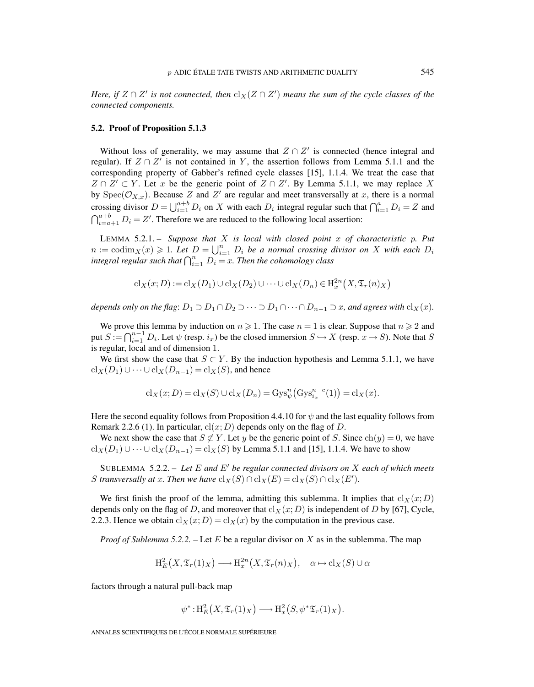*Here, if*  $Z \cap Z'$  *is not connected, then*  $\text{cl}_X(Z \cap Z')$  *means the sum of the cycle classes of the connected components.*

#### **5.2. Proof of Proposition 5.1.3**

Without loss of generality, we may assume that  $Z \cap Z'$  is connected (hence integral and regular). If  $Z \cap Z'$  is not contained in Y, the assertion follows from Lemma 5.1.1 and the corresponding property of Gabber's refined cycle classes [15], 1.1.4. We treat the case that  $Z \cap Z' \subset Y$ . Let x be the generic point of  $Z \cap Z'$ . By Lemma 5.1.1, we may replace X by  $Spec(\mathcal{O}_{X,x})$ . Because Z and Z' are regular and meet transversally at x, there is a normal crossing divisor  $D = \bigcup_{i=1}^{a+b} D_i$  on X with each  $D_i$  integral regular such that  $\bigcap_{i=1}^{a} D_i = Z$  and  $\bigcap_{i=a+1}^{a+b} D_i = Z'$ . Therefore we are reduced to the following local assertion:

LEMMA 5.2.1. – *Suppose that* X *is local with closed point* x *of characteristic* p*. Put*  $n := \operatorname{codim}_X(x) \geq 1$ . Let  $D = \bigcup_{i=1}^n D_i$  be a normal crossing divisor on X with each  $D_i$ integral regular such that  $\bigcap_{i=1}^n D_i = x$ . Then the cohomology class

$$
cl_X(x; D) := cl_X(D_1) \cup cl_X(D_2) \cup \cdots \cup cl_X(D_n) \in H_x^{2n}(X, \mathfrak{T}_r(n)_X)
$$

*depends only on the flag*:  $D_1 \supseteq D_1 \cap D_2 \supseteq \cdots \supseteq D_1 \cap \cdots \cap D_{n-1} \supseteq x$ *, and agrees with*  $\text{cl}_X(x)$ *.* 

We prove this lemma by induction on  $n \ge 1$ . The case  $n = 1$  is clear. Suppose that  $n \ge 2$  and put  $S := \bigcap_{i=1}^{n-1} D_i$ . Let  $\psi$  (resp.  $i_x$ ) be the closed immersion  $S \hookrightarrow X$  (resp.  $x \to S$ ). Note that S is regular, local and of dimension 1.

We first show the case that  $S \subset Y$ . By the induction hypothesis and Lemma 5.1.1, we have  $\operatorname{cl}_X(D_1) \cup \cdots \cup \operatorname{cl}_X(D_{n-1}) = \operatorname{cl}_X(S)$ , and hence

$$
\mathrm{cl}_X(x;D) = \mathrm{cl}_X(S) \cup \mathrm{cl}_X(D_n) = \mathrm{Gys}_{\psi}^n(\mathrm{Gys}_{i_x}^{n-c}(1)) = \mathrm{cl}_X(x).
$$

Here the second equality follows from Proposition 4.4.10 for  $\psi$  and the last equality follows from Remark 2.2.6 (1). In particular,  $cl(x; D)$  depends only on the flag of D.

We next show the case that  $S \not\subset Y$ . Let y be the generic point of S. Since  $ch(y)=0$ , we have  $\operatorname{cl}_X(D_1) \cup \cdots \cup \operatorname{cl}_X(D_{n-1}) = \operatorname{cl}_X(S)$  by Lemma 5.1.1 and [15], 1.1.4. We have to show

SUBLEMMA 5.2.2. – Let E and E' be regular connected divisors on X each of which meets *S transversally at x. Then we have*  $\operatorname{cl}_X(S) \cap \operatorname{cl}_X(E) = \operatorname{cl}_X(S) \cap \operatorname{cl}_X(E').$ 

We first finish the proof of the lemma, admitting this sublemma. It implies that  $\text{cl}_X(x; D)$ depends only on the flag of D, and moreover that  $\text{cl}_X(x; D)$  is independent of D by [67], Cycle, 2.2.3. Hence we obtain  $cl_X(x; D) = cl_X(x)$  by the computation in the previous case.

*Proof of Sublemma 5.2.2.* – Let E be a regular divisor on X as in the sublemma. The map

$$
\mathrm{H}^2_E(X,\mathfrak{T}_r(1)_X)\longrightarrow \mathrm{H}^{2n}_x(X,\mathfrak{T}_r(n)_X),\quad \alpha\mapsto \mathrm{cl}_X(S)\cup \alpha
$$

factors through a natural pull-back map

$$
\psi^*: \mathrm{H}^2_E(X, \mathfrak{T}_r(1)_X) \longrightarrow \mathrm{H}^2_x(S, \psi^* \mathfrak{T}_r(1)_X).
$$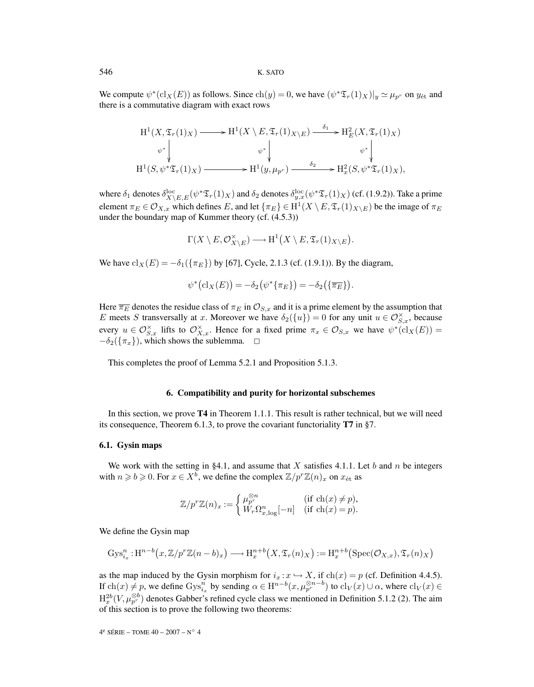We compute  $\psi^*(\text{cl}_X(E))$  as follows. Since  $\text{ch}(y)=0$ , we have  $(\psi^*\mathfrak{T}_r(1)_X)|_y \simeq \mu_p$  on  $y_{\text{\'et}}$  and there is a commutative diagram with exact rows

$$
H^{1}(X, \mathfrak{T}_{r}(1)_{X}) \longrightarrow H^{1}(X \setminus E, \mathfrak{T}_{r}(1)_{X \setminus E}) \xrightarrow{\delta_{1}} H^{2}_{E}(X, \mathfrak{T}_{r}(1)_{X})
$$
\n
$$
\begin{array}{c} \psi^{*} \downarrow \qquad \qquad \psi^{*} \downarrow \qquad \qquad \psi^{*} \downarrow \\ H^{1}(S, \psi^{*}\mathfrak{T}_{r}(1)_{X}) \longrightarrow H^{1}(y, \mu_{p^{r}}) \xrightarrow{\delta_{2}} H^{2}_{x}(S, \psi^{*}\mathfrak{T}_{r}(1)_{X}), \end{array}
$$

where  $\delta_1$  denotes  $\delta_{X\setminus E,E}^{\rm loc}(\psi^*\mathfrak{T}_r(1)_X)$  and  $\delta_2$  denotes  $\delta_{y,x}^{\rm loc}(\psi^*\mathfrak{T}_r(1)_X)$  (cf. (1.9.2)). Take a prime element  $\pi_E \in \mathcal{O}_{X,x}$  which defines E, and let  $\{\pi_E\} \in H^1(X \setminus E, \mathfrak{T}_r(1)_{X \setminus E})$  be the image of  $\pi_E$ under the boundary map of Kummer theory (cf. (4.5.3))

$$
\Gamma(X\setminus E, \mathcal{O}_{X\setminus E}^{\times})\longrightarrow \mathrm{H}^{1}\big(X\setminus E, \mathfrak{T}_{r}(1)_{X\setminus E}\big).
$$

We have  $\text{cl}_X(E) = -\delta_1(\{\pi_E\})$  by [67], Cycle, 2.1.3 (cf. (1.9.1)). By the diagram,

$$
\psi^*(\mathrm{cl}_X(E)) = -\delta_2(\psi^*(\pi_E)) = -\delta_2(\{\overline{\pi_E}\}).
$$

Here  $\overline{\pi_E}$  denotes the residue class of  $\pi_E$  in  $\mathcal{O}_{S,x}$  and it is a prime element by the assumption that E meets S transversally at x. Moreover we have  $\delta_2({u}) = 0$  for any unit  $u \in \mathcal{O}_{S,x}^{\times}$ , because every  $u \in \mathcal{O}_{S,x}^{\times}$  lifts to  $\mathcal{O}_{X,x}^{\times}$ . Hence for a fixed prime  $\pi_x \in \mathcal{O}_{S,x}$  we have  $\psi^*(\mathrm{cl}_X(E))$  =  $-\delta_2(\{\pi_x\})$ , which shows the sublemma.  $\Box$ 

This completes the proof of Lemma 5.2.1 and Proposition 5.1.3.

#### **6. Compatibility and purity for horizontal subschemes**

In this section, we prove **T4** in Theorem 1.1.1. This result is rather technical, but we will need its consequence, Theorem 6.1.3, to prove the covariant functoriality **T7** in §7.

## **6.1. Gysin maps**

We work with the setting in §4.1, and assume that X satisfies 4.1.1. Let b and n be integers with  $n \geq b \geq 0$ . For  $x \in X^b$ , we define the complex  $\mathbb{Z}/p^r \mathbb{Z}(n)_x$  on  $x_{\text{\'et}}$  as

$$
\mathbb{Z}/p^r\mathbb{Z}(n)_x:=\left\{\begin{matrix} \mu_p^{\otimes n} & (\text{if } \text{ch}(x)\neq p),\\ W_r\Omega_{x,\log}^n[-n] & (\text{if } \text{ch}(x)=p). \end{matrix}\right.
$$

We define the Gysin map

$$
Gys_{i_x}^n: H^{n-b}\big(x, \mathbb{Z}/p^r\mathbb{Z}(n-b)_x\big) \longrightarrow H^{n+b}_x\big(X, \mathfrak{T}_r(n)_X\big) := H^{n+b}_x\big(\text{Spec}(\mathcal{O}_{X,x}), \mathfrak{T}_r(n)_X\big)
$$

as the map induced by the Gysin morphism for  $i_x : x \hookrightarrow X$ , if  $\text{ch}(x) = p$  (cf. Definition 4.4.5). If  $ch(x) \neq p$ , we define  $Gys_{i_x}^n$  by sending  $\alpha \in H^{n-b}(x, \mu_{p^r}^{\otimes n-b})$  to  $cl_V(x) \cup \alpha$ , where  $cl_V(x) \in$  $\mathrm{H}^{2b}_x(V,\mu_{p^r}^{\otimes b})$  denotes Gabber's refined cycle class we mentioned in Definition 5.1.2 (2). The aim of this section is to prove the following two theorems: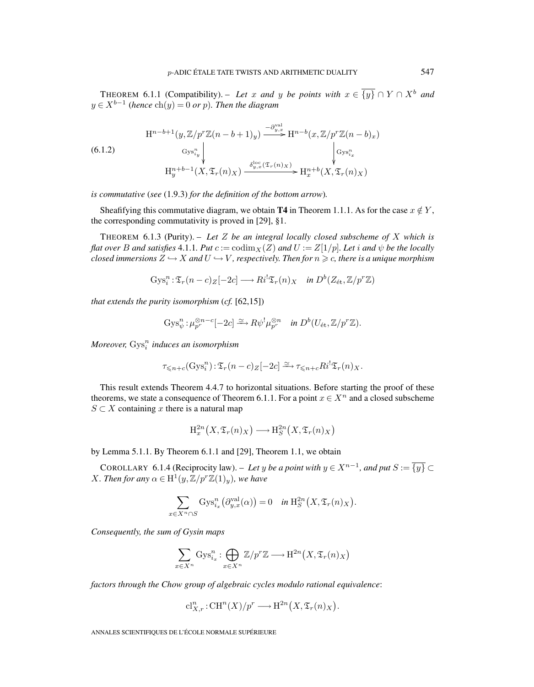THEOREM 6.1.1 (Compatibility). – Let x and y be points with  $x \in \{y\} \cap Y \cap X^b$  and  $y \in X^{b-1}$  (hence  $\text{ch}(y) = 0$  or p). Then the diagram

(6.1.2)  
\n
$$
H^{n-b+1}(y, \mathbb{Z}/p^r\mathbb{Z}(n-b+1)_y) \xrightarrow{-\partial_{y,x}^{\text{val}}} H^{n-b}(x, \mathbb{Z}/p^r\mathbb{Z}(n-b)_x)
$$
\n
$$
\xrightarrow{\text{Gys}_{i_y}^n} \qquad \qquad \downarrow \qquad \qquad \downarrow \qquad \qquad \downarrow \qquad \qquad \downarrow \qquad \qquad \downarrow \qquad \downarrow \qquad \downarrow \qquad \downarrow \qquad \downarrow \qquad \downarrow \qquad \downarrow \qquad \downarrow \qquad \downarrow \qquad \downarrow \qquad \downarrow \qquad \downarrow \qquad \downarrow \qquad \downarrow \qquad \downarrow \qquad \downarrow \qquad \downarrow \qquad \downarrow \qquad \downarrow \qquad \downarrow \qquad \downarrow \qquad \downarrow \qquad \downarrow \qquad \downarrow \qquad \downarrow \qquad \downarrow \qquad \downarrow \qquad \downarrow \qquad \downarrow \qquad \downarrow \qquad \downarrow \qquad \downarrow \qquad \downarrow \qquad \downarrow \qquad \downarrow \qquad \downarrow \qquad \downarrow \qquad \downarrow \qquad \downarrow \qquad \downarrow \qquad \downarrow \qquad \downarrow \qquad \downarrow \qquad \downarrow \qquad \downarrow \qquad \downarrow \qquad \downarrow \qquad \downarrow \qquad \downarrow \qquad \downarrow \qquad \downarrow \qquad \downarrow \qquad \downarrow \qquad \downarrow \qquad \downarrow \qquad \downarrow \qquad \downarrow \qquad \downarrow \qquad \downarrow \qquad \downarrow \qquad \downarrow \qquad \downarrow \qquad \downarrow \qquad \downarrow \qquad \downarrow \qquad \downarrow \qquad \downarrow \qquad \downarrow \qquad \downarrow \qquad \downarrow \qquad \downarrow \qquad \downarrow \qquad \downarrow \qquad \downarrow \qquad \downarrow \qquad \downarrow \qquad \downarrow \qquad \downarrow \qquad \downarrow \qquad \downarrow \qquad \downarrow \qquad \downarrow \qquad \downarrow \qquad \downarrow \qquad \downarrow \qquad \downarrow \qquad \downarrow \qquad \downarrow \qquad \downarrow \qquad \downarrow \qquad \downarrow \qquad \downarrow \qquad \downarrow \qquad \downarrow \qquad \downarrow \qquad \downarrow \qquad \downarrow \qquad \downarrow \qquad \downarrow \qquad \downarrow \qquad \downarrow \qquad \downarrow \
$$

*is commutative* (*see* (1.9.3) *for the definition of the bottom arrow*)*.*

Sheafifying this commutative diagram, we obtain **T4** in Theorem 1.1.1. As for the case  $x \notin Y$ , the corresponding commutativity is proved in [29], §1.

THEOREM 6.1.3 (Purity). – *Let* Z *be an integral locally closed subscheme of* X *which is flat over* B and satisfies 4.1.1*. Put*  $c := \text{codim}_X(Z)$  and  $U := Z[1/p]$ *. Let* i and  $\psi$  be the locally closed immersions  $Z \hookrightarrow X$  and  $U \hookrightarrow V$  , respectively. Then for  $n \geqslant c$ , there is a unique morphism

$$
Gys_i^n : \mathfrak{T}_r(n-c)_Z[-2c] \longrightarrow Ri^!\mathfrak{T}_r(n)_X \quad \text{in } D^b(Z_{\text{\'et}}, \mathbb{Z}/p^r\mathbb{Z})
$$

*that extends the purity isomorphism* (*cf.* [62,15])

$$
Gys_{\psi}^n: \mu_{p^r}^{\otimes n-c}[-2c] \xrightarrow{\simeq} R\psi^!\mu_{p^r}^{\otimes n} \quad \text{in } D^b(U_{\text{\'et}},\mathbb{Z}/p^r\mathbb{Z}).
$$

 $Moreover, Gys<sub>i</sub><sup>n</sup> induces an isomorphism$ 

$$
\tau_{\leqslant n+c}(\operatorname{Gys}_i^n): \mathfrak{T}_r(n-c)_Z[-2c] \xrightarrow{\simeq} \tau_{\leqslant n+c} R i^!\mathfrak{T}_r(n)_X.
$$

This result extends Theorem 4.4.7 to horizontal situations. Before starting the proof of these theorems, we state a consequence of Theorem 6.1.1. For a point  $x \in X^n$  and a closed subscheme  $S \subset X$  containing x there is a natural map

$$
H_x^{2n}(X, \mathfrak{T}_r(n)_X) \longrightarrow H_S^{2n}(X, \mathfrak{T}_r(n)_X)
$$

by Lemma 5.1.1. By Theorem 6.1.1 and [29], Theorem 1.1, we obtain

COROLLARY 6.1.4 (Reciprocity law). – Let y be a point with  $y \in X^{n-1}$ , and put  $S := \overline{\{y\}} \subset$ *X. Then for any*  $\alpha \in H^1(y, \mathbb{Z}/p^r\mathbb{Z}(1)_y)$ *, we have* 

$$
\sum_{x \in X^n \cap S} \operatorname{Gys}_{i_x}^n(\partial_{y,x}^{\operatorname{val}}(\alpha)) = 0 \quad \text{in } \mathrm{H}^{2n}_S(X, \mathfrak{T}_r(n)_X).
$$

*Consequently, the sum of Gysin maps*

$$
\sum_{x \in X^n} \operatorname{Gys}_{i_x}^n : \bigoplus_{x \in X^n} \mathbb{Z}/p^r \mathbb{Z} \longrightarrow \mathrm{H}^{2n}\big(X, \mathfrak{T}_r(n)_X\big)
$$

*factors through the Chow group of algebraic cycles modulo rational equivalence*:

$$
\mathrm{cl}_{X,r}^n:\mathrm{CH}^n(X)/p^r\longrightarrow \mathrm{H}^{2n}\big(X,\mathfrak{T}_r(n)_X\big).
$$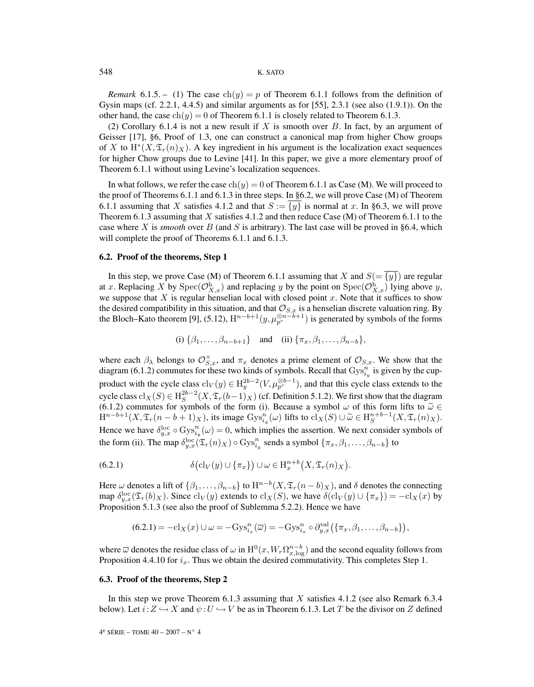### 548 K. SATO

*Remark* 6.1.5. – (1) The case  $ch(y) = p$  of Theorem 6.1.1 follows from the definition of Gysin maps (cf. 2.2.1, 4.4.5) and similar arguments as for [55], 2.3.1 (see also  $(1.9.1)$ ). On the other hand, the case  $ch(y)=0$  of Theorem 6.1.1 is closely related to Theorem 6.1.3.

(2) Corollary 6.1.4 is not a new result if X is smooth over  $B$ . In fact, by an argument of Geisser [17], §6, Proof of 1.3, one can construct a canonical map from higher Chow groups of X to  $H^*(X, \mathfrak{T}_r(n)_X)$ . A key ingredient in his argument is the localization exact sequences for higher Chow groups due to Levine [41]. In this paper, we give a more elementary proof of Theorem 6.1.1 without using Levine's localization sequences.

In what follows, we refer the case  $ch(y)=0$  of Theorem 6.1.1 as Case (M). We will proceed to the proof of Theorems 6.1.1 and 6.1.3 in three steps. In §6.2, we will prove Case (M) of Theorem 6.1.1 assuming that X satisfies 4.1.2 and that  $S := \{y\}$  is normal at x. In §6.3, we will prove Theorem 6.1.3 assuming that X satisfies 4.1.2 and then reduce Case  $(M)$  of Theorem 6.1.1 to the case where X is *smooth* over B (and S is arbitrary). The last case will be proved in §6.4, which will complete the proof of Theorems 6.1.1 and 6.1.3.

## **6.2. Proof of the theorems, Step 1**

In this step, we prove Case (M) of Theorem 6.1.1 assuming that X and  $S = \{y\}$  are regular at x. Replacing X by  $Spec(\mathcal{O}_{X,x}^h)$  and replacing y by the point on  $Spec(\mathcal{O}_{X,x}^h)$  lying above y, we suppose that  $X$  is regular henselian local with closed point  $x$ . Note that it suffices to show the desired compatibility in this situation, and that  $\mathcal{O}_{S,x}$  is a henselian discrete valuation ring. By the Bloch–Kato theorem [9], (5.12),  $H^{n-b+1}(y,\mu_{p^r}^{\otimes n-b+1})$  is generated by symbols of the forms

(i)  $\{\beta_1,\ldots,\beta_{n-b+1}\}\$  and (ii)  $\{\pi_x,\beta_1,\ldots,\beta_{n-b}\}\$ ,

where each  $\beta_{\lambda}$  belongs to  $\mathcal{O}_{S,x}^{\times}$ , and  $\pi_x$  denotes a prime element of  $\mathcal{O}_{S,x}$ . We show that the diagram (6.1.2) commutes for these two kinds of symbols. Recall that  $Gys_{i_y}^{n}$  is given by the cupproduct with the cycle class  $\text{cl}_V(y) \in H_y^{2b-2}(V, \mu_{p^r}^{\otimes b-1})$ , and that this cycle class extends to the cycle class  $cl_X(S) \in H_S^{2b-2}(X, \mathfrak{T}_r(b-1)_X)$  (cf. Definition 5.1.2). We first show that the diagram (6.1.2) commutes for symbols of the form (i). Because a symbol  $\omega$  of this form lifts to  $\tilde{\omega} \in$  H<sup>n-b+1</sup>(*X*,  $\mathfrak{T}_r(n-b+1)_X$ ), its image Gys<sup>n</sup><sub>i</sub>( $\omega$ ) lifts to cl<sub>*X*</sub>(*S*) ∪  $\tilde{\omega} \in$  H<sub>S</sub><sup>n+b−1</sup>(*X*,  $\mathfrak{T}_r(n$ Hence we have  $\delta_{y,x}^{\text{loc}} \circ \text{Gys}_{i_y}^n(\omega) = 0$ , which implies the assertion. We next consider symbols of the form (ii). The map  $\delta_{y,x}^{\text{loc}}(\mathfrak{T}_r(n)_X) \circ \text{Gys}_{i_y}^n$  sends a symbol  $\{\pi_x, \beta_1, \dots, \beta_{n-b}\}$  to

(6.2.1) 
$$
\delta\bigl(\mathrm{cl}_V(y)\cup\{\pi_x\}\bigr)\cup\omega\in\mathrm{H}^{n+b}_x\bigl(X,\mathfrak{T}_r(n)_X\bigr).
$$

Here  $\omega$  denotes a lift of  $\{\beta_1,\ldots,\beta_{n-b}\}\$  to  $\mathrm{H}^{n-b}(X,\mathfrak{T}_r(n-b)_X)$ , and  $\delta$  denotes the connecting map  $\delta_{y,x}^{\text{loc}}(\mathfrak{T}_r(b)_X)$ . Since  $\text{cl}_V(y)$  extends to  $\text{cl}_X(S)$ , we have  $\delta(\text{cl}_V(y) \cup \{\pi_x\}) = -\text{cl}_X(x)$  by Proposition 5.1.3 (see also the proof of Sublemma 5.2.2). Hence we have

$$
(6.2.1) = -\mathrm{cl}_X(x) \cup \omega = -\mathrm{Gys}_{i_x}^n(\overline{\omega}) = -\mathrm{Gys}_{i_x}^n \circ \partial_{y,x}^{\mathrm{val}} \big(\{\pi_x, \beta_1, \dots, \beta_{n-b}\}\big),
$$

where  $\overline{\omega}$  denotes the residue class of  $\omega$  in  $H^0(x, W_r \Omega_{x,\log}^{n-b})$  and the second equality follows from Proposition 4.4.10 for  $i_x$ . Thus we obtain the desired commutativity. This completes Step 1.

#### **6.3. Proof of the theorems, Step 2**

In this step we prove Theorem 6.1.3 assuming that X satisfies 4.1.2 (see also Remark 6.3.4) below). Let  $i: Z \hookrightarrow X$  and  $\psi: U \hookrightarrow V$  be as in Theorem 6.1.3. Let T be the divisor on Z defined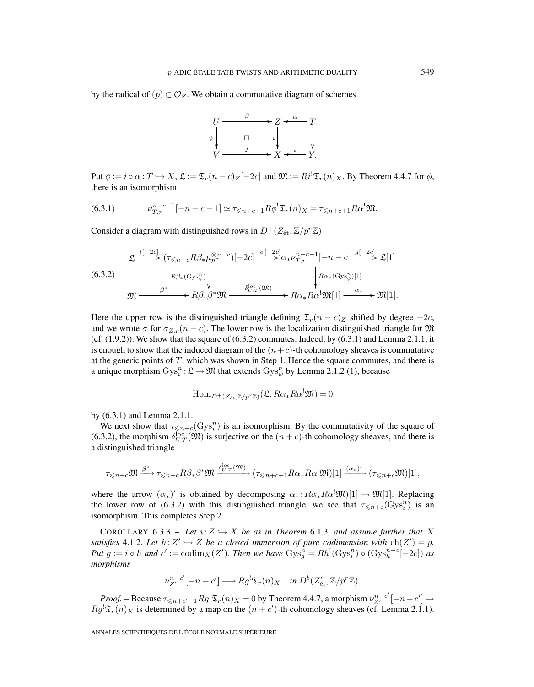by the radical of  $(p) \subset \mathcal{O}_Z$ . We obtain a commutative diagram of schemes



Put  $\phi := i \circ \alpha : T \hookrightarrow X$ ,  $\mathfrak{L} := \mathfrak{T}_r(n-c)_Z[-2c]$  and  $\mathfrak{M} := Ri^!\mathfrak{T}_r(n)_X$ . By Theorem 4.4.7 for  $\phi$ , there is an isomorphism

(6.3.1) 
$$
\nu_{T,r}^{n-c-1}[-n-c-1] \simeq \tau_{\leq n+c+1} R \phi^! \mathfrak{T}_r(n)_X = \tau_{\leq n+c+1} R \alpha^! \mathfrak{M}.
$$

Consider a diagram with distinguished rows in  $D^+(Z_{\text{\'et}},\mathbb{Z}/p^r\mathbb{Z})$ 

$$
\mathfrak{L} \xrightarrow{t[-2c]} (\tau_{\leq n-c} R \beta_* \mu_{p^r}^{\otimes n-c})[-2c] \xrightarrow{-\sigma[-2c]} \alpha_* \nu_{T,r}^{n-c-1}[-n-c] \xrightarrow{g[-2c]} \mathfrak{L}[1]
$$
\n
$$
(6.3.2) \qquad R\beta_*(\text{Gys}_{\psi}^n) \qquad \downarrow \qquad \qquad R\alpha_*(\text{Gys}_{\phi}^n)[1]
$$
\n
$$
\mathfrak{M} \xrightarrow{\beta^*} R\beta_* \beta^* \mathfrak{M} \xrightarrow{\delta_{U,T}^{\text{loc}}(\mathfrak{M})} R\alpha_* R\alpha^! \mathfrak{M}[1] \xrightarrow{\alpha_*} \mathfrak{M}[1].
$$

Here the upper row is the distinguished triangle defining  $\mathfrak{T}_r(n-c)_Z$  shifted by degree  $-2c$ , and we wrote  $\sigma$  for  $\sigma_{Z,r}(n-c)$ . The lower row is the localization distinguished triangle for M (cf.  $(1.9.2)$ ). We show that the square of  $(6.3.2)$  commutes. Indeed, by  $(6.3.1)$  and Lemma 2.1.1, it is enough to show that the induced diagram of the  $(n+c)$ -th cohomology sheaves is commutative at the generic points of  $T$ , which was shown in Step 1. Hence the square commutes, and there is a unique morphism  $Gys_i^n : \mathcal{L} \to \mathfrak{M}$  that extends  $Gys_{\psi}^n$  by Lemma 2.1.2 (1), because

$$
\mathrm{Hom}_{D^+(Z_{\text{\'et}},\mathbb{Z}/p^r\mathbb{Z})}(\mathfrak{L},R\alpha_*R\alpha^!\mathfrak{M})=0
$$

by (6.3.1) and Lemma 2.1.1.

We next show that  $\tau_{\leq n+c}(\text{Gys}_i^n)$  is an isomorphism. By the commutativity of the square of (6.3.2), the morphism  $\delta_{U,T}^{\text{loc}}(\mathfrak{M})$  is surjective on the  $(n+c)$ -th cohomology sheaves, and there is a distinguished triangle

$$
\tau_{\leq n+c} \mathfrak{M} \xrightarrow{\beta^*} \tau_{\leq n+c} R\beta_* \beta^* \mathfrak{M} \xrightarrow{\delta_{U,T}^{\text{loc}}(\mathfrak{M})} (\tau_{\leq n+c+1} R\alpha_* R\alpha^! \mathfrak{M})[1] \xrightarrow{(\alpha_*)'} (\tau_{\leq n+c} \mathfrak{M})[1],
$$

where the arrow  $(\alpha_*)'$  is obtained by decomposing  $\alpha_*: R\alpha_*R\alpha^! \mathfrak{M}([1]) \to \mathfrak{M}[1]$ . Replacing the lower row of (6.3.2) with this distinguished triangle, we see that  $\tau_{\leq n+c}(\text{Gys}_i^n)$  is an isomorphism. This completes Step 2.

COROLLARY 6.3.3. – Let  $i:Z \hookrightarrow X$  be as in Theorem 6.1.3*, and assume further that* X *satisfies* 4.1.2*. Let*  $h: Z' \hookrightarrow Z$  *be a closed immersion of pure codimension with*  $ch(Z') = p$ *. Put*  $g := i \circ h$  and  $c' := \text{codim}_X(Z')$ . Then we have  $Gys_g^n = Rh^!(Gys_i^n) \circ (Gys_h^{n-c}[-2c])$  as *morphisms*

$$
\nu_{Z'}^{n-c'}[-n-c'] \longrightarrow Rg^! \mathfrak{T}_r(n)_X \quad \text{in } D^b(Z'_{\text{\'et}}, \mathbb{Z}/p^r\mathbb{Z}).
$$

*Proof.* – Because  $\tau_{\leq n+c'-1} R g^! \mathfrak{T}_r(n)_X = 0$  by Theorem 4.4.7, a morphism  $\nu_{Z'}^{n-c'}[-n-c'] \rightarrow$  $Rg^{\dagger}\mathfrak{T}_r(n)_X$  is determined by a map on the  $(n+c')$ -th cohomology sheaves (cf. Lemma 2.1.1).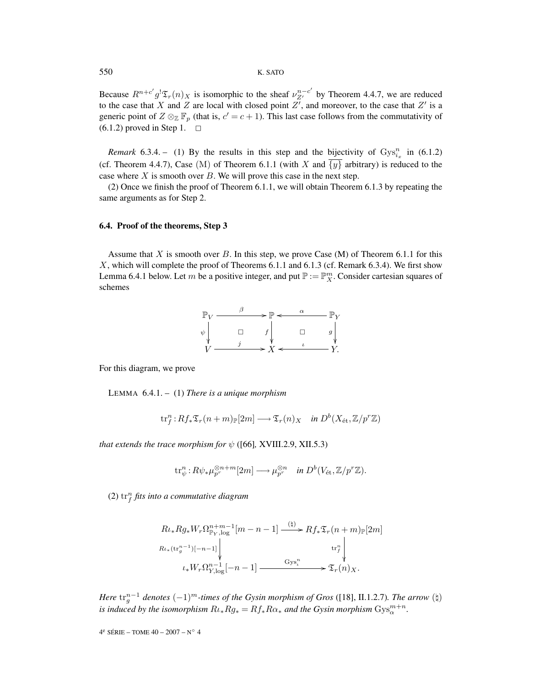#### 550 K. SATO

Because  $R^{n+c'}g^{\dagger}\mathfrak{T}_r(n)_X$  is isomorphic to the sheaf  $\nu_{Z'}^{n-c'}$  by Theorem 4.4.7, we are reduced to the case that X and Z are local with closed point  $Z'$ , and moreover, to the case that  $Z'$  is a generic point of  $Z \otimes_{\mathbb{Z}} \mathbb{F}_p$  (that is,  $c' = c + 1$ ). This last case follows from the commutativity of  $(6.1.2)$  proved in Step 1.  $\Box$ 

*Remark* 6.3.4. – (1) By the results in this step and the bijectivity of  $Gys_{i_x}^n$  in (6.1.2) (cf. Theorem 4.4.7), Case (M) of Theorem 6.1.1 (with X and  $\overline{\{y\}}$  arbitrary) is reduced to the case where  $X$  is smooth over  $B$ . We will prove this case in the next step.

(2) Once we finish the proof of Theorem 6.1.1, we will obtain Theorem 6.1.3 by repeating the same arguments as for Step 2.

## **6.4. Proof of the theorems, Step 3**

Assume that X is smooth over B. In this step, we prove Case  $(M)$  of Theorem 6.1.1 for this  $X$ , which will complete the proof of Theorems 6.1.1 and 6.1.3 (cf. Remark 6.3.4). We first show Lemma 6.4.1 below. Let m be a positive integer, and put  $\mathbb{P} := \mathbb{P}_{X}^{m}$ . Consider cartesian squares of schemes



For this diagram, we prove

LEMMA 6.4.1. – (1) *There is a unique morphism*

$$
\mathrm{tr}^n_f: Rf_*\mathfrak{T}_r(n+m) \mathbb{P}[2m] \longrightarrow \mathfrak{T}_r(n)_X \quad \text{in } D^b(X_{\mathrm{\acute{e}t}}, \mathbb{Z}/p^r\mathbb{Z})
$$

*that extends the trace morphism for*  $\psi$  ([66], XVIII.2.9, XII.5.3)

$$
\mathrm{tr}^n_\psi: R\psi_*\mu_{p^r}^{\otimes n+m}[2m] \longrightarrow \mu_{p^r}^{\otimes n} \quad \text{in } D^b(V_{\text{\'et}},\mathbb{Z}/p^r\mathbb{Z}).
$$

 $(2)$   $\mathrm{tr}^n_f$  fits into a commutative diagram

$$
R\iota_* Rg_* W_r \Omega_{\mathbb{P}_Y, \log}^{n+m-1} [m-n-1] \xrightarrow{(\natural)} Rf_* \mathfrak{T}_r (n+m)_{\mathbb{P}}[2m]
$$
  

$$
R\iota_*(\operatorname{tr}_g^{n-1})[-n-1] \downarrow \qquad \operatorname{tr}_f^n \downarrow
$$
  

$$
\iota_* W_r \Omega_{Y, \log}^{n-1}[-n-1] \xrightarrow{\operatorname{Gys}_\iota^n} \mathfrak{T}_r(n)_X.
$$

*Here*  $tr_{a}^{n-1}$  denotes  $(-1)^{m}$ -times of the Gysin morphism of Gros ([18], II.1.2.7)*. The arrow* ( $\sharp$ ) *is induced by the isomorphism*  $R\iota_* Rg_* = Rf_* R\alpha_*$  *and the Gysin morphism*  $Gys^{m+n}_{\alpha}$ *.*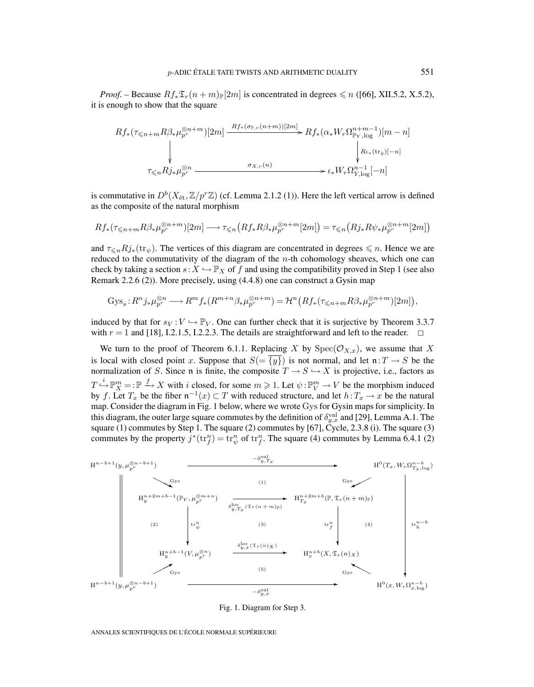*Proof.* – Because  $Rf_*\mathfrak{T}_r(n+m)_{\mathbb{P}}[2m]$  is concentrated in degrees  $\leq n$  ([66], XII.5.2, X.5.2), it is enough to show that the square

$$
Rf_{*}(\tau_{\leq n+m}R\beta_{*}\mu_{p^{r}}^{\otimes n+m})[2m] \xrightarrow{Rf_{*}(\sigma_{\mathbb{P},r}(n+m))[2m]} Rf_{*}(\alpha_{*}W_{r}\Omega_{\mathbb{P}_{Y},\log}^{n+m-1})[m-n]
$$
\n
$$
\downarrow \qquad \qquad \downarrow R\mu_{*}(\text{tr}_{g})[-n]
$$
\n
$$
\tau_{\leq n}Rj_{*}\mu_{p^{r}}^{\otimes n} \xrightarrow{\sigma_{X,r}(n)} \iota_{*}W_{r}\Omega_{Y,\log}^{n-1}[-n]
$$

is commutative in  $D^b(X_{\text{\'et}},\mathbb{Z}/p^r\mathbb{Z})$  (cf. Lemma 2.1.2 (1)). Here the left vertical arrow is defined as the composite of the natural morphism

$$
Rf_*(\tau_{\leq n+m}R\beta_*\mu_{p^r}^{\otimes n+m})[2m] \longrightarrow \tau_{\leq n}(Rf_*R\beta_*\mu_{p^r}^{\otimes n+m}[2m]) = \tau_{\leq n}(Rj_*R\psi_*\mu_{p^r}^{\otimes n+m}[2m])
$$

and  $\tau_{\leq n}Rj_*(\text{tr}_{\psi})$ . The vertices of this diagram are concentrated in degrees  $\leq n$ . Hence we are reduced to the commutativity of the diagram of the  $n$ -th cohomology sheaves, which one can check by taking a section  $s: X \hookrightarrow \mathbb{P}_X$  of f and using the compatibility proved in Step 1 (see also Remark 2.2.6 (2)). More precisely, using (4.4.8) one can construct a Gysin map

$$
\mathrm{Gys}_s: R^n j_* \mu_{p^r}^{\otimes n} \longrightarrow R^m f_* (R^{m+n} \beta_* \mu_{p^r}^{\otimes n+m}) = \mathcal{H}^n \big( Rf_* (\tau_{\leq n+m} R \beta_* \mu_{p^r}^{\otimes n+m})[2m] \big),
$$

induced by that for  $s_V : V \hookrightarrow \mathbb{P}_V$ . One can further check that it is surjective by Theorem 3.3.7 with  $r = 1$  and [18], I.2.1.5, I.2.2.3. The details are straightforward and left to the reader.  $\Box$ 

We turn to the proof of Theorem 6.1.1. Replacing X by  $Spec(\mathcal{O}_{X,x})$ , we assume that X is local with closed point x. Suppose that  $S = \{y\}$  is not normal, and let  $\mathfrak{n} : T \to S$  be the normalization of S. Since n is finite, the composite  $T \to S \hookrightarrow X$  is projective, i.e., factors as  $T \xrightarrow{i} \mathbb{P}_{X}^{m} =: \mathbb{P} \xrightarrow{f} X$  with i closed, for some  $m \geq 1$ . Let  $\psi : \mathbb{P}_{V}^{m} \to V$  be the morphism induced by f. Let  $T_x$  be the fiber  $\mathfrak{n}^{-1}(x) \subset T$  with reduced structure, and let  $h: T_x \to x$  be the natural map. Consider the diagram in Fig. 1 below, where we wrote Gys for Gysin maps for simplicity. In this diagram, the outer large square commutes by the definition of  $\delta_{y,x}^{\text{val}}$  and [29], Lemma A.1. The square (1) commutes by Step 1. The square (2) commutes by [67], Cycle, 2.3.8 (i). The square (3) commutes by the property  $j^*(\text{tr}_f^n) = \text{tr}_{\psi}^n$  of  $\text{tr}_f^n$ . The square (4) commutes by Lemma 6.4.1 (2)



Fig. 1. Diagram for Step 3.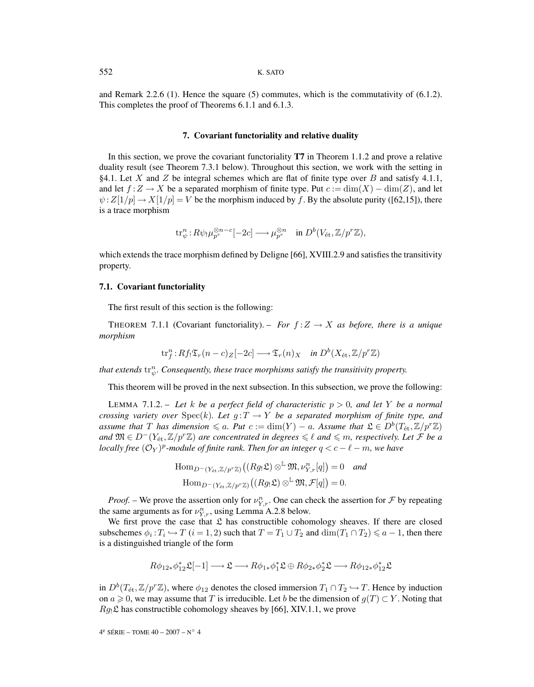and Remark 2.2.6 (1). Hence the square (5) commutes, which is the commutativity of (6.1.2). This completes the proof of Theorems 6.1.1 and 6.1.3.

#### **7. Covariant functoriality and relative duality**

In this section, we prove the covariant functoriality **T7** in Theorem 1.1.2 and prove a relative duality result (see Theorem 7.3.1 below). Throughout this section, we work with the setting in §4.1. Let X and Z be integral schemes which are flat of finite type over B and satisfy 4.1.1, and let  $f: Z \to X$  be a separated morphism of finite type. Put  $c := \dim(X) - \dim(Z)$ , and let  $\psi:Z[1/p] \to X[1/p] = V$  be the morphism induced by f. By the absolute purity ([62,15]), there is a trace morphism

$$
\mathrm{tr}^n_{\psi}: R\psi_! \mu_{p^r}^{\otimes n-c}[-2c] \longrightarrow \mu_{p^r}^{\otimes n} \quad \text{in } D^b(V_{\text{\'et}}, \mathbb{Z}/p^r\mathbb{Z}),
$$

which extends the trace morphism defined by Deligne [66], XVIII.2.9 and satisfies the transitivity property.

#### **7.1. Covariant functoriality**

The first result of this section is the following:

THEOREM 7.1.1 (Covariant functoriality). – *For*  $f: Z \to X$  *as before, there is a unique morphism*

$$
\mathrm{tr}^n_f: Rf_! \mathfrak{T}_r(n-c)_{Z}[-2c] \longrightarrow \mathfrak{T}_r(n)_{X} \quad \text{in } D^b(X_{\mathrm{\acute{e}t}}, \mathbb{Z}/p^r\mathbb{Z})
$$

that extends  $\mathrm{tr}^n_\psi$ . Consequently, these trace morphisms satisfy the transitivity property.

This theorem will be proved in the next subsection. In this subsection, we prove the following:

LEMMA 7.1.2. – *Let* k *be a perfect field of characteristic* p > 0*, and let* Y *be a normal crossing variety over*  $Spec(k)$ *. Let*  $g: T \rightarrow Y$  *be a separated morphism of finite type, and assume that* T *has dimension*  $\leq a$ *. Put*  $c := \dim(Y) - a$ *. Assume that*  $\mathfrak{L} \in D^b(T_{\text{\'et}},\mathbb{Z}/p^r\mathbb{Z})$ *and*  $\mathfrak{M} \in D^{-1}(Y_{\text{\'et}}, \mathbb{Z}/p^{r}\mathbb{Z})$  *are concentrated in degrees*  $\leqslant \ell$  *and*  $\leqslant m$ *, respectively. Let F be a locally free*  $(O_Y)^p$ -module of finite rank. Then for an integer  $q < c - \ell - m$ , we have

> $\text{Hom}_{D^-(Y_{\text{\'et}},\mathbb{Z}/p^r\mathbb{Z})}\big((Rg_!\mathfrak{L})\otimes^{\mathbb{L}}\mathfrak{M},\nu_{Y,r}^n[q]\big)=0\quad$  and  $\mathrm{Hom}_{D^-(Y_{\mathrm{\acute{e}t}},\mathbb{Z}/p^r\mathbb{Z})}\big((Rg_!\mathfrak{L})\otimes^{\mathbb{L}}\mathfrak{M},\mathcal{F}[q]\big)=0.$

*Proof.* – We prove the assertion only for  $\nu_{Y,r}^n$ . One can check the assertion for  $\mathcal F$  by repeating the same arguments as for  $\nu_{Y,r}^n$ , using Lemma A.2.8 below.

We first prove the case that  $\mathfrak L$  has constructible cohomology sheaves. If there are closed subschemes  $\phi_i : T_i \hookrightarrow T$   $(i = 1, 2)$  such that  $T = T_1 \cup T_2$  and  $\dim(T_1 \cap T_2) \leq a - 1$ , then there is a distinguished triangle of the form

$$
R\phi_{12*}\phi_{12}^{*}\mathfrak{L}[-1]\longrightarrow \mathfrak{L}\longrightarrow R\phi_{1*}\phi_{1}^{*}\mathfrak{L}\oplus R\phi_{2*}\phi_{2}^{*}\mathfrak{L}\longrightarrow R\phi_{12*}\phi_{12}^{*}\mathfrak{L}
$$

in  $D^b(T_{\text{\'et}},\mathbb{Z}/p^r\mathbb{Z})$ , where  $\phi_{12}$  denotes the closed immersion  $T_1 \cap T_2 \hookrightarrow T$ . Hence by induction on  $a \ge 0$ , we may assume that T is irreducible. Let b be the dimension of  $g(T) \subset Y$ . Noting that  $Rg_1\mathfrak{L}$  has constructible cohomology sheaves by [66], XIV.1.1, we prove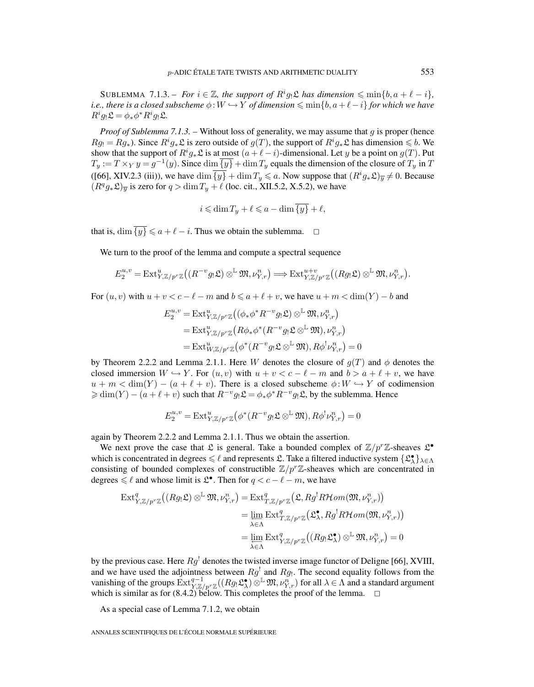SUBLEMMA 7.1.3. – *For*  $i \in \mathbb{Z}$ , the support of  $R^i g_! \mathfrak{L}$  has dimension  $\leq \min\{b, a + \ell - i\}$ , *i.e., there is a closed subscheme*  $\phi: W \hookrightarrow Y$  *of dimension*  $\leqslant \min\{b, a+\ell-i\}$  *for which we have*  $R^i g_! \mathfrak{L} = \phi_* \phi^* R^i g_! \mathfrak{L}.$ 

*Proof of Sublemma 7.1.3.* – Without loss of generality, we may assume that g is proper (hence  $Rg_1 = Rg_*$ ). Since  $R^i g_* \mathfrak{L}$  is zero outside of  $g(T)$ , the support of  $R^i g_* \mathfrak{L}$  has dimension  $\leq b$ . We show that the support of  $R^i g_* \mathfrak{L}$  is at <u>most</u>  $(a+\ell-i)$ -dimensional. Let y be a point on  $g(T)$ . Put  $T_y := T \times_Y y = g^{-1}(y)$ . Since  $\dim \overline{\{y\}} + \dim T_y$  equals the dimension of the closure of  $T_y$  in T ([66], XIV.2.3 (iii)), we have  $\dim \{y\} + \dim T_y \leq a$ . Now suppose that  $(R^i g_* \mathfrak{L})_{\overline{y}} \neq 0$ . Because  $(R^q g_*\mathfrak{L})_{\overline{v}}$  is zero for  $q > \dim T_u + \ell$  (loc. cit., XII.5.2, X.5.2), we have

$$
i \leqslant \dim T_y + \ell \leqslant a - \dim \overline{\{y\}} + \ell,
$$

that is,  $\dim \overline{\{y\}} \leq a + \ell - i$ . Thus we obtain the sublemma.  $\Box$ 

We turn to the proof of the lemma and compute a spectral sequence

$$
E_2^{u,v} = \mathrm{Ext}^u_{Y,\mathbb{Z}/p^r\mathbb{Z}} \big((R^{-v}g_!\mathfrak{L}) \otimes^{\mathbb{L}} \mathfrak{M}, \nu_{Y,r}^n \big) \Longrightarrow \mathrm{Ext}^{u+v}_{Y,\mathbb{Z}/p^r\mathbb{Z}} \big((Rg_!\mathfrak{L}) \otimes^{\mathbb{L}} \mathfrak{M}, \nu_{Y,r}^n \big).
$$

For  $(u, v)$  with  $u + v < c - \ell - m$  and  $b \le a + \ell + v$ , we have  $u + m < \dim(Y) - b$  and

$$
E_2^{u,v} = \text{Ext}_{Y,\mathbb{Z}/p^r\mathbb{Z}}^u((\phi * \phi^* R^{-v} g_! \mathfrak{L}) \otimes^{\mathbb{L}} \mathfrak{M}, \nu_{Y,r}^n)
$$
  
= 
$$
\text{Ext}_{Y,\mathbb{Z}/p^r\mathbb{Z}}^u(R\phi * \phi^*(R^{-v} g_! \mathfrak{L} \otimes^{\mathbb{L}} \mathfrak{M}), \nu_{Y,r}^n)
$$
  
= 
$$
\text{Ext}_{W,\mathbb{Z}/p^r\mathbb{Z}}^u(\phi^*(R^{-v} g_! \mathfrak{L} \otimes^{\mathbb{L}} \mathfrak{M}), R\phi^! \nu_{Y,r}^n) = 0
$$

by Theorem 2.2.2 and Lemma 2.1.1. Here W denotes the closure of  $g(T)$  and  $\phi$  denotes the closed immersion  $W \hookrightarrow Y$ . For  $(u, v)$  with  $u + v < c - \ell - m$  and  $b > a + \ell + v$ , we have  $u + m < \dim(Y) - (a + \ell + v)$ . There is a closed subscheme  $\phi: W \hookrightarrow Y$  of codimension  $\geq \dim(Y) - (a + \ell + v)$  such that  $R^{-v}g_!\mathfrak{L} = \phi_*\phi^*R^{-v}g_!\mathfrak{L}$ , by the sublemma. Hence

$$
E_2^{u,v} = \text{Ext}^u_{Y,\mathbb{Z}/p^r\mathbb{Z}}\left(\phi^*(R^{-v}g_!\mathfrak{L}\otimes^\mathbb{L}\mathfrak{M}), R\phi^!\nu^n_{Y,r}\right) = 0
$$

again by Theorem 2.2.2 and Lemma 2.1.1. Thus we obtain the assertion.

We next prove the case that  $\mathfrak L$  is general. Take a bounded complex of  $\mathbb Z/p^r\mathbb Z$ -sheaves  $\mathfrak L^{\bullet}$ which is concentrated in degrees  $\leq \ell$  and represents  $\mathfrak{L}$ . Take a filtered inductive system  $\{\mathfrak{L}^{\bullet}_{\lambda}\}_{\lambda \in \Lambda}$ consisting of bounded complexes of constructible  $\mathbb{Z}/p^r\mathbb{Z}$ -sheaves which are concentrated in degrees  $\leq \ell$  and whose limit is  $\mathfrak{L}^{\bullet}$ . Then for  $q < c - \ell - m$ , we have

$$
\operatorname{Ext}^q_{Y,\mathbb{Z}/p^r\mathbb{Z}}\big((Rg_!\mathfrak{L})\otimes^{\mathbb{L}}\mathfrak{M},\nu_{Y,r}^n\big)=\operatorname{Ext}^q_{T,\mathbb{Z}/p^r\mathbb{Z}}\big(\mathfrak{L},Rg^!R\mathcal{H}om(\mathfrak{M},\nu_{Y,r}^n)\big)
$$
\n
$$
=\lim_{\substack{\lambda\in\Lambda}}\operatorname{Ext}^q_{T,\mathbb{Z}/p^r\mathbb{Z}}\big(\mathfrak{L}_\lambda^{\bullet},Rg^!R\mathcal{H}om(\mathfrak{M},\nu_{Y,r}^n)\big)
$$
\n
$$
=\lim_{\substack{\lambda\in\Lambda}}\operatorname{Ext}^q_{Y,\mathbb{Z}/p^r\mathbb{Z}}\big((Rg_!\mathfrak{L}_\lambda^{\bullet})\otimes^{\mathbb{L}}\mathfrak{M},\nu_{Y,r}^n\big)=0
$$

by the previous case. Here  $Rg'$  denotes the twisted inverse image functor of Deligne [66], XVIII, and we have used the adjointness between  $Rg^{\dagger}$  and  $Rg_{\dagger}$ . The second equality follows from the vanishing of the groups  $\text{Ext}_{Y,\mathbb{Z}/p^r\mathbb{Z}}^{q-1}((Rg_!\mathfrak{L}_\lambda^{\bullet})\otimes^{\mathbb{L}}\mathfrak{M},\nu_{Y,r}^n)$  for all  $\lambda \in \Lambda$  and a standard argument which is similar as for  $(8.4.2)$  below. This completes the proof of the lemma.  $\Box$ 

As a special case of Lemma 7.1.2, we obtain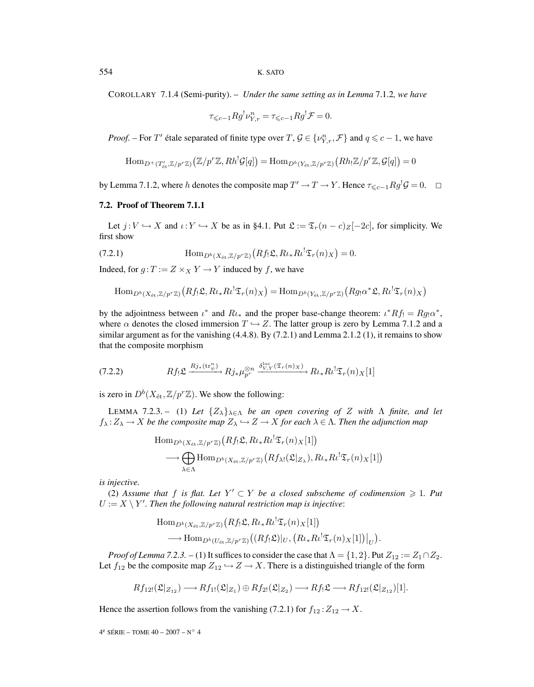COROLLARY 7.1.4 (Semi-purity). – *Under the same setting as in Lemma* 7.1.2*, we have*

$$
\tau_{\leqslant c-1} R g^! \nu_{Y,r}^n = \tau_{\leqslant c-1} R g^! \mathcal{F} = 0.
$$

*Proof.* – For T' étale separated of finite type over T,  $\mathcal{G} \in \{v_{Y,r}^n, \mathcal{F}\}\$  and  $q \leq c - 1$ , we have

$$
\mathrm{Hom}_{D^+(T'_{\text{\'et}}, \mathbb{Z}/p^r\mathbb{Z})}\big(\mathbb{Z}/p^r\mathbb{Z}, Rh^! \mathcal{G}[q]\big) = \mathrm{Hom}_{D^b(Y_{\text{\'et}}, \mathbb{Z}/p^r\mathbb{Z})}\big(Rh_!\mathbb{Z}/p^r\mathbb{Z}, \mathcal{G}[q]\big) = 0
$$

by Lemma 7.1.2, where h denotes the composite map  $T' \to T \to Y$ . Hence  $\tau_{\leq c-1} R g^1 \mathcal{G} = 0$ .  $\Box$ 

## **7.2. Proof of Theorem 7.1.1**

Let  $j: V \hookrightarrow X$  and  $\iota: Y \hookrightarrow X$  be as in §4.1. Put  $\mathfrak{L} := \mathfrak{T}_r(n-c)_{Z}[-2c]$ , for simplicity. We first show

(7.2.1) 
$$
\text{Hom}_{D^b(X_{\text{\'et}},\mathbb{Z}/p^r\mathbb{Z})}\left(Rf_!\mathfrak{L},R\iota_*R\iota^!\mathfrak{T}_r(n)_X\right)=0.
$$

Indeed, for  $g: T := Z \times_X Y \to Y$  induced by f, we have

$$
\mathrm{Hom}_{D^b(X_{\text{\'et}},\mathbb{Z}/p^r\mathbb{Z})}\big(Rf_!\mathfrak{L},R\iota_*R\iota^!\mathfrak{T}_r(n)_X\big)=\mathrm{Hom}_{D^b(Y_{\text{\'et}},\mathbb{Z}/p^r\mathbb{Z})}\big(Rg_!\alpha^*\mathfrak{L},R\iota^!\mathfrak{T}_r(n)_X\big)
$$

by the adjointness between  $\iota^*$  and  $R\iota_*$  and the proper base-change theorem:  $\iota^* Rf! = Rg! \alpha^*$ , where  $\alpha$  denotes the closed immersion  $T \hookrightarrow Z$ . The latter group is zero by Lemma 7.1.2 and a similar argument as for the vanishing  $(4.4.8)$ . By  $(7.2.1)$  and Lemma 2.1.2 (1), it remains to show that the composite morphism

$$
(7.2.2) \tRf_! \mathfrak{L} \xrightarrow{Rj_*(\operatorname{tr}_\psi^n)} Rj_* \mu_{p^r}^{\otimes n} \xrightarrow{\delta_{V,Y}^{\operatorname{loc}}(\mathfrak{T}_r(n)_X)} Rl_* Rl^! \mathfrak{T}_r(n)_X[1]
$$

is zero in  $D^b(X_{\text{\'et}},\mathbb{Z}/p^r\mathbb{Z})$ . We show the following:

LEMMA 7.2.3. – (1) Let  $\{Z_{\lambda}\}_{\lambda \in \Lambda}$  be an open covering of Z with  $\Lambda$  finite, and let  $f_{\lambda}:Z_{\lambda}\to X$  *be the composite map*  $Z_{\lambda}\hookrightarrow Z\to X$  *for each*  $\lambda\in\Lambda$ *. Then the adjunction map* 

$$
\text{Hom}_{D^{b}(X_{\text{\'et}}, \mathbb{Z}/p^r\mathbb{Z})}\big(Rf_{!}\mathfrak{L}, R\iota_{*}R\iota^!\mathfrak{T}_{r}(n)_{X}[1]\big) \n\longrightarrow \bigoplus_{\lambda \in \Lambda} \text{Hom}_{D^{b}(X_{\text{\'et}}, \mathbb{Z}/p^r\mathbb{Z})}\big(Rf_{\lambda!}(\mathfrak{L}|_{Z_{\lambda}}), R\iota_{*}R\iota^!\mathfrak{T}_{r}(n)_{X}[1]\big)
$$

*is injective.*

(2) Assume that f is flat. Let  $Y' \subset Y$  be a closed subscheme of codimension  $\geq 1$ . Put  $U := X \setminus Y'$ . Then the following natural restriction map is injective:

$$
\text{Hom}_{D^b(X_{\text{\'et}},\mathbb{Z}/p^r\mathbb{Z})}\big(Rf_!\mathfrak{L},R\iota_*R\iota^!\mathfrak{T}_r(n)_X[1]\big) \n\longrightarrow \text{Hom}_{D^b(U_{\text{\'et}},\mathbb{Z}/p^r\mathbb{Z})}\big((Rf_!\mathfrak{L})|_U,\big(R\iota_*R\iota^!\mathfrak{T}_r(n)_X[1]\big)|_U\big).
$$

*Proof of Lemma 7.2.3.* – (1) It suffices to consider the case that  $\Lambda = \{1, 2\}$ . Put  $Z_{12} := Z_1 \cap Z_2$ . Let  $f_{12}$  be the composite map  $Z_{12} \hookrightarrow Z \to X$ . There is a distinguished triangle of the form

$$
Rf_{12!}(\mathfrak{L}|_{Z_{12}}) \longrightarrow Rf_{1!}(\mathfrak{L}|_{Z_1}) \oplus Rf_{2!}(\mathfrak{L}|_{Z_2}) \longrightarrow Rf_! \mathfrak{L} \longrightarrow Rf_{12!}(\mathfrak{L}|_{Z_{12}})[1].
$$

Hence the assertion follows from the vanishing (7.2.1) for  $f_{12}:Z_{12}\to X$ .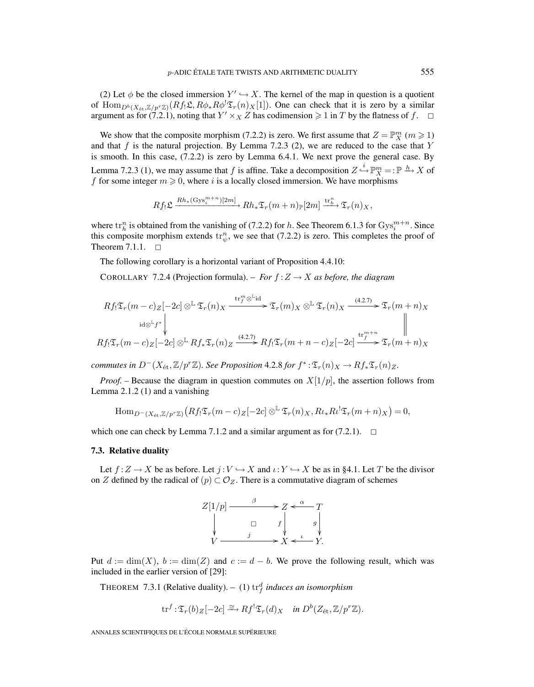(2) Let  $\phi$  be the closed immersion  $Y' \hookrightarrow X$ . The kernel of the map in question is a quotient of  $\text{Hom}_{D^b(X_{\text{\rm\'et}},\Z/p^r\Z)}(Rf_!\mathfrak{L},R\phi_*R\phi^!\mathfrak{T}_r(n)_X[1])$ . One can check that it is zero by a similar argument as for (7.2.1), noting that  $Y' \times_X Z$  has codimension  $\geq 1$  in T by the flatness of f.  $\Box$ 

We show that the composite morphism (7.2.2) is zero. We first assume that  $Z = \mathbb{P}_{X}^{m}$  ( $m \ge 1$ ) and that  $f$  is the natural projection. By Lemma 7.2.3 (2), we are reduced to the case that  $Y$ is smooth. In this case, (7.2.2) is zero by Lemma 6.4.1. We next prove the general case. By Lemma 7.2.3 (1), we may assume that f is affine. Take a decomposition  $Z \stackrel{i}{\hookrightarrow} \mathbb{P}_{X}^{m} = : \mathbb{P} \xrightarrow{h} X$  of f for some integer  $m \ge 0$ , where i is a locally closed immersion. We have morphisms

$$
Rf_!\mathfrak{L} \xrightarrow{Rh_*(\mathrm{Gys}_i^{m+n})[2m]} Rh_*\mathfrak{T}_r(m+n) \mathbb{P}[2m] \xrightarrow{\mathrm{tr}_h^n} \mathfrak{T}_r(n)_X,
$$

where  $\text{tr}_h^n$  is obtained from the vanishing of (7.2.2) for h. See Theorem 6.1.3 for  $\text{Gys}_i^{m+n}$ . Since this composite morphism extends  $\text{tr}^n_{\psi}$ , we see that (7.2.2) is zero. This completes the proof of Theorem  $7.1.1.$   $\Box$ 

The following corollary is a horizontal variant of Proposition 4.4.10:

COROLLARY 7.2.4 (Projection formula). – *For*  $f: Z \rightarrow X$  *as before, the diagram* 

$$
Rf_! \mathfrak{T}_r(m-c)z[-2c] \otimes^{\mathbb{L}} \mathfrak{T}_r(n)_X \xrightarrow{\operatorname{tr}^m_f \otimes^{\mathbb{L}} id} \mathfrak{T}_r(m)_X \otimes^{\mathbb{L}} \mathfrak{T}_r(n)_X \xrightarrow{(4.2.7)} \mathfrak{T}_r(m+n)_X
$$
  

$$
Rf_! \mathfrak{T}_r(m-c)z[-2c] \otimes^{\mathbb{L}} Rf_* \mathfrak{T}_r(n)_Z \xrightarrow{(4.2.7)} Rf_! \mathfrak{T}_r(m+n-c)z[-2c] \xrightarrow{\operatorname{tr}^{m+n}_f} \mathfrak{T}_r(m+n)_X
$$

*commutes in*  $D^{-}(X_{\text{\'et}},\mathbb{Z}/p^r\mathbb{Z})$ *. See Proposition* 4.2.8 *for*  $f^*: \mathfrak{T}_r(n)_X \to Rf_*\mathfrak{T}_r(n)_Z$ *.* 

*Proof.* – Because the diagram in question commutes on  $X[1/p]$ , the assertion follows from Lemma 2.1.2 (1) and a vanishing

$$
\mathrm{Hom}_{D^{-}(X_{\mathrm{\acute{e}t}},\mathbb{Z}/p^{r}\mathbb{Z})}\left(Rf_{!}\mathfrak{T}_{r}(m-c)_{Z}[-2c]\otimes^{\mathbb{L}}\mathfrak{T}_{r}(n)_{X},R\iota_{*}R\iota^!\mathfrak{T}_{r}(m+n)_{X}\right)=0,
$$

which one can check by Lemma 7.1.2 and a similar argument as for  $(7.2.1)$ .  $\Box$ 

#### **7.3. Relative duality**

Let  $f:Z\to X$  be as before. Let  $j:V\hookrightarrow X$  and  $\iota:Y\hookrightarrow X$  be as in §4.1. Let T be the divisor on Z defined by the radical of  $(p) \subset \mathcal{O}_Z$ . There is a commutative diagram of schemes



Put  $d := \dim(X)$ ,  $b := \dim(Z)$  and  $c := d - b$ . We prove the following result, which was included in the earlier version of [29]:

THEOREM 7.3.1 (Relative duality).  $-$  (1)  $\text{tr}_{f}^{d}$  *induces an isomorphism* 

$$
\text{tr}^f: \mathfrak{T}_r(b)_Z[-2c] \xrightarrow{\simeq} Rf^! \mathfrak{T}_r(d)_X \quad \text{in } D^b(Z_{\text{\'et}}, \mathbb{Z}/p^r\mathbb{Z}).
$$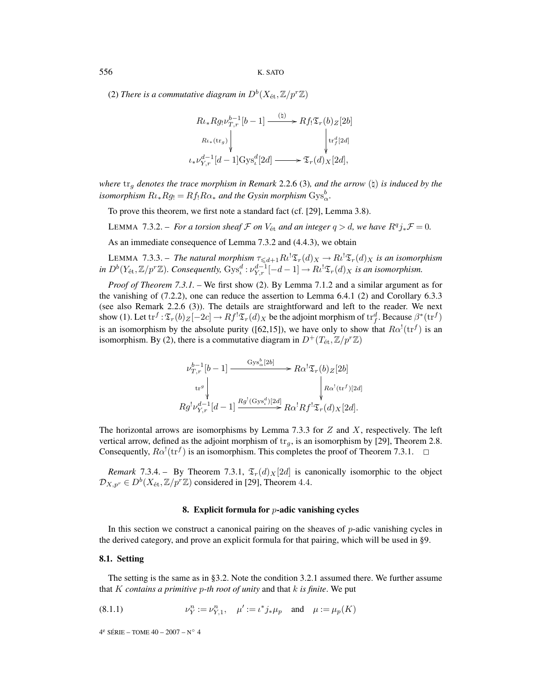(2) *There is a commutative diagram in*  $D^b(X_{\text{\'et}},\mathbb{Z}/p^r\mathbb{Z})$ 

$$
R\iota_* R g_! \nu_{T,r}^{b-1}[b-1] \xrightarrow{(\natural)} R f_! \mathfrak{T}_r(b) \mathfrak{Z}[2b]
$$
  
\n
$$
R\iota_*(\text{tr}_g) \downarrow \qquad \qquad \downarrow \text{tr}_f^d[2d]
$$
  
\n
$$
\iota_* \nu_{Y,r}^{d-1}[d-1] \text{Gys}_\iota^d[2d] \xrightarrow{\qquad} \mathfrak{T}_r(d)_X[2d],
$$

*where*  $tr_g$  *denotes the trace morphism in Remark* 2.2.6 (3)*, and the arrow* ( $\sharp$ ) *is induced by the isomorphism*  $R\iota_* Rg_! = Rf_! R\alpha_*$  *and the Gysin morphism*  $Gys^b_\alpha$ .

To prove this theorem, we first note a standard fact (cf. [29], Lemma 3.8).

LEMMA 7.3.2. – *For a torsion sheaf*  $\mathcal F$  *on*  $V_{\text{\'et}}$  *and an integer*  $q > d$ *, we have*  $R^q j_* \mathcal F = 0$ *.* 

As an immediate consequence of Lemma 7.3.2 and (4.4.3), we obtain

LEMMA 7.3.3. – The natural morphism  $\tau_{\leq d+1}R\ell^!\mathfrak{T}_r(d)_X \to R\ell^!\mathfrak{T}_r(d)_X$  is an isomorphism in  $D^b(Y_{\text{\'et}},\mathbb{Z}/p^r\mathbb{Z})$ . Consequently,  $\text{Gys}_\iota^d : \nu_{Y,r}^{d-1}[-d-1] \to R\iota^!\mathfrak{T}_r(d)_X$  is an isomorphism.

*Proof of Theorem 7.3.1. –* We first show (2). By Lemma 7.1.2 and a similar argument as for the vanishing of (7.2.2), one can reduce the assertion to Lemma 6.4.1 (2) and Corollary 6.3.3 (see also Remark 2.2.6 (3)). The details are straightforward and left to the reader. We next show (1). Let  $\text{tr}^f : \mathfrak{T}_r(b)_Z[-2c] \to Rf^!\mathfrak{T}_r(d)_X$  be the adjoint morphism of  $\text{tr}^d_f$ . Because  $\beta^*(\text{tr}^f)$ is an isomorphism by the absolute purity ([62,15]), we have only to show that  $R\alpha^!(\text{tr}^f)$  is an isomorphism. By (2), there is a commutative diagram in  $D^+(T_{\text{\'et}},\mathbb{Z}/p^r\mathbb{Z})$ 

$$
\nu_{T,r}^{b-1}[b-1] \xrightarrow{\mathrm{Gys}_{\alpha}^{b}[2b]} R\alpha^{!}\mathfrak{T}_{r}(b)Z[2b]
$$
\n
$$
\downarrow^{\mathrm{tr}^{g}} \downarrow \qquad \qquad \downarrow R\alpha^{!}(\mathrm{tr}^{f})[2d]
$$
\n
$$
Rg^{!}\nu_{Y,r}^{d-1}[d-1] \xrightarrow{Rg^{!}(\mathrm{Gys}_{\iota}^{d})[2d]} R\alpha^{!}Rf^{!}\mathfrak{T}_{r}(d)X[2d].
$$

The horizontal arrows are isomorphisms by Lemma 7.3.3 for  $Z$  and  $X$ , respectively. The left vertical arrow, defined as the adjoint morphism of  $tr_q$ , is an isomorphism by [29], Theorem 2.8. Consequently,  $R\alpha^!(\text{tr}^f)$  is an isomorphism. This completes the proof of Theorem 7.3.1.  $\Box$ 

*Remark* 7.3.4. – By Theorem 7.3.1,  $\mathfrak{T}_r(d)_X[2d]$  is canonically isomorphic to the object  $\mathcal{D}_{X,p^r} \in D^b(X_{\text{\'et}},\mathbb{Z}/p^r\mathbb{Z})$  considered in [29], Theorem 4.4.

#### **8. Explicit formula for** p**-adic vanishing cycles**

In this section we construct a canonical pairing on the sheaves of  $p$ -adic vanishing cycles in the derived category, and prove an explicit formula for that pairing, which will be used in §9.

## **8.1. Setting**

The setting is the same as in §3.2. Note the condition 3.2.1 assumed there. We further assume that K *contains a primitive* p*-th root of unity* and that k *is finite*. We put

(8.1.1) 
$$
\nu_Y^n := \nu_{Y,1}^n, \quad \mu' := \iota^* j_* \mu_p \quad \text{and} \quad \mu := \mu_p(K)
$$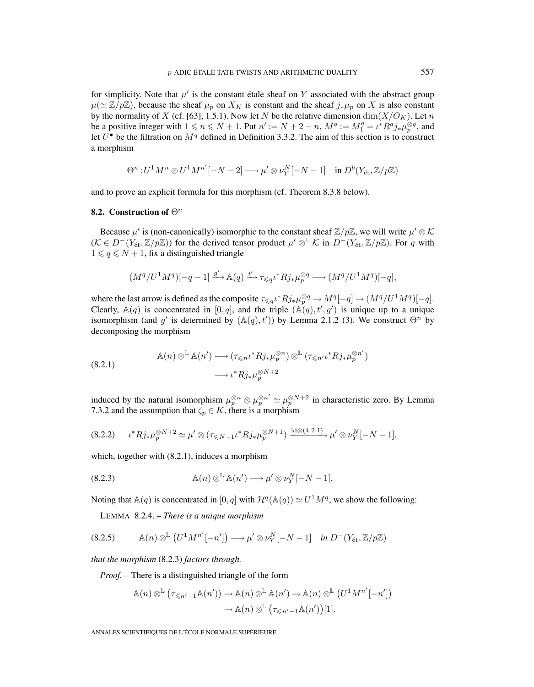for simplicity. Note that  $\mu'$  is the constant étale sheaf on Y associated with the abstract group  $\mu (\simeq \mathbb{Z}/p\mathbb{Z})$ , because the sheaf  $\mu_n$  on  $X_K$  is constant and the sheaf  $j_*\mu_n$  on X is also constant by the normality of X (cf. [63], 1.5.1). Now let N be the relative dimension dim $(X/O_K)$ . Let n be a positive integer with  $1 \le n \le N + 1$ . Put  $n' := N + 2 - n$ ,  $M^q := M_1^q = \iota^* R^q j_* \mu_p^{\otimes q}$ , and let  $U^{\bullet}$  be the filtration on  $M^{q}$  defined in Definition 3.3.2. The aim of this section is to construct a morphism

$$
\Theta^n: U^1 M^n \otimes U^1 M^{n'}[-N-2] \longrightarrow \mu' \otimes \nu_Y^N[-N-1] \quad \text{in } D^b(Y_{\text{\'et}}, \mathbb{Z}/p\mathbb{Z})
$$

and to prove an explicit formula for this morphism (cf. Theorem 8.3.8 below).

## **8.2. Construction of**  $\Theta^n$

Because  $\mu'$  is (non-canonically) isomorphic to the constant sheaf  $\mathbb{Z}/p\mathbb{Z}$ , we will write  $\mu' \otimes \mathcal{K}$  $(K \in D^-(Y_{\text{\'et}},\mathbb{Z}/p\mathbb{Z}))$  for the derived tensor product  $\mu' \otimes^{\mathbb{L}} K$  in  $D^-(Y_{\text{\'et}},\mathbb{Z}/p\mathbb{Z})$ . For q with  $1 \leqslant q \leqslant N + 1$ , fix a distinguished triangle

$$
(M^q/U^1M^q)[-q-1] \xrightarrow{g'} \mathbb{A}(q) \xrightarrow{t'} \tau \leq qt^* R j_* \mu_p^{\otimes q} \longrightarrow (M^q/U^1M^q)[-q],
$$

where the last arrow is defined as the composite  $\tau \leq q \iota^* R j_* \mu_p^{\otimes q} \to M^q[-q] \to (M^q/U^1M^q)[-q].$ Clearly,  $\mathbb{A}(q)$  is concentrated in  $[0,q]$ , and the triple  $(\mathbb{A}(q), t', g')$  is unique up to a unique isomorphism (and g' is determined by  $(A(q), t')$ ) by Lemma 2.1.2 (3). We construct  $\Theta^n$  by decomposing the morphism

(8.2.1) 
$$
\mathbb{A}(n) \otimes^{\mathbb{L}} \mathbb{A}(n') \longrightarrow (\tau_{\leq n} \iota^* R j_* \mu_p^{\otimes n}) \otimes^{\mathbb{L}} (\tau_{\leq n'} \iota^* R j_* \mu_p^{\otimes n'})
$$

$$
\longrightarrow \iota^* R j_* \mu_p^{\otimes N+2}
$$

induced by the natural isomorphism  $\mu_p^{\otimes n} \otimes \mu_p^{\otimes n'} \simeq \mu_p^{\otimes N+2}$  in characteristic zero. By Lemma 7.3.2 and the assumption that  $\zeta_p \in K$ , there is a morphism

$$
(8.2.2) \t t^* R j_* \mu_p^{\otimes N+2} \simeq \mu' \otimes (\tau_{\leq N+1} t^* R j_* \mu_p^{\otimes N+1}) \xrightarrow{\mathrm{id} \otimes (4.2.1)} \mu' \otimes \nu_Y^N [-N-1],
$$

which, together with (8.2.1), induces a morphism

(8.2.3) 
$$
\mathbb{A}(n) \otimes^{\mathbb{L}} \mathbb{A}(n') \longrightarrow \mu' \otimes \nu_Y^N[-N-1].
$$

Noting that  $\mathbb{A}(q)$  is concentrated in  $[0,q]$  with  $\mathcal{H}^q(\mathbb{A}(q)) \simeq U^1 M^q$ , we show the following:

LEMMA 8.2.4. – *There is a unique morphism*

$$
(8.2.5) \qquad \mathbb{A}(n) \otimes^{\mathbb{L}} \left( U^{1} M^{n'}[-n'] \right) \longrightarrow \mu' \otimes \nu_Y^{N}[-N-1] \quad \text{in } D^{-}(Y_{\text{\'et}}, \mathbb{Z}/p\mathbb{Z})
$$

*that the morphism* (8.2.3) *factors through.*

*Proof. –* There is a distinguished triangle of the form

$$
\mathbb{A}(n) \otimes^{\mathbb{L}} (\tau_{\leq n'-1} \mathbb{A}(n')) \to \mathbb{A}(n) \otimes^{\mathbb{L}} \mathbb{A}(n') \to \mathbb{A}(n) \otimes^{\mathbb{L}} (U^1 M^{n'}[-n'])
$$

$$
\to \mathbb{A}(n) \otimes^{\mathbb{L}} (\tau_{\leq n'-1} \mathbb{A}(n'))[1].
$$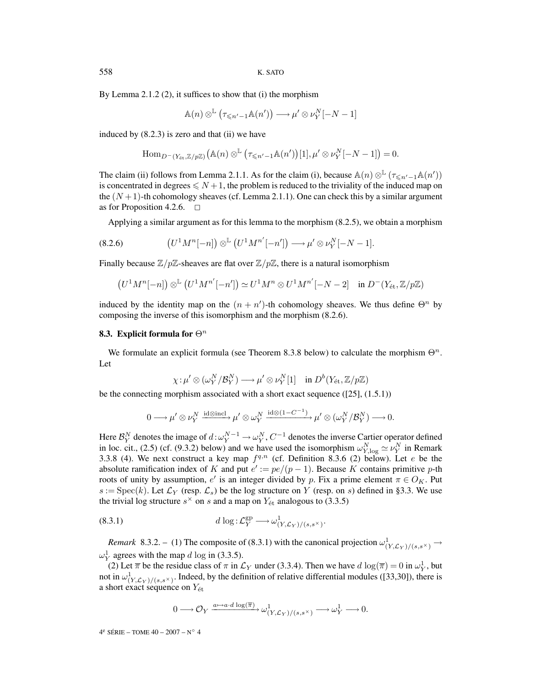By Lemma 2.1.2 (2), it suffices to show that (i) the morphism

$$
\mathbb{A}(n) \otimes^{\mathbb{L}} (\tau_{\leqslant n'-1} \mathbb{A}(n')) \longrightarrow \mu' \otimes \nu_Y^N[-N-1]
$$

induced by (8.2.3) is zero and that (ii) we have

$$
\mathrm{Hom}_{D^-(Y_{\text{\'et}}, \mathbb{Z}/p\mathbb{Z})}\big(\mathbb{A}(n) \otimes^{\mathbb{L}} (\tau_{\leqslant n'-1} \mathbb{A}(n'))[1], \mu' \otimes \nu_Y^N[-N-1]\big) = 0.
$$

The claim (ii) follows from Lemma 2.1.1. As for the claim (i), because  $\mathbb{A}(n) \otimes^{\mathbb{L}} (\tau \leq n'-1\mathbb{A}(n'))$ is concentrated in degrees  $\leq N+1$ , the problem is reduced to the triviality of the induced map on the  $(N+1)$ -th cohomology sheaves (cf. Lemma 2.1.1). One can check this by a similar argument as for Proposition 4.2.6.  $\Box$ 

Applying a similar argument as for this lemma to the morphism (8.2.5), we obtain a morphism

(8.2.6) 
$$
(U^1 M^n[-n]) \otimes^{\mathbb{L}} (U^1 M^{n'}[-n']) \longrightarrow \mu' \otimes \nu_Y^N[-N-1].
$$

Finally because  $\mathbb{Z}/p\mathbb{Z}$ -sheaves are flat over  $\mathbb{Z}/p\mathbb{Z}$ , there is a natural isomorphism

$$
(U^1M^n[-n]) \otimes^{\mathbb{L}} (U^1M^{n'}[-n']) \simeq U^1M^n \otimes U^1M^{n'}[-N-2] \quad \text{in } D^-(Y_{\text{\'et}}, \mathbb{Z}/p\mathbb{Z})
$$

induced by the identity map on the  $(n + n')$ -th cohomology sheaves. We thus define  $\Theta^n$  by composing the inverse of this isomorphism and the morphism (8.2.6).

#### **8.3. Explicit formula for**  $\Theta^n$

We formulate an explicit formula (see Theorem 8.3.8 below) to calculate the morphism  $\Theta^n$ . Let

$$
\chi \colon \! \mu' \otimes (\omega^N_Y/\mathcal{B}_Y^N) \longrightarrow \mu' \otimes \nu^N_Y[1] \quad \text{in } D^b(Y_\mathrm{\acute{e}t}, \mathbb{Z}/p\mathbb{Z})
$$

be the connecting morphism associated with a short exact sequence  $([25], (1.5.1))$ 

$$
0 \longrightarrow \mu' \otimes \nu_Y^N \xrightarrow{\mathrm{id} \otimes \mathrm{incl}} \mu' \otimes \omega_Y^N \xrightarrow{\mathrm{id} \otimes (1 - C^{-1})} \mu' \otimes (\omega_Y^N / \mathcal{B}_Y^N) \longrightarrow 0.
$$

Here  $\mathcal{B}_Y^N$  denotes the image of  $d:\omega_Y^{N-1}\to\omega_Y^N$ ,  $C^{-1}$  denotes the inverse Cartier operator defined in loc. cit., (2.5) (cf. (9.3.2) below) and we have used the isomorphism  $\omega_{Y,\log}^N \simeq \nu_Y^N$  in Remark 3.3.8 (4). We next construct a key map  $f^{q,n}$  (cf. Definition 8.3.6 (2) below). Let e be the absolute ramification index of K and put  $e' := pe/(p-1)$ . Because K contains primitive p-th roots of unity by assumption, e' is an integer divided by p. Fix a prime element  $\pi \in O_K$ . Put  $s := \text{Spec}(k)$ . Let  $\mathcal{L}_Y$  (resp.  $\mathcal{L}_s$ ) be the log structure on Y (resp. on s) defined in §3.3. We use the trivial log structure  $s^{\times}$  on s and a map on  $Y_{\text{\'et}}$  analogous to (3.3.5)

(8.3.1) 
$$
d \log \colon \mathcal{L}_Y^{\text{gp}} \longrightarrow \omega^1_{(Y,\mathcal{L}_Y)/(s,s^\times)}.
$$

*Remark* 8.3.2. – (1) The composite of (8.3.1) with the canonical projection  $\omega^1_{(Y,\mathcal{L}_Y)/(s,s^\times)} \to$  $\omega_Y^1$  agrees with the map d log in (3.3.5).

(2) Let  $\overline{\pi}$  be the residue class of  $\pi$  in  $\mathcal{L}_Y$  under (3.3.4). Then we have  $d \log(\overline{\pi}) = 0$  in  $\omega_Y^1$ , but not in  $\omega^1_{(Y,\mathcal{L}_Y)/(s,s^\times)}$ . Indeed, by the definition of relative differential modules ([33,30]), there is a short exact sequence on  $Y_{\text{\'et}}$ 

$$
0\longrightarrow \mathcal{O}_Y\xrightarrow{a\mapsto a\cdot d\log(\overline{\pi})}\omega^1_{(Y,\mathcal{L}_Y)/(s,s^\times)}\longrightarrow \omega^1_Y\longrightarrow 0.
$$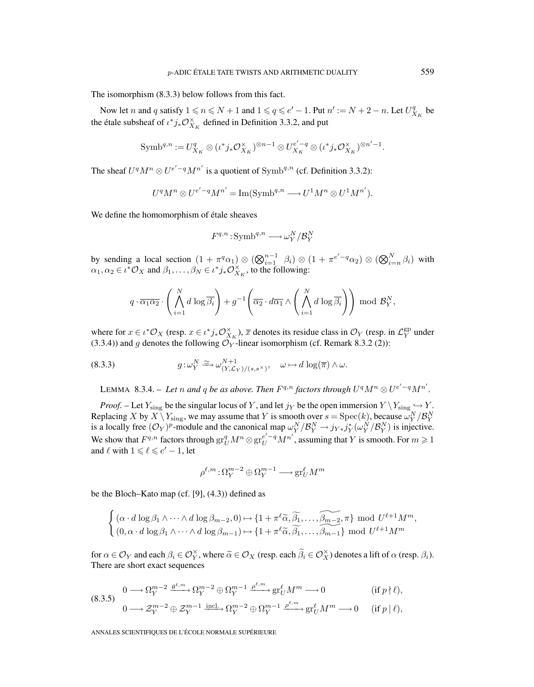The isomorphism (8.3.3) below follows from this fact.

Now let *n* and *q* satisfy  $1 \le n \le N + 1$  and  $1 \le q \le e' - 1$ . Put  $n' := N + 2 - n$ . Let  $U_{X_K}^q$  be the étale subsheaf of  $\iota^*j_*\mathcal{O}_{X_K}^{\times}$  defined in Definition 3.3.2, and put

$$
\mathrm{Symb}^{q,n}:=U^q_{X_K}\otimes (\iota^*j_*\mathcal{O}^\times_{X_K})^{\otimes n-1}\otimes U^{e'-q}_{X_K}\otimes (\iota^*j_*\mathcal{O}^\times_{X_K})^{\otimes n'-1}.
$$

The sheaf  $U^qM^n \otimes U^{e'-q}M^{n'}$  is a quotient of  $Symb^{q,n}$  (cf. Definition 3.3.2):

$$
U^q M^n \otimes U^{e'-q} M^{n'} = \text{Im}(\text{Symb}^{q,n} \longrightarrow U^1 M^n \otimes U^1 M^{n'}).
$$

We define the homomorphism of étale sheaves

$$
F^{q,n}: \mathrm{Symb}^{q,n} \longrightarrow \omega_Y^N/\mathcal{B}_Y^N
$$

by sending a local section  $(1 + \pi^q \alpha_1) \otimes (\bigotimes_{i=1}^{n-1} \beta_i) \otimes (1 + \pi^{e'-q} \alpha_2) \otimes (\bigotimes_{i=n}^{N} \beta_i)$  with  $\alpha_1, \alpha_2 \in \iota^* \mathcal{O}_X$  and  $\beta_1, \dots, \beta_N \in \iota^* j_* \mathcal{O}_{X_K}^{\times}$ , to the following:

$$
q \cdot \overline{\alpha_1 \alpha_2} \cdot \left( \bigwedge_{i=1}^N d \log \overline{\beta_i} \right) + g^{-1} \left( \overline{\alpha_2} \cdot d\overline{\alpha_1} \wedge \left( \bigwedge_{i=1}^N d \log \overline{\beta_i} \right) \right) \bmod \mathcal{B}_Y^N,
$$

where for  $x \in \iota^* \mathcal{O}_X$  (resp.  $x \in \iota^* j_* \mathcal{O}_{X_K}^{\times}$ ),  $\overline{x}$  denotes its residue class in  $\mathcal{O}_Y$  (resp. in  $\mathcal{L}_Y^{\text{gp}}$  under (3.3.4)) and g denotes the following  $\mathcal{O}_Y$ -linear isomorphism (cf. Remark 8.3.2 (2)):

(8.3.3) 
$$
g: \omega_Y^N \xrightarrow{\simeq} \omega_{(Y,\mathcal{L}_Y)/(s,s^\times)}^{N+1}, \quad \omega \mapsto d \log(\overline{\pi}) \wedge \omega.
$$

LEMMA 8.3.4. – Let n and q be as above. Then  $F^{q,n}$  factors through  $U^qM^n \otimes U^{e'-q}M^{n'}$ .

*Proof.* – Let  $Y_{\text{sing}}$  be the singular locus of Y, and let  $j_Y$  be the open immersion  $Y \setminus Y_{\text{sing}} \hookrightarrow Y$ . Replacing X by  $X \setminus Y_{\text{sing}}$ , we may assume that Y is smooth over  $s = \text{Spec}(k)$ , because  $\omega_Y^N / \mathcal{B}_Y^N$  is a locally free  $(\mathcal{O}_Y)^p$ -module and the canonical map  $\omega_Y^N / \mathcal{B}_Y^N \to j_{Y*} j_Y^* (\omega_Y^N / \mathcal{B}_Y^N)$  is injective We show that  $F^{q,n}$  factors through  $gr_U^q M^n \otimes gr_U^{e'-q} M^{n'}$ , assuming that  $Y$  is smooth. For  $m \geq 1$ and  $\ell$  with  $1 \leq \ell \leq e'-1$ , let

$$
\rho^{\ell,m}\!:\!\Omega_Y^{m-2}\oplus\Omega_Y^{m-1}\longrightarrow\operatorname{gr}_U^\ell M^m
$$

be the Bloch–Kato map (cf. [9], (4.3)) defined as

$$
\begin{cases} (\alpha \cdot d \log \beta_1 \wedge \dots \wedge d \log \beta_{m-2}, 0) \mapsto \{1 + \pi^{\ell} \widetilde{\alpha}, \widetilde{\beta_1}, \dots, \widetilde{\beta_{m-2}}, \pi\} \mod U^{\ell+1} M^m, \\ (0, \alpha \cdot d \log \beta_1 \wedge \dots \wedge d \log \beta_{m-1}) \mapsto \{1 + \pi^{\ell} \widetilde{\alpha}, \widetilde{\beta_1}, \dots, \widetilde{\beta_{m-1}}\} \mod U^{\ell+1} M^m \end{cases}
$$

for  $\alpha \in \mathcal{O}_Y$  and each  $\beta_i \in \mathcal{O}_X^{\times}$ , where  $\widetilde{\alpha} \in \mathcal{O}_X$  (resp. each  $\widetilde{\beta}_i \in \mathcal{O}_X^{\times}$ ) denotes a lift of  $\alpha$  (resp.  $\beta_i$ ). There are short exact sequences

$$
(8.3.5) \t\t 0 \longrightarrow \Omega_Y^{m-2} \xrightarrow{\theta^{\ell,m}} \Omega_Y^{m-2} \oplus \Omega_Y^{m-1} \xrightarrow{\rho^{\ell,m}} \text{gr}_U^{\ell} M^m \longrightarrow 0 \t\t (if \ p \nmid \ell),
$$

$$
0 \longrightarrow \mathcal{Z}_Y^{m-2} \oplus \mathcal{Z}_Y^{m-1} \xrightarrow{\text{incl.}} \Omega_Y^{m-2} \oplus \Omega_Y^{m-1} \xrightarrow{\rho^{\ell,m}} \operatorname{gr}^{\ell}_{U} M^m \longrightarrow 0 \quad \text{ (if } p \mid \ell),
$$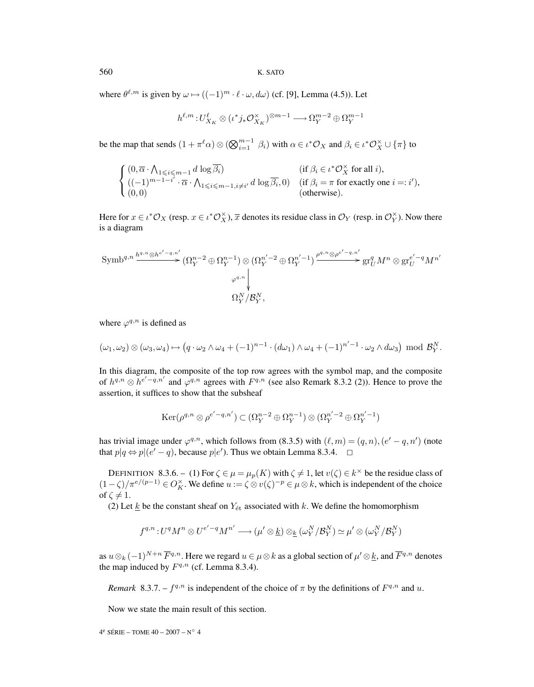560 K. SATO

where  $\theta^{\ell,m}$  is given by  $\omega \mapsto ((-1)^m \cdot \ell \cdot \omega, d\omega)$  (cf. [9], Lemma (4.5)). Let

$$
h^{\ell,m}\!:\! U^{\ell}_{X_K}\otimes (\iota^*j_*\mathcal{O}_{X_K}^{\times})^{\otimes m-1} \longrightarrow \Omega_Y^{m-2}\oplus \Omega_Y^{m-1}
$$

be the map that sends  $(1 + \pi^{\ell} \alpha) \otimes (\bigotimes_{i=1}^{m-1} \beta_i)$  with  $\alpha \in \iota^* \mathcal{O}_X$  and  $\beta_i \in \iota^* \mathcal{O}_X^{\times} \cup \{\pi\}$  to

$$
\begin{cases}\n(0, \overline{\alpha} \cdot \bigwedge_{1 \leqslant i \leqslant m-1} d \log \overline{\beta_i}) & (\text{if } \beta_i \in \iota^* \mathcal{O}_X^{\times} \text{ for all } i), \\
((-1)^{m-1-i'} \cdot \overline{\alpha} \cdot \bigwedge_{1 \leqslant i \leqslant m-1, i \neq i'} d \log \overline{\beta_i}, 0) & (\text{if } \beta_i = \pi \text{ for exactly one } i =: i'), \\
(0, 0) & (\text{otherwise}).\n\end{cases}
$$

Here for  $x \in \iota^* \mathcal{O}_X$  (resp.  $x \in \iota^* \mathcal{O}_X^{\times}$ ),  $\overline{x}$  denotes its residue class in  $\mathcal{O}_Y$  (resp. in  $\mathcal{O}_Y^{\times}$ ). Now there is a diagram

$$
\text{Symb}^{q,n} \stackrel{h^{q,n} \otimes h^{e'-q,n'}}{\longrightarrow} (\Omega_Y^{n-2} \oplus \Omega_Y^{n-1}) \otimes (\Omega_Y^{n'-2} \oplus \Omega_Y^{n'-1}) \stackrel{\rho^{q,n} \otimes \rho^{e'-q,n'}}{\longrightarrow} \text{gr}_U^q M^n \otimes \text{gr}_U^{e'-q} M^{n'}
$$
\n
$$
\downarrow^{\varphi^{q,n}} \downarrow^{\vee}
$$
\n
$$
\Omega_Y^N / \mathcal{B}_Y^N,
$$

where  $\varphi^{q,n}$  is defined as

$$
(\omega_1, \omega_2) \otimes (\omega_3, \omega_4) \mapsto (q \cdot \omega_2 \wedge \omega_4 + (-1)^{n-1} \cdot (d\omega_1) \wedge \omega_4 + (-1)^{n'-1} \cdot \omega_2 \wedge d\omega_3) \mod \mathcal{B}_Y^N.
$$

In this diagram, the composite of the top row agrees with the symbol map, and the composite of  $h^{q,n} \otimes h^{e'-q,n'}$  and  $\varphi^{q,n}$  agrees with  $F^{q,n}$  (see also Remark 8.3.2 (2)). Hence to prove the assertion, it suffices to show that the subsheaf

$$
\operatorname{Ker}(\rho^{q,n}\otimes \rho^{e'-q,n'})\subset (\Omega_Y^{n-2}\oplus \Omega_Y^{n-1})\otimes (\Omega_Y^{n'-2}\oplus \Omega_Y^{n'-1})
$$

has trivial image under  $\varphi^{q,n}$ , which follows from (8.3.5) with  $(\ell,m)=(q,n),(e'-q,n')$  (note that  $p|q \Leftrightarrow p|(e'-q)$ , because  $p|e'$ ). Thus we obtain Lemma 8.3.4.  $\Box$ 

DEFINITION 8.3.6. – (1) For  $\zeta \in \mu = \mu_p(K)$  with  $\zeta \neq 1$ , let  $v(\zeta) \in k^\times$  be the residue class of  $(1 - \zeta)/\pi^{e/(p-1)} \in O_K^\times$ . We define  $u := \zeta \otimes v(\zeta)^{-p} \in \mu \otimes k$ , which is independent of the choice of  $\zeta \neq 1$ .

(2) Let  $\underline{k}$  be the constant sheaf on  $Y_{\text{\'et}}$  associated with k. We define the homomorphism

$$
f^{q,n}\hspace{-1pt}: \hspace{-1pt} U^qM^n \otimes U^{e'-q}M^{n'} \longrightarrow (\mu' \otimes \underline{k}) \otimes_{\underline{k}} (\omega_Y^N/\mathcal{B}_Y^N) \simeq \mu' \otimes (\omega_Y^N/\mathcal{B}_Y^N)
$$

as  $u \otimes_k (-1)^{N+n} \overline{F}^{q,n}$ . Here we regard  $u \in \mu \otimes k$  as a global section of  $\mu' \otimes \underline{k}$ , and  $\overline{F}^{q,n}$  denotes the map induced by  $F^{q,n}$  (cf. Lemma 8.3.4).

*Remark* 8.3.7. –  $f^{q,n}$  is independent of the choice of  $\pi$  by the definitions of  $F^{q,n}$  and u.

Now we state the main result of this section.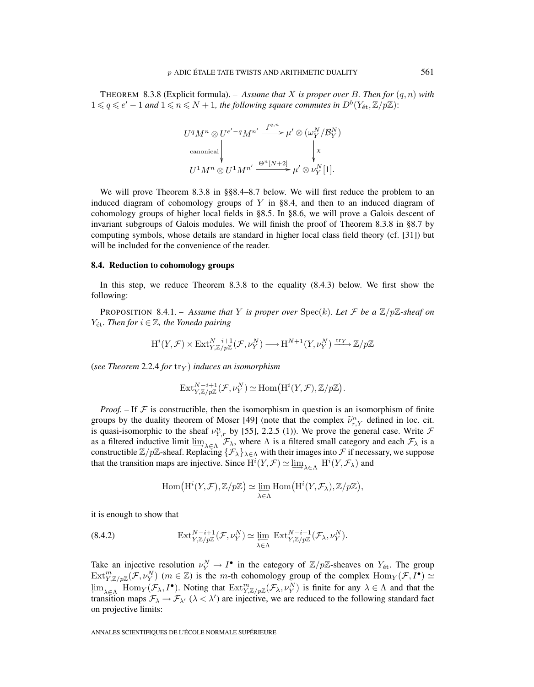THEOREM 8.3.8 (Explicit formula). – *Assume that* X *is proper over* B. Then for  $(q, n)$  with  $1 \leq q \leq e' - 1$  and  $1 \leq n \leq N + 1$ , the following square commutes in  $D^b(Y_{\text{\'et}},\mathbb{Z}/p\mathbb{Z})$ :

$$
U^{q}M^{n} \otimes U^{e'-q}M^{n'} \xrightarrow{f^{q,n}} \mu' \otimes (\omega_{Y}^{N}/\mathcal{B}_{Y}^{N})
$$
  
\ncanonical  
\n
$$
\downarrow \qquad \qquad \downarrow \chi
$$
  
\n
$$
U^{1}M^{n} \otimes U^{1}M^{n'} \xrightarrow{\Theta^{n}[N+2]} \mu' \otimes \nu_{Y}^{N}[1].
$$

We will prove Theorem 8.3.8 in §§8.4–8.7 below. We will first reduce the problem to an induced diagram of cohomology groups of  $Y$  in §8.4, and then to an induced diagram of cohomology groups of higher local fields in §8.5. In §8.6, we will prove a Galois descent of invariant subgroups of Galois modules. We will finish the proof of Theorem 8.3.8 in §8.7 by computing symbols, whose details are standard in higher local class field theory (cf. [31]) but will be included for the convenience of the reader.

## **8.4. Reduction to cohomology groups**

In this step, we reduce Theorem 8.3.8 to the equality (8.4.3) below. We first show the following:

**PROPOSITION** 8.4.1. – *Assume that* Y *is proper over*  $Spec(k)$ *. Let* F *be a*  $\mathbb{Z}/p\mathbb{Z}$ *-sheaf on*  $Y_{\text{\'et}}$ *. Then for*  $i \in \mathbb{Z}$ *, the Yoneda pairing* 

$$
\mathrm{H}^i(Y,\mathcal{F}) \times \mathrm{Ext}^{N-i+1}_{Y,\mathbb{Z}/p\mathbb{Z}}(\mathcal{F},\nu_Y^N) \longrightarrow \mathrm{H}^{N+1}(Y,\nu_Y^N) \xrightarrow{\mathrm{tr}_Y} \mathbb{Z}/p\mathbb{Z}
$$

(*see Theorem* 2.2.4 *for*  $\text{tr}_{\text{Y}}$ ) *induces an isomorphism* 

$$
\mathrm{Ext}^{N-i+1}_{Y,\mathbb{Z}/p\mathbb{Z}}(\mathcal{F},\nu_Y^N) \simeq \mathrm{Hom}\big(\mathrm{H}^i(Y,\mathcal{F}),\mathbb{Z}/p\mathbb{Z}\big).
$$

*Proof.* – If  $F$  is constructible, then the isomorphism in question is an isomorphism of finite groups by the duality theorem of Moser [49] (note that the complex  $\tilde{\nu}_{r,Y}^n$  defined in loc. cit.<br>is greater isomorphis to the charge  $v_n^m$ , by [55], 2.2.5 (1)). We greater the spannel ages. Write is quasi-isomorphic to the sheaf  $\nu_{Y,r}^n$  by [55], 2.2.5 (1)). We prove the general case. Write  $\mathcal F$ as a filtered inductive limit  $\lim_{\lambda \in \Lambda} \mathcal{F}_{\lambda}$ , where  $\Lambda$  is a filtered small category and each  $\mathcal{F}_{\lambda}$  is a constructible  $\Z/p\Z$ -sheaf. Replacing  $\{\mathcal{F}_\lambda\}_{\lambda\in\Lambda}$  with their images into  $\mathcal F$  if necessary, we suppose that the transition maps are injective. Since  $H^i(Y, \mathcal{F}) \simeq \varinjlim_{\lambda \in \Lambda} H^i(Y, \mathcal{F}_\lambda)$  and

$$
\mathrm{Hom}\big(\mathrm{H}^i(Y,\mathcal{F}),\mathbb{Z}/p\mathbb{Z}\big)\simeq \varprojlim_{\lambda\in\Lambda}\mathrm{Hom}\big(\mathrm{H}^i(Y,\mathcal{F}_\lambda),\mathbb{Z}/p\mathbb{Z}\big),
$$

it is enough to show that

(8.4.2) 
$$
\operatorname{Ext}^{N-i+1}_{Y,\mathbb{Z}/p\mathbb{Z}}(\mathcal{F},\nu_Y^N)\simeq \varprojlim_{\lambda\in\Lambda}\operatorname{Ext}^{N-i+1}_{Y,\mathbb{Z}/p\mathbb{Z}}(\mathcal{F}_{\lambda},\nu_Y^N).
$$

Take an injective resolution  $\nu_Y^N \to I^{\bullet}$  in the category of  $\mathbb{Z}/p\mathbb{Z}$ -sheaves on  $Y_{\text{\'et}}$ . The group  $Ext^m_{Y,\mathbb{Z}/p\mathbb{Z}}(\mathcal{F},\nu_Y^N)$   $(m \in \mathbb{Z})$  is the m-th cohomology group of the complex  $Hom_Y(\mathcal{F},I^{\bullet}) \simeq$  $\lim_{\lambda \in \Lambda}$  Hom $_Y(\mathcal{F}_\lambda, I^{\bullet})$ . Noting that  $\text{Ext}^m_{Y,\mathbb{Z}/p\mathbb{Z}}(\mathcal{F}_\lambda, \nu_Y^N)$  is finite for any  $\lambda \in \Lambda$  and that the transition maps  $\mathcal{F}_{\lambda} \to \mathcal{F}_{\lambda'}$  ( $\lambda < \lambda'$ ) are injective, we are reduced to the following standard fact on projective limits: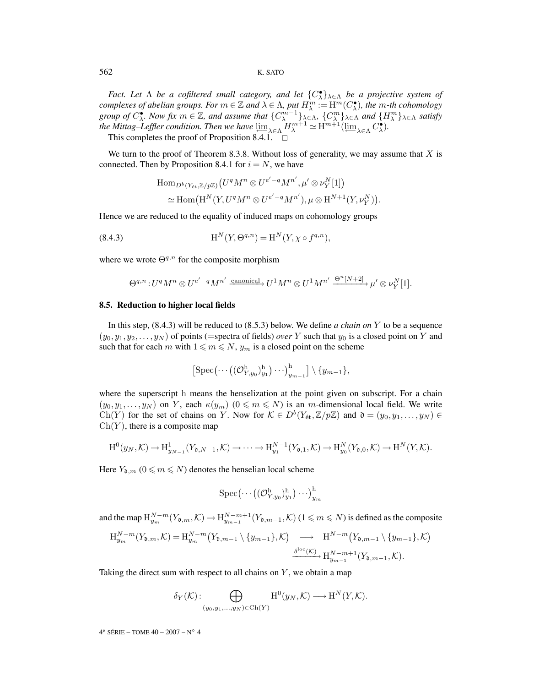562 K. SATO

*Fact. Let* Λ *be a cofiltered small category, and let* {C• <sup>λ</sup>}λ∈<sup>Λ</sup> *be a projective system of complexes of abelian groups. For*  $m \in \mathbb{Z}$  *and*  $\lambda \in \Lambda$ *, put*  $H_{\lambda}^{m} := H^{m}(C_{\lambda}^{\bullet})$ *, the*  $m$ -th cohomology *group of*  $C^{\bullet}_{\lambda}$ *. Now fix*  $m \in \mathbb{Z}$ *, and assume that*  $\{C^{m-1}_{\lambda}\}_{\lambda \in \Lambda}$ *,*  $\{C^{m}_{\lambda}\}_{\lambda \in \Lambda}$  *and*  $\{H^{m}_{\lambda}\}_{\lambda \in \Lambda}$  *satisfy the Mittag–Leffler condition. Then we have*  $\varprojlim_{\lambda \in \Lambda} H_{\lambda}^{m+1} \simeq \mathrm{H}^{m+1}(\varprojlim_{\lambda \in \Lambda} C_{\lambda}^{\bullet}).$ 

This completes the proof of Proposition 8.4.1.

We turn to the proof of Theorem 8.3.8. Without loss of generality, we may assume that  $X$  is connected. Then by Proposition 8.4.1 for  $i = N$ , we have

$$
\text{Hom}_{D^b(Y_{\text{\'et}},\mathbb{Z}/p\mathbb{Z})}(U^qM^n\otimes U^{e'-q}M^{n'},\mu'\otimes \nu_Y^N[1])\\ \simeq \text{Hom}\big(\text{H}^N(Y,U^qM^n\otimes U^{e'-q}M^{n'}),\mu\otimes \text{H}^{N+1}(Y,\nu_Y^N)\big).
$$

Hence we are reduced to the equality of induced maps on cohomology groups

(8.4.3) 
$$
H^{N}(Y,\Theta^{q,n}) = H^{N}(Y,\chi \circ f^{q,n}),
$$

where we wrote  $\Theta^{q,n}$  for the composite morphism

$$
\Theta^{q,n}\colon U^qM^n\otimes U^{e'-q}M^{n'}\xrightarrow{\text{canonical}} U^1M^n\otimes U^1M^{n'}\xrightarrow{\Theta^n[N+2]} \mu'\otimes \nu_Y^N[1].
$$

#### **8.5. Reduction to higher local fields**

In this step, (8.4.3) will be reduced to (8.5.3) below. We define *a chain on* Y to be a sequence  $(y_0, y_1, y_2, \ldots, y_N)$  of points (=spectra of fields) *over* Y such that  $y_0$  is a closed point on Y and such that for each m with  $1 \le m \le N$ ,  $y_m$  is a closed point on the scheme

$$
\left[\operatorname{Spec}(\cdots((\mathcal{O}_{Y,y_0}^{\mathrm{h}})_{y_1}^{\mathrm{h}})\cdots)^{\mathrm{h}}_{y_{m-1}}\right]\setminus\{y_{m-1}\},\
$$

where the superscript h means the henselization at the point given on subscript. For a chain  $(y_0, y_1,..., y_N)$  on Y, each  $\kappa(y_m)$   $(0 \le m \le N)$  is an m-dimensional local field. We write Ch(Y) for the set of chains on Y. Now for  $\mathcal{K} \in D^b(Y_{\text{\'et}},\mathbb{Z}/p\mathbb{Z})$  and  $\mathfrak{d} = (y_0,y_1,\ldots,y_N) \in$  $Ch(Y)$ , there is a composite map

$$
\mathrm{H}^{0}(y_{N},\mathcal{K})\longrightarrow \mathrm{H}^{1}_{y_{N-1}}(Y_{\mathfrak{d},N-1},\mathcal{K})\longrightarrow \cdots \longrightarrow \mathrm{H}^{N-1}_{y_{1}}(Y_{\mathfrak{d},1},\mathcal{K})\longrightarrow \mathrm{H}^{N}_{y_{0}}(Y_{\mathfrak{d},0},\mathcal{K})\longrightarrow \mathrm{H}^{N}(Y,\mathcal{K}).
$$

Here  $Y_{\mathfrak{d},m}$  ( $0 \leq m \leq N$ ) denotes the henselian local scheme

$$
\mathrm{Spec}(\cdots\big((\mathcal{O}_{Y,y_0}^\mathrm{h})_{y_1}^\mathrm{h}\big)\cdots\big)_{y_m}^\mathrm{h}
$$

and the map  $H_{y_m}^{N-m}(Y_{\mathfrak{d},m},\mathcal{K}) \to H_{y_{m-1}}^{N-m+1}(Y_{\mathfrak{d},m-1},\mathcal{K})$  ( $1 \leq m \leq N$ ) is defined as the composite

$$
\begin{split} \mathcal{H}_{y_m}^{N-m}(Y_{\mathfrak{d},m},\mathcal{K}) &= \mathcal{H}_{y_m}^{N-m}\big(Y_{\mathfrak{d},m-1}\setminus\{y_{m-1}\},\mathcal{K}\big) \quad\longrightarrow\quad \mathcal{H}^{N-m}\big(Y_{\mathfrak{d},m-1}\setminus\{y_{m-1}\},\mathcal{K}\big) \\ &\xrightarrow{\delta^{\text{loc}}(\mathcal{K})} \mathcal{H}_{y_{m-1}}^{N-m+1}(Y_{\mathfrak{d},m-1},\mathcal{K}). \end{split}
$$

Taking the direct sum with respect to all chains on  $Y$ , we obtain a map

$$
\delta_Y(\mathcal{K}) : \bigoplus_{(y_0, y_1, \dots, y_N) \in \text{Ch}(Y)} \text{H}^0(y_N, \mathcal{K}) \longrightarrow \text{H}^N(Y, \mathcal{K}).
$$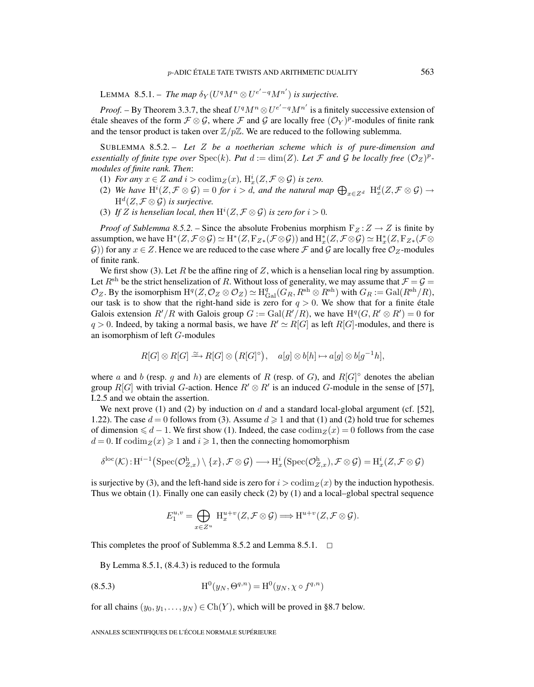LEMMA 8.5.1. – *The map*  $\delta_Y(U^qM^n \otimes U^{e'-q}M^{n'})$  *is surjective.* 

*Proof.* – By Theorem 3.3.7, the sheaf  $U^q M^n \otimes U^{e'-q} M^{n'}$  is a finitely successive extension of étale sheaves of the form  $\mathcal{F} \otimes \mathcal{G}$ , where  $\mathcal{F}$  and  $\mathcal{G}$  are locally free  $(\mathcal{O}_Y)^p$ -modules of finite rank and the tensor product is taken over  $\mathbb{Z}/p\mathbb{Z}$ . We are reduced to the following sublemma.

SUBLEMMA 8.5.2. – *Let* Z *be a noetherian scheme which is of pure-dimension and essentially of finite type over*  $Spec(k)$ *. Put*  $d := dim(Z)$ *. Let* F *and* G *be locally free*  $(\mathcal{O}_Z)^p$ *modules of finite rank. Then*:

- (1) *For any*  $x \in Z$  *and*  $i > \operatorname{codim}_Z(x)$ ,  $H_x^i(Z, \mathcal{F} \otimes \mathcal{G})$  *is zero.*
- (2) We have  $\mathrm{H}^i(Z,\mathcal{F}\otimes\mathcal{G})=0$  *for*  $i>d$ , and the natural map  $\bigoplus_{x\in Z^d} \mathrm{H}^d_x(Z,\mathcal{F}\otimes\mathcal{G})\to$  $H^d(Z, \mathcal{F} \otimes \mathcal{G})$  *is surjective.*
- (3) If Z is henselian local, then  $H^{i}(Z, \mathcal{F} \otimes \mathcal{G})$  is zero for  $i > 0$ .

*Proof of Sublemma 8.5.2.* – Since the absolute Frobenius morphism  $F_Z : Z \to Z$  is finite by assumption, we have  $\mathrm{H}^*(Z,\mathcal{F}\otimes\mathcal{G})\simeq \mathrm{H}^*(Z,\mathrm{F}_{Z*}(\mathcal{F}\otimes\mathcal{G}))$  and  $\mathrm{H}^*_x(Z,\mathcal{F}\otimes\mathcal{G})\simeq \mathrm{H}^*_x(Z,\mathrm{F}_{Z*}(\mathcal{F}\otimes\mathcal{G}))$ G)) for any  $x \in Z$ . Hence we are reduced to the case where F and G are locally free  $\mathcal{O}_Z$ -modules of finite rank.

We first show (3). Let  $R$  be the affine ring of  $Z$ , which is a henselian local ring by assumption. Let  $R^{\text{sh}}$  be the strict henselization of R. Without loss of generality, we may assume that  $\mathcal{F} = \mathcal{G}$  $\mathcal{O}_Z$ . By the isomorphism  $\mathrm{H}^q(Z, \mathcal{O}_Z \otimes \mathcal{O}_Z) \simeq \mathrm{H}^q_\mathrm{Gal}(G_R, R^{\mathrm{sh}} \otimes R^{\mathrm{sh}})$  with  $G_R := \mathrm{Gal}(R^{\mathrm{sh}}/R)$ , our task is to show that the right-hand side is zero for  $q > 0$ . We show that for a finite étale Galois extension  $R'/R$  with Galois group  $G := \text{Gal}(R'/R)$ , we have  $H^q(G, R' \otimes R') = 0$  for  $q > 0$ . Indeed, by taking a normal basis, we have  $R' \simeq R[G]$  as left  $R[G]$ -modules, and there is an isomorphism of left G-modules

$$
R[G] \otimes R[G] \xrightarrow{\simeq} R[G] \otimes (R[G]^{\circ}), \quad a[g] \otimes b[h] \mapsto a[g] \otimes b[g^{-1}h],
$$

where a and b (resp. g and h) are elements of R (resp. of G), and  $R[G]^\circ$  denotes the abelian group  $R[G]$  with trivial G-action. Hence  $R' \otimes R'$  is an induced G-module in the sense of [57], I.2.5 and we obtain the assertion.

We next prove (1) and (2) by induction on  $d$  and a standard local-global argument (cf. [52], 1.22). The case  $d = 0$  follows from (3). Assume  $d \ge 1$  and that (1) and (2) hold true for schemes of dimension  $\leq d - 1$ . We first show (1). Indeed, the case codim<sub>Z</sub>(x) = 0 follows from the case  $d = 0$ . If  $\operatorname{codim}_Z(x) \geq 1$  and  $i \geq 1$ , then the connecting homomorphism

$$
\delta^{\rm loc}(\mathcal{K}) : \mathrm{H}^{i-1}\big( {\rm Spec}(\mathcal{O}_{Z,x}^{\mathrm{h}}) \setminus \{x\}, \mathcal{F} \otimes \mathcal{G} \big) \longrightarrow \mathrm{H}^{i}_{x}\big( {\rm Spec}(\mathcal{O}_{Z,x}^{\mathrm{h}}), \mathcal{F} \otimes \mathcal{G} \big) = \mathrm{H}^{i}_{x}(Z, \mathcal{F} \otimes \mathcal{G})
$$

is surjective by (3), and the left-hand side is zero for  $i > \text{codim}_z(x)$  by the induction hypothesis. Thus we obtain (1). Finally one can easily check (2) by (1) and a local–global spectral sequence

$$
E_1^{u,v} = \bigoplus_{x \in Z^u} H_x^{u+v}(Z, \mathcal{F} \otimes \mathcal{G}) \Longrightarrow H^{u+v}(Z, \mathcal{F} \otimes \mathcal{G}).
$$

This completes the proof of Sublemma 8.5.2 and Lemma 8.5.1.  $\Box$ 

By Lemma 8.5.1, (8.4.3) is reduced to the formula

(8.5.3) 
$$
H^{0}(y_{N}, \Theta^{q,n}) = H^{0}(y_{N}, \chi \circ f^{q,n})
$$

for all chains  $(y_0, y_1, \ldots, y_N) \in Ch(Y)$ , which will be proved in §8.7 below.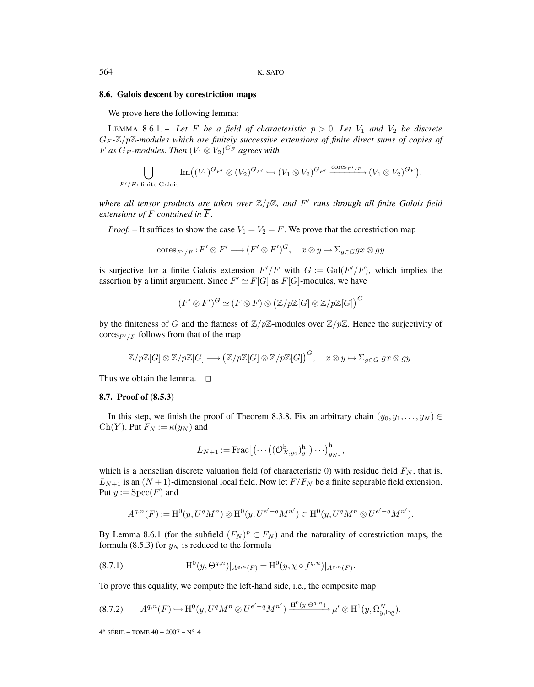#### **8.6. Galois descent by corestriction maps**

We prove here the following lemma:

LEMMA 8.6.1. – Let F be a field of characteristic  $p > 0$ . Let  $V_1$  and  $V_2$  be discrete G<sup>F</sup> *-*Z/pZ*-modules which are finitely successive extensions of finite direct sums of copies of*  $\overline{F}$  *as*  $G_F$ -modules. Then  $(V_1 \otimes V_2)^{G_F}$  agrees with

$$
\bigcup_{F'/F: \text{ finite Galois}} \operatorname{Im}((V_1)^{G_{F'}} \otimes (V_2)^{G_{F'}} \hookrightarrow (V_1 \otimes V_2)^{G_{F'}} \xrightarrow{\text{cores}_{F'/F}} (V_1 \otimes V_2)^{G_F},
$$

*where all tensor products are taken over*  $\mathbb{Z}/p\mathbb{Z}$ *, and*  $F'$  *runs through all finite Galois field extensions of*  $F$  *contained in*  $\overline{F}$ *.* 

*Proof.* – It suffices to show the case  $V_1 = V_2 = \overline{F}$ . We prove that the corestriction map

$$
\mathrm{cores}_{F'/F}: F' \otimes F' \longrightarrow (F' \otimes F')^G, \quad x \otimes y \mapsto \Sigma_{g \in G} gx \otimes gy
$$

is surjective for a finite Galois extension  $F'/F$  with  $G := \text{Gal}(F'/F)$ , which implies the assertion by a limit argument. Since  $F' \simeq F[G]$  as  $F[G]$ -modules, we have

$$
(F' \otimes F')^G \simeq (F \otimes F) \otimes (\mathbb{Z}/p\mathbb{Z}[G] \otimes \mathbb{Z}/p\mathbb{Z}[G])^G
$$

by the finiteness of G and the flatness of  $\mathbb{Z}/p\mathbb{Z}$ -modules over  $\mathbb{Z}/p\mathbb{Z}$ . Hence the surjectivity of  $\text{cores}_{F'/F}$  follows from that of the map

$$
\mathbb{Z}/p\mathbb{Z}[G]\otimes \mathbb{Z}/p\mathbb{Z}[G]\longrightarrow (\mathbb{Z}/p\mathbb{Z}[G]\otimes \mathbb{Z}/p\mathbb{Z}[G])^G, \quad x\otimes y\mapsto \Sigma_{g\in G} \; gx\otimes gy.
$$

Thus we obtain the lemma.  $\square$ 

#### **8.7. Proof of (8.5.3)**

In this step, we finish the proof of Theorem 8.3.8. Fix an arbitrary chain  $(y_0, y_1, \ldots, y_N)$ Ch(Y). Put  $F_N := \kappa(y_N)$  and

$$
L_{N+1} := \operatorname{Frac}[(\cdots((\mathcal{O}_{X,y_0}^{\mathrm{h}})_{y_1}^{\mathrm{h}})\cdots)_{y_N}^{\mathrm{h}}],
$$

which is a henselian discrete valuation field (of characteristic 0) with residue field  $F<sub>N</sub>$ , that is,  $L_{N+1}$  is an  $(N+1)$ -dimensional local field. Now let  $F/F_N$  be a finite separable field extension. Put  $y := \text{Spec}(F)$  and

$$
A^{q,n}(F):=\mathrm{H}^0(y,U^qM^n)\otimes \mathrm{H}^0(y,U^{e'-q}M^{n'})\subset \mathrm{H}^0(y,U^qM^n\otimes U^{e'-q}M^{n'}).
$$

By Lemma 8.6.1 (for the subfield  $(F_N)^p \subset F_N$ ) and the naturality of corestriction maps, the formula (8.5.3) for  $y_N$  is reduced to the formula

(8.7.1) 
$$
H^{0}(y,\Theta^{q,n})|_{A^{q,n}(F)} = H^{0}(y,\chi \circ f^{q,n})|_{A^{q,n}(F)}.
$$

To prove this equality, we compute the left-hand side, i.e., the composite map

$$
(8.7.2) \qquad A^{q,n}(F) \hookrightarrow \mathrm{H}^0(y, U^q M^n \otimes U^{e'-q} M^{n'}) \xrightarrow{\mathrm{H}^0(y, \Theta^{q,n})} \mu' \otimes \mathrm{H}^1(y, \Omega^N_{y, \log}).
$$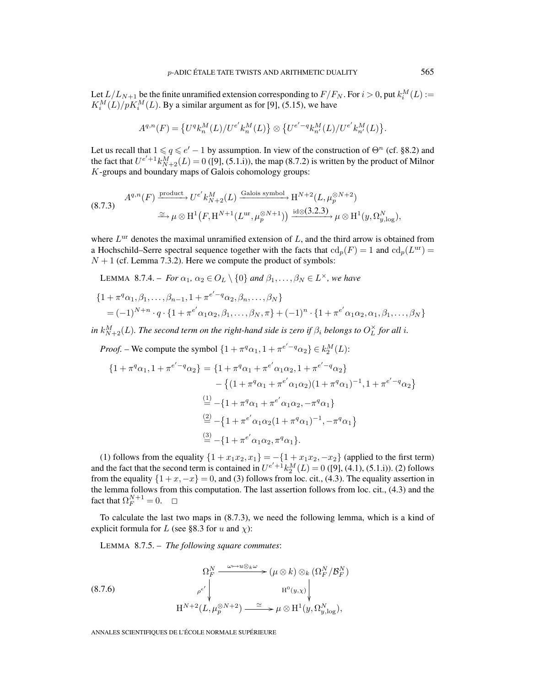Let  $L/L_{N+1}$  be the finite unramified extension corresponding to  $F/F_N$ . For  $i > 0$ , put  $k_i^M(L) :=$  $K_i^M(L)/pK_i^M(L)$ . By a similar argument as for [9], (5.15), we have

$$
A^{q,n}(F)=\left\{U^q k_n^M(L)/U^{e'} k_n^M(L)\right\}\otimes \left\{U^{e'-q} k_{n'}^M(L)/U^{e'} k_{n'}^M(L)\right\}.
$$

Let us recall that  $1 \leq q \leq e' - 1$  by assumption. In view of the construction of  $\Theta^n$  (cf. §8.2) and the fact that  $U^{e'+1} k_{N+2}^M(L) = 0$  ([9], (5.1.i)), the map (8.7.2) is written by the product of Milnor K-groups and boundary maps of Galois cohomology groups:

(8.7.3) 
$$
A^{q,n}(F) \xrightarrow{\text{product}} U^{e'} k_{N+2}^M(L) \xrightarrow{\text{Galois symbol}} H^{N+2}(L, \mu_p^{\otimes N+2})
$$

$$
\xrightarrow{\simeq} \mu \otimes H^1(F, H^{N+1}(L^{\text{ur}}, \mu_p^{\otimes N+1})) \xrightarrow{\text{id} \otimes (3.2.3)} \mu \otimes H^1(y, \Omega_{y, \log}^N),
$$

where  $L<sup>ur</sup>$  denotes the maximal unramified extension of  $L$ , and the third arrow is obtained from a Hochschild–Serre spectral sequence together with the facts that  $\mathrm{cd}_p(F)=1$  and  $\mathrm{cd}_p(L^{\mathrm{ur}}) =$  $N + 1$  (cf. Lemma 7.3.2). Here we compute the product of symbols:

LEMMA 8.7.4. – *For*  $\alpha_1$ ,  $\alpha_2 \in O_L \setminus \{0\}$  *and*  $\beta_1, \ldots, \beta_N \in L^\times$ *, we have* 

$$
\{1 + \pi^{q}\alpha_{1}, \beta_{1}, \ldots, \beta_{n-1}, 1 + \pi^{e'-q}\alpha_{2}, \beta_{n}, \ldots, \beta_{N}\}\
$$
  
=  $(-1)^{N+n} \cdot q \cdot \{1 + \pi^{e'}\alpha_{1}\alpha_{2}, \beta_{1}, \ldots, \beta_{N}, \pi\} + (-1)^{n} \cdot \{1 + \pi^{e'}\alpha_{1}\alpha_{2}, \alpha_{1}, \beta_{1}, \ldots, \beta_{N}\}\$ 

in  $k_{N+2}^M(L)$ . The second term on the right-hand side is zero if  $\beta_i$  belongs to  $O_L^{\times}$  for all i.

*Proof.* – We compute the symbol 
$$
\{1 + \pi^q \alpha_1, 1 + \pi^{e'-q} \alpha_2\} \in k_2^M(L)
$$
:  
\n
$$
\{1 + \pi^q \alpha_1, 1 + \pi^{e'-q} \alpha_2\} = \{1 + \pi^q \alpha_1 + \pi^{e'} \alpha_1 \alpha_2, 1 + \pi^{e'-q} \alpha_2\}
$$
\n
$$
- \{(1 + \pi^q \alpha_1 + \pi^{e'} \alpha_1 \alpha_2)(1 + \pi^q \alpha_1)^{-1}, 1 + \pi^{e'-q} \alpha_2\}
$$
\n
$$
\stackrel{(1)}{=} - \{1 + \pi^q \alpha_1 + \pi^{e'} \alpha_1 \alpha_2, -\pi^q \alpha_1\}
$$
\n
$$
\stackrel{(2)}{=} - \{1 + \pi^{e'} \alpha_1 \alpha_2 (1 + \pi^q \alpha_1)^{-1}, -\pi^q \alpha_1\}
$$
\n
$$
\stackrel{(3)}{=} - \{1 + \pi^{e'} \alpha_1 \alpha_2, \pi^q \alpha_1\}.
$$

(1) follows from the equality  $\{1 + x_1x_2, x_1\} = -\{1 + x_1x_2, -x_2\}$  (applied to the first term) and the fact that the second term is contained in  $U^{e'+1}k_2^M(L) = 0$  ([9], (4.1), (5.1.i)). (2) follows from the equality  $\{1+x,-x\}=0$ , and (3) follows from loc. cit., (4.3). The equality assertion in the lemma follows from this computation. The last assertion follows from loc. cit., (4.3) and the fact that  $\Omega_F^{N+1} = 0$ .  $\Box$ 

To calculate the last two maps in (8.7.3), we need the following lemma, which is a kind of explicit formula for L (see §8.3 for u and  $\chi$ ):

LEMMA 8.7.5. – *The following square commutes*:

(8.7.6)  
\n
$$
\Omega_F^N \xrightarrow{\omega \mapsto u \otimes_k \omega} (\mu \otimes k) \otimes_k (\Omega_F^N / \mathcal{B}_F^N)
$$
\n
$$
\rho^{e'} \downarrow \qquad \qquad H^0(y, \chi) \downarrow
$$
\n
$$
H^{N+2}(L, \mu_p^{\otimes N+2}) \xrightarrow{\simeq} \mu \otimes H^1(y, \Omega_{y, \log}^N),
$$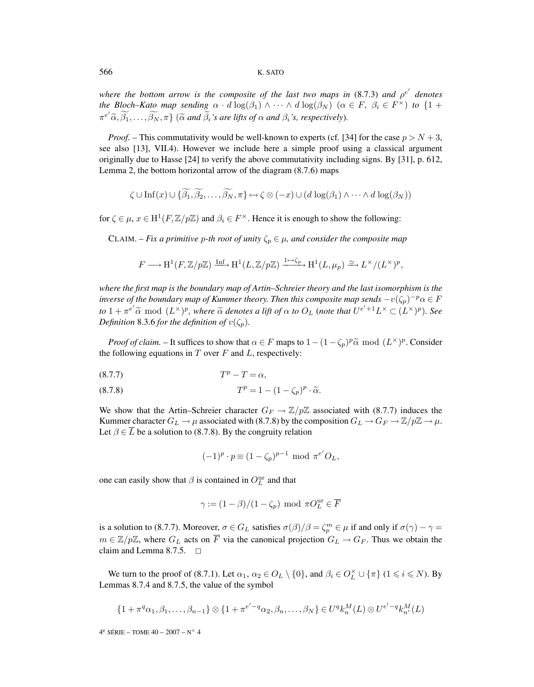### 566 K. SATO

*where the bottom arrow is the composite of the last two maps in*  $(8.7.3)$  *and*  $\rho^{e'}$  *denotes the Bloch–Kato map sending*  $\alpha \cdot d \log(\beta_1) \wedge \cdots \wedge d \log(\beta_N)$   $(\alpha \in F, \beta_i \in F^\times)$  *to*  $\{1 + \alpha_1 + \alpha_2 + \cdots + \alpha_n\}$  $\{\pi^{e'}\widetilde{\alpha}, \beta_1, \ldots, \beta_N, \pi\}$  ( $\widetilde{\alpha}$  *and*  $\beta_i$ *'s are lifts of*  $\alpha$  *and*  $\beta_i$ *'s, respectively*).

*Proof.* – This commutativity would be well-known to experts (cf. [34] for the case  $p > N + 3$ , see also [13], VII.4). However we include here a simple proof using a classical argument originally due to Hasse [24] to verify the above commutativity including signs. By [31], p. 612, Lemma 2, the bottom horizontal arrow of the diagram (8.7.6) maps

$$
\zeta \cup \text{Inf}(x) \cup \{ \widetilde{\beta_1}, \widetilde{\beta_2}, \ldots, \widetilde{\beta_N}, \pi \} \mapsto \zeta \otimes (-x) \cup (d \log(\beta_1) \wedge \cdots \wedge d \log(\beta_N))
$$

for  $\zeta \in \mu$ ,  $x \in H^1(F, \mathbb{Z}/p\mathbb{Z})$  and  $\beta_i \in F^\times$ . Hence it is enough to show the following:

CLAIM. – *Fix a primitive p-th root of unity*  $\zeta_p \in \mu$ , and consider the composite map

$$
F \longrightarrow \mathrm{H}^1(F, \mathbb{Z}/p\mathbb{Z}) \xrightarrow{\mathrm{Inf}} \mathrm{H}^1(L, \mathbb{Z}/p\mathbb{Z}) \xrightarrow{1 \mapsto \zeta_p} \mathrm{H}^1(L, \mu_p) \xrightarrow{\simeq} L^{\times}/(L^{\times})^p,
$$

*where the first map is the boundary map of Artin–Schreier theory and the last isomorphism is the inverse of the boundary map of Kummer theory. Then this composite map sends*  $-v(\zeta_p)^{-p}\alpha \in F$ *to*  $1 + \pi^{e'}\tilde{\alpha} \mod (L^{\times})^p$ , where  $\tilde{\alpha}$  denotes a lift of  $\alpha$  to  $O_L$  (note that  $U^{e'+1}L^{\times} \subset (L^{\times})^p$ ). See *Definition* 8.3.6 *for the definition of*  $v(\zeta_p)$ *.* 

*Proof of claim.* – It suffices to show that  $\alpha \in F$  maps to  $1-(1-\zeta_p)^p \tilde{\alpha} \mod (L^{\times})^p$ . Consider the following equations in  $T$  over  $F$  and  $L$ , respectively:

$$
(8.7.7) \t\t Tp - T = \alpha,
$$

(8.7.8) 
$$
T^p = 1 - (1 - \zeta_p)^p \cdot \tilde{\alpha}.
$$

We show that the Artin–Schreier character  $G_F \to \mathbb{Z}/p\mathbb{Z}$  associated with (8.7.7) induces the Kummer character  $G_L \to \mu$  associated with (8.7.8) by the composition  $G_L \to G_F \to \mathbb{Z}/p\mathbb{Z} \to \mu$ . Let  $\beta \in \overline{L}$  be a solution to (8.7.8). By the congruity relation

$$
(-1)^p \cdot p \equiv (1 - \zeta_p)^{p-1} \mod \pi^{e'} O_L,
$$

one can easily show that  $\beta$  is contained in  $O_L^{\text{ur}}$  and that

$$
\gamma := (1 - \beta)/(1 - \zeta_p) \text{ mod } \pi O_L^{\text{ur}} \in \overline{F}
$$

is a solution to (8.7.7). Moreover,  $\sigma \in G_L$  satisfies  $\sigma(\beta)/\beta = \zeta_p^m \in \mu$  if and only if  $\sigma(\gamma) - \gamma =$  $m \in \mathbb{Z}/p\mathbb{Z}$ , where  $G_L$  acts on  $\overline{F}$  via the canonical projection  $G_L \to G_F$ . Thus we obtain the claim and Lemma 8.7.5.  $\Box$ 

We turn to the proof of (8.7.1). Let  $\alpha_1, \alpha_2 \in O_L \setminus \{0\}$ , and  $\beta_i \in O_L^{\times} \cup \{\pi\}$  ( $1 \le i \le N$ ). By Lemmas 8.7.4 and 8.7.5, the value of the symbol

$$
\{1+\pi^q\alpha_1,\beta_1,\ldots,\beta_{n-1}\}\otimes\{1+\pi^{e'-q}\alpha_2,\beta_n,\ldots,\beta_N\}\in U^q k_n^M(L)\otimes U^{e'-q} k_{n'}^M(L)
$$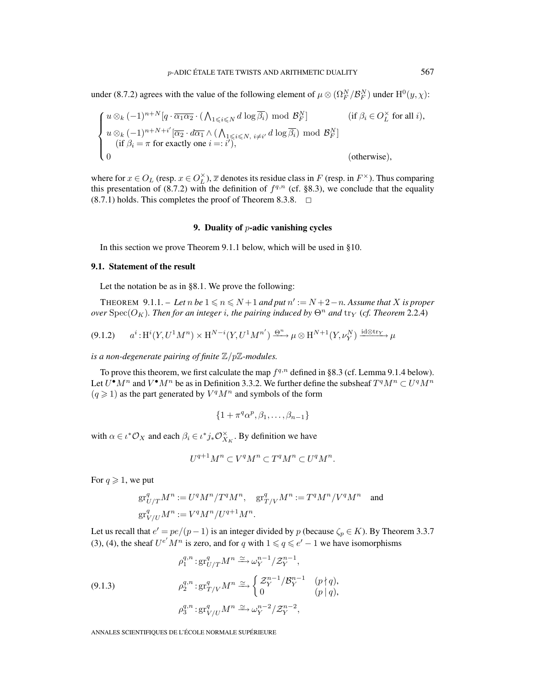under (8.7.2) agrees with the value of the following element of  $\mu \otimes (\Omega_F^N/\mathcal{B}_F^N)$  under  $\mathrm{H}^0(y,\chi)$ :

$$
\begin{cases}\n u \otimes_k (-1)^{n+N} [q \cdot \overline{\alpha_1 \alpha_2} \cdot (\bigwedge_{1 \leq i \leq N} d \log \overline{\beta_i}) \mod \mathcal{B}_F^N] & \text{ (if } \beta_i \in O_L^\times \text{ for all } i), \\
 u \otimes_k (-1)^{n+N+i'} [\overline{\alpha_2} \cdot d\overline{\alpha_1} \wedge (\bigwedge_{1 \leq i \leq N, i \neq i'} d \log \overline{\beta_i}) \mod \mathcal{B}_F^N] \\
 (if \beta_i = \pi \text{ for exactly one } i =: i'), \\
 0 & \text{ (otherwise)},\n\end{cases}
$$

where for  $x \in O_L$  (resp.  $x \in O_L^{\times}$ ),  $\overline{x}$  denotes its residue class in F (resp. in  $F^{\times}$ ). Thus comparing this presentation of (8.7.2) with the definition of  $f^{q,n}$  (cf. §8.3), we conclude that the equality  $(8.7.1)$  holds. This completes the proof of Theorem 8.3.8.  $\Box$ 

## **9. Duality of** p**-adic vanishing cycles**

In this section we prove Theorem 9.1.1 below, which will be used in §10.

## **9.1. Statement of the result**

Let the notation be as in §8.1. We prove the following:

THEOREM 9.1.1. – Let n be  $1 \le n \le N+1$  and put  $n' := N+2-n$ . Assume that X is proper *over* Spec( $O_K$ )*. Then for an integer i, the pairing induced by*  $\Theta^n$  *and* tr<sub>Y</sub> (*cf. Theorem* 2.2.4)

$$
(9.1.2) \qquad a^i : \mathrm{H}^i(Y, U^1 M^n) \times \mathrm{H}^{N-i}(Y, U^1 M^{n'}) \xrightarrow{\Theta^n} \mu \otimes \mathrm{H}^{N+1}(Y, \nu_Y^N) \xrightarrow{\mathrm{id} \otimes \mathrm{tr}_Y} \mu
$$

*is a non-degenerate pairing of finite* Z/pZ*-modules.*

To prove this theorem, we first calculate the map  $f^{q,n}$  defined in §8.3 (cf. Lemma 9.1.4 below). Let  $U^{\bullet}M^n$  and  $V^{\bullet}M^n$  be as in Definition 3.3.2. We further define the subsheaf  $T^qM^n \subset U^qM^n$  $(q \geq 1)$  as the part generated by  $V^qM^n$  and symbols of the form

$$
\{1+\pi^q\alpha^p,\beta_1,\ldots,\beta_{n-1}\}
$$

with  $\alpha \in \iota^* \mathcal{O}_X$  and each  $\beta_i \in \iota^* j_* \mathcal{O}_{X_K}^{\times}$ . By definition we have

$$
U^{q+1}M^n\subset V^qM^n\subset T^qM^n\subset U^qM^n.
$$

For  $q \geqslant 1$ , we put

$$
\begin{split} \operatorname{gr}^q_{U/T}M^n := U^qM^n/T^qM^n, \quad \operatorname{gr}^q_{T/V}M^n := T^qM^n/V^qM^n \quad \text{and} \\ \operatorname{gr}^q_{V/U}M^n := V^qM^n/U^{q+1}M^n. \end{split}
$$

Let us recall that  $e' = pe/(p-1)$  is an integer divided by p (because  $\zeta_p \in K$ ). By Theorem 3.3.7 (3), (4), the sheaf  $U^{e'}M^n$  is zero, and for q with  $1 \leq q \leq e'-1$  we have isomorphisms

(9.1.3)  
\n
$$
\rho_1^{q,n}: \text{gr}^q_{U/T} M^n \xrightarrow{\simeq} \omega_Y^{n-1} / \mathcal{Z}_Y^{n-1},
$$
\n
$$
\rho_2^{q,n}: \text{gr}^q_{T/V} M^n \xrightarrow{\simeq} \begin{cases} \mathcal{Z}_Y^{n-1} / \mathcal{B}_Y^{n-1} & (p \nmid q), \\ 0 & (p \mid q), \end{cases}
$$
\n
$$
\rho_3^{q,n}: \text{gr}^q_{V/U} M^n \xrightarrow{\simeq} \omega_Y^{n-2} / \mathcal{Z}_Y^{n-2},
$$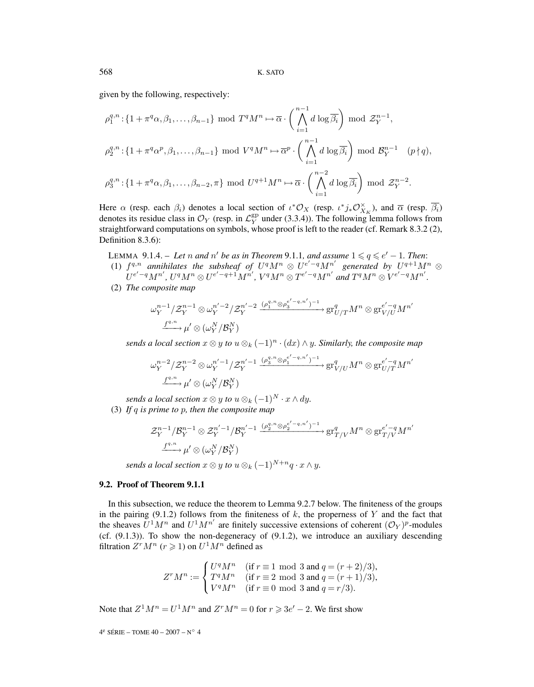given by the following, respectively:

$$
\rho_1^{q,n} : \{ 1 + \pi^q \alpha, \beta_1, \dots, \beta_{n-1} \} \mod T^q M^n \mapsto \overline{\alpha} \cdot \left( \bigwedge_{i=1}^{n-1} d \log \overline{\beta_i} \right) \mod \mathcal{Z}_Y^{n-1},
$$
  

$$
\rho_2^{q,n} : \{ 1 + \pi^q \alpha^p, \beta_1, \dots, \beta_{n-1} \} \mod V^q M^n \mapsto \overline{\alpha}^p \cdot \left( \bigwedge_{i=1}^{n-1} d \log \overline{\beta_i} \right) \mod \mathcal{B}_Y^{n-1} \quad (p \nmid q),
$$
  

$$
\rho_3^{q,n} : \{ 1 + \pi^q \alpha, \beta_1, \dots, \beta_{n-2}, \pi \} \mod U^{q+1} M^n \mapsto \overline{\alpha} \cdot \left( \bigwedge_{i=1}^{n-2} d \log \overline{\beta_i} \right) \mod \mathcal{Z}_Y^{n-2}.
$$

Here  $\alpha$  (resp. each  $\beta_i$ ) denotes a local section of  $\iota^* \mathcal{O}_X$  (resp.  $\iota^* j_* \mathcal{O}_{X_K}^{\times}$ ), and  $\overline{\alpha}$  (resp.  $\overline{\beta_i}$ ) denotes its residue class in  $\mathcal{O}_Y$  (resp. in  $\mathcal{L}_Y^{\text{gp}}$  under (3.3.4)). The following lemma follows from straightforward computations on symbols, whose proof is left to the reader (cf. Remark 8.3.2 (2), Definition 8.3.6):

LEMMA 9.1.4. – Let *n* and *n'* be as in Theorem 9.1.1, and assume  $1 \le q \le e' - 1$ . Then:

- (1)  $f^{q,n}$  annihilates the subsheaf of  $U^qM^n \otimes U^{e'-q}M^{n'}$  generated by  $U^{q+1}M^n \otimes U^{q+1}$  $U^{e'-q}M^{n'}, U^{q}M^{n} \otimes U^{e'-q+1}M^{n'}, V^{q}M^{n} \otimes T^{e'-q}M^{n'}$  and  $T^{q}M^{n} \otimes V^{e'-q}M^{n'}.$
- (2) *The composite map*

$$
\omega_Y^{n-1}/\mathcal{Z}_Y^{n-1}\otimes \omega_Y^{n'-2}/\mathcal{Z}_Y^{n'-2} \xrightarrow{(\rho_1^{q,n}\otimes \rho_3^{e'-q,n'})^{-1}} \mathrm{gr}_{U/T}^q M^n \otimes \mathrm{gr}_{V/U}^{e'-q} M^{n'}
$$

$$
\xrightarrow{f^{q,n}} \mu' \otimes (\omega_Y^N/\mathcal{B}_Y^N)
$$

*sends a local section*  $x \otimes y$  *to*  $u \otimes_k (-1)^n \cdot (dx) \wedge y$ *. Similarly, the composite map* 

$$
\omega_Y^{n-2}/\mathcal{Z}_Y^{n-2}\otimes \omega_Y^{n'-1}/\mathcal{Z}_Y^{n'-1} \xrightarrow{(\rho_3^{q,n} \otimes \rho_1^{e'-q,n'})^{-1}} \mathrm{gr}_{V/U}^q M^n \otimes \mathrm{gr}_{U/T}^{e'-q} M^{n'}
$$

$$
\xrightarrow{f^{q,n}} \mu' \otimes (\omega_Y^N/\mathcal{B}_Y^N)
$$

*sends a local section*  $x \otimes y$  *to*  $u \otimes_k (-1)^N \cdot x \wedge dy$ .

(3) *If* q *is prime to* p*, then the composite map*

$$
\mathcal{Z}_Y^{n-1}/\mathcal{B}_Y^{n-1}\otimes \mathcal{Z}_Y^{n'-1}/\mathcal{B}_Y^{n'-1} \xrightarrow{(\rho_2^{q,n}\otimes \rho_2^{e'-q,n'})^{-1}} \operatorname{gr}_{T/V}^q M^n \otimes \operatorname{gr}_{T/V}^{e'-q} M^{n'}
$$

$$
\xrightarrow{f^{q,n}} \mu' \otimes (\omega_Y^N/\mathcal{B}_Y^N)
$$

*sends a local section*  $x \otimes y$  *to*  $u \otimes_k (-1)^{N+n} q \cdot x \wedge y$ .

## **9.2. Proof of Theorem 9.1.1**

In this subsection, we reduce the theorem to Lemma 9.2.7 below. The finiteness of the groups in the pairing (9.1.2) follows from the finiteness of  $k$ , the properness of Y and the fact that the sheaves  $U^1M^n$  and  $U^1M^{n'}$  are finitely successive extensions of coherent  $(\mathcal{O}_Y)^p$ -modules (cf.  $(9.1.3)$ ). To show the non-degeneracy of  $(9.1.2)$ , we introduce an auxiliary descending filtration  $Z^r M^n$  ( $r \ge 1$ ) on  $U^1 M^n$  defined as

$$
Z^{r}M^{n} := \begin{cases} U^{q}M^{n} & \text{(if } r \equiv 1 \text{ mod } 3 \text{ and } q = (r+2)/3), \\ T^{q}M^{n} & \text{(if } r \equiv 2 \text{ mod } 3 \text{ and } q = (r+1)/3), \\ V^{q}M^{n} & \text{(if } r \equiv 0 \text{ mod } 3 \text{ and } q = r/3). \end{cases}
$$

Note that  $Z^1 M^n = U^1 M^n$  and  $Z^r M^n = 0$  for  $r \ge 3e' - 2$ . We first show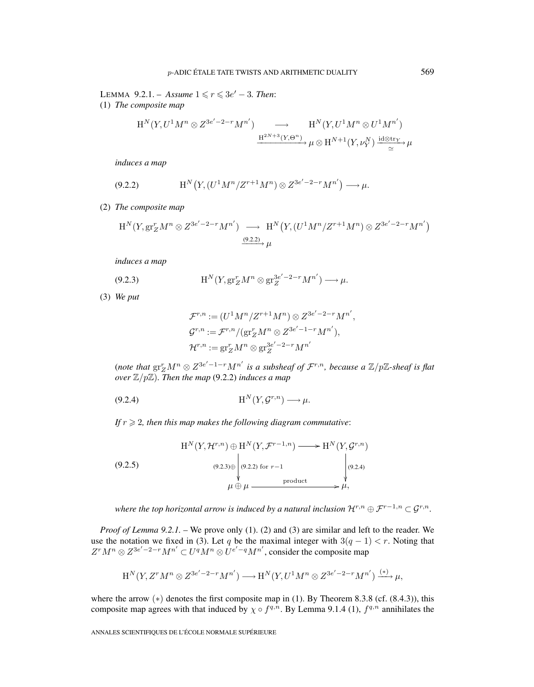LEMMA 9.2.1. – *Assume*  $1 \le r \le 3e'$  – 3*. Then*: (1) *The composite map*

$$
\begin{aligned} \mathrm{H}^N(Y,U^1M^n\otimes Z^{3e'-2-r}M^{n'})\quad &\longrightarrow\quad \mathrm{H}^N(Y,U^1M^n\otimes U^1M^{n'})\\ \xrightarrow{\mathrm{H}^{2N+3}(Y,\Theta^n)}\mu\otimes \mathrm{H}^{N+1}(Y,\nu_Y^N)\xrightarrow[\simeq]{\mathrm{id}\otimes \mathrm{tr}_Y}\mu\end{aligned}
$$

*induces a map*

$$
(9.2.2) \t\t H^N(Y, (U^1 M^n / Z^{r+1} M^n) \otimes Z^{3e'-2-r} M^{n'}) \longrightarrow \mu.
$$

(2) *The composite map*

$$
H^N(Y, gr_Z^r M^n \otimes Z^{3e'-2-r} M^{n'}) \longrightarrow H^N(Y, (U^1 M^n / Z^{r+1} M^n) \otimes Z^{3e'-2-r} M^{n'})
$$
  

$$
\xrightarrow{(9.2.2)} \mu
$$

*induces a map*

(9.2.3) 
$$
H^N(Y, gr_Z^r M^n \otimes gr_Z^{3e'-2-r} M^{n'}) \longrightarrow \mu.
$$

(3) *We put*

$$
\mathcal{F}^{r,n} := (U^1 M^n / Z^{r+1} M^n) \otimes Z^{3e'-2-r} M^{n'},
$$
  
\n
$$
\mathcal{G}^{r,n} := \mathcal{F}^{r,n} / (\text{gr}_Z^r M^n \otimes Z^{3e'-1-r} M^{n'}),
$$
  
\n
$$
\mathcal{H}^{r,n} := \text{gr}_Z^r M^n \otimes \text{gr}_Z^{3e'-2-r} M^{n'}
$$

(note that  $\operatorname{gr}^r_Z M^n \otimes Z^{3e'-1-r} M^{n'}$  is a subsheaf of  $\mathcal{F}^{r,n}$ , because a  $\mathbb{Z}/p\mathbb{Z}$ -sheaf is flat *over*  $\mathbb{Z}/p\mathbb{Z}$ *). Then the map* (9.2.2) *induces a map* 

H<sup>N</sup> (Y,Gr,n (9.2.4) ) −→ μ.

If  $r \geqslant 2$ , then this map makes the following diagram commutative:

$$
H^{N}(Y, \mathcal{H}^{r,n}) \oplus H^{N}(Y, \mathcal{F}^{r-1,n}) \longrightarrow H^{N}(Y, \mathcal{G}^{r,n})
$$
\n
$$
(9.2.5)
$$
\n
$$
(9.2.3)
$$
\n
$$
\downarrow
$$
\n
$$
\downarrow
$$
\n
$$
\downarrow
$$
\n
$$
\downarrow
$$
\n
$$
\downarrow
$$
\n
$$
\downarrow
$$
\n
$$
\downarrow
$$
\n
$$
\downarrow
$$
\n
$$
\downarrow
$$
\n
$$
\downarrow
$$
\n
$$
\downarrow
$$
\n
$$
\downarrow
$$
\n
$$
\downarrow
$$
\n
$$
\downarrow
$$
\n
$$
\downarrow
$$
\n
$$
\downarrow
$$
\n
$$
\downarrow
$$
\n
$$
\downarrow
$$
\n
$$
\downarrow
$$
\n
$$
\downarrow
$$
\n
$$
\downarrow
$$
\n
$$
\downarrow
$$
\n
$$
\downarrow
$$
\n
$$
\downarrow
$$
\n
$$
\downarrow
$$
\n
$$
\downarrow
$$
\n
$$
\downarrow
$$
\n
$$
\downarrow
$$
\n
$$
\downarrow
$$
\n
$$
\downarrow
$$
\n
$$
\downarrow
$$
\n
$$
\downarrow
$$
\n
$$
\downarrow
$$
\n
$$
\downarrow
$$
\n
$$
\downarrow
$$
\n
$$
\downarrow
$$
\n
$$
\downarrow
$$
\n
$$
\downarrow
$$
\n
$$
\downarrow
$$
\n
$$
\downarrow
$$
\n
$$
\downarrow
$$
\n
$$
\downarrow
$$
\n
$$
\downarrow
$$
\n
$$
\downarrow
$$
\n
$$
\downarrow
$$
\n
$$
\downarrow
$$
\n
$$
\downarrow
$$
\n
$$
\downarrow
$$
\n
$$
\downarrow
$$
\n
$$
\downarrow
$$
\n
$$
\downarrow
$$
\n
$$
\downarrow
$$
\n
$$
\downarrow
$$
\n
$$
\downarrow
$$
\n
$$
\downarrow
$$
\n
$$
\downarrow
$$

*where the top horizontal arrow is induced by a natural inclusion*  $\mathcal{H}^{r,n} \oplus \mathcal{F}^{r-1,n} \subset \mathcal{G}^{r,n}$ .

*Proof of Lemma 9.2.1.* – We prove only (1). (2) and (3) are similar and left to the reader. We use the notation we fixed in (3). Let q be the maximal integer with  $3(q - 1) < r$ . Noting that  $Z^{r}M^{n} \otimes Z^{3e'-2-r}M^{n'} \subset U^{q}M^{n} \otimes U^{e'-q}M^{n'}$ , consider the composite map

$$
\mathrm{H}^N(Y,Z^rM^n\otimes Z^{3e'-2-r}M^{n'})\longrightarrow \mathrm{H}^N(Y,U^1M^n\otimes Z^{3e'-2-r}M^{n'})\xrightarrow{(*)}\mu,
$$

where the arrow  $(*)$  denotes the first composite map in (1). By Theorem 8.3.8 (cf.  $(8.4.3)$ ), this composite map agrees with that induced by  $\chi \circ f^{q,n}$ . By Lemma 9.1.4 (1),  $f^{q,n}$  annihilates the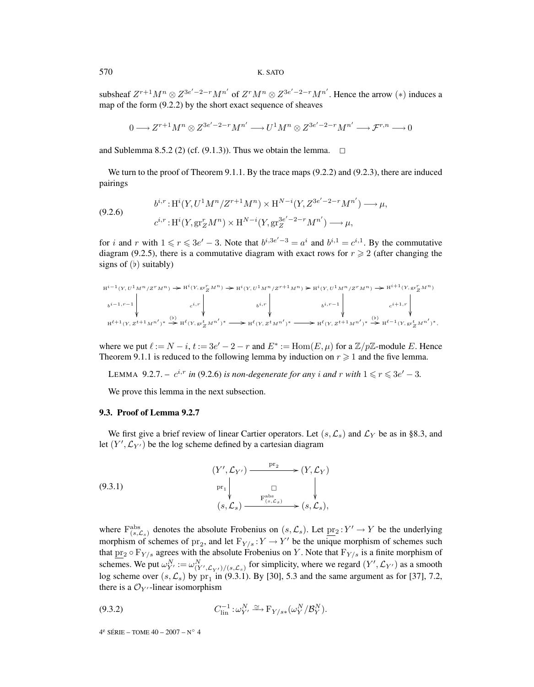subsheaf  $Z^{r+1}M^n \otimes Z^{3e'-2-r}M^{n'}$  of  $Z^rM^n \otimes Z^{3e'-2-r}M^{n'}$ . Hence the arrow  $(*)$  induces a map of the form  $(9.2.2)$  by the short exact sequence of sheaves

$$
0 \longrightarrow Z^{r+1}M^{n} \otimes Z^{3e'-2-r}M^{n'} \longrightarrow U^{1}M^{n} \otimes Z^{3e'-2-r}M^{n'} \longrightarrow \mathcal{F}^{r,n} \longrightarrow 0
$$

and Sublemma 8.5.2 (2) (cf. (9.1.3)). Thus we obtain the lemma.  $\Box$ 

We turn to the proof of Theorem 9.1.1. By the trace maps  $(9.2.2)$  and  $(9.2.3)$ , there are induced pairings

$$
(9.2.6) \t b^{i,r}: H^{i}(Y, U^{1}M^{n}/Z^{r+1}M^{n}) \times H^{N-i}(Y, Z^{3e'-2-r}M^{n'}) \longrightarrow \mu,
$$
  

$$
c^{i,r}: H^{i}(Y, \text{gr}^{r}_{Z}M^{n}) \times H^{N-i}(Y, \text{gr}^{3e'-2-r}_{Z}M^{n'}) \longrightarrow \mu,
$$

for *i* and *r* with  $1 \le r \le 3e' - 3$ . Note that  $b^{i,3e'-3} = a^i$  and  $b^{i,1} = c^{i,1}$ . By the commutative diagram (9.2.5), there is a commutative diagram with exact rows for  $r \geq 2$  (after changing the signs of  $(b)$  suitably)

$$
\begin{array}{c} \mathbf{H}^{i-1}(Y,U^1M^n/Z^rM^n)\rightarrow \mathbf{H}^i(Y,\mathbf{gr}^r_ZM^n)\rightarrow \mathbf{H}^i(Y,U^1M^n/Z^{r+1}M^n)\rightarrow \mathbf{H}^i(Y,U^1M^n/Z^rM^n)\rightarrow \mathbf{H}^{i+1}(Y,\mathbf{gr}^r_ZM^n)\\ \\ b^{i-1,r-1}\left\vert\begin{array}{ccc} & & & \\ & c^{i,r}\end{array}\right\vert& b^{i,r}\left\vert\begin{array}{ccc} & & & \\ & b^{i,r-1}\end{array}\right\vert& b^{i,r-1}\left\vert\begin{array}{ccc} & & & \\ & c^{i+1,r}\end{array}\right\vert\\ \\ \mathbf{H}^{\ell+1}(Y,Z^{t+1}M^{n'})^*\stackrel{\leftarrow}{\longrightarrow} \mathbf{H}^{\ell}(Y,\mathbf{gr}^t_ZM^{n'})^*\longrightarrow \mathbf{H}^{\ell}(Y,Z^tM^{n'})^*\stackrel{\leftarrow}{\longrightarrow} \mathbf{H}^{\ell}(Y,\mathbf{Z}^{t+1}M^{n'})^*\stackrel{\leftarrow}{\longrightarrow} \mathbf{H}^{\ell-1}(Y,\mathbf{gr}^t_ZM^{n'})^*, \end{array}
$$

where we put  $\ell := N - i$ ,  $t := 3e' - 2 - r$  and  $E^* := \text{Hom}(E, \mu)$  for a  $\mathbb{Z}/p\mathbb{Z}$ -module E. Hence Theorem 9.1.1 is reduced to the following lemma by induction on  $r \geq 1$  and the five lemma.

LEMMA 9.2.7. –  $c^{i,r}$  *in* (9.2.6) *is non-degenerate for any i and r with*  $1 \le r \le 3e' - 3$ *.* 

We prove this lemma in the next subsection.

#### **9.3. Proof of Lemma 9.2.7**

We first give a brief review of linear Cartier operators. Let  $(s, \mathcal{L}_s)$  and  $\mathcal{L}_Y$  be as in §8.3, and let  $(Y', \mathcal{L}_{Y'})$  be the log scheme defined by a cartesian diagram

 $(Y', \mathcal{L}_{Y'}) \xrightarrow{\text{pr}_2}$  $\Pr_1$   $\Box$  $(Y,\mathcal{L}_Y)$  $(s,\mathcal{L}_s)$  $\xrightarrow{\text{F}^{\text{abs}}_{(s,\mathcal{L}_s)}} \xrightarrow{\Psi} (s,\mathcal{L}_s),$ (9.3.1)

where  $F^{\text{abs}}_{(s,\mathcal{L}_s)}$  denotes the absolute Frobenius on  $(s,\mathcal{L}_s)$ . Let  $\underline{\text{pr}}_2 : Y' \to Y$  be the underlying morphism of schemes of pr<sub>2</sub>, and let  $F_{Y/s}: Y \to Y'$  be the unique morphism of schemes such that  $pr_2 \circ F_{Y/s}$  agrees with the absolute Frobenius on Y. Note that  $F_{Y/s}$  is a finite morphism of schemes. We put  $\omega_{Y'}^N := \omega_{(Y', \mathcal{L}_{Y'})/(s, \mathcal{L}_s)}^N$  for simplicity, where we regard  $(Y', \mathcal{L}_{Y'})$  as a smooth log scheme over  $(s, \mathcal{L}_s)$  by pr<sub>1</sub> in (9.3.1). By [30], 5.3 and the same argument as for [37], 7.2, there is a  $\mathcal{O}_{Y'}$ -linear isomorphism

$$
(9.3.2) \tC_{\text{lin}}^{-1} : \omega_{Y'}^N \xrightarrow{\simeq} \mathcal{F}_{Y/s*}(\omega_Y^N/\mathcal{B}_Y^N).
$$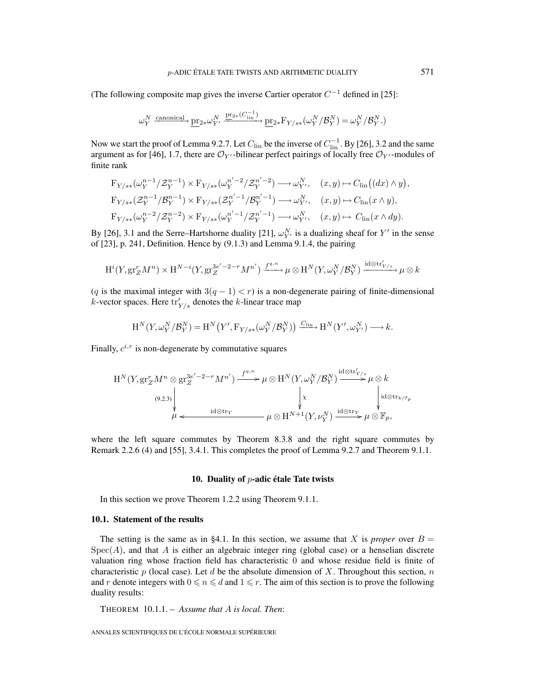(The following composite map gives the inverse Cartier operator  $C^{-1}$  defined in [25]:

$$
\omega_Y^N \xrightarrow{\text{canonical}} \underline{\text{pr}}_{2*}\omega_{Y'}^N \xrightarrow{\underline{\text{pr}}_{2*}(C_{\text{lin}}^{-1})} \underline{\text{pr}}_{2*}\mathcal{F}_{Y/s*}(\omega_Y^N/\mathcal{B}_Y^N) = \omega_Y^N/\mathcal{B}_Y^N.
$$

Now we start the proof of Lemma 9.2.7. Let  $C_{lin}$  be the inverse of  $C_{lin}^{-1}$ . By [26], 3.2 and the same argument as for [46], 1.7, there are  $\mathcal{O}_{Y'}$ -bilinear perfect pairings of locally free  $\mathcal{O}_{Y'}$ -modules of finite rank

$$
F_{Y/s*}(\omega_Y^{n-1}/\mathcal{Z}_Y^{n-1}) \times F_{Y/s*}(\omega_Y^{n'-2}/\mathcal{Z}_Y^{n'-2}) \longrightarrow \omega_{Y'}^N, \quad (x, y) \mapsto C_{\text{lin}}((dx) \wedge y),
$$
  
\n
$$
F_{Y/s*}(\mathcal{Z}_Y^{n-1}/\mathcal{B}_Y^{n-1}) \times F_{Y/s*}(\mathcal{Z}_Y^{n'-1}/\mathcal{B}_Y^{n'-1}) \longrightarrow \omega_{Y'}^N, \quad (x, y) \mapsto C_{\text{lin}}(x \wedge y),
$$
  
\n
$$
F_{Y/s*}(\omega_Y^{n-2}/\mathcal{Z}_Y^{n-2}) \times F_{Y/s*}(\omega_Y^{n'-1}/\mathcal{Z}_Y^{n'-1}) \longrightarrow \omega_{Y'}^N, \quad (x, y) \mapsto C_{\text{lin}}(x \wedge dy).
$$

By [26], 3.1 and the Serre–Hartshorne duality [21],  $\omega_{Y}^{N}$  is a dualizing sheaf for Y' in the sense of [23], p. 241, Definition. Hence by (9.1.3) and Lemma 9.1.4, the pairing

$$
H^{i}(Y, gr^{r}_{Z}M^{n}) \times H^{N-i}(Y, gr^{3e'-2-r}_{Z}M^{n'}) \xrightarrow{f^{q,n}} \mu \otimes H^{N}(Y, \omega_{Y}^{N}/\mathcal{B}_{Y}^{N}) \xrightarrow{id \otimes tr'_{Y/s}} \mu \otimes k
$$

(q is the maximal integer with  $3(q - 1) < r$ ) is a non-degenerate pairing of finite-dimensional *k*-vector spaces. Here  $\text{tr}_{Y/s}'$  denotes the *k*-linear trace map

$$
H^N(Y, \omega_Y^N/\mathcal{B}_Y^N) = H^N(Y', \mathcal{F}_{Y/s*}(\omega_Y^N/\mathcal{B}_Y^N)) \xrightarrow{C_{\text{lin}}} H^N(Y', \omega_{Y'}^N) \longrightarrow k.
$$

Finally,  $c^{i,r}$  is non-degenerate by commutative squares

$$
H^{N}(Y, gr_{Z}^{r} M^{n} \otimes gr_{Z}^{3e'-2-r} M^{n'}) \xrightarrow{f^{q,n}} \mu \otimes H^{N}(Y, \omega_{Y}^{N}/\mathcal{B}_{Y}^{N}) \xrightarrow{\mathrm{id} \otimes \mathrm{tr}'_{Y/s}} \mu \otimes k
$$
\n
$$
\downarrow^{(9.2.3)} \downarrow^{(9.2.3)} \downarrow^{(10.0 \text{ tr}_{K/\mathbb{F}_{p}} \text{tr}_{K/\mathbb{F}_{p}}} \mu \otimes H^{N+1}(Y, \nu_{Y}^{N}) \xrightarrow{\mathrm{id} \otimes \mathrm{tr}_{Y} \text{tr}_{K/\mathbb{F}_{p}}} \mu \otimes \mathbb{F}_{p},
$$

where the left square commutes by Theorem 8.3.8 and the right square commutes by Remark 2.2.6 (4) and [55], 3.4.1. This completes the proof of Lemma 9.2.7 and Theorem 9.1.1.

#### **10. Duality of** p**-adic étale Tate twists**

In this section we prove Theorem 1.2.2 using Theorem 9.1.1.

#### **10.1. Statement of the results**

The setting is the same as in §4.1. In this section, we assume that X is *proper* over  $B =$  $Spec(A)$ , and that A is either an algebraic integer ring (global case) or a henselian discrete valuation ring whose fraction field has characteristic 0 and whose residue field is finite of characteristic p (local case). Let d be the absolute dimension of X. Throughout this section, n and r denote integers with  $0 \leq n \leq d$  and  $1 \leq r$ . The aim of this section is to prove the following duality results:

THEOREM 10.1.1. – *Assume that* A *is local. Then*: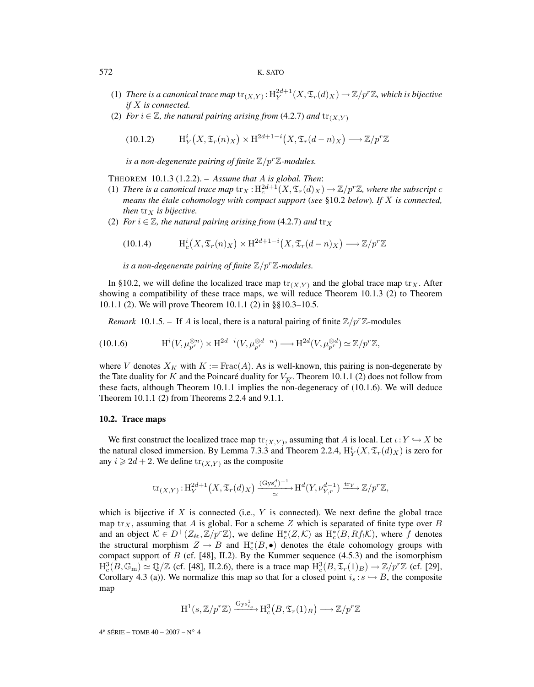#### 572 K. SATO

- (1) *There is a canonical trace map*  $\text{tr}_{(X,Y)}$  :  $\text{H}_Y^{2d+1}(X, \mathfrak{T}_r(d)_X) \to \mathbb{Z}/p^r\mathbb{Z}$ , which is bijective *if* X *is connected.*
- (2) *For*  $i \in \mathbb{Z}$ *, the natural pairing arising from* (4.2.7) *and*  $\text{tr}_{(X,Y)}$

(10.1.2) 
$$
\mathrm{H}^i_Y\big(X,\mathfrak{T}_r(n)_X\big)\times\mathrm{H}^{2d+1-i}\big(X,\mathfrak{T}_r(d-n)_X\big)\longrightarrow\mathbb{Z}/p^r\mathbb{Z}
$$

*is a non-degenerate pairing of finite*  $\mathbb{Z}/p^r\mathbb{Z}$ *-modules.* 

THEOREM 10.1.3 (1.2.2). – *Assume that* A *is global. Then*:

- (1) *There is a canonical trace map*  $\text{tr}_X : H_c^{2d+1}(X, \mathfrak{T}_r(d)_X) \to \mathbb{Z}/p^r\mathbb{Z}$ *, where the subscript c means the étale cohomology with compact support* (*see* §10.2 *below*)*. If* X *is connected, then*  $tr_X$  *is bijective.*
- (2) *For*  $i \in \mathbb{Z}$ *, the natural pairing arising from* (4.2.7) *and*  $\text{tr}_X$

(10.1.4) 
$$
\mathrm{H}^i_c\big(X,\mathfrak{T}_r(n)_X\big)\times \mathrm{H}^{2d+1-i}\big(X,\mathfrak{T}_r(d-n)_X\big)\longrightarrow \mathbb{Z}/p^r\mathbb{Z}
$$

*is a non-degenerate pairing of finite*  $\mathbb{Z}/p^r\mathbb{Z}$ *-modules.* 

In §10.2, we will define the localized trace map  $\text{tr}_{(X,Y)}$  and the global trace map  $\text{tr}_X$ . After showing a compatibility of these trace maps, we will reduce Theorem 10.1.3 (2) to Theorem 10.1.1 (2). We will prove Theorem 10.1.1 (2) in §§10.3–10.5.

*Remark* 10.1.5. – If A is local, there is a natural pairing of finite  $\mathbb{Z}/p^r\mathbb{Z}$ -modules

(10.1.6) 
$$
\mathrm{H}^i(V,\mu_{p^r}^{\otimes n}) \times \mathrm{H}^{2d-i}(V,\mu_{p^r}^{\otimes d-n}) \longrightarrow \mathrm{H}^{2d}(V,\mu_{p^r}^{\otimes d}) \simeq \mathbb{Z}/p^r\mathbb{Z},
$$

where V denotes  $X_K$  with  $K := \text{Frac}(A)$ . As is well-known, this pairing is non-degenerate by the Tate duality for K and the Poincaré duality for  $V_{\overline{K}}$ . Theorem 10.1.1 (2) does not follow from these facts, although Theorem 10.1.1 implies the non-degeneracy of (10.1.6). We will deduce Theorem 10.1.1 (2) from Theorems 2.2.4 and 9.1.1.

## **10.2. Trace maps**

We first construct the localized trace map  $\text{tr}_{(X,Y)}$ , assuming that A is local. Let  $\iota:Y \hookrightarrow X$  be the natural closed immersion. By Lemma 7.3.3 and Theorem 2.2.4,  $H_Y^i(X, \mathfrak{T}_r(d)_X)$  is zero for any  $i \geq 2d + 2$ . We define  $\text{tr}_{(X,Y)}$  as the composite

$$
\operatorname{tr}_{(X,Y)}: \operatorname{H}^{2d+1}_Y(X, \mathfrak{T}_r(d)_X) \xrightarrow{\operatorname{(Gys}_\iota^d)^{-1}} \operatorname{H}^d(Y, \nu_{Y,r}^{d-1}) \xrightarrow{\operatorname{tr}_Y} \mathbb{Z}/p^r\mathbb{Z},
$$

which is bijective if X is connected (i.e., Y is connected). We next define the global trace map tr<sub>X</sub>, assuming that A is global. For a scheme Z which is separated of finite type over B and an object  $K \in D^+(Z_{\text{\'et}}, \mathbb{Z}/p^r\mathbb{Z})$ , we define  $H^*_c(Z, \mathcal{K})$  as  $H^*_c(B, Rf_! \mathcal{K})$ , where f denotes the structural morphism  $Z \to B$  and  $H_c^*(B, \bullet)$  denotes the étale cohomology groups with compact support of B (cf. [48], II.2). By the Kummer sequence  $(4.5.3)$  and the isomorphism  $H_c^3(B,\mathbb{G}_m) \simeq \mathbb{Q}/\mathbb{Z}$  (cf. [48], II.2.6), there is a trace map  $H_c^3(B,\mathfrak{T}_r(1)_B) \to \mathbb{Z}/p^r\mathbb{Z}$  (cf. [29], Corollary 4.3 (a)). We normalize this map so that for a closed point  $i_s : s \hookrightarrow B$ , the composite map

$$
H^1(s, \mathbb{Z}/p^r\mathbb{Z}) \xrightarrow{\mathrm{Gys}_{i_s}^1} H^3_c(B, \mathfrak{T}_r(1)_B) \longrightarrow \mathbb{Z}/p^r\mathbb{Z}
$$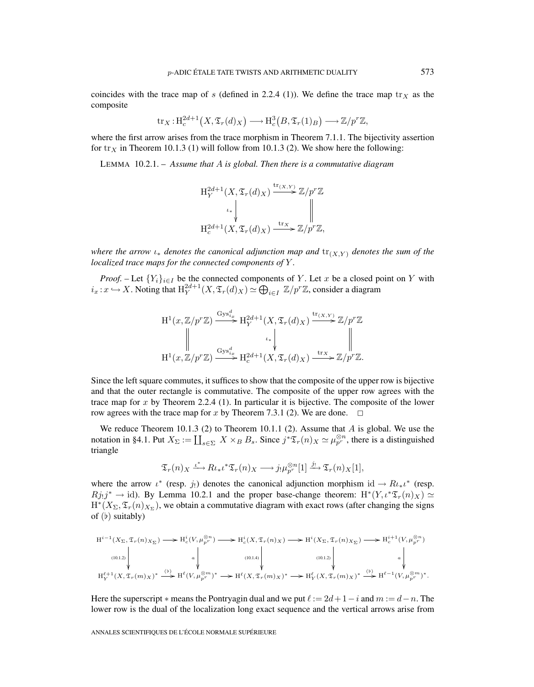coincides with the trace map of s (defined in 2.2.4 (1)). We define the trace map  $tr<sub>X</sub>$  as the composite

$$
\mathrm{tr}_X: \mathrm{H}^{2d+1}_c(X, \mathfrak{T}_r(d)_X) \longrightarrow \mathrm{H}^3_c(B, \mathfrak{T}_r(1)_B) \longrightarrow \mathbb{Z}/p^r\mathbb{Z},
$$

where the first arrow arises from the trace morphism in Theorem 7.1.1. The bijectivity assertion for  $\text{tr}_X$  in Theorem 10.1.3 (1) will follow from 10.1.3 (2). We show here the following:

LEMMA 10.2.1. – *Assume that* A *is global. Then there is a commutative diagram*

$$
\begin{aligned} \mathcal{H}_Y^{2d+1}(X, \mathfrak{T}_r(d)_X) &\stackrel{\mathrm{tr}_{(X,Y)}}{\longrightarrow} \mathbb{Z}/p^r\mathbb{Z} \\ &\downarrow \downarrow &\parallel \\ \mathcal{H}_c^{2d+1}(X, \mathfrak{T}_r(d)_X) &\stackrel{\mathrm{tr}_X}{\longrightarrow} \mathbb{Z}/p^r\mathbb{Z}, \end{aligned}
$$

*where the arrow*  $\iota_*$  *denotes the canonical adjunction map and*  $\iota_{X,Y}$  *denotes the sum of the localized trace maps for the connected components of* Y *.*

*Proof.* – Let  ${Y_i}_{i \in I}$  be the connected components of Y. Let x be a closed point on Y with  $i_x: x \hookrightarrow X$ . Noting that  $H_Y^{2d+1}(X, \mathfrak{T}_r(d)_X) \simeq \bigoplus_{i \in I} \mathbb{Z}/p^r\mathbb{Z}$ , consider a diagram

$$
\mathrm{H}^{1}(x,\mathbb{Z}/p^{r}\mathbb{Z}) \xrightarrow{\mathrm{Gys}_{i_{x}}^{d}} \mathrm{H}_{Y}^{2d+1}(X, \mathfrak{T}_{r}(d)_{X}) \xrightarrow{\mathrm{tr}_{(X,Y)}} \mathbb{Z}/p^{r}\mathbb{Z}
$$
\n
$$
\parallel \qquad \qquad \downarrow \qquad \qquad \parallel
$$
\n
$$
\mathrm{H}^{1}(x,\mathbb{Z}/p^{r}\mathbb{Z}) \xrightarrow{\mathrm{Gys}_{i_{x}}^{d}} \mathrm{H}_{c}^{2d+1}(X, \mathfrak{T}_{r}(d)_{X}) \xrightarrow{\mathrm{tr}_{X}} \mathbb{Z}/p^{r}\mathbb{Z}.
$$

Since the left square commutes, it suffices to show that the composite of the upper row is bijective and that the outer rectangle is commutative. The composite of the upper row agrees with the trace map for x by Theorem 2.2.4 (1). In particular it is bijective. The composite of the lower row agrees with the trace map for x by Theorem 7.3.1 (2). We are done.  $\Box$ 

We reduce Theorem 10.1.3 (2) to Theorem 10.1.1 (2). Assume that A is global. We use the notation in §4.1. Put  $X_{\Sigma} := \coprod_{s \in \Sigma} X \times_B B_s$ . Since  $j^* \mathfrak{T}_r(n)_X \simeq \mu_{p^r}^{\otimes n}$ , there is a distinguished triangle

$$
\mathfrak{T}_{r}(n)_{X} \xrightarrow{\iota^{*}} R\iota_{*}\iota^{*}\mathfrak{T}_{r}(n)_{X} \longrightarrow j_{!}\mu_{p^{r}}^{\otimes n}[1] \xrightarrow{j_{!}} \mathfrak{T}_{r}(n)_{X}[1],
$$

where the arrow  $\iota^*$  (resp. j!) denotes the canonical adjunction morphism id  $\to Ru_*\iota^*$  (resp.  $Rj_1j^* \rightarrow id$ ). By Lemma 10.2.1 and the proper base-change theorem:  $H^*(Y,\iota^*\mathfrak{T}_r(n)_X) \simeq$  $H^*(X_\Sigma, \mathfrak{T}_r(n)_{X_\Sigma})$ , we obtain a commutative diagram with exact rows (after changing the signs of  $(b)$  suitably)

$$
H^{i-1}(X_{\Sigma}, \mathfrak{T}_{r}(n)X_{\Sigma}) \longrightarrow H^{i}_{c}(V, \mu_{p^{r}}^{\otimes n}) \longrightarrow H^{i}_{c}(X, \mathfrak{T}_{r}(n)X) \longrightarrow H^{i}(X_{\Sigma}, \mathfrak{T}_{r}(n)X_{\Sigma}) \longrightarrow H^{i+1}_{c}(V, \mu_{p^{r}}^{\otimes n})
$$
\n
$$
(10.1.2) \downarrow \qquad a \downarrow \qquad (10.1.4) \downarrow \qquad (10.1.2) \downarrow \qquad a \downarrow \downarrow \qquad (10.1.5) \downarrow \qquad a \downarrow \downarrow \qquad (10.1.4) \downarrow \qquad (10.1.5) \downarrow \qquad (10.1.6) \downarrow \qquad (10.1.7) \downarrow \qquad (10.1.7) \downarrow \qquad (10.1.8) \downarrow \qquad (10.1.9) \downarrow \qquad (10.1.9) \downarrow \qquad (10.1.1.1) \downarrow \qquad (10.1.2) \downarrow \qquad (10.1.2) \downarrow \qquad (10.1.2) \downarrow \qquad (10.1.3) \downarrow \qquad (10.1.4) \downarrow \qquad (10.1.5) \downarrow \qquad (10.1.5) \downarrow \qquad (10.1.6) \downarrow \qquad (10.1.7) \downarrow \qquad (10.1.8) \downarrow \qquad (10.1.9) \downarrow \qquad (10.1.1) \downarrow \qquad (10.1.2) \downarrow \qquad (10.1.3) \downarrow \qquad (10.1.4) \downarrow \qquad (10.1.5) \downarrow \qquad (10.1.6) \downarrow \qquad (10.1.6) \downarrow \qquad (10.1.7) \downarrow \qquad (10.1.7) \downarrow \qquad (10.1.8) \downarrow \qquad (10.1.9) \downarrow \qquad (10.1.1) \downarrow \qquad (10.1.2) \downarrow \qquad (10.1.3) \downarrow \qquad (10.1.4) \downarrow \qquad (10.1.4) \downarrow \qquad (10.1.5) \downarrow \qquad (10.1.5) \downarrow \qquad (10.1.6) \downarrow
$$

Here the superscript  $*$  means the Pontryagin dual and we put  $\ell := 2d + 1 - i$  and  $m := d - n$ . The lower row is the dual of the localization long exact sequence and the vertical arrows arise from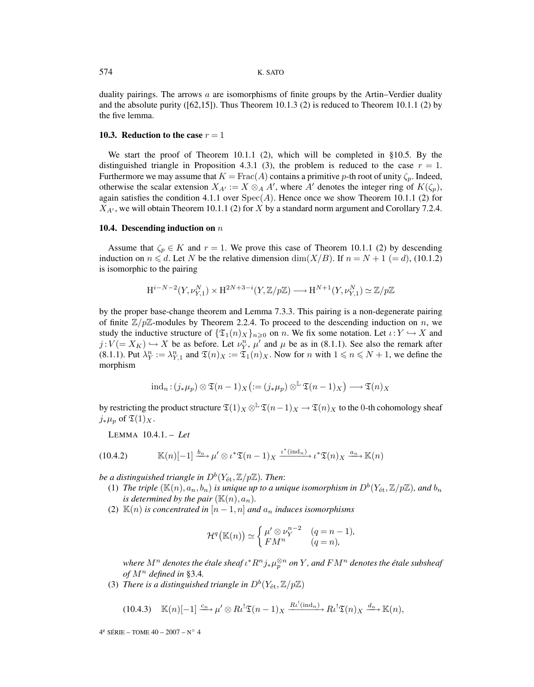duality pairings. The arrows  $a$  are isomorphisms of finite groups by the Artin–Verdier duality and the absolute purity ( $[62,15]$ ). Thus Theorem 10.1.3 (2) is reduced to Theorem 10.1.1 (2) by the five lemma.

#### **10.3. Reduction to the case**  $r = 1$

We start the proof of Theorem 10.1.1 (2), which will be completed in §10.5. By the distinguished triangle in Proposition 4.3.1 (3), the problem is reduced to the case  $r = 1$ . Furthermore we may assume that  $K = \text{Frac}(A)$  contains a primitive p-th root of unity  $\zeta_n$ . Indeed, otherwise the scalar extension  $X_{A'} := X \otimes_A A'$ , where A' denotes the integer ring of  $K(\zeta_p)$ , again satisfies the condition 4.1.1 over  $Spec(A)$ . Hence once we show Theorem 10.1.1 (2) for  $X_{A'}$ , we will obtain Theorem 10.1.1 (2) for X by a standard norm argument and Corollary 7.2.4.

#### **10.4. Descending induction on** n

Assume that  $\zeta_p \in K$  and  $r = 1$ . We prove this case of Theorem 10.1.1 (2) by descending induction on  $n \le d$ . Let N be the relative dimension  $\dim(X/B)$ . If  $n = N + 1$  (= d), (10.1.2) is isomorphic to the pairing

$$
\mathrm{H}^{i-N-2}(Y,\nu_{Y,1}^N)\times \mathrm{H}^{2N+3-i}(Y,\mathbb{Z}/p\mathbb{Z})\longrightarrow \mathrm{H}^{N+1}(Y,\nu_{Y,1}^N)\simeq \mathbb{Z}/p\mathbb{Z}
$$

by the proper base-change theorem and Lemma 7.3.3. This pairing is a non-degenerate pairing of finite  $\mathbb{Z}/p\mathbb{Z}$ -modules by Theorem 2.2.4. To proceed to the descending induction on n, we study the inductive structure of  $\{\mathfrak{T}_1(n)_X\}_{n\geq0}$  on n. We fix some notation. Let  $\iota:Y \hookrightarrow X$  and  $j: V (= X_K) \hookrightarrow X$  be as before. Let  $\nu_Y^n$ ,  $\mu'$  and  $\mu$  be as in (8.1.1). See also the remark after (8.1.1). Put  $\lambda_Y^n := \lambda_{Y,1}^n$  and  $\mathfrak{T}(n)_X := \mathfrak{T}_1(n)_X$ . Now for n with  $1 \le n \le N+1$ , we define the morphism

$$
ind_n: (j_*\mu_p) \otimes \mathfrak{T}(n-1)_X (:= (j_*\mu_p) \otimes^{\mathbb{L}} \mathfrak{T}(n-1)_X) \longrightarrow \mathfrak{T}(n)_X
$$

by restricting the product structure  $\mathfrak{T}(1)_X \otimes^{\mathbb{L}} \mathfrak{T}(n-1)_X \to \mathfrak{T}(n)_X$  to the 0-th cohomology sheaf  $j_*\mu_p$  of  $\mathfrak{T}(1)_X$ .

LEMMA 10.4.1. – *Let*

(10.4.2) 
$$
\mathbb{K}(n)[-1] \xrightarrow{b_n} \mu' \otimes \iota^* \mathfrak{T}(n-1)_X \xrightarrow{\iota^* (\text{ind}_n)} \iota^* \mathfrak{T}(n)_X \xrightarrow{a_n} \mathbb{K}(n)
$$

*be a distinguished triangle in*  $D^b(Y_{\text{\'et}},\mathbb{Z}/p\mathbb{Z})$ *. Then:* 

- (1) *The triple*  $(\mathbb{K}(n), a_n, b_n)$  *is unique up to a unique isomorphism in*  $D^b(Y_{\text{\'et}},\mathbb{Z}/p\mathbb{Z})$ *, and*  $b_n$ *is determined by the pair*  $(\mathbb{K}(n), a_n)$ *.*
- (2)  $\mathbb{K}(n)$  *is concentrated in*  $[n-1,n]$  *and*  $a_n$  *induces isomorphisms*

$$
\mathcal{H}^q(\mathbb{K}(n)) \simeq \begin{cases} \mu' \otimes \nu_Y^{n-2} & (q = n-1), \\ FM^n & (q = n), \end{cases}
$$

where  $M^n$  denotes the étale sheaf  $\iota^*R^nj_*\mu_p^{\otimes n}$  on  $Y$  *, and*  $FM^n$  *denotes the étale subsheaf* of  $M^n$  defined in §3.4.

(3) *There is a distinguished triangle in*  $D^b(Y_{\text{\'et}},\mathbb{Z}/p\mathbb{Z})$ 

$$
(10.4.3) \quad \mathbb{K}(n)[-1] \xrightarrow{c_n} \mu' \otimes R \iota^! \mathfrak{T}(n-1)_X \xrightarrow{R \iota^! (\text{ind}_n)} R \iota^! \mathfrak{T}(n)_X \xrightarrow{d_n} \mathbb{K}(n),
$$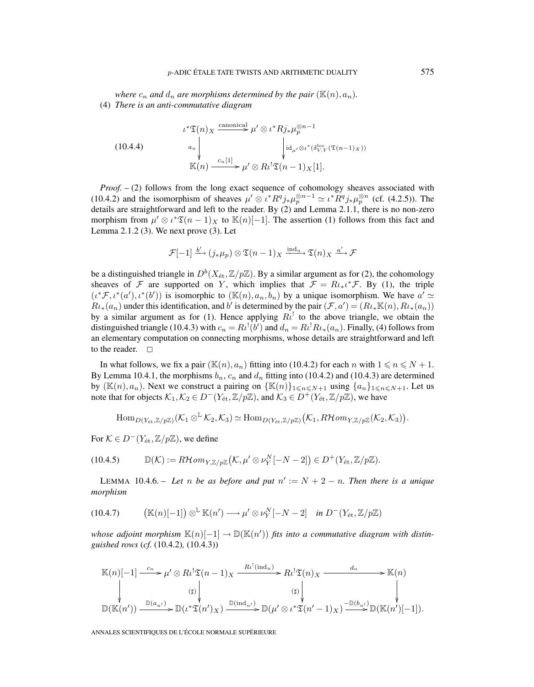*where*  $c_n$  *and*  $d_n$  *are morphisms determined by the pair* ( $\mathbb{K}(n), a_n$ ). (4) *There is an anti-commutative diagram*

(10.4.4)  

$$
\begin{array}{ccc}\n\iota^* \mathfrak{T}(n)_X \xrightarrow{\text{canonical} & \mu' \otimes \iota^* R j_* \mu_p^{\otimes n-1} \\
& \downarrow^{\text{id}}_{\mu'} \otimes \iota^* (\delta_{V,Y}^{\text{loc}} (\mathfrak{T}(n-1)_X)) \\
& \downarrow^{\text{id}}_{\mu'} \otimes \iota^* (\delta_{V,Y}^{\text{loc}} (\mathfrak{T}(n-1)_X)) \\
& \mathbb{K}(n) \xrightarrow{c_n[1]} \mu' \otimes R \iota^! \mathfrak{T}(n-1)_X[1].\n\end{array}
$$

*Proof.* – (2) follows from the long exact sequence of cohomology sheaves associated with (10.4.2) and the isomorphism of sheaves  $\mu' \otimes \iota^* R^q j_* \mu_p^{\otimes n-1} \simeq \iota^* R^q j_* \mu_p^{\otimes n}$  (cf. (4.2.5)). The details are straightforward and left to the reader. By (2) and Lemma 2.1.1, there is no non-zero morphism from  $\mu' \otimes \iota^* \mathfrak{T}(n-1)_X$  to  $\mathbb{K}(n)[-1]$ . The assertion (1) follows from this fact and Lemma 2.1.2 (3). We next prove (3). Let

$$
\mathcal{F}[-1] \xrightarrow{b'} (j_*\mu_p) \otimes \mathfrak{T}(n-1)_X \xrightarrow{\operatorname{ind}_n} \mathfrak{T}(n)_X \xrightarrow{a'} \mathcal{F}
$$

be a distinguished triangle in  $D^b(X_{\text{\'et}},\mathbb{Z}/p\mathbb{Z})$ . By a similar argument as for (2), the cohomology sheaves of  $\mathcal F$  are supported on Y, which implies that  $\mathcal F = R\iota_*\iota^*\mathcal F$ . By (1), the triple  $(\iota^* \mathcal{F}, \iota^*(a'), \iota^*(b'))$  is isomorphic to  $(\mathbb{K}(n), a_n, b_n)$  by a unique isomorphism. We have  $a' \simeq$  $Ru_*(a_n)$  under this identification, and b' is determined by the pair  $(F, a') = (Ru_*\mathbb{K}(n), Ru_*(a_n))$ by a similar argument as for (1). Hence applying  $R\ell^1$  to the above triangle, we obtain the distinguished triangle (10.4.3) with  $c_n = R\iota^!(b')$  and  $d_n = R\iota^! R\iota_*(a_n)$ . Finally, (4) follows from an elementary computation on connecting morphisms, whose details are straightforward and left to the reader.  $\square$ 

In what follows, we fix a pair  $(\mathbb{K}(n), a_n)$  fitting into (10.4.2) for each n with  $1 \le n \le N + 1$ . By Lemma 10.4.1, the morphisms  $b_n$ ,  $c_n$  and  $d_n$  fitting into (10.4.2) and (10.4.3) are determined by  $(\mathbb{K}(n), a_n)$ . Next we construct a pairing on  $\{\mathbb{K}(n)\}_{1 \leq n \leq N+1}$  using  $\{a_n\}_{1 \leq n \leq N+1}$ . Let us note that for objects  $\mathcal{K}_1, \mathcal{K}_2 \in D^{-1}(Y_{\text{\'et}},\mathbb{Z}/p\mathbb{Z})$ , and  $\mathcal{K}_3 \in D^{+1}(Y_{\text{\'et}},\mathbb{Z}/p\mathbb{Z})$ , we have

 $\text{Hom}_{D(Y_{\text{\'et}},\mathbb{Z}/p\mathbb{Z})}(\mathcal{K}_{1}\otimes^{\mathbb{L}}\mathcal{K}_{2},\mathcal{K}_{3})\simeq \text{Hom}_{D(Y_{\text{\'et}},\mathbb{Z}/p\mathbb{Z})}\big(\mathcal{K}_{1},R\mathcal{H}om_{Y,\mathbb{Z}/p\mathbb{Z}}(\mathcal{K}_{2},\mathcal{K}_{3})\big).$ 

For  $\mathcal{K} \in D^{-}(Y_{\text{\'et}},\mathbb{Z}/p\mathbb{Z})$ , we define

(10.4.5) 
$$
\mathbb{D}(\mathcal{K}) := R\mathcal{H}om_{Y,\mathbb{Z}/p\mathbb{Z}}(\mathcal{K},\mu' \otimes \nu_Y^N[-N-2]) \in D^+(Y_{\text{\'et}},\mathbb{Z}/p\mathbb{Z}).
$$

LEMMA 10.4.6. – Let n be as before and put  $n' := N + 2 - n$ . Then there is a unique *morphism*

(10.4.7) 
$$
(\mathbb{K}(n)[-1]) \otimes^{\mathbb{L}} \mathbb{K}(n') \longrightarrow \mu' \otimes \nu_Y^N[-N-2] \quad \text{in } D^-(Y_{\text{\'et}}, \mathbb{Z}/p\mathbb{Z})
$$

 *<i>fits into a commutative diagram with distinguished rows* (*cf.* (10.4.2)*,* (10.4.3))

$$
\mathbb{K}(n)[-1] \xrightarrow{c_n} \mu' \otimes Ri^! \mathfrak{T}(n-1)_X \xrightarrow{R\iota^! (ind_n)} R\iota^! \mathfrak{T}(n)_X \xrightarrow{d_n} \mathbb{K}(n)
$$
\n
$$
\downarrow \qquad \qquad \downarrow \qquad \qquad \downarrow \qquad \qquad \downarrow \qquad \qquad \downarrow \qquad \qquad \downarrow
$$
\n
$$
\mathbb{D}(\mathbb{K}(n')) \xrightarrow{\mathbb{D}(a_{n'})} \mathbb{D}(\iota^* \mathfrak{T}(n')_X) \xrightarrow{\mathbb{D}(\mathrm{ind}_{n'})} \mathbb{D}(\mu' \otimes \iota^* \mathfrak{T}(n'-1)_X) \xrightarrow{\mathbb{D}(b_{n'})} \mathbb{D}(\mathbb{K}(n')[-1]).
$$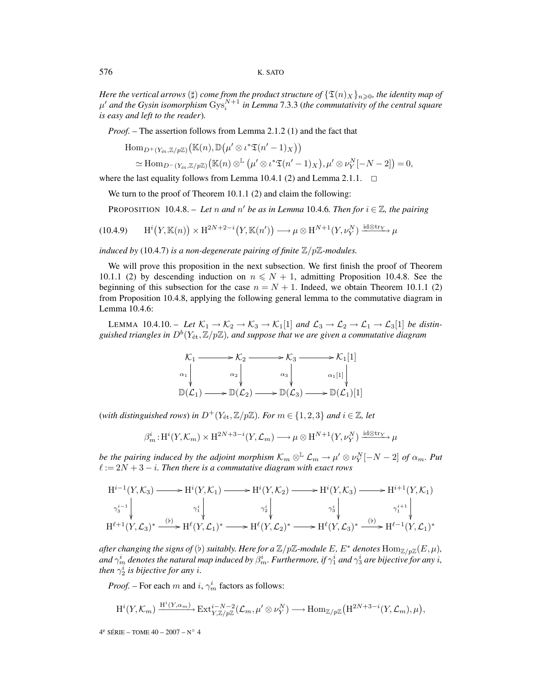*Here the vertical arrows*  $(\sharp)$  *come from the product structure of*  $\{\mathfrak{T}(n)_X\}_{n\geqslant0}$ *, the identity map of*  $\mu'$  and the Gysin isomorphism  $\text{Gys}_{t}^{N+1}$  in Lemma 7.3.3 (the commutativity of the central square *is easy and left to the reader*)*.*

*Proof. –* The assertion follows from Lemma 2.1.2 (1) and the fact that

$$
\text{Hom}_{D^+(Y_{\text{\'et}},\mathbb{Z}/p\mathbb{Z})}\big(\mathbb{K}(n),\mathbb{D}\big(\mu'\otimes\iota^*\mathfrak{T}(n'-1)_X\big)\big) \simeq \text{Hom}_{D^-(Y_{\text{\'et}},\mathbb{Z}/p\mathbb{Z})}\big(\mathbb{K}(n)\otimes^{\mathbb{L}}\big(\mu'\otimes\iota^*\mathfrak{T}(n'-1)_X\big),\mu'\otimes\nu_Y^N[-N-2]\big)=0,
$$

where the last equality follows from Lemma 10.4.1 (2) and Lemma 2.1.1.  $\Box$ 

We turn to the proof of Theorem 10.1.1 (2) and claim the following:

**PROPOSITION** 10.4.8. – Let n and n' be as in Lemma 10.4.6. Then for  $i \in \mathbb{Z}$ , the pairing

(10.4.9) 
$$
H^{i}(Y,\mathbb{K}(n)) \times H^{2N+2-i}(Y,\mathbb{K}(n')) \longrightarrow \mu \otimes H^{N+1}(Y,\nu_{Y}^{N}) \xrightarrow{id \otimes \text{tr}_{Y}} \mu
$$

*induced by* (10.4.7) *is a non-degenerate pairing of finite*  $\mathbb{Z}/p\mathbb{Z}$ *-modules.* 

We will prove this proposition in the next subsection. We first finish the proof of Theorem 10.1.1 (2) by descending induction on  $n \leq N + 1$ , admitting Proposition 10.4.8. See the beginning of this subsection for the case  $n = N + 1$ . Indeed, we obtain Theorem 10.1.1 (2) from Proposition 10.4.8, applying the following general lemma to the commutative diagram in Lemma 10.4.6:

LEMMA 10.4.10. – Let  $K_1 \to K_2 \to K_3 \to K_1[1]$  and  $\mathcal{L}_3 \to \mathcal{L}_2 \to \mathcal{L}_1 \to \mathcal{L}_3[1]$  be distin*guished triangles in*  $D^b(Y_{\text{\'et}},\mathbb{Z}/p\mathbb{Z})$ *, and suppose that we are given a commutative diagram* 



(*with distinguished rows*) *in*  $D^+(Y_{\text{\'et}},\mathbb{Z}/p\mathbb{Z})$ *. For*  $m \in \{1,2,3\}$  *and*  $i \in \mathbb{Z}$ *, let* 

$$
\beta_m^i: \mathrm{H}^i(Y, \mathcal{K}_m) \times \mathrm{H}^{2N+3-i}(Y, \mathcal{L}_m) \longrightarrow \mu \otimes \mathrm{H}^{N+1}(Y, \nu_Y^N) \xrightarrow{\mathrm{id} \otimes \mathrm{tr}_Y} \mu
$$

*be the pairing induced by the adjoint morphism*  $\mathcal{K}_m \otimes^{\mathbb{L}} \mathcal{L}_m \to \mu' \otimes \nu_Y^N[-N-2]$  *of*  $\alpha_m$ . Put  $\ell := 2N + 3 - i$ . Then there is a commutative diagram with exact rows

$$
H^{i-1}(Y,\mathcal{K}_3) \longrightarrow H^{i}(Y,\mathcal{K}_1) \longrightarrow H^{i}(Y,\mathcal{K}_2) \longrightarrow H^{i}(Y,\mathcal{K}_3) \longrightarrow H^{i+1}(Y,\mathcal{K}_1)
$$
\n
$$
\gamma_3^{i-1} \downarrow \qquad \qquad \gamma_1^i \downarrow \qquad \qquad \gamma_2^i \downarrow \qquad \qquad \gamma_3^i \downarrow \qquad \qquad \gamma_1^{i+1} \downarrow
$$
\n
$$
H^{\ell+1}(Y,\mathcal{L}_3)^* \xrightarrow{(\flat)} H^{\ell}(Y,\mathcal{L}_1)^* \longrightarrow H^{\ell}(Y,\mathcal{L}_2)^* \longrightarrow H^{\ell}(Y,\mathcal{L}_3)^* \xrightarrow{(\flat)} H^{\ell-1}(Y,\mathcal{L}_1)^*
$$

*after changing the signs of* (b) *suitably. Here for a*  $\mathbb{Z}/p\mathbb{Z}$ *-module* E*,* E<sup>\*</sup> *denotes*  $\text{Hom}_{\mathbb{Z}/p\mathbb{Z}}(E,\mu)$ *,* and  $\gamma^i_m$  denotes the natural map induced by  $\beta^i_m.$  Furthermore, if  $\gamma^i_1$  and  $\gamma^i_3$  are bijective for any  $i,$ *then*  $\gamma_2^i$  *is bijective for any i.* 

*Proof.* – For each m and i,  $\gamma_m^i$  factors as follows:

$$
\mathrm{H}^i(Y,\mathcal{K}_m) \xrightarrow{\mathrm{H}^i(Y,\alpha_m)} \mathrm{Ext}^{i-N-2}_{Y,\mathbb{Z}/p\mathbb{Z}}(\mathcal{L}_m,\mu'\otimes\nu_Y^N) \longrightarrow \mathrm{Hom}_{\mathbb{Z}/p\mathbb{Z}}(\mathrm{H}^{2N+3-i}(Y,\mathcal{L}_m),\mu),
$$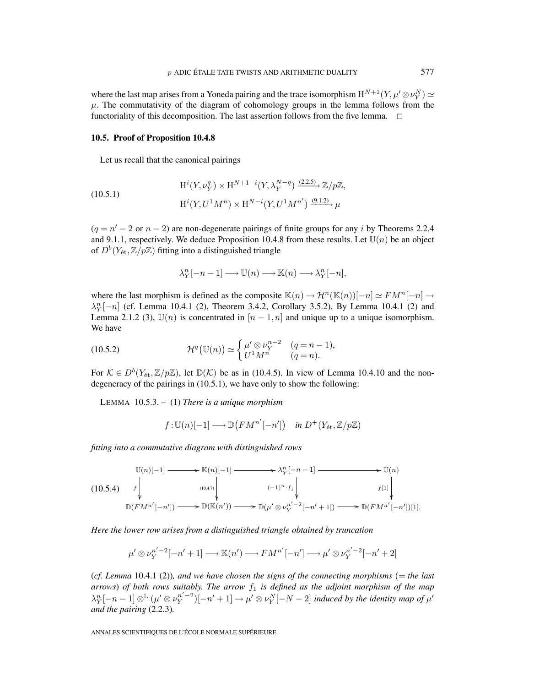where the last map arises from a Yoneda pairing and the trace isomorphism  $H^{N+1}(Y, \mu' \otimes \nu_Y^N) \simeq$  $\mu$ . The commutativity of the diagram of cohomology groups in the lemma follows from the functoriality of this decomposition. The last assertion follows from the five lemma.  $\Box$ 

#### **10.5. Proof of Proposition 10.4.8**

Let us recall that the canonical pairings

(10.5.1) 
$$
H^{i}(Y, \nu_{Y}^{q}) \times H^{N+1-i}(Y, \lambda_{Y}^{N-q}) \xrightarrow{(2.2.5)} \mathbb{Z}/p\mathbb{Z},
$$

$$
H^{i}(Y, U^{1}M^{n}) \times H^{N-i}(Y, U^{1}M^{n'}) \xrightarrow{(9.1.2)} \mu
$$

 $(q = n' - 2 \text{ or } n - 2)$  are non-degenerate pairings of finite groups for any i by Theorems 2.2.4 and 9.1.1, respectively. We deduce Proposition 10.4.8 from these results. Let  $\mathbb{U}(n)$  be an object of  $D^b(Y_{\text{\'et}},\mathbb{Z}/p\mathbb{Z})$  fitting into a distinguished triangle

$$
\lambda_Y^n[-n-1] \longrightarrow \mathbb{U}(n) \longrightarrow \mathbb{K}(n) \longrightarrow \lambda_Y^n[-n],
$$

where the last morphism is defined as the composite  $\mathbb{K}(n) \to \mathcal{H}^n(\mathbb{K}(n))[-n] \simeq F\mathcal{M}^n[-n] \to$  $\lambda_Y^n[-n]$  (cf. Lemma 10.4.1 (2), Theorem 3.4.2, Corollary 3.5.2). By Lemma 10.4.1 (2) and Lemma 2.1.2 (3),  $\mathbb{U}(n)$  is concentrated in  $[n-1,n]$  and unique up to a unique isomorphism. We have

(10.5.2) 
$$
\mathcal{H}^q(\mathbb{U}(n)) \simeq \begin{cases} \mu' \otimes \nu_Y^{n-2} & (q = n-1), \\ U^1 M^n & (q = n). \end{cases}
$$

For  $\mathcal{K} \in D^b(Y_{\text{\'et}},\mathbb{Z}/p\mathbb{Z})$ , let  $\mathbb{D}(\mathcal{K})$  be as in (10.4.5). In view of Lemma 10.4.10 and the nondegeneracy of the pairings in (10.5.1), we have only to show the following:

LEMMA 10.5.3. – (1) *There is a unique morphism*

$$
f: U(n)[-1] \longrightarrow \mathbb{D}(F M^{n'}[-n'])
$$
 in  $D^+(Y_{\text{\'et}}, \mathbb{Z}/p\mathbb{Z})$ 

*fitting into a commutative diagram with distinguished rows*

$$
(10.5.4) \quad f \downarrow \qquad (10.5.4)
$$
\n
$$
\mathbb{D}(F M^{n'}[-n']) \longrightarrow \mathbb{D}(\mathbb{K}(n')) \longrightarrow \mathbb{D}(\mathbb{K}(n')) \longrightarrow \mathbb{D}(\mu' \otimes \nu_Y^{n'-2}[-n'+1]) \longrightarrow \mathbb{D}(F M^{n'}[-n'])[1].
$$

*Here the lower row arises from a distinguished triangle obtained by truncation*

$$
\mu' \otimes \nu_Y^{n'-2}[-n'+1] \longrightarrow \mathbb{K}(n') \longrightarrow FM^{n'}[-n'] \longrightarrow \mu' \otimes \nu_Y^{n'-2}[-n'+2]
$$

(*cf. Lemma* 10.4.1 (2))*, and we have chosen the signs of the connecting morphisms* (= *the last arrows*) *of both rows suitably. The arrow*  $f_1$  *is defined as the adjoint morphism of the map*  $\lambda_Y^n[-n-1]\otimes^{\mathbb{L}}(\mu'\otimes\nu_Y^{n'-2})[-n'+1]\to\mu'\otimes\nu_Y^N[-N-2]$  induced by the identity map of  $\mu'$ *and the pairing* (2.2.3)*.*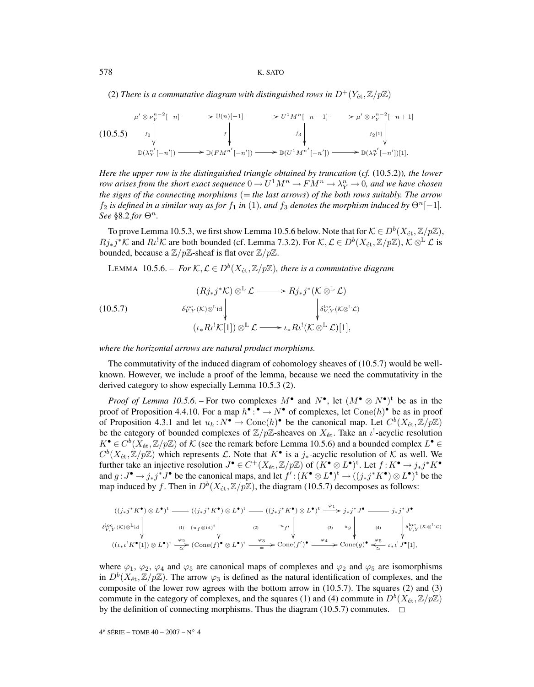(2) *There is a commutative diagram with distinguished rows in*  $D^+(Y_{\text{\'et}},\mathbb{Z}/p\mathbb{Z})$ 

$$
\mu' \otimes \nu_Y^{n-2}[-n] \longrightarrow \mathbb{U}(n)[-1] \longrightarrow U^1 M^n[-n-1] \longrightarrow \mu' \otimes \nu_Y^{n-2}[-n+1]
$$
\n
$$
(10.5.5) \quad f_2 \downarrow \qquad f \downarrow \qquad f_3 \downarrow \qquad f_2[1] \downarrow
$$
\n
$$
\mathbb{D}(\lambda_Y^{n'}[-n']) \longrightarrow \mathbb{D}(FM^{n'}[-n']) \longrightarrow \mathbb{D}(U^1 M^{n'}[-n']) \longrightarrow \mathbb{D}(\lambda_Y^{n'}[-n'])[1].
$$

*Here the upper row is the distinguished triangle obtained by truncation* (*cf.* (10.5.2))*, the lower row arises from the short exact sequence*  $0 \to U^1 M^n \to F M^n \to \lambda_Y^n \to 0$ , and we have chosen *the signs of the connecting morphisms* (= *the last arrows*) *of the both rows suitably. The arrow*  $f_2$  *is defined in a similar way as for*  $f_1$  *in* (1)*, and*  $f_3$  *denotes the morphism induced by*  $\Theta^n[-1]$ *. See* §8.2 *for*  $\Theta^n$ .

To prove Lemma 10.5.3, we first show Lemma 10.5.6 below. Note that for  $K \in D^b(X_\text{\rm \'et},\mathbb{Z}/p\mathbb{Z})$ ,  $Rj_*j^*\mathcal{K}$  and  $R\ell^!\mathcal{K}$  are both bounded (cf. Lemma 7.3.2). For  $\mathcal{K}, \mathcal{L} \in D^b(X_{\text{\'et}},\mathbb{Z}/p\mathbb{Z}), \mathcal{K} \otimes^{\mathbb{L}} \mathcal{L}$  is bounded, because a  $\mathbb{Z}/p\mathbb{Z}$ -sheaf is flat over  $\mathbb{Z}/p\mathbb{Z}$ .

LEMMA 10.5.6. – *For*  $K, \mathcal{L} \in D^b(X_{\text{\'et}}, \mathbb{Z}/p\mathbb{Z})$ , there is a commutative diagram

(10.5.7)  
\n
$$
\begin{array}{ccc}\n & & (Rj_{*}j^{*}\mathcal{K}) \otimes^{\mathbb{L}} \mathcal{L} \longrightarrow Rj_{*}j^{*}(\mathcal{K} \otimes^{\mathbb{L}} \mathcal{L}) \\
 & & \downarrow^{\text{loc}}_{V,Y}(\mathcal{K}) \otimes^{\mathbb{L}} \text{id} \downarrow & & \downarrow^{\text{loc}}_{V,Y}(\mathcal{K} \otimes^{\mathbb{L}} \mathcal{L}) \\
 & & & (\iota_{*}R\iota^{!}\mathcal{K}[1]) \otimes^{\mathbb{L}} \mathcal{L} \longrightarrow \iota_{*}R\iota^{!}(\mathcal{K} \otimes^{\mathbb{L}} \mathcal{L})[1],\n\end{array}
$$

*where the horizontal arrows are natural product morphisms.*

The commutativity of the induced diagram of cohomology sheaves of (10.5.7) would be wellknown. However, we include a proof of the lemma, because we need the commutativity in the derived category to show especially Lemma 10.5.3 (2).

*Proof of Lemma 10.5.6.* – For two complexes  $M^{\bullet}$  and  $N^{\bullet}$ , let  $(M^{\bullet} \otimes N^{\bullet})^t$  be as in the proof of Proposition 4.4.10. For a map  $h^{\bullet}$ :  $\bullet \to N^{\bullet}$  of complexes, let  $Cone(h)^{\bullet}$  be as in proof of Proposition 4.3.1 and let  $u_h : N^{\bullet} \to \text{Cone}(h)^{\bullet}$  be the canonical map. Let  $C^b(X_{\text{\'et}},\mathbb{Z}/p\mathbb{Z})$ be the category of bounded complexes of  $\mathbb{Z}/p\mathbb{Z}$ -sheaves on  $X_{\text{\'et}}$ . Take an  $\iota^!$ -acyclic resolution  $K^{\bullet} \in C^{b}(X_{\text{\rm\'et}},\mathbb{Z}/p\mathbb{Z})$  of K (see the remark before Lemma 10.5.6) and a bounded complex  $L^{\bullet}$  $C^b(X_{\text{\'et}},\mathbb{Z}/p\mathbb{Z})$  which represents  $\mathcal{L}$ . Note that  $K^{\bullet}$  is a  $j_{*}$ -acyclic resolution of  $\mathcal{K}$  as well. We further take an injective resolution  $J^{\bullet} \in C^+(X_{\text{\'et}},\mathbb{Z}/p\mathbb{Z})$  of  $(K^{\bullet} \otimes L^{\bullet})^{\text{t}}$ . Let  $f:K^{\bullet} \to j_*j^*K^{\bullet}$ and  $g: J^{\bullet} \to j_*j^*J^{\bullet}$  be the canonical maps, and let  $f': (K^{\bullet} \otimes L^{\bullet})^{\dagger} \to ((j_*j^*K^{\bullet}) \otimes L^{\bullet})^{\dagger}$  be the map induced by f. Then in  $D^b(X_{\text{\'et}},\mathbb{Z}/p\mathbb{Z})$ , the diagram (10.5.7) decomposes as follows:

$$
\begin{array}{c}\n((j_{*}j^{*}K^{\bullet})\otimes L^{\bullet})^{t} \xrightarrow{\hspace*{1.5cm}} ((j_{*}j^{*}K^{\bullet})\otimes L^{\bullet})^{t} \xrightarrow{\hspace*{1.5cm}} ((j_{*}j^{*}K^{\bullet})\otimes L^{\bullet})^{t} \xrightarrow{\hspace*{1.5cm}} ((j_{*}j^{*}K^{\bullet})\otimes L^{\bullet})^{t} \xrightarrow{\hspace*{1.5cm}} j_{*}j^{*}J^{\bullet} \xrightarrow{\hspace*{1.5cm}} j_{*}j^{*}J^{\bullet} \\
\downarrow \qquad \qquad \downarrow \qquad \qquad \downarrow \qquad \qquad \downarrow \qquad \qquad \downarrow \qquad \qquad \downarrow \qquad \qquad \downarrow \qquad \qquad \downarrow \qquad \qquad \downarrow \qquad \qquad \downarrow \qquad \downarrow \qquad \downarrow \qquad \downarrow \qquad \downarrow \qquad \downarrow \qquad \downarrow \qquad \downarrow \qquad \downarrow \qquad \downarrow \qquad \downarrow \qquad \downarrow \qquad \downarrow \qquad \downarrow \qquad \downarrow \qquad \downarrow \qquad \downarrow \qquad \downarrow \qquad \downarrow \qquad \downarrow \qquad \downarrow \qquad \downarrow \qquad \downarrow \qquad \downarrow \qquad \downarrow \qquad \downarrow \qquad \downarrow \qquad \downarrow \qquad \downarrow \qquad \downarrow \qquad \downarrow \qquad \downarrow \qquad \downarrow \qquad \downarrow \qquad \downarrow \qquad \downarrow \qquad \downarrow \qquad \downarrow \qquad \downarrow \qquad \downarrow \qquad \downarrow \qquad \downarrow \qquad \downarrow \qquad \downarrow \qquad \downarrow \qquad \downarrow \qquad \downarrow \qquad \downarrow \qquad \downarrow \qquad \downarrow \qquad \downarrow \qquad \downarrow \qquad \downarrow \qquad \downarrow \qquad \downarrow \qquad \downarrow \qquad \downarrow \qquad \downarrow \qquad \downarrow \qquad \downarrow \qquad \downarrow \qquad \downarrow \qquad \downarrow \qquad \downarrow \qquad \downarrow \qquad \downarrow \qquad \downarrow \qquad \downarrow \qquad \downarrow \qquad \downarrow \qquad \downarrow \qquad \downarrow \qquad \downarrow \qquad \downarrow \qquad \downarrow \qquad \downarrow \qquad \downarrow \qquad \downarrow \qquad \downarrow \qquad \downarrow \q
$$

where  $\varphi_1$ ,  $\varphi_2$ ,  $\varphi_4$  and  $\varphi_5$  are canonical maps of complexes and  $\varphi_2$  and  $\varphi_5$  are isomorphisms in  $D^b(X_{\text{\'et}},\mathbb{Z}/p\mathbb{Z})$ . The arrow  $\varphi_3$  is defined as the natural identification of complexes, and the composite of the lower row agrees with the bottom arrow in (10.5.7). The squares (2) and (3) commute in the category of complexes, and the squares (1) and (4) commute in  $D^b(X_\text{\'et},\mathbb{Z}/p\mathbb{Z})$ by the definition of connecting morphisms. Thus the diagram (10.5.7) commutes.  $\Box$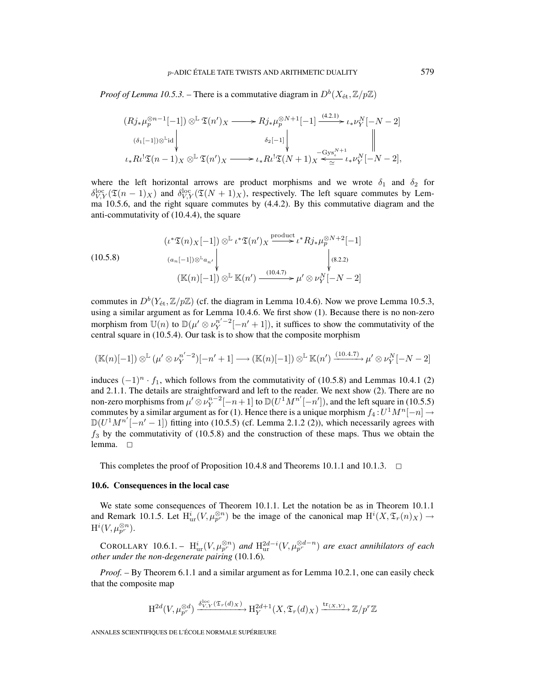*Proof of Lemma 10.5.3.* – There is a commutative diagram in  $D^b(X_\text{\it \'{e}t},\mathbb{Z}/p\mathbb{Z})$ 

$$
(Rj_*\mu_p^{\otimes n-1}[-1]) \otimes^{\mathbb{L}} \mathfrak{T}(n')_X \longrightarrow Rj_*\mu_p^{\otimes N+1}[-1] \xrightarrow{(4.2.1)} \iota_*\nu_Y^N[-N-2]
$$
  

$$
\left.\begin{array}{c} (\delta_1[-1]) \otimes^{\mathbb{L}} id \\ \downarrow \end{array}\right|_{\iota_*R\iota^! \mathfrak{T}(n-1)_X} \otimes^{\mathbb{L}} \mathfrak{T}(n')_X \longrightarrow \iota_*R\iota^! \mathfrak{T}(N+1)_X \xrightarrow{-\text{Gys}_\iota^{N+1}} \iota_*\nu_Y^N[-N-2],
$$

where the left horizontal arrows are product morphisms and we wrote  $\delta_1$  and  $\delta_2$  for  $\delta_{V,Y}^{\text{loc}}(\mathfrak{T}(n-1)_X)$  and  $\delta_{V,Y}^{\text{loc}}(\mathfrak{T}(N+1)_X)$ , respectively. The left square commutes by Lemma 10.5.6, and the right square commutes by (4.4.2). By this commutative diagram and the anti-commutativity of (10.4.4), the square

(10.5.8)  
\n
$$
\begin{aligned}\n(\iota^* \mathfrak{T}(n)_X[-1]) \otimes^{\mathbb{L}} \iota^* \mathfrak{T}(n')_X &\xrightarrow{\text{product}} \iota^* R j_* \mu_p^{\otimes N+2}[-1] \\
(a_n[-1]) \otimes^{\mathbb{L}} a_{n'} &\downarrow \qquad \qquad \downarrow (8.2.2) \\
(\mathbb{K}(n)[-1]) \otimes^{\mathbb{L}} \mathbb{K}(n') &\xrightarrow{(10.4.7)} \mu' \otimes \nu_Y^N[-N-2]\n\end{aligned}
$$

commutes in  $D^b(Y_{\text{\'et}},\mathbb{Z}/p\mathbb{Z})$  (cf. the diagram in Lemma 10.4.6). Now we prove Lemma 10.5.3, using a similar argument as for Lemma 10.4.6. We first show (1). Because there is no non-zero morphism from  $\mathbb{U}(n)$  to  $\mathbb{D}(\mu' \otimes \nu_Y^{n'-2}[-n'+1])$ , it suffices to show the commutativity of the central square in (10.5.4). Our task is to show that the composite morphism

$$
(\mathbb{K}(n)[-1]) \otimes^{\mathbb{L}} (\mu' \otimes \nu_Y^{n'-2})[-n'+1] \longrightarrow (\mathbb{K}(n)[-1]) \otimes^{\mathbb{L}} \mathbb{K}(n') \xrightarrow{(10.4.7)} \mu' \otimes \nu_Y^{N}[-N-2]
$$

induces  $(-1)^n \tcdot f_1$ , which follows from the commutativity of (10.5.8) and Lemmas 10.4.1 (2) and 2.1.1. The details are straightforward and left to the reader. We next show (2). There are no non-zero morphisms from  $\mu' \otimes \nu_Y^{n-2}[-n+1]$  to  $\mathbb{D}(U^1M^{n'}[-n'])$ , and the left square in (10.5.5) commutes by a similar argument as for (1). Hence there is a unique morphism  $f_4:U^1M^n[-n] \to$  $\mathbb{D}(U^1M^{n'}[-n'-1])$  fitting into (10.5.5) (cf. Lemma 2.1.2 (2)), which necessarily agrees with  $f_3$  by the commutativity of (10.5.8) and the construction of these maps. Thus we obtain the lemma.  $\square$ 

This completes the proof of Proposition 10.4.8 and Theorems 10.1.1 and 10.1.3.  $\Box$ 

## **10.6. Consequences in the local case**

We state some consequences of Theorem 10.1.1. Let the notation be as in Theorem 10.1.1 and Remark 10.1.5. Let  $H^i_{ur}(V,\mu_{p^r}^{\otimes n})$  be the image of the canonical map  $H^i(X,\mathfrak{T}_r(n)_X) \to$  $\mathrm{H}^i(V,\mu_{p^r}^{\otimes n}).$ 

COROLLARY 10.6.1. –  $H^i_{\text{ur}}(V,\mu_{p^r}^{\otimes n})$  and  $H^{2d-i}_{\text{ur}}(V,\mu_{p^r}^{\otimes d-n})$  are exact annihilators of each *other under the non-degenerate pairing* (10.1.6)*.*

*Proof. –* By Theorem 6.1.1 and a similar argument as for Lemma 10.2.1, one can easily check that the composite map

$$
\mathrm{H}^{2d}(V, \mu_{p^r}^{\otimes d}) \xrightarrow{\delta_{V,Y}^{\mathrm{loc}}(\mathfrak{T}_r(d)_X)} \mathrm{H}_Y^{2d+1}(X, \mathfrak{T}_r(d)_X) \xrightarrow{\mathrm{tr}_{(X,Y)}} \mathbb{Z}/p^r\mathbb{Z}
$$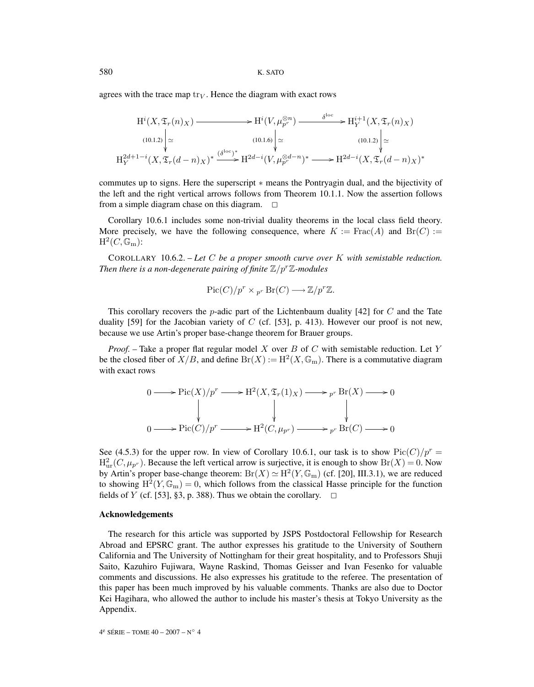agrees with the trace map  $\text{tr}_V$ . Hence the diagram with exact rows

$$
H^{i}(X, \mathfrak{T}_{r}(n)X) \longrightarrow H^{i}(V, \mu_{p^{r}}^{\otimes n}) \longrightarrow H^{i+1}(X, \mathfrak{T}_{r}(n)X)
$$
\n
$$
\lim_{(10.1.2)} \Big| \simeq \lim_{\begin{subarray}{c} \forall i \in \mathbb{N} \\ \text{if } i \neq i \end{subarray}} \lim_{(10.1.6)} \Big| \simeq \lim_{\begin{subarray}{c} \forall i \in \mathbb{N} \\ \text{if } i \neq i \end{subarray}} H^{2d+1-i}(X, \mathfrak{T}_{r}(d-n)X)^{*} \longrightarrow H^{2d-i}(V, \mu_{p^{r}}^{\otimes d-n})^{*} \longrightarrow H^{2d-i}(X, \mathfrak{T}_{r}(d-n)X)^{*}
$$

commutes up to signs. Here the superscript ∗ means the Pontryagin dual, and the bijectivity of the left and the right vertical arrows follows from Theorem 10.1.1. Now the assertion follows from a simple diagram chase on this diagram.  $\Box$ 

Corollary 10.6.1 includes some non-trivial duality theorems in the local class field theory. More precisely, we have the following consequence, where  $K := \text{Frac}(A)$  and  $\text{Br}(C) :=$  $H^2(C,\mathbb{G}_{\mathrm{m}})$ :

COROLLARY 10.6.2. – *Let* C *be a proper smooth curve over* K *with semistable reduction. Then there is a non-degenerate pairing of finite*  $\mathbb{Z}/p^r\mathbb{Z}$ *-modules* 

$$
Pic(C)/p^r \times {}_{p^r} \operatorname{Br}(C) \longrightarrow \mathbb{Z}/p^r \mathbb{Z}.
$$

This corollary recovers the *p*-adic part of the Lichtenbaum duality [42] for C and the Tate duality [59] for the Jacobian variety of C (cf. [53], p. 413). However our proof is not new, because we use Artin's proper base-change theorem for Brauer groups.

*Proof. –* Take a proper flat regular model X over B of C with semistable reduction. Let Y be the closed fiber of  $X/B$ , and define  $Br(X) := H^2(X, \mathbb{G}_m)$ . There is a commutative diagram with exact rows

$$
0 \longrightarrow Pic(X)/p^r \longrightarrow H^2(X, \mathfrak{T}_r(1)_X) \longrightarrow p^r Br(X) \longrightarrow 0
$$
  
\n
$$
\downarrow \qquad \qquad \downarrow \qquad \qquad \downarrow
$$
  
\n
$$
0 \longrightarrow Pic(C)/p^r \longrightarrow H^2(C, \mu_{p^r}) \longrightarrow p^r Br(C) \longrightarrow 0
$$

See (4.5.3) for the upper row. In view of Corollary 10.6.1, our task is to show  $Pic(C)/p^r =$  $H^2_{\text{ur}}(C,\mu_{p^r})$ . Because the left vertical arrow is surjective, it is enough to show  $Br(X)=0$ . Now by Artin's proper base-change theorem:  $Br(X) \simeq H^2(Y, \mathbb{G}_m)$  (cf. [20], III.3.1), we are reduced to showing  $H^2(Y,\mathbb{G}_m)=0$ , which follows from the classical Hasse principle for the function fields of Y (cf. [53], §3, p. 388). Thus we obtain the corollary.  $\Box$ 

## **Acknowledgements**

The research for this article was supported by JSPS Postdoctoral Fellowship for Research Abroad and EPSRC grant. The author expresses his gratitude to the University of Southern California and The University of Nottingham for their great hospitality, and to Professors Shuji Saito, Kazuhiro Fujiwara, Wayne Raskind, Thomas Geisser and Ivan Fesenko for valuable comments and discussions. He also expresses his gratitude to the referee. The presentation of this paper has been much improved by his valuable comments. Thanks are also due to Doctor Kei Hagihara, who allowed the author to include his master's thesis at Tokyo University as the Appendix.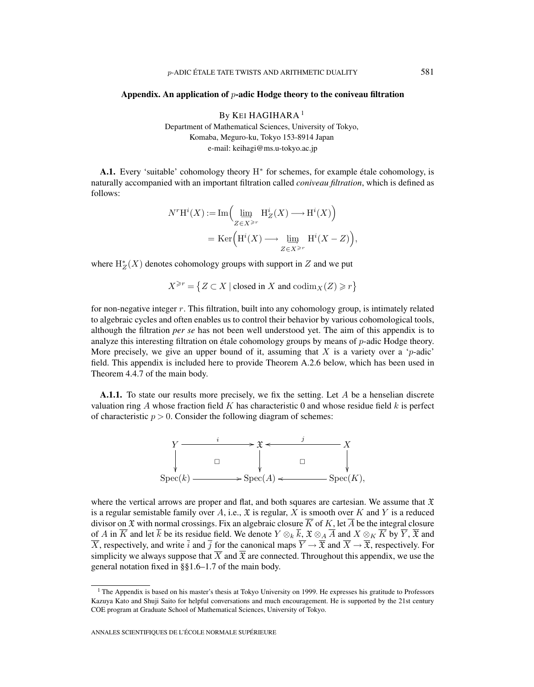#### **Appendix. An application of** p**-adic Hodge theory to the coniveau filtration**

By KEI HAGIHARA<sup>1</sup> Department of Mathematical Sciences, University of Tokyo, Komaba, Meguro-ku, Tokyo 153-8914 Japan e-mail: keihagi@ms.u-tokyo.ac.jp

**A.1.** Every 'suitable' cohomology theory H<sup>∗</sup> for schemes, for example étale cohomology, is naturally accompanied with an important filtration called *coniveau filtration*, which is defined as follows:

$$
\begin{split} N^r\mathrm{H}^i(X) := \mathrm{Im}\Big(&\varinjlim_{Z\in X^{\geq r}} \mathrm{H}^i_Z(X) \longrightarrow \mathrm{H}^i(X)\Big)\\ &=\mathrm{Ker}\Big(\mathrm{H}^i(X) \longrightarrow \varinjlim_{Z\in X^{\geq r}} \mathrm{H}^i(X-Z)\Big), \end{split}
$$

where  $H_Z^*(X)$  denotes cohomology groups with support in  $Z$  and we put

 $X^{\geq r} = \{ Z \subset X \mid \text{closed in } X \text{ and } \text{codim}_X(Z) \geq r \}$ 

for non-negative integer  $r$ . This filtration, built into any cohomology group, is intimately related to algebraic cycles and often enables us to control their behavior by various cohomological tools, although the filtration *per se* has not been well understood yet. The aim of this appendix is to analyze this interesting filtration on étale cohomology groups by means of p-adic Hodge theory. More precisely, we give an upper bound of it, assuming that  $X$  is a variety over a 'p-adic' field. This appendix is included here to provide Theorem A.2.6 below, which has been used in Theorem 4.4.7 of the main body.

**A.1.1.** To state our results more precisely, we fix the setting. Let A be a henselian discrete valuation ring A whose fraction field K has characteristic 0 and whose residue field k is perfect of characteristic  $p > 0$ . Consider the following diagram of schemes:



where the vertical arrows are proper and flat, and both squares are cartesian. We assume that  $\mathfrak X$ is a regular semistable family over A, i.e.,  $\mathfrak X$  is regular, X is smooth over K and Y is a reduced divisor on X with normal crossings. Fix an algebraic closure  $\overline{K}$  of K, let  $\overline{A}$  be the integral closure of A in  $\overline{K}$  and let  $\overline{k}$  be its residue field. We denote  $Y \otimes_k \overline{k}$ ,  $\mathfrak{X} \otimes_A \overline{A}$  and  $X \otimes_K \overline{K}$  by  $\overline{Y}$ ,  $\overline{\mathfrak{X}}$  and  $\overline{X}$ , respectively, and write  $\overline{i}$  and  $\overline{j}$  for the canonical maps  $\overline{Y} \to \overline{\overline{X}}$  and  $\overline{X} \to \overline{\overline{X}}$ , respectively. For simplicity we always suppose that  $\overline{X}$  and  $\overline{\mathfrak{X}}$  are connected. Throughout this appendix, we use the general notation fixed in §§1.6–1.7 of the main body.

<sup>&</sup>lt;sup>1</sup> The Appendix is based on his master's thesis at Tokyo University on 1999. He expresses his gratitude to Professors Kazuya Kato and Shuji Saito for helpful conversations and much encouragement. He is supported by the 21st century COE program at Graduate School of Mathematical Sciences, University of Tokyo.

ANNALES SCIENTIFIQUES DE L'ÉCOLE NORMALE SUPÉRIEURE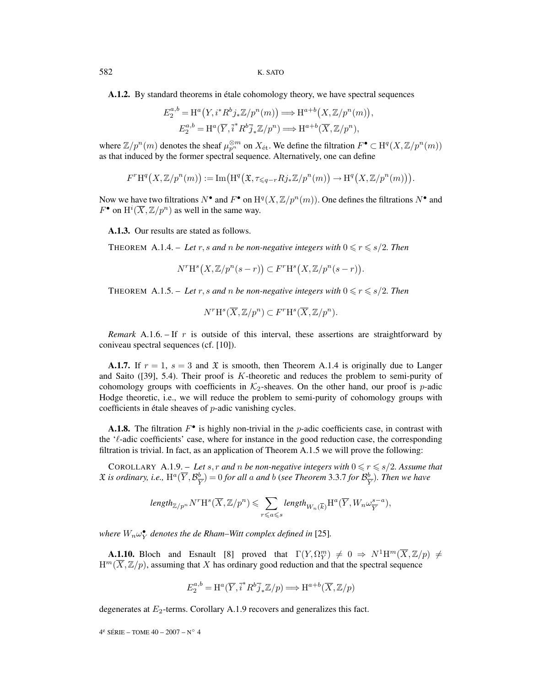**A.1.2.** By standard theorems in étale cohomology theory, we have spectral sequences

$$
E_2^{a,b} = \mathrm{H}^a(Y, i^* R^b j_* \mathbb{Z}/p^n(m)) \Longrightarrow \mathrm{H}^{a+b}(X, \mathbb{Z}/p^n(m)),
$$
  

$$
E_2^{a,b} = \mathrm{H}^a(\overline{Y}, \overline{i}^* R^b \overline{j}_* \mathbb{Z}/p^n) \Longrightarrow \mathrm{H}^{a+b}(\overline{X}, \mathbb{Z}/p^n),
$$

where  $\mathbb{Z}/p^n(m)$  denotes the sheaf  $\mu_{p^n}^{\otimes m}$  on  $X_{\text{\'et}}$ . We define the filtration  $F^{\bullet} \subset \mathrm{H}^q(X,\mathbb{Z}/p^n(m))$ as that induced by the former spectral sequence. Alternatively, one can define

$$
F^{r}\mathrm{H}^{q}\big(X,\mathbb{Z}/p^{n}(m)\big):=\mathrm{Im}\big(\mathrm{H}^{q}\big(\mathfrak{X},\tau_{\leqslant q-r}Rj_*\mathbb{Z}/p^{n}(m)\big)\rightarrow \mathrm{H}^{q}\big(X,\mathbb{Z}/p^{n}(m)\big)\big).
$$

Now we have two filtrations  $N^{\bullet}$  and  $F^{\bullet}$  on  $H^q(X, \mathbb{Z}/p^n(m))$ . One defines the filtrations  $N^{\bullet}$  and  $F^{\bullet}$  on  $\mathrm{H}^i(\overline{X}, \mathbb{Z}/p^n)$  as well in the same way.

**A.1.3.** Our results are stated as follows.

THEOREM A.1.4. – Let r, s and n be non-negative integers with  $0 \le r \le s/2$ . Then

$$
N^r \mathcal{H}^s\big(X,\mathbb{Z}/p^n(s-r)\big) \subset F^r \mathcal{H}^s\big(X,\mathbb{Z}/p^n(s-r)\big).
$$

THEOREM A.1.5. – Let r, s and n be non-negative integers with  $0 \le r \le s/2$ . Then

$$
N^r \mathcal{H}^s(\overline{X}, \mathbb{Z}/p^n) \subset F^r \mathcal{H}^s(\overline{X}, \mathbb{Z}/p^n).
$$

*Remark* A.1.6. – If r is outside of this interval, these assertions are straightforward by coniveau spectral sequences (cf. [10]).

**A.1.7.** If  $r = 1$ ,  $s = 3$  and  $\mathfrak{X}$  is smooth, then Theorem A.1.4 is originally due to Langer and Saito ([39], 5.4). Their proof is K-theoretic and reduces the problem to semi-purity of cohomology groups with coefficients in  $K_2$ -sheaves. On the other hand, our proof is p-adic Hodge theoretic, i.e., we will reduce the problem to semi-purity of cohomology groups with coefficients in étale sheaves of p-adic vanishing cycles.

**A.1.8.** The filtration  $F^{\bullet}$  is highly non-trivial in the p-adic coefficients case, in contrast with the  $\ell$ -adic coefficients' case, where for instance in the good reduction case, the corresponding filtration is trivial. In fact, as an application of Theorem A.1.5 we will prove the following:

COROLLARY A.1.9. – Let s, r and n be non-negative integers with  $0 \le r \le s/2$ . Assume that  $\mathfrak X$  is ordinary, i.e.,  $\mathrm{H}^a(\overline{Y}, \mathcal{B}_{\overline{Y}}^b) = 0$  for all a and b (see Theorem 3.3.7 for  $\mathcal{B}_{\overline{Y}}^b$ ). Then we have

$$
\textit{length}_{\mathbb{Z}/p^n}N^r\mathrm{H}^s(\overline{X},\mathbb{Z}/p^n) \leqslant \sum_{r\leqslant a\leqslant s}\textit{length}_{W_n(\overline{k})}\mathrm{H}^a(\overline{Y},W_n\omega_{\overline{Y}}^{s-a}),
$$

where  $W_n \omega_Y^{\bullet}$  denotes the de Rham–Witt complex defined in [25].

**A.1.10.** Bloch and Esnault [8] proved that  $\Gamma(Y, \Omega_Y^m) \neq 0 \Rightarrow N^1 H^m(\overline{X}, \mathbb{Z}/p) \neq 0$  $H^m(\overline{X},\mathbb{Z}/p)$ , assuming that X has ordinary good reduction and that the spectral sequence

$$
E_2^{a,b} = \mathrm{H}^a(\overline{Y},\overline{i}^*R^b\overline{j}_*\mathbb{Z}/p) \Longrightarrow \mathrm{H}^{a+b}(\overline{X},\mathbb{Z}/p)
$$

degenerates at  $E_2$ -terms. Corollary A.1.9 recovers and generalizes this fact.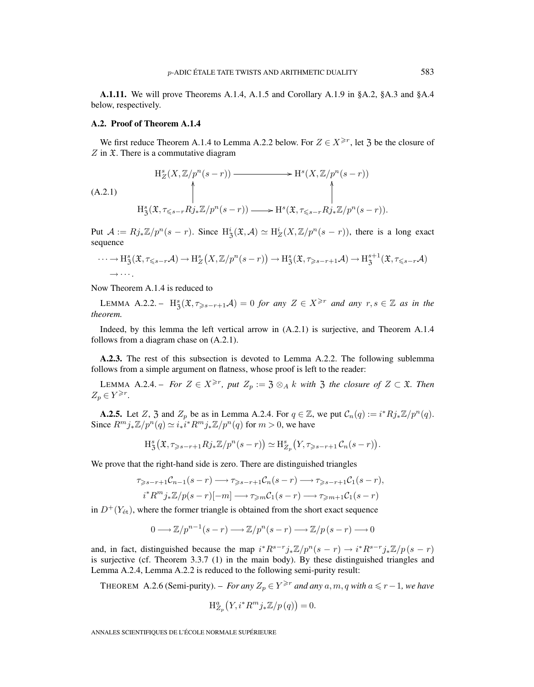**A.1.11.** We will prove Theorems A.1.4, A.1.5 and Corollary A.1.9 in §A.2, §A.3 and §A.4 below, respectively.

#### **A.2. Proof of Theorem A.1.4**

We first reduce Theorem A.1.4 to Lemma A.2.2 below. For  $Z \in X^{\geq r}$ , let 3 be the closure of  $Z$  in  $\mathfrak X$ . There is a commutative diagram

$$
H_Z^s(X, \mathbb{Z}/p^n(s-r)) \longrightarrow H^s(X, \mathbb{Z}/p^n(s-r))
$$
\n
$$
(A.2.1)
$$
\n
$$
H_Z^s(\mathfrak{X}, \tau_{\leq s-r} R j_* \mathbb{Z}/p^n(s-r)) \longrightarrow H^s(\mathfrak{X}, \tau_{\leq s-r} R j_* \mathbb{Z}/p^n(s-r)).
$$

Put  $\mathcal{A} := Rj_*\mathbb{Z}/p^n(s-r)$ . Since  $H^i_{\mathcal{B}}(\mathfrak{X}, \mathcal{A}) \simeq H^i_{\mathcal{Z}}(X, \mathbb{Z}/p^n(s-r))$ , there is a long exact sequence

$$
\cdots \to H^s_{\mathfrak{Z}}(\mathfrak{X}, \tau_{\leq s-r}A) \to H^s_Z(X, \mathbb{Z}/p^n(s-r)) \to H^s_{\mathfrak{Z}}(\mathfrak{X}, \tau_{\geq s-r+1}A) \to H^{s+1}_{\mathfrak{Z}}(\mathfrak{X}, \tau_{\leq s-r}A)
$$

Now Theorem A.1.4 is reduced to

LEMMA A.2.2. –  $H_3^s(\mathfrak{X}, \tau_{\geq s-r+1} \mathcal{A})=0$  *for any*  $Z \in X^{\geq r}$  *and any*  $r, s \in \mathbb{Z}$  *as in the theorem.*

Indeed, by this lemma the left vertical arrow in (A.2.1) is surjective, and Theorem A.1.4 follows from a diagram chase on (A.2.1).

**A.2.3.** The rest of this subsection is devoted to Lemma A.2.2. The following sublemma follows from a simple argument on flatness, whose proof is left to the reader:

LEMMA A.2.4. – *For*  $Z \in X^{\geq r}$ *, put*  $Z_p := \mathfrak{Z} \otimes_A k$  *with*  $\mathfrak{Z}$  *the closure of*  $Z \subset \mathfrak{X}$ *. Then*  $Z_p \in Y^{\geqslant r}.$ 

**A.2.5.** Let Z, 3 and  $Z_p$  be as in Lemma A.2.4. For  $q \in \mathbb{Z}$ , we put  $C_n(q) := i^* R j_* \mathbb{Z}/p^n(q)$ . Since  $R^m j_* \mathbb{Z}/p^n(q) \simeq i_* i^* R^m j_* \mathbb{Z}/p^n(q)$  for  $m > 0$ , we have

$$
\mathrm{H}^s_3(\mathfrak{X}, \tau_{\geq s-r+1} R j_* \mathbb{Z}/p^n(s-r)) \simeq \mathrm{H}^s_{\mathbb{Z}_p}\big(Y, \tau_{\geq s-r+1} C_n(s-r)\big).
$$

We prove that the right-hand side is zero. There are distinguished triangles

$$
\tau_{\geq s-r+1}C_{n-1}(s-r) \longrightarrow \tau_{\geq s-r+1}C_n(s-r) \longrightarrow \tau_{\geq s-r+1}C_1(s-r),
$$
  
\n
$$
i^*R^m j_*\mathbb{Z}/p(s-r)[-m] \longrightarrow \tau_{\geq m}C_1(s-r) \longrightarrow \tau_{\geq m+1}C_1(s-r)
$$

in  $D^{+}(Y_{\text{\'et}})$ , where the former triangle is obtained from the short exact sequence

$$
0 \longrightarrow \mathbb{Z}/p^{n-1}(s-r) \longrightarrow \mathbb{Z}/p^{n}(s-r) \longrightarrow \mathbb{Z}/p(s-r) \longrightarrow 0
$$

and, in fact, distinguished because the map  $i^*R^{s-r}j_*\mathbb{Z}/p^n(s-r) \to i^*R^{s-r}j_*\mathbb{Z}/p(s-r)$ is surjective (cf. Theorem 3.3.7 (1) in the main body). By these distinguished triangles and Lemma A.2.4, Lemma A.2.2 is reduced to the following semi-purity result:

THEOREM A.2.6 (Semi-purity). – *For any*  $Z_p \in Y^{\geq r}$  *and any*  $a, m, q$  *with*  $a \leq r - 1$ *, we have* 

$$
\mathrm{H}^a_{Z_p}\big(Y, i^* R^m j_* \mathbb{Z}/p\left(q\right)\big) = 0.
$$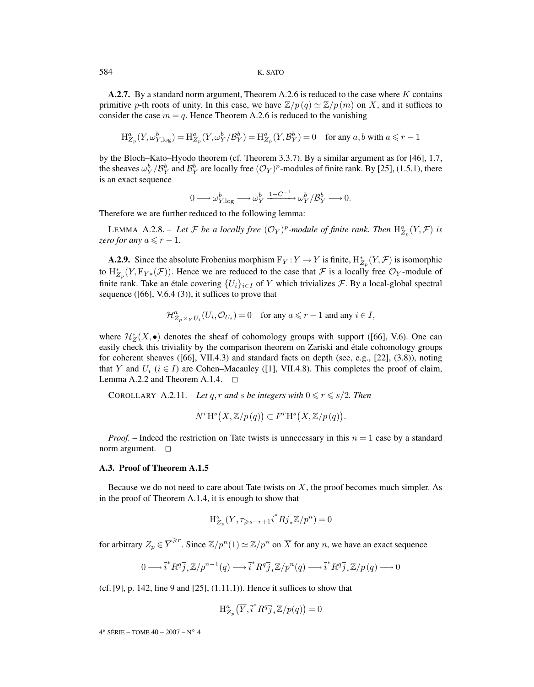584 K. SATO

**A.2.7.** By a standard norm argument, Theorem A.2.6 is reduced to the case where K contains primitive p-th roots of unity. In this case, we have  $\mathbb{Z}/p(q) \simeq \mathbb{Z}/p(m)$  on X, and it suffices to consider the case  $m = q$ . Hence Theorem A.2.6 is reduced to the vanishing

$$
\mathrm{H}^a_{Z_p}(Y,\omega^b_{Y,\log}) = \mathrm{H}^a_{Z_p}(Y,\omega^b_Y/\mathcal{B}_Y^b) = \mathrm{H}^a_{Z_p}(Y,\mathcal{B}_Y^b) = 0 \quad \text{for any } a,b \text{ with } a \leq r-1
$$

by the Bloch–Kato–Hyodo theorem (cf. Theorem 3.3.7). By a similar argument as for [46], 1.7, the sheaves  $\omega_Y^b/\mathcal{B}_Y^b$  and  $\mathcal{B}_Y^b$  are locally free  $(\mathcal{O}_Y)^p$ -modules of finite rank. By [25], (1.5.1), there is an exact sequence

$$
0 \longrightarrow \omega_{Y,\log}^b \longrightarrow \omega_Y^b \xrightarrow{1-C^{-1}} \omega_Y^b/\mathcal{B}_Y^b \longrightarrow 0.
$$

Therefore we are further reduced to the following lemma:

LEMMA A.2.8. – Let F be a locally free  $(\mathcal{O}_Y)^p$ -module of finite rank. Then  $\mathrm{H}^a_{Z_p}(Y,\mathcal{F})$  is *zero for any*  $a \leq r - 1$ *.* 

**A.2.9.** Since the absolute Frobenius morphism  $F_Y: Y \to Y$  is finite,  $H^*_{Z_p}(Y, \mathcal{F})$  is isomorphic to  $H^*_{Z_p}(Y, F_{Y*}(\mathcal{F}))$ . Hence we are reduced to the case that  $\mathcal F$  is a locally free  $\mathcal O_Y$ -module of finite rank. Take an étale covering  $\{U_i\}_{i\in I}$  of Y which trivializes  $\mathcal F$ . By a local-global spectral sequence  $([66], V.6.4 (3))$ , it suffices to prove that

$$
\mathcal{H}^a_{Z_p \times_Y U_i}(U_i, \mathcal{O}_{U_i}) = 0 \quad \text{for any } a \leq r - 1 \text{ and any } i \in I,
$$

where  $\mathcal{H}_Z^*(X, \bullet)$  denotes the sheaf of cohomology groups with support ([66], V.6). One can easily check this triviality by the comparison theorem on Zariski and étale cohomology groups for coherent sheaves ([66], VII.4.3) and standard facts on depth (see, e.g., [22], (3.8)), noting that Y and  $U_i$  ( $i \in I$ ) are Cohen–Macauley ([1], VII.4.8). This completes the proof of claim, Lemma A.2.2 and Theorem A.1.4.  $\Box$ 

COROLLARY A.2.11. – Let q, r and s be integers with  $0 \le r \le s/2$ . Then

$$
N^r \mathcal{H}^s\big(X,\mathbb{Z}/p(q)\big) \subset F^r \mathcal{H}^s\big(X,\mathbb{Z}/p(q)\big).
$$

*Proof.* – Indeed the restriction on Tate twists is unnecessary in this  $n = 1$  case by a standard norm argument.  $\square$ 

## **A.3. Proof of Theorem A.1.5**

Because we do not need to care about Tate twists on  $\overline{X}$ , the proof becomes much simpler. As in the proof of Theorem A.1.4, it is enough to show that

$$
\mathrm{H}^{s}_{Z_p}(\overline{Y},\tau_{\geqslant s-r+1}i^*R\overline{j}_*\mathbb{Z}/p^n)=0
$$

for arbitrary  $Z_p \in \overline{Y}^{\geq r}$ . Since  $\mathbb{Z}/p^n(1) \simeq \mathbb{Z}/p^n$  on  $\overline{X}$  for any n, we have an exact sequence

$$
0 \longrightarrow \overline{i}^* R^q \overline{j}_* \mathbb{Z}/p^{n-1}(q) \longrightarrow \overline{i}^* R^q \overline{j}_* \mathbb{Z}/p^n(q) \longrightarrow \overline{i}^* R^q \overline{j}_* \mathbb{Z}/p(q) \longrightarrow 0
$$

(cf. [9], p. 142, line 9 and [25], (1.11.1)). Hence it suffices to show that

$$
\mathrm{H}^a_{Z_p}\left(\overline{Y},\overline{i}^*R^q\overline{j}_*\mathbb{Z}/p(q)\right)=0
$$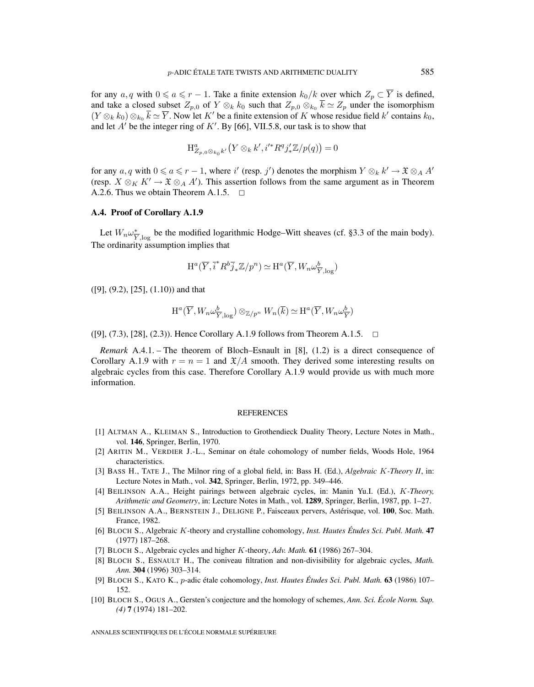for any  $a, q$  with  $0 \le a \le r - 1$ . Take a finite extension  $k_0/k$  over which  $Z_p \subset \overline{Y}$  is defined, and take a closed subset  $Z_{p,0}$  of  $Y \otimes_k k_0$  such that  $Z_{p,0} \otimes_{k_0} \overline{k} \simeq Z_p$  under the isomorphism  $(Y \otimes_k k_0) \otimes_{k_0} \overline{k} \simeq \overline{Y}$ . Now let K' be a finite extension of K whose residue field k' contains  $k_0$ , and let  $A'$  be the integer ring of  $K'$ . By [66], VII.5.8, our task is to show that

$$
\mathrm{H}^a_{Z_{p,0}\otimes_{k_0}k'}\big(Y\otimes_k k',i'^*R^qj'_*\mathbb{Z}/p(q)\big)=0
$$

for any  $a, q$  with  $0 \le a \le r - 1$ , where i' (resp. j') denotes the morphism  $Y \otimes_k k' \to \mathfrak{X} \otimes_A A'$ (resp.  $X \otimes_K K' \to \mathfrak{X} \otimes_A A'$ ). This assertion follows from the same argument as in Theorem A.2.6. Thus we obtain Theorem A.1.5.  $\Box$ 

#### **A.4. Proof of Corollary A.1.9**

Let  $W_n \omega_{\overline{Y}, \log}^*$  be the modified logarithmic Hodge–Witt sheaves (cf. §3.3 of the main body). The ordinarity assumption implies that

$$
\mathrm{H}^{a}(\overline{Y},\overline{i}^{*}R^{b}\overline{j}_{*}\mathbb{Z}/p^{n})\simeq \mathrm{H}^{a}(\overline{Y},W_{n}\omega_{\overline{Y},\log}^{b})
$$

([9], (9.2), [25], (1.10)) and that

$$
\mathrm{H}^{a}(\overline{Y}, W_{n} \omega^{\underline{b}}_{\overline{Y},\log}) \otimes_{\mathbb{Z}/p^{n}} W_{n}(\overline{k}) \simeq \mathrm{H}^{a}(\overline{Y}, W_{n} \omega^{\underline{b}}_{\overline{Y}})
$$

([9], (7.3), [28], (2.3)). Hence Corollary A.1.9 follows from Theorem A.1.5.  $\Box$ 

*Remark* A.4.1. – The theorem of Bloch–Esnault in [8], (1.2) is a direct consequence of Corollary A.1.9 with  $r = n = 1$  and  $\mathfrak{X}/A$  smooth. They derived some interesting results on algebraic cycles from this case. Therefore Corollary A.1.9 would provide us with much more information.

#### **REFERENCES**

- [1] ALTMAN A., KLEIMAN S., Introduction to Grothendieck Duality Theory, Lecture Notes in Math., vol. **146**, Springer, Berlin, 1970.
- [2] ARITIN M., VERDIER J.-L., Seminar on étale cohomology of number fields, Woods Hole, 1964 characteristics.
- [3] BASS H., TATE J., The Milnor ring of a global field, in: Bass H. (Ed.), *Algebraic* K*-Theory II*, in: Lecture Notes in Math., vol. **342**, Springer, Berlin, 1972, pp. 349–446.
- [4] BEILINSON A.A., Height pairings between algebraic cycles, in: Manin Yu.I. (Ed.), K*-Theory, Arithmetic and Geometry*, in: Lecture Notes in Math., vol. **1289**, Springer, Berlin, 1987, pp. 1–27.
- [5] BEILINSON A.A., BERNSTEIN J., DELIGNE P., Faisceaux pervers, Astérisque, vol. **100**, Soc. Math. France, 1982.
- [6] BLOCH S., Algebraic K-theory and crystalline cohomology, *Inst. Hautes Études Sci. Publ. Math.* **47** (1977) 187–268.
- [7] BLOCH S., Algebraic cycles and higher K-theory, *Adv. Math.* **61** (1986) 267–304.
- [8] BLOCH S., ESNAULT H., The coniveau filtration and non-divisibility for algebraic cycles, *Math. Ann.* **304** (1996) 303–314.
- [9] BLOCH S., KATO K., p-adic étale cohomology, *Inst. Hautes Études Sci. Publ. Math.* **63** (1986) 107– 152.
- [10] BLOCH S., OGUS A., Gersten's conjecture and the homology of schemes, *Ann. Sci. École Norm. Sup. (4)* **7** (1974) 181–202.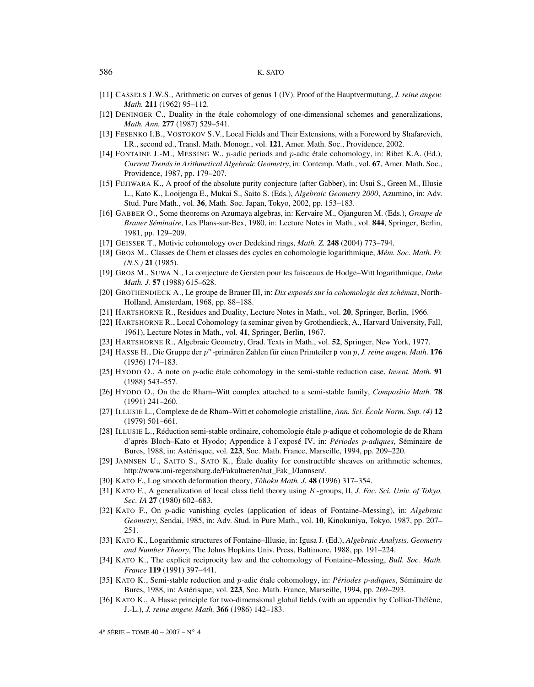#### 586 K. SATO

- [11] CASSELS J.W.S., Arithmetic on curves of genus 1 (IV). Proof of the Hauptvermutung, *J. reine angew. Math.* **211** (1962) 95–112.
- [12] DENINGER C., Duality in the étale cohomology of one-dimensional schemes and generalizations, *Math. Ann.* **277** (1987) 529–541.
- [13] FESENKO I.B., VOSTOKOV S.V., Local Fields and Their Extensions, with a Foreword by Shafarevich, I.R., second ed., Transl. Math. Monogr., vol. **121**, Amer. Math. Soc., Providence, 2002.
- [14] FONTAINE J.-M., MESSING W., p-adic periods and p-adic étale cohomology, in: Ribet K.A. (Ed.), *Current Trends in Arithmetical Algebraic Geometry*, in: Contemp. Math., vol. **67**, Amer. Math. Soc., Providence, 1987, pp. 179–207.
- [15] FUJIWARA K., A proof of the absolute purity conjecture (after Gabber), in: Usui S., Green M., Illusie L., Kato K., Looijenga E., Mukai S., Saito S. (Eds.), *Algebraic Geometry 2000*, Azumino, in: Adv. Stud. Pure Math., vol. **36**, Math. Soc. Japan, Tokyo, 2002, pp. 153–183.
- [16] GABBER O., Some theorems on Azumaya algebras, in: Kervaire M., Ojanguren M. (Eds.), *Groupe de Brauer Séminaire*, Les Plans-sur-Bex, 1980, in: Lecture Notes in Math., vol. **844**, Springer, Berlin, 1981, pp. 129–209.
- [17] GEISSER T., Motivic cohomology over Dedekind rings, *Math. Z.* **248** (2004) 773–794.
- [18] GROS M., Classes de Chern et classes des cycles en cohomologie logarithmique, *Mém. Soc. Math. Fr. (N.S.)* **21** (1985).
- [19] GROS M., SUWA N., La conjecture de Gersten pour les faisceaux de Hodge–Witt logarithmique, *Duke Math. J.* **57** (1988) 615–628.
- [20] GROTHENDIECK A., Le groupe de Brauer III, in: *Dix exposés sur la cohomologie des schémas*, North-Holland, Amsterdam, 1968, pp. 88–188.
- [21] HARTSHORNE R., Residues and Duality, Lecture Notes in Math., vol. **20**, Springer, Berlin, 1966.
- [22] HARTSHORNE R., Local Cohomology (a seminar given by Grothendieck, A., Harvard University, Fall, 1961), Lecture Notes in Math., vol. **41**, Springer, Berlin, 1967.
- [23] HARTSHORNE R., Algebraic Geometry, Grad. Texts in Math., vol. **52**, Springer, New York, 1977.
- [24] HASSE H., Die Gruppe der  $p^n$ -primären Zahlen für einen Primteiler p von p, *J. reine angew. Math.* **176** (1936) 174–183.
- [25] HYODO O., A note on p-adic étale cohomology in the semi-stable reduction case, *Invent. Math.* **91** (1988) 543–557.
- [26] HYODO O., On the de Rham–Witt complex attached to a semi-stable family, *Compositio Math.* **78** (1991) 241–260.
- [27] ILLUSIE L., Complexe de de Rham–Witt et cohomologie cristalline, *Ann. Sci. École Norm. Sup. (4)* **12** (1979) 501–661.
- [28] ILLUSIE L., Réduction semi-stable ordinaire, cohomologie étale p-adique et cohomologie de de Rham d'après Bloch–Kato et Hyodo; Appendice à l'exposé IV, in: *Périodes* p*-adiques*, Séminaire de Bures, 1988, in: Astérisque, vol. **223**, Soc. Math. France, Marseille, 1994, pp. 209–220.
- [29] JANNSEN U., SAITO S., SATO K., Étale duality for constructible sheaves on arithmetic schemes, http://www.uni-regensburg.de/Fakultaeten/nat\_Fak\_I/Jannsen/.
- [30] KATO F., Log smooth deformation theory, *Tôhoku Math. J.* **48** (1996) 317–354.
- [31] KATO F., A generalization of local class field theory using K-groups, II, *J. Fac. Sci. Univ. of Tokyo, Sec. IA* **27** (1980) 602–683.
- [32] KATO F., On p-adic vanishing cycles (application of ideas of Fontaine–Messing), in: *Algebraic Geometry*, Sendai, 1985, in: Adv. Stud. in Pure Math., vol. **10**, Kinokuniya, Tokyo, 1987, pp. 207– 251.
- [33] KATO K., Logarithmic structures of Fontaine–Illusie, in: Igusa J. (Ed.), *Algebraic Analysis, Geometry and Number Theory*, The Johns Hopkins Univ. Press, Baltimore, 1988, pp. 191–224.
- [34] KATO K., The explicit reciprocity law and the cohomology of Fontaine–Messing, *Bull. Soc. Math. France* **119** (1991) 397–441.
- [35] KATO K., Semi-stable reduction and p-adic étale cohomology, in: *Périodes* p*-adiques*, Séminaire de Bures, 1988, in: Astérisque, vol. **223**, Soc. Math. France, Marseille, 1994, pp. 269–293.
- [36] KATO K., A Hasse principle for two-dimensional global fields (with an appendix by Colliot-Thélène, J.-L.), *J. reine angew. Math.* **366** (1986) 142–183.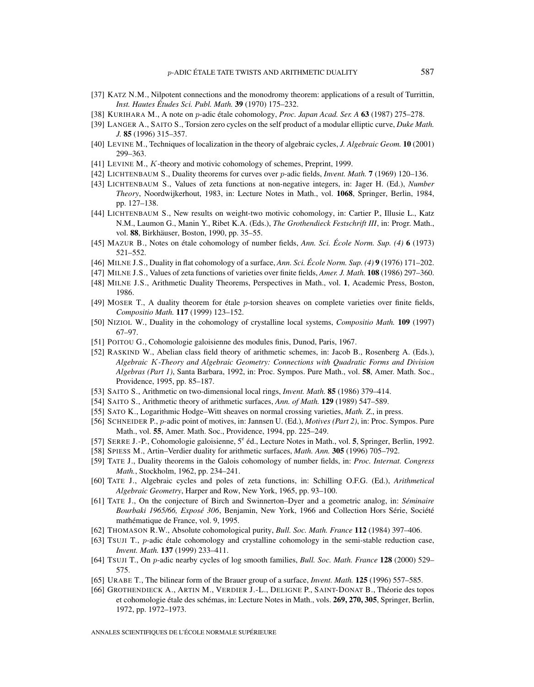- [37] KATZ N.M., Nilpotent connections and the monodromy theorem: applications of a result of Turrittin, *Inst. Hautes Études Sci. Publ. Math.* **39** (1970) 175–232.
- [38] KURIHARA M., A note on p-adic étale cohomology, *Proc. Japan Acad. Ser. A* **63** (1987) 275–278.
- [39] LANGER A., SAITO S., Torsion zero cycles on the self product of a modular elliptic curve, *Duke Math. J.* **85** (1996) 315–357.
- [40] LEVINE M., Techniques of localization in the theory of algebraic cycles, *J. Algebraic Geom.* **10** (2001) 299–363.
- [41] LEVINE M., K-theory and motivic cohomology of schemes, Preprint, 1999.
- [42] LICHTENBAUM S., Duality theorems for curves over p-adic fields, *Invent. Math.* **7** (1969) 120–136.
- [43] LICHTENBAUM S., Values of zeta functions at non-negative integers, in: Jager H. (Ed.), *Number Theory*, Noordwijkerhout, 1983, in: Lecture Notes in Math., vol. **1068**, Springer, Berlin, 1984, pp. 127–138.
- [44] LICHTENBAUM S., New results on weight-two motivic cohomology, in: Cartier P., Illusie L., Katz N.M., Laumon G., Manin Y., Ribet K.A. (Eds.), *The Grothendieck Festschrift III*, in: Progr. Math., vol. **88**, Birkhäuser, Boston, 1990, pp. 35–55.
- [45] MAZUR B., Notes on étale cohomology of number fields, *Ann. Sci. École Norm. Sup. (4)* **6** (1973) 521–552.
- [46] MILNE J.S., Duality in flat cohomology of a surface, *Ann. Sci. École Norm. Sup. (4)* **9** (1976) 171–202.
- [47] MILNE J.S., Values of zeta functions of varieties over finite fields, *Amer. J. Math.* **108** (1986) 297–360.
- [48] MILNE J.S., Arithmetic Duality Theorems, Perspectives in Math., vol. **1**, Academic Press, Boston, 1986.
- [49] MOSER T., A duality theorem for étale p-torsion sheaves on complete varieties over finite fields, *Compositio Math.* **117** (1999) 123–152.
- [50] NIZIOL W., Duality in the cohomology of crystalline local systems, *Compositio Math.* **109** (1997) 67–97.
- [51] POITOU G., Cohomologie galoisienne des modules finis, Dunod, Paris, 1967.
- [52] RASKIND W., Abelian class field theory of arithmetic schemes, in: Jacob B., Rosenberg A. (Eds.), *Algebraic* K*-Theory and Algebraic Geometry: Connections with Quadratic Forms and Division Algebras (Part 1)*, Santa Barbara, 1992, in: Proc. Sympos. Pure Math., vol. **58**, Amer. Math. Soc., Providence, 1995, pp. 85–187.
- [53] SAITO S., Arithmetic on two-dimensional local rings, *Invent. Math.* **85** (1986) 379–414.
- [54] SAITO S., Arithmetic theory of arithmetic surfaces, *Ann. of Math.* **129** (1989) 547–589.
- [55] SATO K., Logarithmic Hodge–Witt sheaves on normal crossing varieties, *Math. Z*., in press.
- [56] SCHNEIDER P., p-adic point of motives, in: Jannsen U. (Ed.), *Motives (Part 2)*, in: Proc. Sympos. Pure Math., vol. **55**, Amer. Math. Soc., Providence, 1994, pp. 225–249.
- [57] SERRE J.-P., Cohomologie galoisienne, 5<sup>e</sup> éd., Lecture Notes in Math., vol. 5, Springer, Berlin, 1992.
- [58] SPIESS M., Artin–Verdier duality for arithmetic surfaces, *Math. Ann.* **305** (1996) 705–792.
- [59] TATE J., Duality theorems in the Galois cohomology of number fields, in: *Proc. Internat. Congress Math.*, Stockholm, 1962, pp. 234–241.
- [60] TATE J., Algebraic cycles and poles of zeta functions, in: Schilling O.F.G. (Ed.), *Arithmetical Algebraic Geometry*, Harper and Row, New York, 1965, pp. 93–100.
- [61] TATE J., On the conjecture of Birch and Swinnerton–Dyer and a geometric analog, in: *Séminaire Bourbaki 1965/66, Exposé 306*, Benjamin, New York, 1966 and Collection Hors Série, Société mathématique de France, vol. 9, 1995.
- [62] THOMASON R.W., Absolute cohomological purity, *Bull. Soc. Math. France* **112** (1984) 397–406.
- [63] TSUJI T., p-adic étale cohomology and crystalline cohomology in the semi-stable reduction case, *Invent. Math.* **137** (1999) 233–411.
- [64] TSUJI T., On p-adic nearby cycles of log smooth families, *Bull. Soc. Math. France* **128** (2000) 529– 575.
- [65] URABE T., The bilinear form of the Brauer group of a surface, *Invent. Math.* **125** (1996) 557–585.
- [66] GROTHENDIECK A., ARTIN M., VERDIER J.-L., DELIGNE P., SAINT-DONAT B., Théorie des topos et cohomologie étale des schémas, in: Lecture Notes in Math., vols. **269, 270, 305**, Springer, Berlin, 1972, pp. 1972–1973.